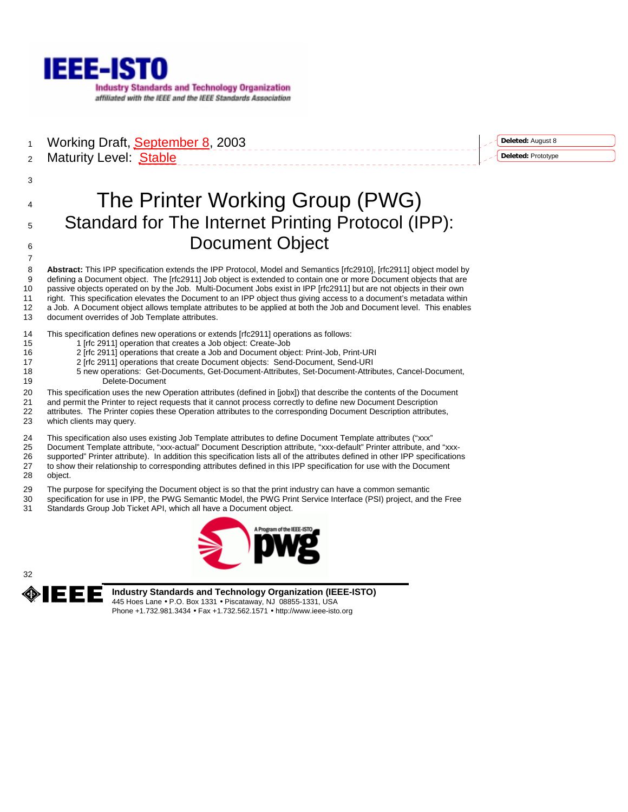

1 Working Draft, September 8, 2003 2 Maturity Level: Stable

## **Deleted:** August 8 **Deleted:** Prototype

# 4 The Printer Working Group (PWG) 5 Standard for The Internet Printing Protocol (IPP): 6 **Document Object**

8 **Abstract:** This IPP specification extends the IPP Protocol, Model and Semantics [rfc2910], [rfc2911] object model by 9 defining a Document object. The [rfc2911] Job object is extended to contain one or more Document objects that are 10 passive objects operated on by the Job. Multi-Document Jobs exist in IPP [rfc2911] but are not objects in their own 11 right. This specification elevates the Document to an IPP object thus giving access to a document's metadata within 12 a Job. A Document object allows template attributes to be applied at both the Job and Document level. This enables 13 document overrides of Job Template attributes.

14 This specification defines new operations or extends [rfc2911] operations as follows:

- 15 1 [rfc 2911] operation that creates a Job object: Create-Job<br>16 2 [rfc 2911] operations that create a Job and Document object
	- 2 [rfc 2911] operations that create a Job and Document object: Print-Job, Print-URI
- 17 2 [rfc 2911] operations that create Document objects: Send-Document, Send-URI
- 18 5 new operations: Get-Documents, Get-Document-Attributes, Set-Document-Attributes, Cancel-Document, 19 Delete-Document

## 20 This specification uses the new Operation attributes (defined in [jobx]) that describe the contents of the Document 21 and permit the Printer to reject requests that it cannot process correctly to define new Document Description

- 22 attributes. The Printer copies these Operation attributes to the corresponding Document Description attributes,<br>23 which clients may query which clients may query.
- 
- 24 This specification also uses existing Job Template attributes to define Document Template attributes ("xxx"<br>25 Document Template attribute "xxx-actual" Document Description attribute "xxx-default" Printer attribute ar
- 25 Document Template attribute, "xxx-actual" Document Description attribute, "xxx-default" Printer attribute, and "xxx-26 supported" Printer attribute). In addition this specification lists all of the attributes defined in other IPP specifications 27 to show their relationship to corresponding attributes defined in this IPP specification for use with the Document
- 28 object.

3

7

- 29 The purpose for specifying the Document object is so that the print industry can have a common semantic
- 30 specification for use in IPP, the PWG Semantic Model, the PWG Print Service Interface (PSI) project, and the Free 31 Standards Group Job Ticket API, which all have a Document object.





**Industry Standards and Technology Organization (IEEE-ISTO)**  445 Hoes Lane • P.O. Box 1331 • Piscataway, NJ 08855-1331, USA Phone +1.732.981.3434 • Fax +1.732.562.1571 • http://www.ieee-isto.org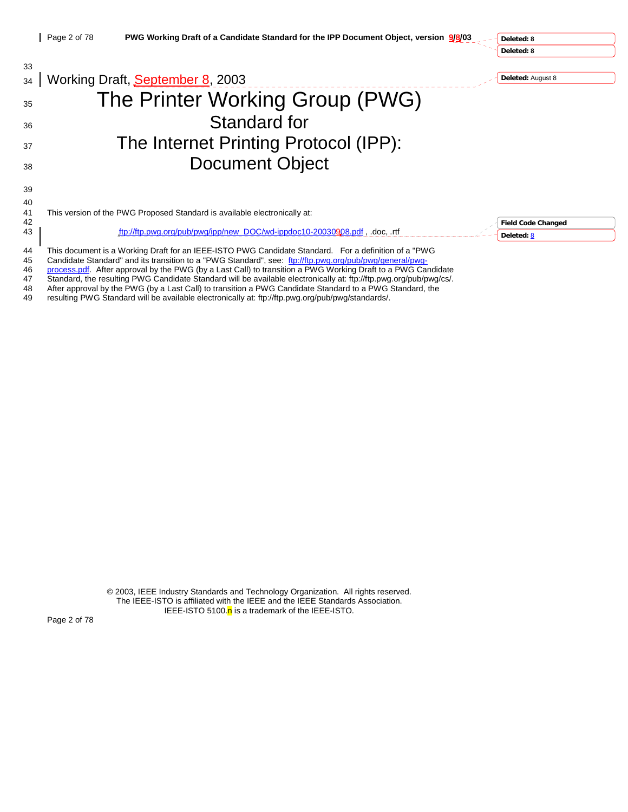**Deleted: 8 Deleted: 8**

| 33 |                                                                                                                    |                           |
|----|--------------------------------------------------------------------------------------------------------------------|---------------------------|
| 34 | Working Draft, September 8, 2003                                                                                   | Deleted: August 8         |
| 35 | The Printer Working Group (PWG)                                                                                    |                           |
| 36 | <b>Standard for</b>                                                                                                |                           |
| 37 | The Internet Printing Protocol (IPP):                                                                              |                           |
| 38 | <b>Document Object</b>                                                                                             |                           |
| 39 |                                                                                                                    |                           |
| 40 |                                                                                                                    |                           |
| 41 | This version of the PWG Proposed Standard is available electronically at:                                          |                           |
| 42 |                                                                                                                    | <b>Field Code Changed</b> |
| 43 | ftp://ftp.pwg.org/pub/pwg/ipp/new_DOC/wd-ippdoc10-20030908.pdf, .doc, .rtf                                         | Deleted: 8                |
| 44 | This document is a Working Draft for an IEEE-ISTO PWG Candidate Standard. For a definition of a "PWG               |                           |
| 45 | Candidate Standard" and its transition to a "PWG Standard", see: ftp://ftp.pwg.org/pub/pwg/general/pwg-            |                           |
| 46 | process.pdf. After approval by the PWG (by a Last Call) to transition a PWG Working Draft to a PWG Candidate       |                           |
| 47 | Standard, the resulting PWG Candidate Standard will be available electronically at: ftp://ftp.pwg.org/pub/pwg/cs/. |                           |

48 After approval by the PWG (by a Last Call) to transition a PWG Candidate Standard to a PWG Standard, the resulting PWG Standard will be available electronically at: ftp://ftp.pwg.org/pub/pwg/standards/.

resulting PWG Standard will be available electronically at: ftp://ftp.pwg.org/pub/pwg/standards/.

© 2003, IEEE Industry Standards and Technology Organization. All rights reserved. The IEEE-ISTO is affiliated with the IEEE and the IEEE Standards Association. IEEE-ISTO 5100. $n$  is a trademark of the IEEE-ISTO.

Page 2 of 78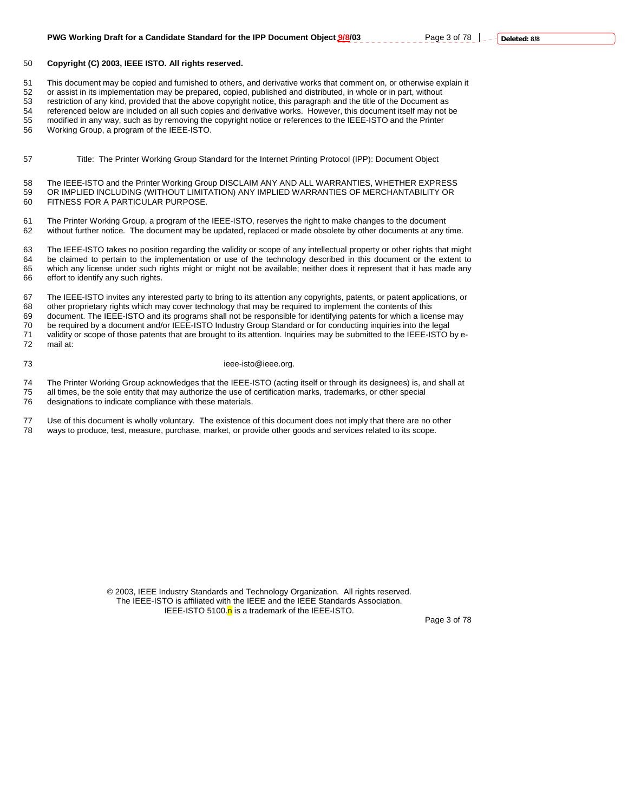## 50 **Copyright (C) 2003, IEEE ISTO. All rights reserved.**

51 This document may be copied and furnished to others, and derivative works that comment on, or otherwise explain it

52 or assist in its implementation may be prepared, copied, published and distributed, in whole or in part, without

53 restriction of any kind, provided that the above copyright notice, this paragraph and the title of the Document as

54 referenced below are included on all such copies and derivative works. However, this document itself may not be<br>55 modified in any way, such as by removing the convright notice or references to the IFFF-ISTO and the Pri modified in any way, such as by removing the copyright notice or references to the IEEE-ISTO and the Printer

56 Working Group, a program of the IEEE-ISTO.

57 Title: The Printer Working Group Standard for the Internet Printing Protocol (IPP): Document Object

58 The IEEE-ISTO and the Printer Working Group DISCLAIM ANY AND ALL WARRANTIES, WHETHER EXPRESS 59 OR IMPLIED INCLUDING (WITHOUT LIMITATION) ANY IMPLIED WARRANTIES OF MERCHANTABILITY OR 60 FITNESS FOR A PARTICULAR PURPOSE.

61 The Printer Working Group, a program of the IEEE-ISTO, reserves the right to make changes to the document 62 without further notice. The document may be updated, replaced or made obsolete by other documents at any time.

63 The IEEE-ISTO takes no position regarding the validity or scope of any intellectual property or other rights that might 64 be claimed to pertain to the implementation or use of the technology described in this document or the extent to 65 which any license under such rights might or might not be available; neither does it represent that it has made any 66 effort to identify any such rights.

67 The IEEE-ISTO invites any interested party to bring to its attention any copyrights, patents, or patent applications, or 68 other proprietary rights which may cover technology that may be required to implement the contents of this 69 document. The IEEE-ISTO and its programs shall not be responsible for identifying patents for which a license may 70 be required by a document and/or IEEE-ISTO Industry Group Standard or for conducting inquiries into the legal 71 validity or scope of those patents that are brought to its attention. Inquiries may be submitted to the IEEE-ISTO by e-72 mail at:

## 73 ieee-isto@ieee.org.

74 The Printer Working Group acknowledges that the IEEE-ISTO (acting itself or through its designees) is, and shall at

75 all times, be the sole entity that may authorize the use of certification marks, trademarks, or other special

76 designations to indicate compliance with these materials.

77 Use of this document is wholly voluntary. The existence of this document does not imply that there are no other 78 ways to produce, test, measure, purchase, market, or provide other goods and services related to its scope.

> © 2003, IEEE Industry Standards and Technology Organization. All rights reserved. The IEEE-ISTO is affiliated with the IEEE and the IEEE Standards Association. IEEE-ISTO 5100. $n$  is a trademark of the IEEE-ISTO.

Page 3 of 78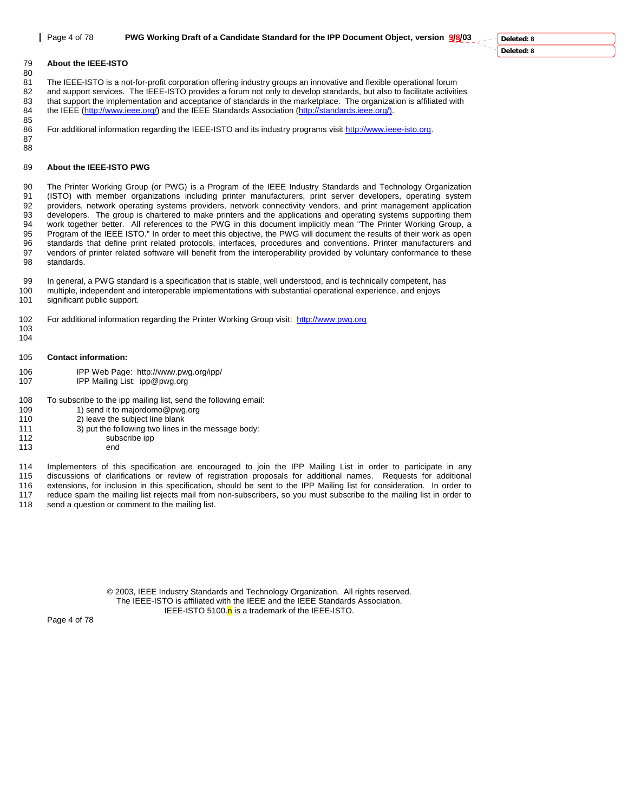#### 79 **About the IEEE-ISTO**  80

81 The IEEE-ISTO is a not-for-profit corporation offering industry groups an innovative and flexible operational forum<br>82 and support services. The IEEE-ISTO provides a forum not only to develop standards, but also to faci 82 and support services. The IEEE-ISTO provides a forum not only to develop standards, but also to facilitate activities<br>83 that support the implementation and acceptance of standards in the marketplace. The organization i that support the implementation and acceptance of standards in the marketplace. The organization is affiliated with 84 the IEEE (http://www.ieee.org/) and the IEEE Standards Association (http://standards.ieee.org/).

85 For additional information regarding the IEEE-ISTO and its industry programs visit http://www.ieee-isto.org.

87 88

#### 89 **About the IEEE-ISTO PWG**

90 The Printer Working Group (or PWG) is a Program of the IEEE Industry Standards and Technology Organization 91 (ISTO) with member organizations including printer manufacturers, print server developers, operating system 92 providers, network operating systems providers, network connectivity vendors, and print management application 93 developers. The group is chartered to make printers and the applications and operating systems supporting them 94 work together better. All references to the PWG in this document implicitly mean "The Printer Working Group, a 95 Program of the IEEE ISTO." In order to meet this objective, the PWG will document the results of their work as open 96 standards that define print related protocols, interfaces, procedures and conventions. Printer manufacturers and<br>97 vendors of printer related software will benefit from the interoperability provided by voluntary confor vendors of printer related software will benefit from the interoperability provided by voluntary conformance to these 98 standards.

99 In general, a PWG standard is a specification that is stable, well understood, and is technically competent, has 100 multiple, independent and interoperable implementations with substantial operational experience, and enjoys 101 significant public support.

102 For additional information regarding the Printer Working Group visit: http://www.pwg.org

- 103 104
- 105 **Contact information:**
- 106 IPP Web Page: http://www.pwg.org/ipp/
- 107 IPP Mailing List: ipp@pwg.org
- 108 To subscribe to the ipp mailing list, send the following email:
- 109 1) send it to majordomo@pwg.org
- 110 2) leave the subject line blank
- 111  $3)$  put the following two lines in the message body:<br>112 subscribe ipp
	- subscribe ipp
- 113 end

114 Implementers of this specification are encouraged to join the IPP Mailing List in order to participate in any 115 discussions of clarifications or review of registration proposals for additional names. Requests for additional<br>116 extensions for inclusion in this specification, should be sent to the IPP Mailing list for considerati 116 extensions, for inclusion in this specification, should be sent to the IPP Mailing list for consideration. In order to 117 reduce spam the mailing list rejects mail from non-subscribers, so you must subscribe to the ma

- reduce spam the mailing list rejects mail from non-subscribers, so you must subscribe to the mailing list in order to
- 118 send a question or comment to the mailing list.

© 2003, IEEE Industry Standards and Technology Organization. All rights reserved. The IEEE-ISTO is affiliated with the IEEE and the IEEE Standards Association. IEEE-ISTO 5100.n is a trademark of the IEEE-ISTO.

Page 4 of 78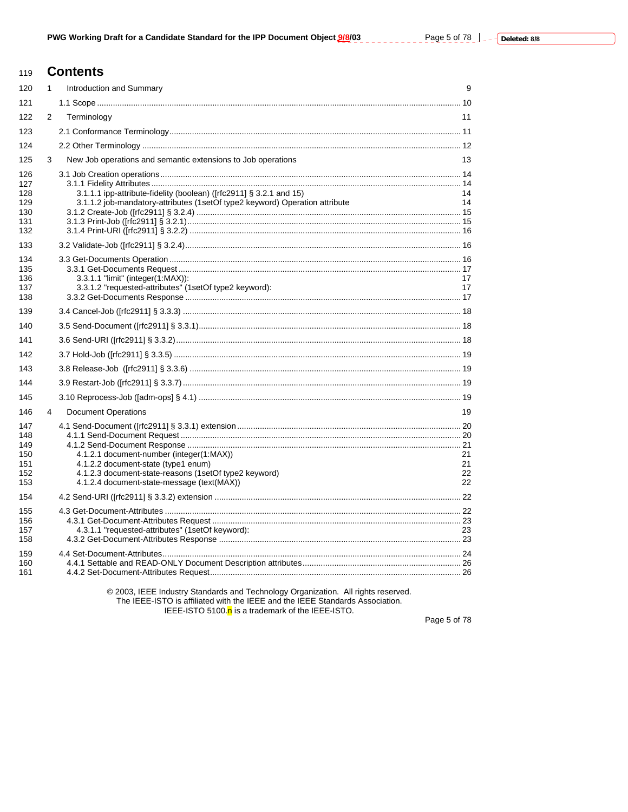$\frac{1}{2}$  =  $\frac{1}{2}$  =  $\frac{1}{2}$ 

#### **Contents** 119

| 120        | $\mathbf{1}$ | Introduction and Summary                                                                                                                           | 9        |
|------------|--------------|----------------------------------------------------------------------------------------------------------------------------------------------------|----------|
| 121        |              |                                                                                                                                                    |          |
| 122        | 2            | Terminology                                                                                                                                        | 11       |
| 123        |              |                                                                                                                                                    |          |
| 124        |              |                                                                                                                                                    |          |
| 125        | 3            | New Job operations and semantic extensions to Job operations                                                                                       | 13       |
| 126        |              |                                                                                                                                                    |          |
| 127        |              |                                                                                                                                                    |          |
| 128<br>129 |              | 3.1.1.1 ipp-attribute-fidelity (boolean) ([rfc2911] § 3.2.1 and 15)<br>3.1.1.2 job-mandatory-attributes (1setOf type2 keyword) Operation attribute | 14<br>14 |
| 130        |              |                                                                                                                                                    |          |
| 131        |              |                                                                                                                                                    |          |
| 132        |              |                                                                                                                                                    |          |
| 133        |              |                                                                                                                                                    |          |
| 134<br>135 |              |                                                                                                                                                    |          |
| 136        |              | 3.3.1.1 "limit" (integer(1:MAX)):                                                                                                                  | 17       |
| 137        |              | 3.3.1.2 "requested-attributes" (1setOf type2 keyword):                                                                                             | 17       |
| 138        |              |                                                                                                                                                    |          |
| 139        |              |                                                                                                                                                    |          |
| 140        |              |                                                                                                                                                    |          |
| 141        |              |                                                                                                                                                    |          |
| 142        |              |                                                                                                                                                    |          |
| 143        |              |                                                                                                                                                    |          |
| 144        |              |                                                                                                                                                    |          |
| 145        |              |                                                                                                                                                    |          |
| 146        | 4            | <b>Document Operations</b>                                                                                                                         | 19       |
| 147        |              |                                                                                                                                                    |          |
| 148<br>149 |              |                                                                                                                                                    |          |
| 150        |              | 4.1.2.1 document-number (integer(1:MAX))                                                                                                           | 21       |
| 151        |              | 4.1.2.2 document-state (type1 enum)                                                                                                                | 21       |
| 152<br>153 |              | 4.1.2.3 document-state-reasons (1setOf type2 keyword)<br>4.1.2.4 document-state-message (text(MAX))                                                | 22<br>22 |
| 154        |              |                                                                                                                                                    |          |
| 155        |              |                                                                                                                                                    |          |
| 156        |              |                                                                                                                                                    |          |
| 157        |              | 4.3.1.1 "requested-attributes" (1setOf keyword):                                                                                                   | 23       |
| 158        |              |                                                                                                                                                    |          |
| 159        |              |                                                                                                                                                    |          |
| 160<br>161 |              |                                                                                                                                                    |          |
|            |              |                                                                                                                                                    |          |

© 2003, IEEE Industry Standards and Technology Organization. All rights reserved. The IEEE-ISTO is affiliated with the IEEE and the IEEE Standards Association.<br>IEEE-ISTO is affiliated with the IEEE and the IEEE Standards Association.<br>IEEE-ISTO 5100.<mark>n</mark> is a trademark of the IEEE-ISTO.

Page 5 of 78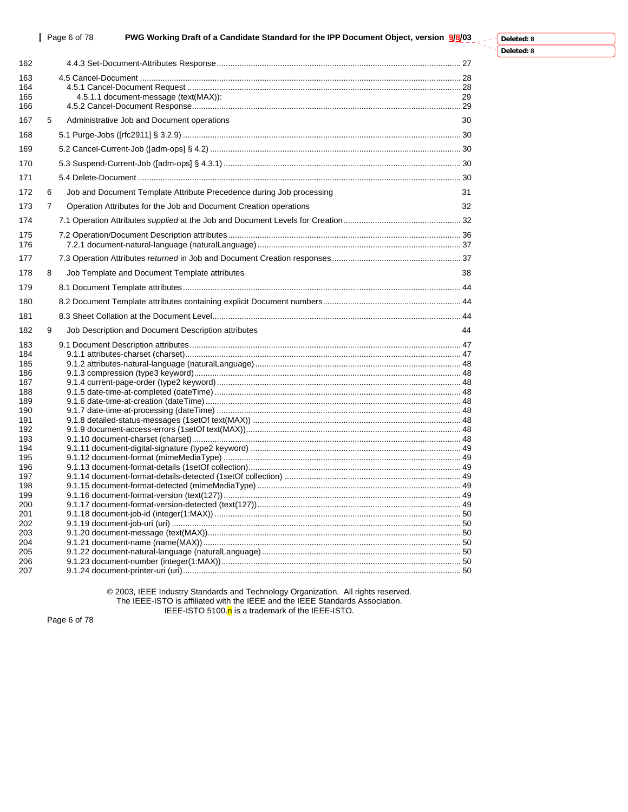| 162        |                |                                                                      |    |
|------------|----------------|----------------------------------------------------------------------|----|
| 163        |                |                                                                      |    |
| 164        |                |                                                                      |    |
| 165        |                | 4.5.1.1 document-message (text(MAX)):                                | 29 |
| 166        |                |                                                                      |    |
| 167        | 5              | Administrative Job and Document operations                           | 30 |
| 168        |                |                                                                      |    |
| 169        |                |                                                                      |    |
| 170        |                |                                                                      |    |
| 171        |                |                                                                      |    |
| 172        | 6              | Job and Document Template Attribute Precedence during Job processing | 31 |
| 173        | $\overline{7}$ | Operation Attributes for the Job and Document Creation operations    | 32 |
| 174        |                |                                                                      |    |
| 175        |                |                                                                      |    |
| 176        |                |                                                                      |    |
| 177        |                |                                                                      |    |
| 178        | 8              | Job Template and Document Template attributes                        | 38 |
| 179        |                |                                                                      |    |
| 180        |                |                                                                      |    |
| 181        |                |                                                                      |    |
| 182        | 9              | Job Description and Document Description attributes                  | 44 |
| 183        |                |                                                                      |    |
| 184        |                |                                                                      |    |
| 185        |                |                                                                      |    |
| 186        |                |                                                                      |    |
| 187<br>188 |                |                                                                      |    |
| 189        |                |                                                                      |    |
| 190        |                |                                                                      |    |
| 191        |                |                                                                      |    |
| 192        |                |                                                                      |    |
| 193        |                |                                                                      |    |
| 194        |                |                                                                      |    |
| 195        |                |                                                                      |    |
| 196        |                |                                                                      |    |
| 197        |                |                                                                      |    |
| 198        |                |                                                                      |    |
| 199        |                |                                                                      |    |
| 200        |                |                                                                      |    |
| 201        |                |                                                                      |    |
| 202        |                |                                                                      |    |
| 203<br>204 |                |                                                                      |    |
| 205        |                |                                                                      |    |
| 206        |                |                                                                      |    |
| 207        |                |                                                                      |    |

© 2003, IEEE Industry Standards and Technology Organization. All rights reserved. The IEEE-ISTO is affiliated with the IEEE and the IEEE Standards Association. IEEE-ISTO 5100.<mark>n</mark> is a trademark of the IEEE-ISTO.

Page 6 of 78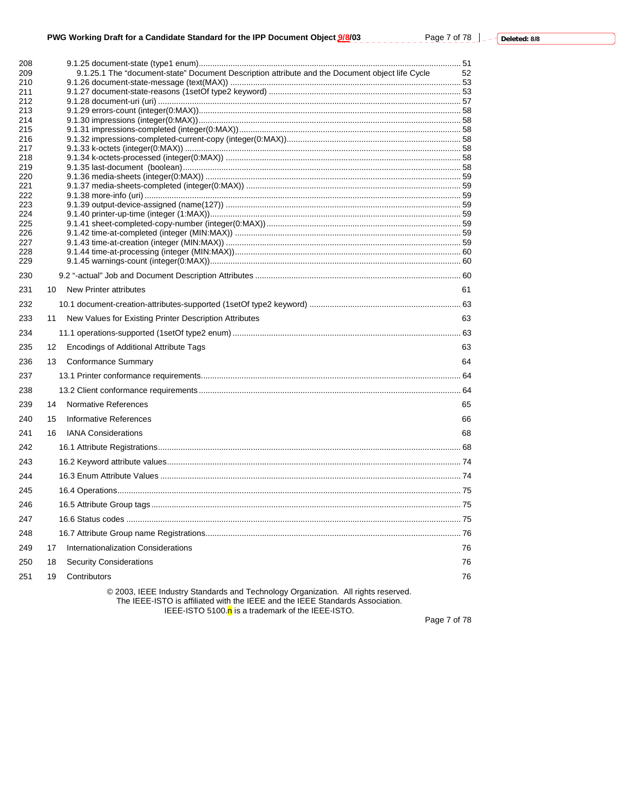| 208<br>209 |    | 9.1.25.1 The "document-state" Document Description attribute and the Document object life Cycle                                                                    | 52 |
|------------|----|--------------------------------------------------------------------------------------------------------------------------------------------------------------------|----|
| 210        |    |                                                                                                                                                                    |    |
| 211        |    |                                                                                                                                                                    |    |
| 212        |    |                                                                                                                                                                    |    |
| 213        |    |                                                                                                                                                                    |    |
| 214        |    |                                                                                                                                                                    |    |
| 215        |    |                                                                                                                                                                    |    |
| 216<br>217 |    |                                                                                                                                                                    |    |
| 218        |    |                                                                                                                                                                    |    |
| 219        |    |                                                                                                                                                                    |    |
| 220        |    |                                                                                                                                                                    |    |
| 221        |    |                                                                                                                                                                    |    |
| 222        |    |                                                                                                                                                                    |    |
| 223        |    |                                                                                                                                                                    |    |
| 224<br>225 |    |                                                                                                                                                                    |    |
| 226        |    |                                                                                                                                                                    |    |
| 227        |    |                                                                                                                                                                    |    |
| 228        |    |                                                                                                                                                                    |    |
| 229        |    |                                                                                                                                                                    |    |
| 230        |    |                                                                                                                                                                    |    |
| 231        | 10 | <b>New Printer attributes</b>                                                                                                                                      | 61 |
| 232        |    |                                                                                                                                                                    |    |
| 233        | 11 | New Values for Existing Printer Description Attributes                                                                                                             | 63 |
| 234        |    |                                                                                                                                                                    |    |
| 235        | 12 | Encodings of Additional Attribute Tags                                                                                                                             | 63 |
| 236        | 13 | <b>Conformance Summary</b>                                                                                                                                         | 64 |
| 237        |    |                                                                                                                                                                    |    |
| 238        |    |                                                                                                                                                                    |    |
| 239        | 14 | Normative References                                                                                                                                               | 65 |
| 240        | 15 | Informative References                                                                                                                                             | 66 |
| 241        | 16 | <b>IANA Considerations</b>                                                                                                                                         | 68 |
| 242        |    |                                                                                                                                                                    |    |
| 243        |    |                                                                                                                                                                    |    |
| 244        |    |                                                                                                                                                                    |    |
| 245        |    |                                                                                                                                                                    |    |
| 246        |    |                                                                                                                                                                    |    |
| 247        |    |                                                                                                                                                                    |    |
| 248        |    |                                                                                                                                                                    |    |
| 249        | 17 | Internationalization Considerations                                                                                                                                | 76 |
| 250        | 18 | <b>Security Considerations</b>                                                                                                                                     | 76 |
| 251        | 19 | Contributors                                                                                                                                                       | 76 |
|            |    | © 2003, IEEE Industry Standards and Technology Organization. All rights reserved.<br>The IEEE-ISTO is affiliated with the IEEE and the IEEE Standards Association. |    |

IEEE-ISTO 5100.<mark>n</mark> is a trademark of the IEEE-ISTO.

Page 7 of 78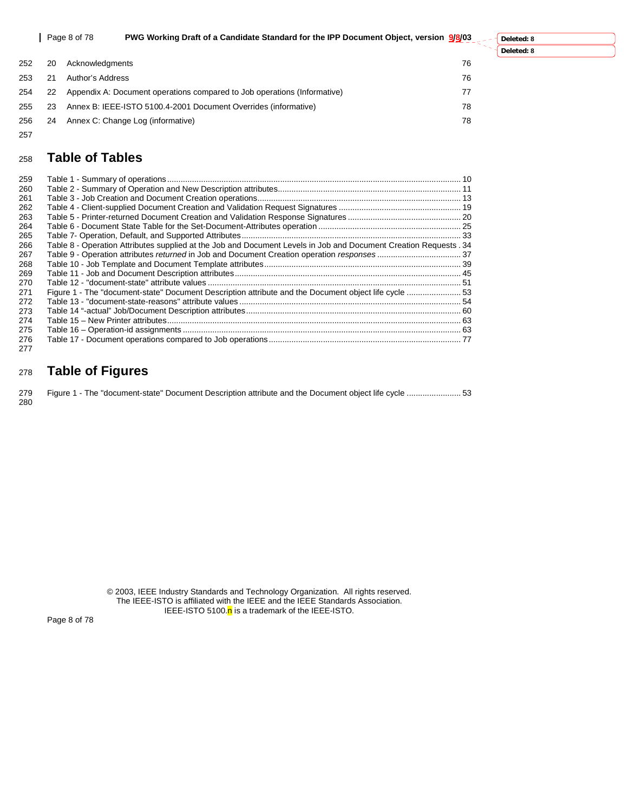|     |    | PWG Working Draft of a Candidate Standard for the IPP Document Object, version 9/8/03<br>Page 8 of 78 | Deleted: 8 |
|-----|----|-------------------------------------------------------------------------------------------------------|------------|
|     |    |                                                                                                       | Deleted: 8 |
| 252 | 20 | 76<br>Acknowledgments                                                                                 |            |
| 253 |    | 76<br>Author's Address                                                                                |            |
| 254 |    | Appendix A: Document operations compared to Job operations (Informative)<br>77                        |            |
| 255 | 23 | Annex B: IEEE-ISTO 5100.4-2001 Document Overrides (informative)<br>78                                 |            |
| 256 | 24 | Annex C: Change Log (informative)<br>78                                                               |            |

## <sup>258</sup>**Table of Tables**

257

| 259 |                                                                                                                   |  |
|-----|-------------------------------------------------------------------------------------------------------------------|--|
| 260 |                                                                                                                   |  |
| 261 |                                                                                                                   |  |
| 262 |                                                                                                                   |  |
| 263 |                                                                                                                   |  |
| 264 |                                                                                                                   |  |
| 265 |                                                                                                                   |  |
| 266 | Table 8 - Operation Attributes supplied at the Job and Document Levels in Job and Document Creation Requests . 34 |  |
| 267 |                                                                                                                   |  |
| 268 |                                                                                                                   |  |
| 269 |                                                                                                                   |  |
| 270 |                                                                                                                   |  |
| 271 | Figure 1 - The "document-state" Document Description attribute and the Document object life cycle  53             |  |
| 272 |                                                                                                                   |  |
| 273 |                                                                                                                   |  |
| 274 |                                                                                                                   |  |
| 275 |                                                                                                                   |  |
| 276 |                                                                                                                   |  |
| 277 |                                                                                                                   |  |

## <sup>278</sup>**Table of Figures**

|     |  | 279 Figure 1 - The "document-state" Document Description attribute and the Document object life cycle  53 |  |  |
|-----|--|-----------------------------------------------------------------------------------------------------------|--|--|
| 280 |  |                                                                                                           |  |  |

© 2003, IEEE Industry Standards and Technology Organization. All rights reserved. The IEEE-ISTO is affiliated with the IEEE and the IEEE Standards Association. IEEE-ISTO 5100.<mark>n</mark> is a trademark of the IEEE-ISTO.

Page 8 of 78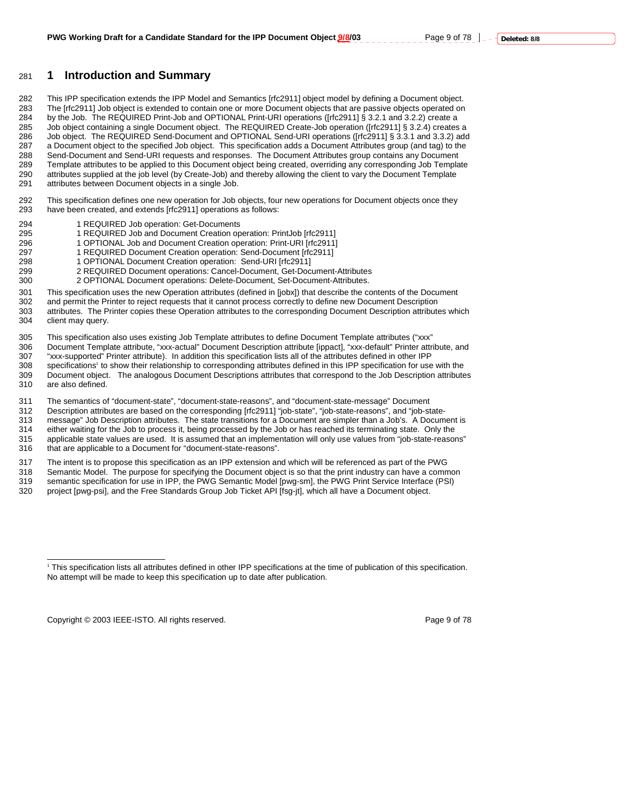## 281 **1 Introduction and Summary**

282 This IPP specification extends the IPP Model and Semantics [rfc2911] object model by defining a Document object. 283 The [rfc2911] Job object is extended to contain one or more Document objects that are passive objects operated on 284 by the Job. The REQUIRED Print-Job and OPTIONAL Print-URI operations ([rfc2911] § 3.2.1 and 3.2.2) create a 285 Job object containing a single Document object. The REQUIRED Create-Job operation ([rfc2911] § 3.2.4) creates a 286 Job object. The REQUIRED Send-Document and OPTIONAL Send-URI operations ([rfc2911] § 3.3.1 and 3.3.2) add<br>287 a Document object to the specified Job object. This specification adds a Document Attributes group (and tag) a Document object to the specified Job object. This specification adds a Document Attributes group (and tag) to the 288 Send-Document and Send-URI requests and responses. The Document Attributes group contains any Document 289 Template attributes to be applied to this Document object being created, overriding any corresponding Job Template<br>290 attributes supplied at the job level (by Create-Job) and thereby allowing the client to vary the Do attributes supplied at the job level (by Create-Job) and thereby allowing the client to vary the Document Template 291 attributes between Document objects in a single Job.

292 This specification defines one new operation for Job objects, four new operations for Document objects once they<br>293 have been created, and extends [rfc2911] operations as follows: have been created, and extends [rfc2911] operations as follows:

- 294 1 REQUIRED Job operation: Get-Documents<br>295 1 REQUIRED Job and Document Creation op
- 1 REQUIRED Job and Document Creation operation: PrintJob [rfc2911]
- 296 1 OPTIONAL Job and Document Creation operation: Print-URI [rfc2911]
	- 1 REQUIRED Document Creation operation: Send-Document [rfc2911]
- 298 1 OPTIONAL Document Creation operation: Send-URI [rfc2911]
- 2 REQUIRED Document operations: Cancel-Document, Get-Document-Attributes
- 300 2 OPTIONAL Document operations: Delete-Document, Set-Document-Attributes.
- 301 This specification uses the new Operation attributes (defined in [jobx]) that describe the contents of the Document
- 302 and permit the Printer to reject requests that it cannot process correctly to define new Document Description<br>303 attributes. The Printer copies these Operation attributes to the corresponding Document Description attr
- 303 attributes. The Printer copies these Operation attributes to the corresponding Document Description attributes which<br>304 client may query. client may query.
- 305 This specification also uses existing Job Template attributes to define Document Template attributes ("xxx"
- 306 Document Template attribute, "xxx-actual" Document Description attribute [ippact], "xxx-default" Printer attribute, and 307 "xxx-supported" Printer attribute). In addition this specification lists all of the attributes defined in other IPP specifications<sup>1</sup> to show their relationship to corresponding attributes defined in this IPP specification for use with the 309 Document object. The analogous Document Descriptions attributes that correspond to the Job Description attributes
- 310 are also defined.
- 311 The semantics of "document-state", "document-state-reasons", and "document-state-message" Document
- 312 Description attributes are based on the corresponding [rfc2911] "job-state", "job-state-reasons", and "job-state-
- 313 message" Job Description attributes. The state transitions for a Document are simpler than a Job's. A Document is
- 314 either waiting for the Job to process it, being processed by the Job or has reached its terminating state. Only the<br>315 applicable state values are used. It is assumed that an implementation will only use values from " applicable state values are used. It is assumed that an implementation will only use values from "job-state-reasons"
- 316 that are applicable to a Document for "document-state-reasons".
- 317 The intent is to propose this specification as an IPP extension and which will be referenced as part of the PWG<br>318 Semantic Model. The purpose for specifying the Document object is so that the print industry can have
- Semantic Model. The purpose for specifying the Document object is so that the print industry can have a common 319 semantic specification for use in IPP, the PWG Semantic Model [pwg-sm], the PWG Print Service Interface (PSI)<br>320 project [pwg-psi], and the Free Standards Group Job Ticket API [fsg-it], which all have a Document objec project [pwg-psi], and the Free Standards Group Job Ticket API [fsg-jt], which all have a Document object.

Copyright © 2003 IEEE-ISTO. All rights reserved. **Page 9 of 78** Page 9 of 78

 $\overline{a}$ 1 This specification lists all attributes defined in other IPP specifications at the time of publication of this specification.

No attempt will be made to keep this specification up to date after publication.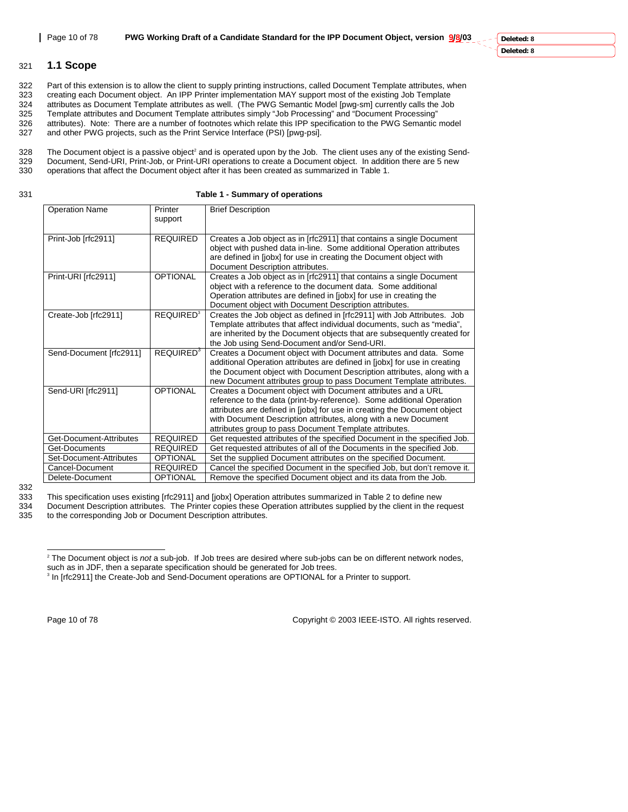**Deleted: 8 Deleted: 8**

## 321 **1.1 Scope**

322 Part of this extension is to allow the client to supply printing instructions, called Document Template attributes, when<br>323 creating each Document object. An IPP Printer implementation MAY support most of the existing creating each Document object. An IPP Printer implementation MAY support most of the existing Job Template 324 attributes as Document Template attributes as well. (The PWG Semantic Model [pwg-sm] currently calls the Job 325 Template attributes and Document Template attributes simply "Job Processing" and "Document Processing" 326 attributes). Note: There are a number of footnotes which relate this IPP specification to the PWG Semantic model<br>327 and other PWG projects, such as the Print Service Interface (PSI) [pwq-psi].

and other PWG projects, such as the Print Service Interface (PSI) [pwg-psi].

328 The Document object is a passive object<sup>2</sup> and is operated upon by the Job. The client uses any of the existing Send-329 Document, Send-URI, Print-Job, or Print-URI operations to create a Document object. In addition there are 5 new<br>330 operations that affect the Document object after it has been created as summarized in Table 1. operations that affect the Document object after it has been created as summarized in Table 1.

331 **Table 1 - Summary of operations** 

| <b>Operation Name</b>   | Printer<br>support          | <b>Brief Description</b>                                                                                                                                                                                                                                                                                                                       |
|-------------------------|-----------------------------|------------------------------------------------------------------------------------------------------------------------------------------------------------------------------------------------------------------------------------------------------------------------------------------------------------------------------------------------|
| Print-Job [rfc2911]     | <b>REQUIRED</b>             | Creates a Job object as in [rfc2911] that contains a single Document<br>object with pushed data in-line. Some additional Operation attributes<br>are defined in [jobx] for use in creating the Document object with<br>Document Description attributes.                                                                                        |
| Print-URI [rfc2911]     | <b>OPTIONAL</b>             | Creates a Job object as in [rfc2911] that contains a single Document<br>object with a reference to the document data. Some additional<br>Operation attributes are defined in [jobx] for use in creating the<br>Document object with Document Description attributes.                                                                           |
| Create-Job [rfc2911]    | <b>REQUIRED<sup>3</sup></b> | Creates the Job object as defined in [rfc2911] with Job Attributes. Job<br>Template attributes that affect individual documents, such as "media",<br>are inherited by the Document objects that are subsequently created for<br>the Job using Send-Document and/or Send-URI.                                                                   |
| Send-Document [rfc2911] | REQUIRED <sup>3</sup>       | Creates a Document object with Document attributes and data. Some<br>additional Operation attributes are defined in [jobx] for use in creating<br>the Document object with Document Description attributes, along with a<br>new Document attributes group to pass Document Template attributes.                                                |
| Send-URI [rfc2911]      | <b>OPTIONAL</b>             | Creates a Document object with Document attributes and a URL<br>reference to the data (print-by-reference). Some additional Operation<br>attributes are defined in [jobx] for use in creating the Document object<br>with Document Description attributes, along with a new Document<br>attributes group to pass Document Template attributes. |
| Get-Document-Attributes | <b>REQUIRED</b>             | Get requested attributes of the specified Document in the specified Job.                                                                                                                                                                                                                                                                       |
| Get-Documents           | <b>REQUIRED</b>             | Get requested attributes of all of the Documents in the specified Job.                                                                                                                                                                                                                                                                         |
| Set-Document-Attributes | <b>OPTIONAL</b>             | Set the supplied Document attributes on the specified Document.                                                                                                                                                                                                                                                                                |
| Cancel-Document         | <b>REQUIRED</b>             | Cancel the specified Document in the specified Job, but don't remove it.                                                                                                                                                                                                                                                                       |
| Delete-Document         | <b>OPTIONAL</b>             | Remove the specified Document object and its data from the Job.                                                                                                                                                                                                                                                                                |

<sup>332</sup> 

333 This specification uses existing [rfc2911] and [jobx] Operation attributes summarized in Table 2 to define new<br>334 Document Description attributes. The Printer copies these Operation attributes supplied by the client i

334 Document Description attributes. The Printer copies these Operation attributes supplied by the client in the request 335 to the corresponding Job or Document Description attributes. to the corresponding Job or Document Description attributes.

Page 10 of 78 Copyright © 2003 IEEE-ISTO. All rights reserved.

 2 The Document object is *not* a sub-job. If Job trees are desired where sub-jobs can be on different network nodes, such as in JDF, then a separate specification should be generated for Job trees.

<sup>&</sup>lt;sup>3</sup> In [rfc2911] the Create-Job and Send-Document operations are OPTIONAL for a Printer to support.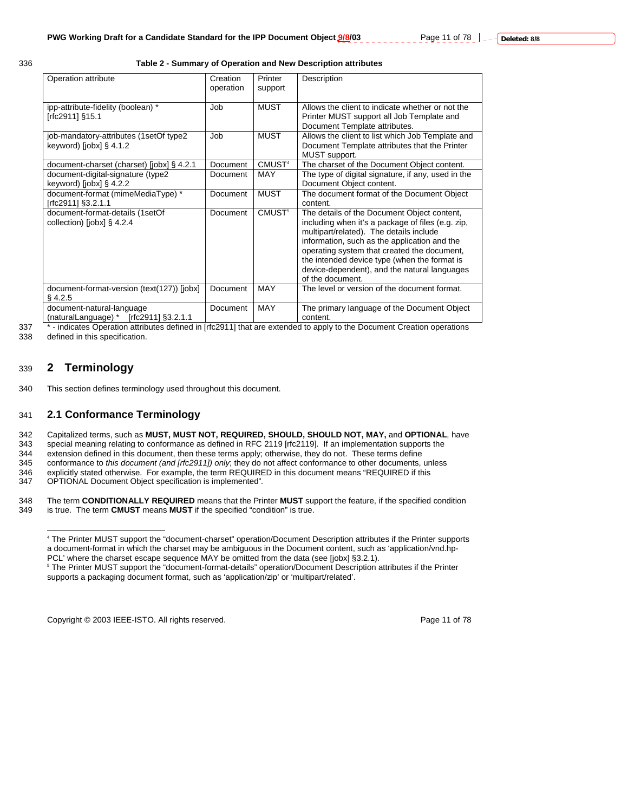## 336 **Table 2 - Summary of Operation and New Description attributes**

| Operation attribute                                                   | Creation<br>operation | Printer<br>support | Description                                                                                                                                                                                                                                                                                                                                                    |
|-----------------------------------------------------------------------|-----------------------|--------------------|----------------------------------------------------------------------------------------------------------------------------------------------------------------------------------------------------------------------------------------------------------------------------------------------------------------------------------------------------------------|
| ipp-attribute-fidelity (boolean) *<br>[rfc2911] §15.1                 | Job                   | <b>MUST</b>        | Allows the client to indicate whether or not the<br>Printer MUST support all Job Template and<br>Document Template attributes.                                                                                                                                                                                                                                 |
| job-mandatory-attributes (1setOf type2<br>keyword) [ $j$ obx] § 4.1.2 | Job                   | <b>MUST</b>        | Allows the client to list which Job Template and<br>Document Template attributes that the Printer<br>MUST support.                                                                                                                                                                                                                                             |
| document-charset (charset) [jobx] § 4.2.1                             | Document              | CMUST <sup>4</sup> | The charset of the Document Object content.                                                                                                                                                                                                                                                                                                                    |
| document-digital-signature (type2                                     | Document              | <b>MAY</b>         | The type of digital signature, if any, used in the                                                                                                                                                                                                                                                                                                             |
| keyword) [jobx] $\S$ 4.2.2                                            |                       |                    | Document Object content.                                                                                                                                                                                                                                                                                                                                       |
| document-format (mimeMediaType) *                                     | Document              | <b>MUST</b>        | The document format of the Document Object                                                                                                                                                                                                                                                                                                                     |
| [rfc2911] §3.2.1.1                                                    |                       |                    | content.                                                                                                                                                                                                                                                                                                                                                       |
| document-format-details (1setOf<br>collection) [jobx] $\S$ 4.2.4      | Document              | CMUST <sup>5</sup> | The details of the Document Object content,<br>including when it's a package of files (e.g. zip,<br>multipart/related). The details include<br>information, such as the application and the<br>operating system that created the document,<br>the intended device type (when the format is<br>device-dependent), and the natural languages<br>of the document. |
| document-format-version (text(127)) [jobx]<br>$§$ 4.2.5               | Document              | <b>MAY</b>         | The level or version of the document format.                                                                                                                                                                                                                                                                                                                   |
| document-natural-language<br>(naturalLanguage) $*$ [rfc2911] §3.2.1.1 | Document              | <b>MAY</b>         | The primary language of the Document Object<br>content.                                                                                                                                                                                                                                                                                                        |

 $\overline{a}$ 

<sup>337</sup> \* - indicates Operation attributes defined in [rfc2911] that are extended to apply to the Document Creation operations<br>338 defined in this specification. defined in this specification.

## 339 **2 Terminology**

340 This section defines terminology used throughout this document.

## 341 **2.1 Conformance Terminology**

342 Capitalized terms, such as **MUST, MUST NOT, REQUIRED, SHOULD, SHOULD NOT, MAY,** and **OPTIONAL**, have

343 special meaning relating to conformance as defined in RFC 2119 [rfc2119]. If an implementation supports the

344 extension defined in this document, then these terms apply; otherwise, they do not. These terms define<br>345 conformance to this document (and [rfc2911]) only; they do not affect conformance to other documents,

345 conformance to *this document (and [rfc2911]) only*; they do not affect conformance to other documents, unless

346 explicitly stated otherwise. For example, the term REQUIRED in this document means "REQUIRED if this 347 OPTIONAL Document Object specification is implemented".

347 OPTIONAL Document Object specification is implemented"*.* 

348 The term **CONDITIONALLY REQUIRED** means that the Printer **MUST** support the feature, if the specified condition 349 is true. The term **CMUST** means **MUST** if the specified rondition<sup>"</sup> is true. is true. The term **CMUST** means **MUST** if the specified "condition" is true.

Copyright © 2003 IEEE-ISTO. All rights reserved. The example of 78 and 78

<sup>4</sup> The Printer MUST support the "document-charset" operation/Document Description attributes if the Printer supports a document-format in which the charset may be ambiguous in the Document content, such as 'application/vnd.hp-PCL' where the charset escape sequence MAY be omitted from the data (see [jobx] §3.2.1).

<sup>5</sup> The Printer MUST support the "document-format-details" operation/Document Description attributes if the Printer supports a packaging document format, such as 'application/zip' or 'multipart/related'.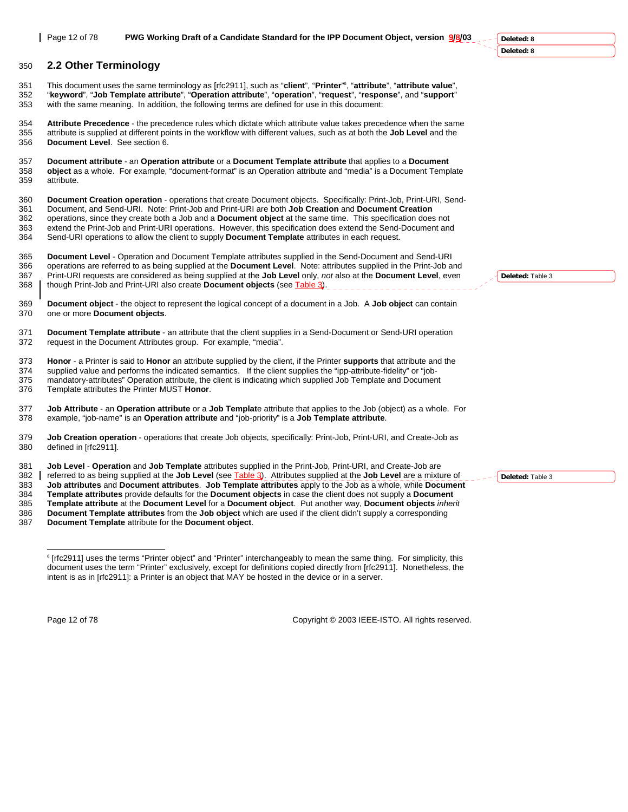#### 350 **2.2 Other Terminology**

This document uses the same terminology as [rfc2911], such as "**client**", "**Printer**" <sup>6</sup> 351 , "**attribute**", "**attribute value**", 352 "**keyword**", "**Job Template attribute**", "**Operation attribute**", "**operation**", "**request**", "**response**", and "**support**" 353 with the same meaning. In addition, the following terms are defined for use in this document:

354 **Attribute Precedence** - the precedence rules which dictate which attribute value takes precedence when the same 355 attribute is supplied at different points in the workflow with different values, such as at both the **Job Level** and the 356 **Document Level**. See section 6.

357 **Document attribute** - an **Operation attribute** or a **Document Template attribute** that applies to a **Document**  358 **object** as a whole. For example, "document-format" is an Operation attribute and "media" is a Document Template 359 attribute.

360 **Document Creation operation** - operations that create Document objects. Specifically: Print-Job, Print-URI, Send-361 Document, and Send-URI. Note: Print-Job and Print-URI are both **Job Creation** and **Document Creation** 362 operations, since they create both a Job and a **Document object** at the same time. This specification does not 363 extend the Print-Job and Print-URI operations. However, this specification does extend the Send-Document and 364 Send-URI operations to allow the client to supply **Document Template** attributes in each request.

365 **Document Level** - Operation and Document Template attributes supplied in the Send-Document and Send-URI 366 operations are referred to as being supplied at the **Document Level**. Note: attributes supplied in the Print-Job and 367 Print-URI requests are considered as being supplied at the **Job Level** only, *not* also at the **Document Level**, even 368 though Print-Job and Print-URI also create **Document objects** (see Table 3).

369 **Document object** - the object to represent the logical concept of a document in a Job. A **Job object** can contain 370 one or more **Document objects**.

371 **Document Template attribute** - an attribute that the client supplies in a Send-Document or Send-URI operation 372 request in the Document Attributes group. For example, "media".

373 **Honor** - a Printer is said to **Honor** an attribute supplied by the client, if the Printer **supports** that attribute and the 374 supplied value and performs the indicated semantics. If the client supplies the "ipp-attribute-fidelity" or "job-

375 mandatory-attributes" Operation attribute, the client is indicating which supplied Job Template and Document<br>376 Template attributes the Printer MUST Honor. 376 Template attributes the Printer MUST **Honor**.

377 **Job Attribute** - an **Operation attribute** or a **Job Templat**e attribute that applies to the Job (object) as a whole. For 378 example, "job-name" is an **Operation attribute** and "job-priority" is a **Job Template attribute**.

379 **Job Creation operation** - operations that create Job objects, specifically: Print-Job, Print-URI, and Create-Job as 380 defined in [rfc2911].

381 **Job Level** - **Operation** and **Job Template** attributes supplied in the Print-Job, Print-URI, and Create-Job are

382 referred to as being supplied at the **Job Level** (see Table 3). Attributes supplied at the **Job Level** are a mixture of

383 **Job attributes** and **Document attributes**. **Job Template attributes** apply to the Job as a whole, while **Document** 

384 **Template attributes** provide defaults for the **Document objects** in case the client does not supply a **Document** 

385 **Template attribute** at the **Document Level** for a **Document object**. Put another way, **Document objects** *inherit* 386 **Document Template attributes** from the **Job object** which are used if the client didn't supply a corresponding

387 **Document Template** attribute for the **Document object**.

Page 12 of 78 Copyright © 2003 IEEE-ISTO. All rights reserved.

**Deleted:** Table 3

**Deleted:** Table 3

**Deleted: 8 Deleted: 8**

 6 [rfc2911] uses the terms "Printer object" and "Printer" interchangeably to mean the same thing. For simplicity, this document uses the term "Printer" exclusively, except for definitions copied directly from [rfc2911]. Nonetheless, the intent is as in [rfc2911]: a Printer is an object that MAY be hosted in the device or in a server.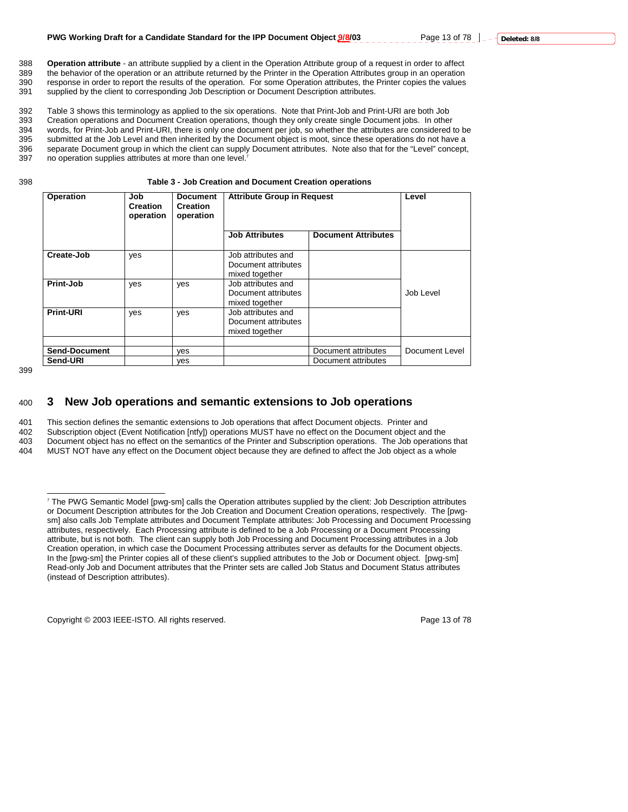388 **Operation attribute** - an attribute supplied by a client in the Operation Attribute group of a request in order to affect the behavior of the operation or an attribute returned by the Printer in the Operation Attributes group in an operation 390 response in order to report the results of the operation. For some Operation attributes, the Printer copies the values 391 supplied by the client to corresponding Job Description or Document Description attributes. supplied by the client to corresponding Job Description or Document Description attributes.

392 Table 3 shows this terminology as applied to the six operations. Note that Print-Job and Print-URI are both Job<br>393 Creation operations and Document Creation operations, though they only create single Document jobs. In 393 Creation operations and Document Creation operations, though they only create single Document jobs. In other<br>394 words, for Print-Job and Print-URI, there is only one document per job, so whether the attributes are con words, for Print-Job and Print-URI, there is only one document per job, so whether the attributes are considered to be 395 submitted at the Job Level and then inherited by the Document object is moot, since these operations do not have a 396 separate Document group in which the client can supply Document attributes. Note also that for the "Level" concept, 397 no operation supplies attributes at more than one level."

no operation supplies attributes at more than one level.<sup>7</sup>

398 **Table 3 - Job Creation and Document Creation operations** 

| Operation            | <b>Document</b><br>Job<br><b>Creation</b><br><b>Creation</b><br>operation<br>operation |     | <b>Attribute Group in Request</b>                           | Level                      |                |
|----------------------|----------------------------------------------------------------------------------------|-----|-------------------------------------------------------------|----------------------------|----------------|
|                      |                                                                                        |     | <b>Job Attributes</b>                                       | <b>Document Attributes</b> |                |
| Create-Job           | yes                                                                                    |     | Job attributes and<br>Document attributes<br>mixed together |                            |                |
| Print-Job            | yes                                                                                    | yes | Job attributes and<br>Document attributes<br>mixed together |                            | Job Level      |
| <b>Print-URI</b>     | yes                                                                                    | yes | Job attributes and<br>Document attributes<br>mixed together |                            |                |
| <b>Send-Document</b> |                                                                                        | yes |                                                             | Document attributes        | Document Level |
| Send-URI             |                                                                                        | yes |                                                             | Document attributes        |                |

399

 $\overline{a}$ 

## 400 **3 New Job operations and semantic extensions to Job operations**

401 This section defines the semantic extensions to Job operations that affect Document objects. Printer and

402 Subscription object (Event Notification [ntfy]) operations MUST have no effect on the Document object and the 403 Document object has no effect on the semantics of the Printer and Subscription operations. The Job operations that

404 MUST NOT have any effect on the Document object because they are defined to affect the Job object as a whole

Copyright © 2003 IEEE-ISTO. All rights reserved. The example of 78 and 78 of 78

<sup>7</sup> The PWG Semantic Model [pwg-sm] calls the Operation attributes supplied by the client: Job Description attributes or Document Description attributes for the Job Creation and Document Creation operations, respectively. The [pwgsm] also calls Job Template attributes and Document Template attributes: Job Processing and Document Processing attributes, respectively. Each Processing attribute is defined to be a Job Processing or a Document Processing attribute, but is not both. The client can supply both Job Processing and Document Processing attributes in a Job Creation operation, in which case the Document Processing attributes server as defaults for the Document objects. In the [pwg-sm] the Printer copies all of these client's supplied attributes to the Job or Document object. [pwg-sm] Read-only Job and Document attributes that the Printer sets are called Job Status and Document Status attributes (instead of Description attributes).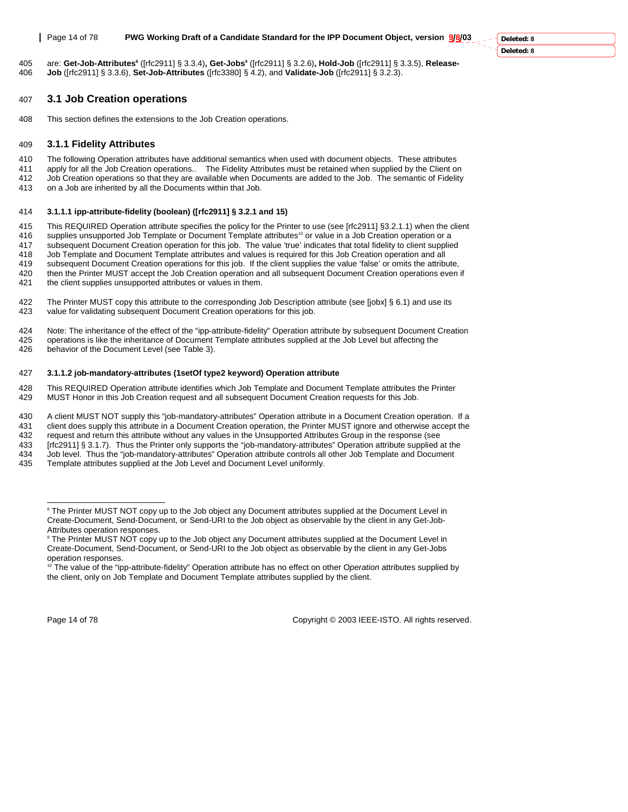**Deleted: 8 Deleted: 8**

are: **Get-Job-Attributes8** ([rfc2911] § 3.3.4)**, Get-Jobs9** 405 ([rfc2911] § 3.2.6)**, Hold-Job** ([rfc2911] § 3.3.5), **Release-**406 **Job** ([rfc2911] § 3.3.6), **Set-Job-Attributes** ([rfc3380] § 4.2), and **Validate-Job** ([rfc2911] § 3.2.3).

## 407 **3.1 Job Creation operations**

408 This section defines the extensions to the Job Creation operations.

## 409 **3.1.1 Fidelity Attributes**

410 The following Operation attributes have additional semantics when used with document objects. These attributes 411 apply for all the Job Creation operations.. The Fidelity Attributes must be retained when supplied by the Client on 412 Job Creation operations so that they are available when Documents are added to the Job. The semantic of Fidelity 413 on a Job are inherited by all the Documents within that Job.

#### 414 **3.1.1.1 ipp-attribute-fidelity (boolean) ([rfc2911] § 3.2.1 and 15)**

415 This REQUIRED Operation attribute specifies the policy for the Printer to use (see [rfc2911] §3.2.1.1) when the client 416 supplies unsupported Job Template or Document Template attributes<sup>10</sup> or value in a Job Creatio

supplies unsupported Job Template or Document Template attributes<sup>10</sup> or value in a Job Creation operation or a

417 subsequent Document Creation operation for this job. The value 'true' indicates that total fidelity to client supplied

418 Job Template and Document Template attributes and values is required for this Job Creation operation and all

419 subsequent Document Creation operations for this job. If the client supplies the value 'false' or omits the attribute, 420 then the Printer MUST accept the Job Creation operation and all subsequent Document Creation operations even if

- 421 the client supplies unsupported attributes or values in them.
- 422 The Printer MUST copy this attribute to the corresponding Job Description attribute (see [jobx] § 6.1) and use its 423 value for validating subsequent Document Creation operations for this job.

424 Note: The inheritance of the effect of the "ipp-attribute-fidelity" Operation attribute by subsequent Document Creation 425 operations is like the inheritance of Document Template attributes supplied at the Job Level but affecting the

426 behavior of the Document Level (see Table 3).

#### 427 **3.1.1.2 job-mandatory-attributes (1setOf type2 keyword) Operation attribute**

428 This REQUIRED Operation attribute identifies which Job Template and Document Template attributes the Printer 429 MUST Honor in this Job Creation request and all subsequent Document Creation requests for this Job.

430 A client MUST NOT supply this "job-mandatory-attributes" Operation attribute in a Document Creation operation. If a

431 client does supply this attribute in a Document Creation operation, the Printer MUST ignore and otherwise accept the

432 request and return this attribute without any values in the Unsupported Attributes Group in the response (see 433 [rfc2911] § 3.1.7). Thus the Printer only supports the "job-mandatory-attributes" Operation attribute supplied at the

434 Job level. Thus the "job-mandatory-attributes" Operation attribute controls all other Job Template and Document<br>435 Template attributes supplied at the Job Level and Document Level uniformly.

Template attributes supplied at the Job Level and Document Level uniformly.

Page 14 of 78 Copyright © 2003 IEEE-ISTO. All rights reserved.

l <sup>8</sup> The Printer MUST NOT copy up to the Job object any Document attributes supplied at the Document Level in Create-Document, Send-Document, or Send-URI to the Job object as observable by the client in any Get-Job-Attributes operation responses.

<sup>9</sup> The Printer MUST NOT copy up to the Job object any Document attributes supplied at the Document Level in Create-Document, Send-Document, or Send-URI to the Job object as observable by the client in any Get-Jobs operation responses.

<sup>10</sup> The value of the "ipp-attribute-fidelity" Operation attribute has no effect on other O*peration* attributes supplied by the client, only on Job Template and Document Template attributes supplied by the client.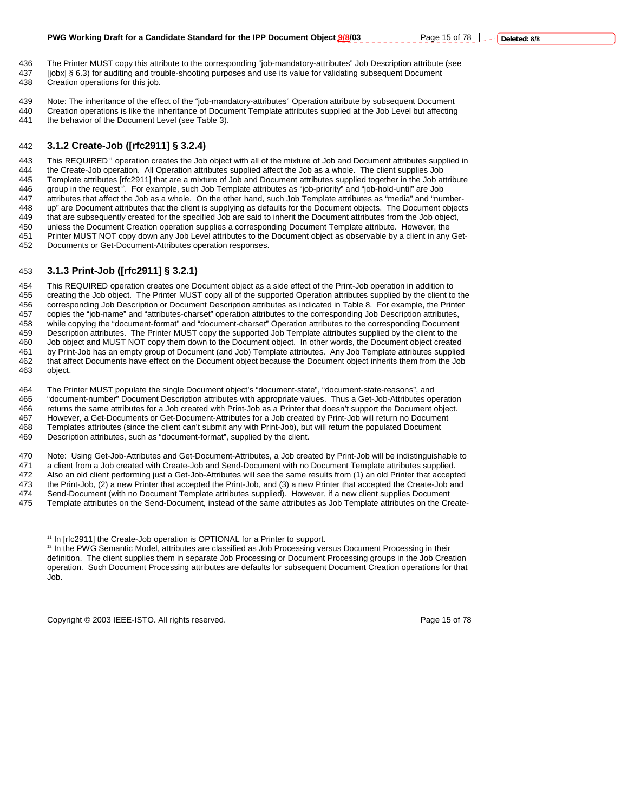436 The Printer MUST copy this attribute to the corresponding "job-mandatory-attributes" Job Description attribute (see 437 [jobx] § 6.3) for auditing and trouble-shooting purposes and use its value for validating subsequent Document 438 Creation operations for this job.

439 Note: The inheritance of the effect of the "job-mandatory-attributes" Operation attribute by subsequent Document

440 Creation operations is like the inheritance of Document Template attributes supplied at the Job Level but affecting<br>441 the behavior of the Document Level (see Table 3) the behavior of the Document Level (see Table 3).

## 442 **3.1.2 Create-Job ([rfc2911] § 3.2.4)**

443 This REQUIRED<sup>11</sup> operation creates the Job object with all of the mixture of Job and Document attributes supplied in 444 the Create-Job operation. All Operation attributes supplied affect the Job as a whole. The client supplies Job<br>445 Template attributes [rfc2911] that are a mixture of Job and Document attributes supplied together in th Template attributes [rfc2911] that are a mixture of Job and Document attributes supplied together in the Job attribute 446 group in the request<sup>12</sup>. For example, such Job Template attributes as "job-priority" and "job-hold-until" are Job<br>447 attributes that affect the Job as a whole. On the other hand, such Job Template attributes as "medi attributes that affect the Job as a whole. On the other hand, such Job Template attributes as "media" and "number-448 up" are Document attributes that the client is supplying as defaults for the Document objects. The Document objects<br>449 that are subsequently created for the specified Job are said to inherit the Document attributes fr that are subsequently created for the specified Job are said to inherit the Document attributes from the Job object, 450 unless the Document Creation operation supplies a corresponding Document Template attribute. However, the<br>451 Printer MUST NOT copy down any Job Level attributes to the Document object as observable by a client in any Printer MUST NOT copy down any Job Level attributes to the Document object as observable by a client in any Get-452 Documents or Get-Document-Attributes operation responses.

## 453 **3.1.3 Print-Job ([rfc2911] § 3.2.1)**

454 This REQUIRED operation creates one Document object as a side effect of the Print-Job operation in addition to 455 creating the Job object. The Printer MUST copy all of the supported Operation attributes supplied by the client to the 456 corresponding Job Description or Document Description attributes as indicated in Table 8. For example, the Printer<br>457 copies the "job-name" and "attributes-charset" operation attributes to the corresponding Job Descri copies the "job-name" and "attributes-charset" operation attributes to the corresponding Job Description attributes, 458 while copying the "document-format" and "document-charset" Operation attributes to the corresponding Document 459 Description attributes. The Printer MUST copy the supported Job Template attributes supplied by the client to the 460 Job object and MUST NOT copy them down to the Document object. In other words, the Document object created 461 by Print-Job has an empty group of Document (and Job) Template attributes. Any Job Template attributes supplied<br>462 that affect Documents have effect on the Document object because the Document object inherits them fro that affect Documents have effect on the Document object because the Document object inherits them from the Job 463 object.

464 The Printer MUST populate the single Document object's "document-state", "document-state-reasons", and 465 "document-number" Document Description attributes with appropriate values. Thus a Get-Job-Attributes operation 466 returns the same attributes for a Job created with Print-Job as a Printer that doesn't support the Document object. 467 However, a Get-Documents or Get-Document-Attributes for a Job created by Print-Job will return no Document<br>468 Templates attributes (since the client can't submit any with Print-Job), but will return the populated Docu Templates attributes (since the client can't submit any with Print-Job), but will return the populated Document

469 Description attributes, such as "document-format", supplied by the client.

470 Note: Using Get-Job-Attributes and Get-Document-Attributes, a Job created by Print-Job will be indistinguishable to

471 a client from a Job created with Create-Job and Send-Document with no Document Template attributes supplied.<br>472 Also an old client performing just a Get-Job-Attributes will see the same results from (1) an old Printer

Also an old client performing just a Get-Job-Attributes will see the same results from (1) an old Printer that accepted

473 the Print-Job, (2) a new Printer that accepted the Print-Job, and (3) a new Printer that accepted the Create-Job and

474 Send-Document (with no Document Template attributes supplied). However, if a new client supplies Document 475 Template attributes on the Send-Document, instead of the same attributes as Job Template attributes on the Create-

Copyright © 2003 IEEE-ISTO. All rights reserved. Page 15 of 78

 $\overline{a}$ 11 In [rfc2911] the Create-Job operation is OPTIONAL for a Printer to support.

<sup>&</sup>lt;sup>12</sup> In the PWG Semantic Model, attributes are classified as Job Processing versus Document Processing in their definition. The client supplies them in separate Job Processing or Document Processing groups in the Job Creation operation. Such Document Processing attributes are defaults for subsequent Document Creation operations for that Job.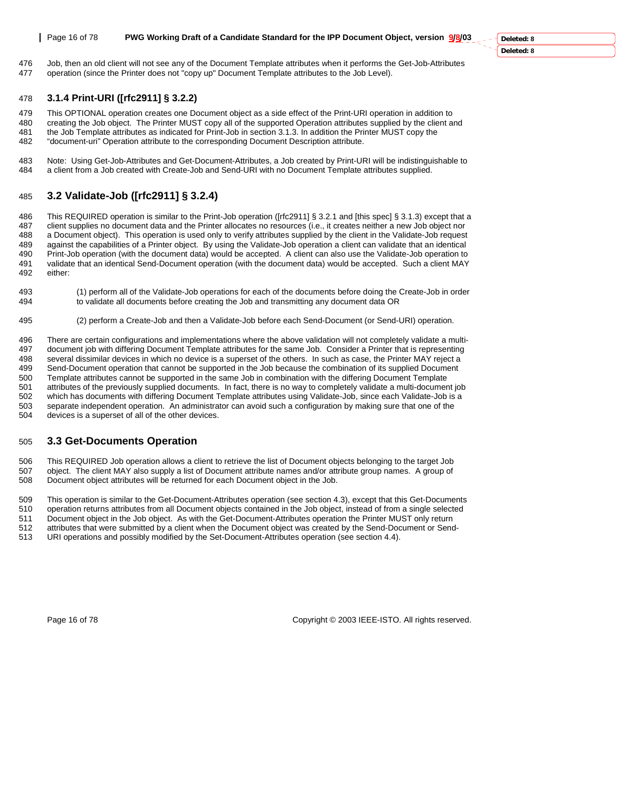**Deleted: 8 Deleted: 8**

476 Job, then an old client will not see any of the Document Template attributes when it performs the Get-Job-Attributes 477 operation (since the Printer does not "copy up" Document Template attributes to the Job Level).

## 478 **3.1.4 Print-URI ([rfc2911] § 3.2.2)**

479 This OPTIONAL operation creates one Document object as a side effect of the Print-URI operation in addition to<br>480 creating the Job object. The Printer MUST copy all of the supported Operation attributes supplied by th

creating the Job object. The Printer MUST copy all of the supported Operation attributes supplied by the client and 481 the Job Template attributes as indicated for Print-Job in section 3.1.3. In addition the Printer MUST copy the 482 "document-uri" Operation attribute to the corresponding Document Description attribute.

483 Note: Using Get-Job-Attributes and Get-Document-Attributes, a Job created by Print-URI will be indistinguishable to 484 a client from a Job created with Create-Job and Send-URI with no Document Template attributes supplied.

## 485 **3.2 Validate-Job ([rfc2911] § 3.2.4)**

486 This REQUIRED operation is similar to the Print-Job operation ([rfc2911] § 3.2.1 and [this spec] § 3.1.3) except that a<br>487 client supplies no document data and the Printer allocates no resources (i.e. it creates neith client supplies no document data and the Printer allocates no resources (i.e., it creates neither a new Job object nor 488 a Document object). This operation is used only to verify attributes supplied by the client in the Validate-Job request 489 against the capabilities of a Printer object. By using the Validate-Job operation a client can validate that an identical<br>490 Print-Job operation (with the document data) would be accepted. A client can also use the Va 490 Print-Job operation (with the document data) would be accepted. A client can also use the Validate-Job operation to<br>491 validate that an identical Send-Document operation (with the document data) would be accepted. Suc 491 validate that an identical Send-Document operation (with the document data) would be accepted. Such a client MAY 492 either:

493 (1) perform all of the Validate-Job operations for each of the documents before doing the Create-Job in order 494 to validate all documents before creating the Job and transmitting any document data OR

495 (2) perform a Create-Job and then a Validate-Job before each Send-Document (or Send-URI) operation.

496 There are certain configurations and implementations where the above validation will not completely validate a multi-497 document job with differing Document Template attributes for the same Job. Consider a Printer that is representing 498 several dissimilar devices in which no device is a superset of the others. In such as case, the Printer MAY reject a 499 Send-Document operation that cannot be supported in the Job because the combination of its supplied Document 500 Template attributes cannot be supported in the same Job in combination with the differing Document Template<br>501 attributes of the previously supplied documents. In fact, there is no way to completely validate a multi-d attributes of the previously supplied documents. In fact, there is no way to completely validate a multi-document job 502 which has documents with differing Document Template attributes using Validate-Job, since each Validate-Job is a 503 separate independent operation. An administrator can avoid such a configuration by making sure that one of the 504 devices is a superset of all of the other devices.

## 505 **3.3 Get-Documents Operation**

506 This REQUIRED Job operation allows a client to retrieve the list of Document objects belonging to the target Job<br>507 object. The client MAY also supply a list of Document attribute names and/or attribute group names. A 507 object. The client MAY also supply a list of Document attribute names and/or attribute group names. A group of 508 Document object attributes will be returned for each Document object in the Job 508 Document object attributes will be returned for each Document object in the Job.

509 This operation is similar to the Get-Document-Attributes operation (see section 4.3), except that this Get-Documents

510 operation returns attributes from all Document objects contained in the Job object, instead of from a single selected

511 Document object in the Job object. As with the Get-Document-Attributes operation the Printer MUST only return

512 attributes that were submitted by a client when the Document object was created by the Send-Document or Send-<br>513 URL operations and possibly modified by the Set-Document-Attributes operation (see section 4.4)

URI operations and possibly modified by the Set-Document-Attributes operation (see section 4.4).

Page 16 of 78 Copyright © 2003 IEEE-ISTO. All rights reserved.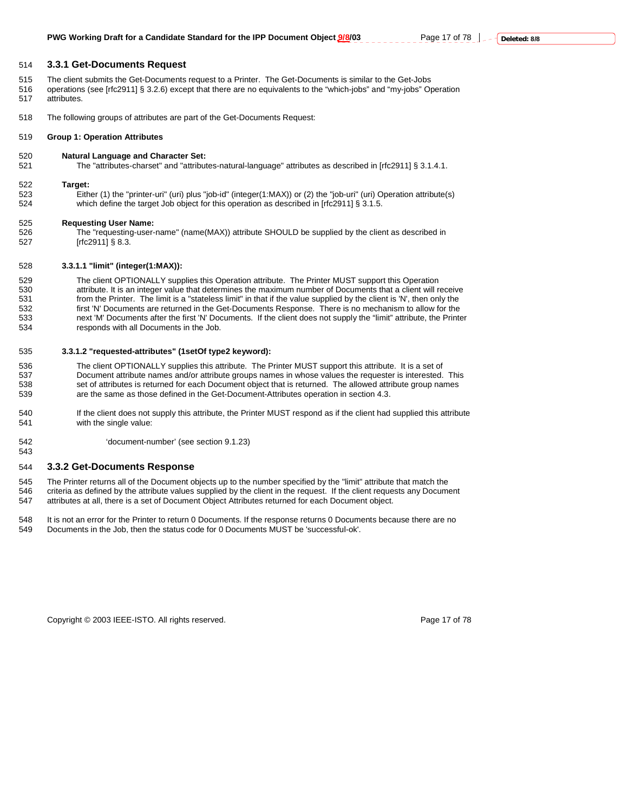### 514 **3.3.1 Get-Documents Request**

- 515 The client submits the Get-Documents request to a Printer. The Get-Documents is similar to the Get-Jobs
- 516 operations (see [rfc2911] § 3.2.6) except that there are no equivalents to the "which-jobs" and "my-jobs" Operation 517 attributes.
- 518 The following groups of attributes are part of the Get-Documents Request:

#### 519 **Group 1: Operation Attributes**

520 **Natural Language and Character Set:** 

521 The "attributes-charset" and "attributes-natural-language" attributes as described in [rfc2911] § 3.1.4.1.

#### 522 **Target:**

543

523 Either (1) the "printer-uri" (uri) plus "job-id" (integer(1:MAX)) or (2) the "job-uri" (uri) Operation attribute(s) 524 which define the target Job object for this operation as described in [rfc2911] § 3.1.5.

#### 525 **Requesting User Name:**

526 The "requesting-user-name" (name(MAX)) attribute SHOULD be supplied by the client as described in<br>527 firc29111 § 8.3.  $[rfc2911]$  § 8.3.

#### 528 **3.3.1.1 "limit" (integer(1:MAX)):**

529 The client OPTIONALLY supplies this Operation attribute. The Printer MUST support this Operation<br>530 attribute. It is an integer value that determines the maximum number of Documents that a client will re attribute. It is an integer value that determines the maximum number of Documents that a client will receive 531 from the Printer. The limit is a "stateless limit" in that if the value supplied by the client is 'N', then only the 532 first 'N' Documents are returned in the Get-Documents Response. There is no mechanism to allow for the 533 next 'M' Documents after the first 'N' Documents. If the client does not supply the "limit" attribute, the Printer 534 responds with all Documents in the Job.

#### 535 **3.3.1.2 "requested-attributes" (1setOf type2 keyword):**

536 The client OPTIONALLY supplies this attribute. The Printer MUST support this attribute. It is a set of 537 Document attribute names and/or attribute groups names in whose values the requester is interested. This 538 set of attributes is returned for each Document object that is returned. The allowed attribute group names<br>539 set the same as those defined in the Get-Document-Attributes operation in section 4.3 are the same as those defined in the Get-Document-Attributes operation in section 4.3.

- 540 If the client does not supply this attribute, the Printer MUST respond as if the client had supplied this attribute<br>541 with the single value: with the single value:
- 542 'document-number' (see section 9.1.23)

#### 544 **3.3.2 Get-Documents Response**

- 545 The Printer returns all of the Document objects up to the number specified by the "limit" attribute that match the
- 546 criteria as defined by the attribute values supplied by the client in the request. If the client requests any Document 547 attributes at all, there is a set of Document Object Attributes returned for each Document object.
- 548 It is not an error for the Printer to return 0 Documents. If the response returns 0 Documents because there are no 549 Documents in the Job. then the status code for 0 Documents MUST be 'successful-ok'. Documents in the Job, then the status code for 0 Documents MUST be 'successful-ok'.

Copyright © 2003 IEEE-ISTO. All rights reserved. The example of 78 and 78 and 78 and 78 and 78 and 78 and 78 and 78 and 78 and 78 and 78 and 78 and 78 and 78 and 78 and 78 and 79 and 79 and 79 and 79 and 79 and 79 and 79 a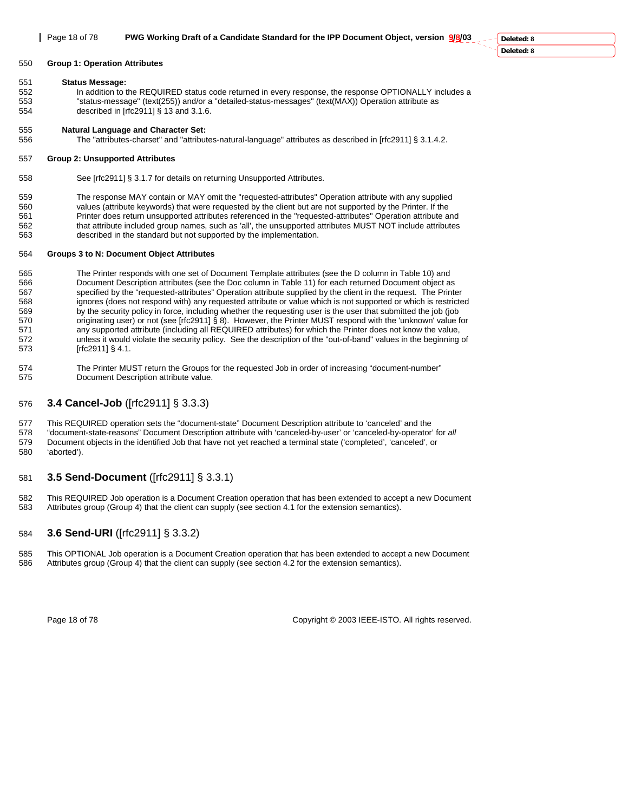**Deleted: 8 Deleted: 8**

## 550 **Group 1: Operation Attributes**

#### 551 **Status Message:**

552 In addition to the REQUIRED status code returned in every response, the response OPTIONALLY includes a 553 "status-message" (text(255)) and/or a "detailed-status-messages" (text(MAX)) Operation attribute as 554 described in [rfc2911] § 13 and 3.1.6.

## 555 **Natural Language and Character Set:**

556 The "attributes-charset" and "attributes-natural-language" attributes as described in [rfc2911] § 3.1.4.2.

## 557 **Group 2: Unsupported Attributes**

558 See [rfc2911] § 3.1.7 for details on returning Unsupported Attributes.

559 The response MAY contain or MAY omit the "requested-attributes" Operation attribute with any supplied 560 values (attribute keywords) that were requested by the client but are not supported by the Printer. If the 561 Printer does return unsupported attributes referenced in the "requested-attributes" Operation attribute and 562 that attribute included group names, such as 'all', the unsupported attributes MUST NOT include attributes 663 described in the standard but not supported by the implementation.

## 564 **Groups 3 to N: Document Object Attributes**

565 The Printer responds with one set of Document Template attributes (see the D column in Table 10) and 566 Document Description attributes (see the Doc column in Table 11) for each returned Document object as<br>567 specified by the "requested-attributes" Operation attribute supplied by the client in the request. The Print specified by the "requested-attributes" Operation attribute supplied by the client in the request. The Printer 568 ignores (does not respond with) any requested attribute or value which is not supported or which is restricted<br>569 by the security policy in force, including whether the requesting user is the user that submitted the j by the security policy in force, including whether the requesting user is the user that submitted the job (job 570 originating user) or not (see [rfc2911] § 8). However, the Printer MUST respond with the 'unknown' value for 571 any supported attribute (including all REQUIRED attributes) for which the Printer does not know the value, 572 unless it would violate the security policy. See the description of the "out-of-band" values in the beginning of 573 [rfc2911] § 4.1.

574 The Printer MUST return the Groups for the requested Job in order of increasing "document-number" 575 Document Description attribute value.

## 576 **3.4 Cancel-Job** ([rfc2911] § 3.3.3)

577 This REQUIRED operation sets the "document-state" Document Description attribute to 'canceled' and the

578 "document-state-reasons" Document Description attribute with 'canceled-by-user' or 'canceled-by-operator' for *all* 579 Document objects in the identified Job that have not yet reached a terminal state ('completed', 'canceled', or 580 'aborted').

## 581 **3.5 Send-Document** ([rfc2911] § 3.3.1)

582 This REQUIRED Job operation is a Document Creation operation that has been extended to accept a new Document 583 Attributes group (Group 4) that the client can supply (see section 4.1 for the extension semantics).

## 584 **3.6 Send-URI** ([rfc2911] § 3.3.2)

585 This OPTIONAL Job operation is a Document Creation operation that has been extended to accept a new Document 586 Attributes group (Group 4) that the client can supply (see section 4.2 for the extension semantics).

Page 18 of 78 Copyright © 2003 IEEE-ISTO. All rights reserved.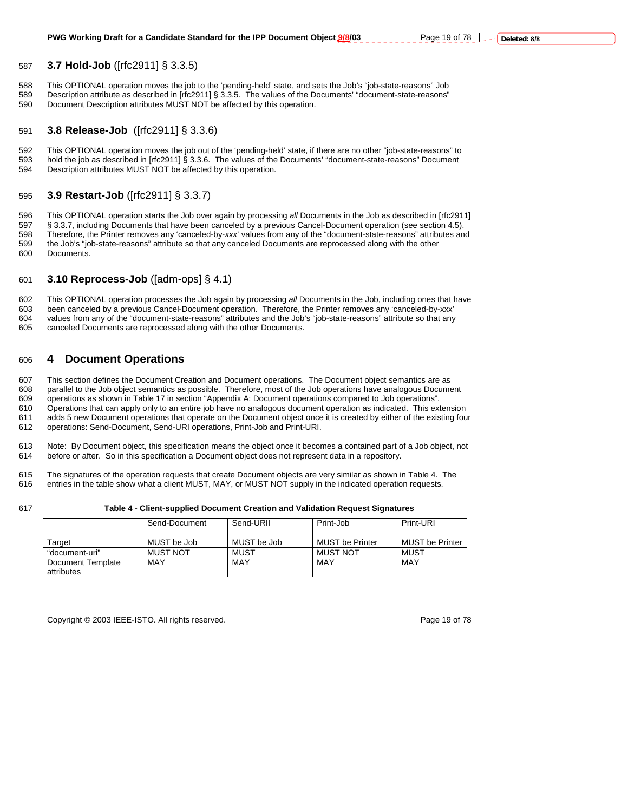## 587 **3.7 Hold-Job** ([rfc2911] § 3.3.5)

588 This OPTIONAL operation moves the job to the 'pending-held' state, and sets the Job's "job-state-reasons" Job<br>589 Description attribute as described in Irfc29111 § 3.3.5. The values of the Documents' "document-state-re 589 Description attribute as described in [rfc2911] § 3.3.5. The values of the Documents' "document-state-reasons" 590 Document Description attributes MUST NOT be affected by this operation.

## 591 **3.8 Release-Job** ([rfc2911] § 3.3.6)

592 This OPTIONAL operation moves the job out of the 'pending-held' state, if there are no other "job-state-reasons" to 593 hold the job as described in [rfc2911] § 3.3.6. The values of the Documents' "document-state-reasons" Document 594 Description attributes MUST NOT be affected by this operation.

## 595 **3.9 Restart-Job** ([rfc2911] § 3.3.7)

596 This OPTIONAL operation starts the Job over again by processing *all* Documents in the Job as described in [rfc2911] § 3.3.7, including Documents that have been canceled by a previous Cancel-Document operation (see section 4.5). 598 Therefore, the Printer removes any 'canceled-by-*xxx*' values from any of the "document-state-reasons" attributes and 599 the Job's "job-state-reasons" attribute so that any canceled Documents are reprocessed along with the other 600 Documents.

## 601 **3.10 Reprocess-Job** ([adm-ops] § 4.1)

602 This OPTIONAL operation processes the Job again by processing *all* Documents in the Job, including ones that have<br>603 been canceled by a previous Cancel-Document operation. Therefore, the Printer removes any 'canceled been canceled by a previous Cancel-Document operation. Therefore, the Printer removes any 'canceled-by-xxx' 604 values from any of the "document-state-reasons" attributes and the Job's "job-state-reasons" attribute so that any 605 canceled Documents are reprocessed along with the other Documents.

## 606 **4 Document Operations**

607 This section defines the Document Creation and Document operations. The Document object semantics are as 608 parallel to the Job object semantics as possible. Therefore, most of the Job operations have analogous Document<br>609 operations as shown in Table 17 in section "Appendix A: Document operations compared to Job operations 609 operations as shown in Table 17 in section "Appendix A: Document operations compared to Job operations". 610 Operations that can apply only to an entire job have no analogous document operation as indicated. This extension 611 adds 5 new Document operations that operate on the Document object once it is created by either of the existing four 612 operations: Send-Document, Send-URI operations, Print-Job and Print-URI.

613 Note: By Document object, this specification means the object once it becomes a contained part of a Job object, not<br>614 before or after So in this specification a Document object does not represent data in a repository before or after. So in this specification a Document object does not represent data in a repository.

615 The signatures of the operation requests that create Document objects are very similar as shown in Table 4. The 616<br>616 entries in the table show what a client MUST, MAY, or MUST NOT supply in the indicated operation r entries in the table show what a client MUST, MAY, or MUST NOT supply in the indicated operation requests.

#### 617 **Table 4 - Client-supplied Document Creation and Validation Request Signatures**

|                   | Send-Document | Send-URII   | Print-Job              | Print-URI              |
|-------------------|---------------|-------------|------------------------|------------------------|
|                   |               |             |                        |                        |
| Tarɑet            | MUST be Job   | MUST be Job | <b>MUST be Printer</b> | <b>MUST be Printer</b> |
| "document-uri"    | MUST NOT      | MUST        | MUST NOT               | MUST                   |
| Document Template | MAY           | MAY         | MAY                    | MAY                    |
| attributes        |               |             |                        |                        |

Copyright © 2003 IEEE-ISTO. All rights reserved. Page 19 of 78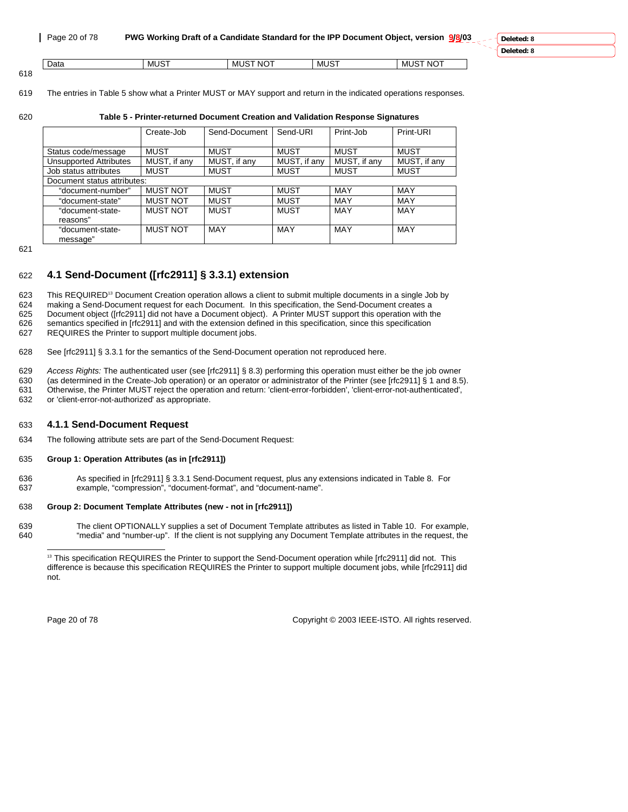| Data | 10T<br>M | $-$<br>ιc<br>M<br>- NC | $\cdots$<br>мı | $NO+$<br>צו<br>ML. |
|------|----------|------------------------|----------------|--------------------|
|      |          |                        |                |                    |
| 618  |          |                        |                |                    |

619 The entries in Table 5 show what a Printer MUST or MAY support and return in the indicated operations responses.

## 620 **Table 5 - Printer-returned Document Creation and Validation Response Signatures**

|                               | Create-Job      | Send-Document | Send-URI     | Print-Job    | Print-URI    |
|-------------------------------|-----------------|---------------|--------------|--------------|--------------|
|                               |                 |               |              |              |              |
| Status code/message           | MUST            | <b>MUST</b>   | <b>MUST</b>  | MUST         | <b>MUST</b>  |
| <b>Unsupported Attributes</b> | MUST, if any    | MUST, if any  | MUST, if any | MUST, if any | MUST, if any |
| Job status attributes         | <b>MUST</b>     | <b>MUST</b>   | MUST         | MUST         | <b>MUST</b>  |
| Document status attributes:   |                 |               |              |              |              |
| "document-number"             | <b>MUST NOT</b> | <b>MUST</b>   | <b>MUST</b>  | MAY          | MAY          |
| "document-state"              | <b>MUST NOT</b> | <b>MUST</b>   | <b>MUST</b>  | MAY          | MAY          |
| "document-state-              | <b>MUST NOT</b> | MUST          | MUST         | MAY          | MAY          |
| reasons"                      |                 |               |              |              |              |
| "document-state-              | <b>MUST NOT</b> | MAY           | <b>MAY</b>   | MAY          | MAY          |
| message"                      |                 |               |              |              |              |

621

## 622 **4.1 Send-Document ([rfc2911] § 3.3.1) extension**

623 This REQUIRED<sup>13</sup> Document Creation operation allows a client to submit multiple documents in a single Job by 624 making a Send-Document request for each Document. In this specification, the Send-Document creates a<br>625 Document object ([rfc2911] did not have a Document object). A Printer MUST support this operation with th 625 Document object ([rfc2911] did not have a Document object). A Printer MUST support this operation with the 626 semantics specified in [rfc2911] and with the extension defined in this specification, since this specification

627 REQUIRES the Printer to support multiple document jobs.

628 See [rfc2911] § 3.3.1 for the semantics of the Send-Document operation not reproduced here.

629 *Access Rights:* The authenticated user (see [rfc2911] § 8.3) performing this operation must either be the job owner 630 (as determined in the Create-Job operation) or an operator or administrator of the Printer (see [rfc2911] § 1 and 8.5). 631 Otherwise, the Printer MUST reject the operation and return: 'client-error-forbidden', 'client-error-not-authenticated',<br>632 or 'client-error-not-authorized' as appropriate

or 'client-error-not-authorized' as appropriate.

## 633 **4.1.1 Send-Document Request**

634 The following attribute sets are part of the Send-Document Request:

## 635 **Group 1: Operation Attributes (as in [rfc2911])**

636 As specified in [rfc2911] § 3.3.1 Send-Document request, plus any extensions indicated in Table 8. For 637 example, "compression", "document-format", and "document-name".

## 638 **Group 2: Document Template Attributes (new - not in [rfc2911])**

639 The client OPTIONALLY supplies a set of Document Template attributes as listed in Table 10. For example, 640<br>640 "media" and "number-up". If the client is not supplying any Document Template attributes in the reguest, "media" and "number-up". If the client is not supplying any Document Template attributes in the request, the

Page 20 of 78 Copyright © 2003 IEEE-ISTO. All rights reserved.

l <sup>13</sup> This specification REQUIRES the Printer to support the Send-Document operation while [rfc2911] did not. This difference is because this specification REQUIRES the Printer to support multiple document jobs, while [rfc2911] did not.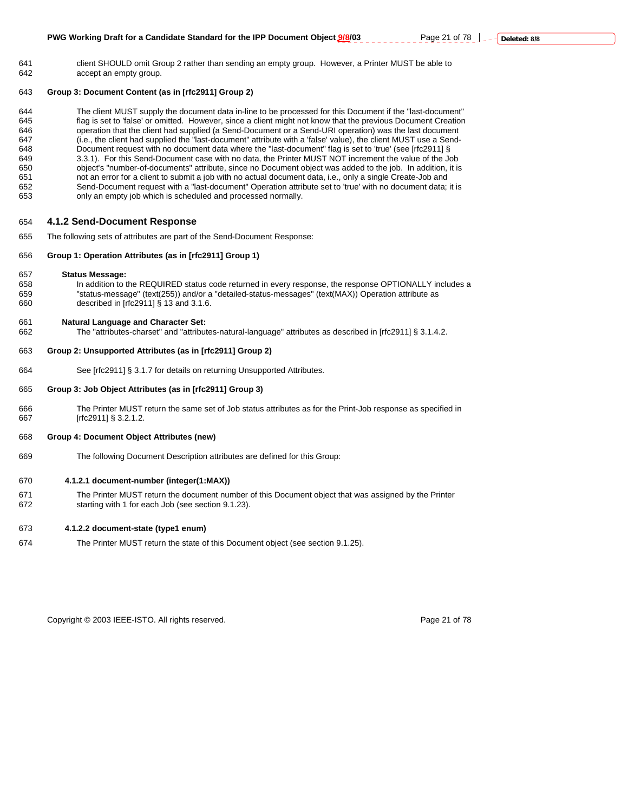641 client SHOULD omit Group 2 rather than sending an empty group. However, a Printer MUST be able to 642 accept an empty group.

#### 643 **Group 3: Document Content (as in [rfc2911] Group 2)**

644 The client MUST supply the document data in-line to be processed for this Document if the "last-document" 645 flag is set to 'false' or omitted. However, since a client might not know that the previous Document Creation 646 operation that the client had supplied (a Send-Document or a Send-URI operation) was the last document<br>647 (i.e. the client had supplied the "last-document" attribute with a 'false' value) the client MUST use a Send-647 (i.e., the client had supplied the "last-document" attribute with a 'false' value), the client MUST use a Send-648 Document request with no document data where the "last-document" flag is set to 'true' (see [rfc2911] § 649 3.3.1). For this Send-Document case with no data, the Printer MUST NOT increment the value of the Job<br>650 completed to the information of documents" attribute, since no Document object was added to the job. In addition 650 object's "number-of-documents" attribute, since no Document object was added to the job. In addition, it is 651 not an error for a client to submit a job with no actual document data, i.e., only a single Create-Job and 652 Send-Document request with a "last-document" Operation attribute set to 'true' with no document data; it is 653 only an empty job which is scheduled and processed normally.

#### 654 **4.1.2 Send-Document Response**

655 The following sets of attributes are part of the Send-Document Response:

## 656 **Group 1: Operation Attributes (as in [rfc2911] Group 1)**

- 657 **Status Message:**
- 658 In addition to the REQUIRED status code returned in every response, the response OPTIONALLY includes a 659 "status-message" (text(255)) and/or a "detailed-status-messages" (text(MAX)) Operation attribute as described in  $[rrc2911]$  § 13 and 3.1.6.

#### 661 **Natural Language and Character Set:**

662 The "attributes-charset" and "attributes-natural-language" attributes as described in [rfc2911] § 3.1.4.2.

#### 663 **Group 2: Unsupported Attributes (as in [rfc2911] Group 2)**

664 See [rfc2911] § 3.1.7 for details on returning Unsupported Attributes.

#### 665 **Group 3: Job Object Attributes (as in [rfc2911] Group 3)**

666 The Printer MUST return the same set of Job status attributes as for the Print-Job response as specified in 667 [rfc2911] § 3.2.1.2.

#### 668 **Group 4: Document Object Attributes (new)**

669 The following Document Description attributes are defined for this Group:

#### 670 **4.1.2.1 document-number (integer(1:MAX))**

671 The Printer MUST return the document number of this Document object that was assigned by the Printer 672 starting with 1 for each Job (see section 9.1.23).

#### 673 **4.1.2.2 document-state (type1 enum)**

674 The Printer MUST return the state of this Document object (see section 9.1.25).

Copyright © 2003 IEEE-ISTO. All rights reserved. Page 21 of 78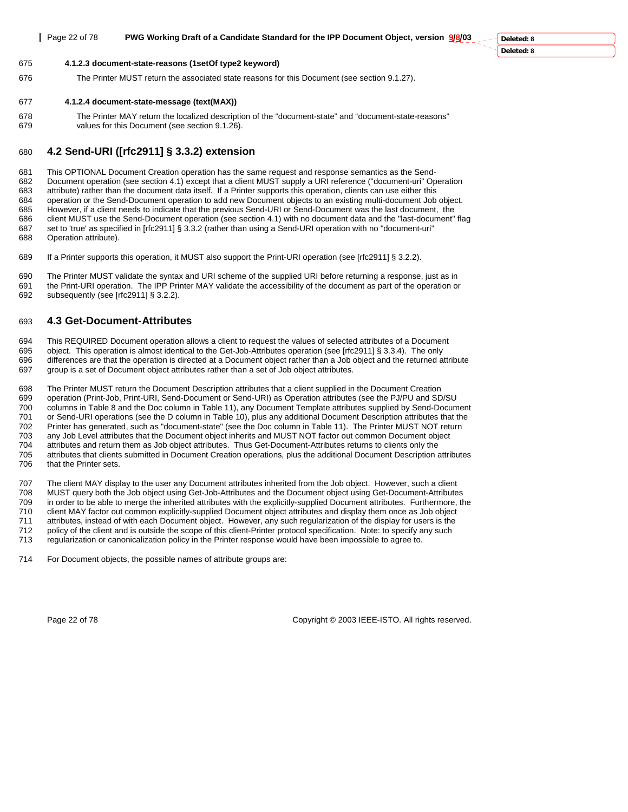**Deleted: 8**

## 675 **4.1.2.3 document-state-reasons (1setOf type2 keyword)**

676 The Printer MUST return the associated state reasons for this Document (see section 9.1.27).

## 677 **4.1.2.4 document-state-message (text(MAX))**

678 The Printer MAY return the localized description of the "document-state" and "document-state-reasons" 679 values for this Document (see section 9.1.26).

## 680 **4.2 Send-URI ([rfc2911] § 3.3.2) extension**

681 This OPTIONAL Document Creation operation has the same request and response semantics as the Send-682 Document operation (see section 4.1) except that a client MUST supply a URI reference ("document-uri" Operation 683 attribute) rather than the document data itself. If a Printer supports this operation, clients can use either this 684 operation or the Send-Document operation to add new Document objects to an existing multi-document Job object. However, if a client needs to indicate that the previous Send-URI or Send-Document was the last document, the 686 client MUST use the Send-Document operation (see section 4.1) with no document data and the "last-document" flag 687 set to 'true' as specified in [rfc2911] § 3.3.2 (rather than using a Send-URI operation with no "document-uri" 688 Operation attribute).

689 If a Printer supports this operation, it MUST also support the Print-URI operation (see [rfc2911] § 3.2.2).

690 The Printer MUST validate the syntax and URI scheme of the supplied URI before returning a response, just as in 691 the Print-URI operation. The IPP Printer MAY validate the accessibility of the document as part of the operation or 692 subsequently (see [rfc2911] § 3.2.2).

## 693 **4.3 Get-Document-Attributes**

694 This REQUIRED Document operation allows a client to request the values of selected attributes of a Document 695 object. This operation is almost identical to the Get-Job-Attributes operation (see [rfc2911] § 3.3.4). The only

differences are that the operation is directed at a Document object rather than a Job object and the returned attribute 697 group is a set of Document object attributes rather than a set of Job object attributes.

698 The Printer MUST return the Document Description attributes that a client supplied in the Document Creation 699 operation (Print-Job, Print-URI, Send-Document or Send-URI) as Operation attributes (see the PJ/PU and SD/SU 700 columns in Table 8 and the Doc column in Table 11), any Document Template attributes supplied by Send-Document 701 or Send-URI operations (see the D column in Table 10), plus any additional Document Description attributes that the<br>702 Printer has generated such as "document-state" (see the Doc column in Table 11). The Printer MUST Printer has generated, such as "document-state" (see the Doc column in Table 11). The Printer MUST NOT return

703 any Job Level attributes that the Document object inherits and MUST NOT factor out common Document object 704 attributes and return them as Job object attributes. Thus Get-Document-Attributes returns to clients only the 705 attributes that clients submitted in Document Creation operations, plus the additional Document Description attributes

706 that the Printer sets.

707 The client MAY display to the user any Document attributes inherited from the Job object. However, such a client 708 MUST query both the Job object using Get-Job-Attributes and the Document object using Get-Document-Attributes 709 in order to be able to merge the inherited attributes with the explicitly-supplied Document attributes. Furthermore, the 710 client MAY factor out common explicitly-supplied Document object attributes and display them once as Job object 711 attributes, instead of with each Document object. However, any such regularization of the display for users is the 712 policy of the client and is outside the scope of this client-Printer protocol specification. Note: to specify any such 713 regularization or canonicalization policy in the Printer response would have been impossible to agree to.

714 For Document objects, the possible names of attribute groups are:

Page 22 of 78 Copyright © 2003 IEEE-ISTO. All rights reserved.

**Deleted: 8**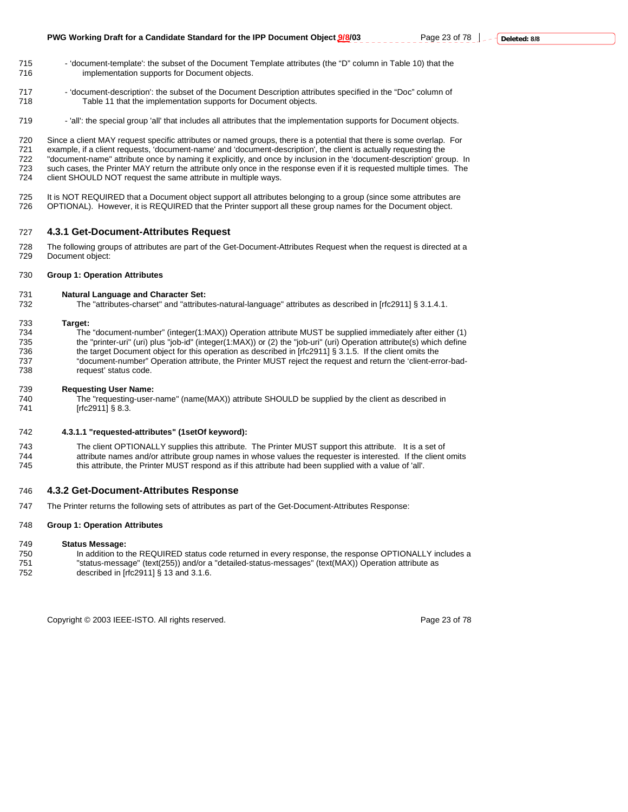- 715 'document-template': the subset of the Document Template attributes (the "D" column in Table 10) that the 716 implementation supports for Document objects.
- 717 'document-description': the subset of the Document Description attributes specified in the "Doc" column of 718 Table 11 that the implementation supports for Document objects.
- 719 'all': the special group 'all' that includes all attributes that the implementation supports for Document objects.

720 Since a client MAY request specific attributes or named groups, there is a potential that there is some overlap. For 721 example, if a client requests, 'document-name' and 'document-description', the client is actually requesting the 722 "document-name" attribute once by naming it explicitly, and once by inclusion in the 'document-description' group. In 723 such cases, the Printer MAY return the attribute only once in the response even if it is requested multiple times. The 724 client SHOULD NOT request the same attribute in multiple ways.

725 It is NOT REQUIRED that a Document object support all attributes belonging to a group (since some attributes are<br>726 OPTIONAL). However, it is REQUIRED that the Printer support all these group names for the Document ob 726 OPTIONAL). However, it is REQUIRED that the Printer support all these group names for the Document object.

#### 727 **4.3.1 Get-Document-Attributes Request**

728 The following groups of attributes are part of the Get-Document-Attributes Request when the request is directed at a 729 Document object:

#### 730 **Group 1: Operation Attributes**

## 731 **Natural Language and Character Set:**

The "attributes-charset" and "attributes-natural-language" attributes as described in [rfc2911] § 3.1.4.1.

733 **Target:**  The "document-number" (integer(1:MAX)) Operation attribute MUST be supplied immediately after either (1) 735 the "printer-uri" (uri) plus "job-id" (integer(1:MAX)) or (2) the "job-uri" (uri) Operation attribute(s) which define 736 the target Document object for this operation as described in [rfc2911] § 3.1.5. If the client omits the 737 "document-number" Operation attribute, the Printer MUST reject the request and return the 'client-error-badrequest' status code.

#### 739 **Requesting User Name:**

740 The "requesting-user-name" (name(MAX)) attribute SHOULD be supplied by the client as described in 741 [rfc2911] § 8.3.

#### 742 **4.3.1.1 "requested-attributes" (1setOf keyword):**

743 The client OPTIONALLY supplies this attribute. The Printer MUST support this attribute. It is a set of 744 attribute names and/or attribute group names in whose values the requester is interested. If the client omits<br>745 but in attribute, the Printer MUST respond as if this attribute had been supplied with a value of 'all'. this attribute, the Printer MUST respond as if this attribute had been supplied with a value of 'all'.

#### 746 **4.3.2 Get-Document-Attributes Response**

747 The Printer returns the following sets of attributes as part of the Get-Document-Attributes Response:

#### 748 **Group 1: Operation Attributes**

#### 749 **Status Message:**

- 750 In addition to the REQUIRED status code returned in every response, the response OPTIONALLY includes a<br>751 The status-message" (text(255)) and/or a "detailed-status-messages" (text(MAX)) Operation attribute as
	- 751 "status-message" (text(255)) and/or a "detailed-status-messages" (text(MAX)) Operation attribute as
- 752 described in [rfc2911] § 13 and 3.1.6.

Copyright © 2003 IEEE-ISTO. All rights reserved. Page 23 of 78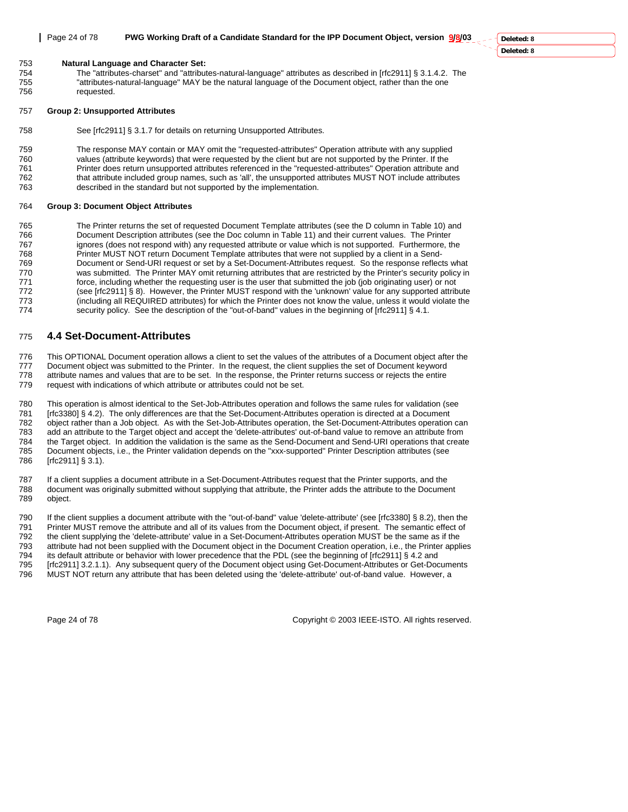753 **Natural Language and Character Set:** 

754 The "attributes-charset" and "attributes-natural-language" attributes as described in [rfc2911] § 3.1.4.2. The 755 "attributes-natural-language" MAY be the natural language of the Document object, rather than the one requested.

#### 757 **Group 2: Unsupported Attributes**

758 See [rfc2911] § 3.1.7 for details on returning Unsupported Attributes.

759 The response MAY contain or MAY omit the "requested-attributes" Operation attribute with any supplied 760 values (attribute keywords) that were requested by the client but are not supported by the Printer. If the 761 Printer does return unsupported attributes referenced in the "requested-attributes" Operation attribute and 762 that attribute included group names, such as 'all', the unsupported attributes MUST NOT include attributes 763 described in the standard but not supported by the implementation.

## 764 **Group 3: Document Object Attributes**

765 The Printer returns the set of requested Document Template attributes (see the D column in Table 10) and<br>766 Document Description attributes (see the Doc column in Table 11) and their current values. The Printer Document Description attributes (see the Doc column in Table 11) and their current values. The Printer 767 ignores (does not respond with) any requested attribute or value which is not supported. Furthermore, the 768 Printer MUST NOT return Document Template attributes that were not supplied by a client in a Send-769 Document or Send-URI request or set by a Set-Document-Attributes request. So the response reflects what 770 was submitted. The Printer MAY omit returning attributes that are restricted by the Printer's security policy in 771 force, including whether the requesting user is the user that submitted the job (job originating user) or not 772 (see [rfc2911] § 8). However, the Printer MUST respond with the 'unknown' value for any supported attribute 773 (including all REQUIRED attributes) for which the Printer does not know the value, unless it would violate the 774 security policy. See the description of the "out-of-band" values in the beginning of [rfc2911] § 4.1.

## 775 **4.4 Set-Document-Attributes**

776 This OPTIONAL Document operation allows a client to set the values of the attributes of a Document object after the 777 Document object was submitted to the Printer. In the request, the client supplies the set of Document keyword 778 attribute names and values that are to be set. In the response, the Printer returns success or rejects the entire

779 request with indications of which attribute or attributes could not be set.

780 This operation is almost identical to the Set-Job-Attributes operation and follows the same rules for validation (see 781 [rfc3380] § 4.2). The only differences are that the Set-Document-Attributes operation is directed at a Document 782 object rather than a Job object. As with the Set-Job-Attributes operation, the Set-Document-Attributes operation can 783 add an attribute to the Target object and accept the 'delete-attributes' out-of-band value to remove an attribute from 784 the Target object. In addition the validation is the same as the Send-Document and Send-URI operations that create 785 Document objects, i.e., the Printer validation depends on the "xxx-supported" Printer Description attributes (see 786 [rfc2911] § 3.1).

787 If a client supplies a document attribute in a Set-Document-Attributes request that the Printer supports, and the 788 document was originally submitted without supplying that attribute, the Printer adds the attribute to the Document object.

790 If the client supplies a document attribute with the "out-of-band" value 'delete-attribute' (see [rfc3380] § 8.2), then the 791 Printer MUST remove the attribute and all of its values from the Document object, if present. The semantic effect of<br>792 the client supplying the 'delete-attribute' value in a Set-Document-Attributes operation MUST be the client supplying the 'delete-attribute' value in a Set-Document-Attributes operation MUST be the same as if the 793 attribute had not been supplied with the Document object in the Document Creation operation, i.e., the Printer applies 794 its default attribute or behavior with lower precedence that the PDL (see the beginning of [rfc2911] § 4.2 and 795 [rfc2911] 3.2.1.1). Any subsequent query of the Document object using Get-Document-Attributes or Get-Documents<br>796 MUST NOT return any attribute that has been deleted using the 'delete-attribute' out-of-band value. How MUST NOT return any attribute that has been deleted using the 'delete-attribute' out-of-band value. However, a

Page 24 of 78 Copyright © 2003 IEEE-ISTO. All rights reserved.

**Deleted: 8 Deleted: 8**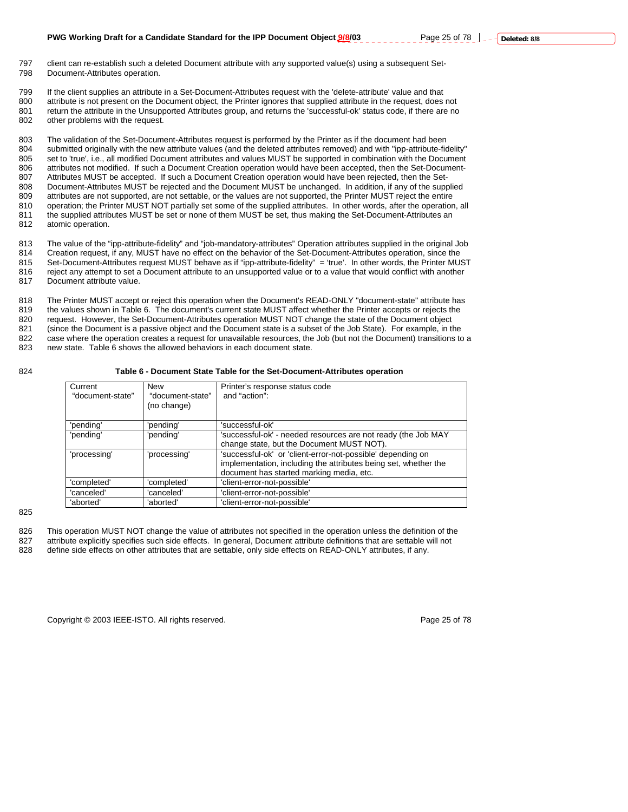- 797 client can re-establish such a deleted Document attribute with any supported value(s) using a subsequent Set-798 Document-Attributes operation.
- 799 If the client supplies an attribute in a Set-Document-Attributes request with the 'delete-attribute' value and that 800 attribute is not present on the Document object, the Printer ignores that supplied attribute in the request, does not 801 return the attribute in the Unsupported Attributes group, and returns the 'successful-ok' status code, if there are no<br>802 other problems with the request other problems with the request.

803 The validation of the Set-Document-Attributes request is performed by the Printer as if the document had been 804 submitted originally with the new attribute values (and the deleted attributes removed) and with "ipp-attribute-fidelity" 805 set to 'true', i.e., all modified Document attributes and values MUST be supported in combination with the Document 806 attributes not modified. If such a Document Creation operation would have been accepted, then the Set-Document-807 Attributes MUST be accepted. If such a Document Creation operation would have been rejected, then the Set-808 Document-Attributes MUST be rejected and the Document MUST be unchanged. In addition, if any of the supplied 809 attributes are not supported, are not settable, or the values are not supported, the Printer MUST reject the entire 810 operation; the Printer MUST NOT partially set some of the supplied attributes. In other words, after the operation, all 811 the supplied attributes MUST be set or none of them MUST be set, thus making the Set-Document-Attributes an 812 atomic operation.

813 The value of the "ipp-attribute-fidelity" and "job-mandatory-attributes" Operation attributes supplied in the original Job 814 Creation request, if any, MUST have no effect on the behavior of the Set-Document-Attributes operation, since the 815 Set-Document-Attributes request MUST behave as if "ipp-attribute-fidelity" = 'true'. In other words, the Printer MUST 816 reject any attempt to set a Document attribute to an unsupported value or to a value that would conflict with another<br>817 Document attribute value. Document attribute value.

818 The Printer MUST accept or reject this operation when the Document's READ-ONLY "document-state" attribute has 819 the values shown in Table 6. The document's current state MUST affect whether the Printer accepts or rejects the 820 request. However, the Set-Document-Attributes operation MUST NOT change the state of the Document object 821 (since the Document is a passive object and the Document state is a subset of the Job State). For example, in the 822 case where the operation creates a request for unavailable resources, the Job (but not the Document) transitions to a 823 new state. Table 6 shows the allowed behaviors in each document state.

## 824 **Table 6 - Document State Table for the Set-Document-Attributes operation**

| Current<br>"document-state" | <b>New</b><br>"document-state"<br>(no change) | Printer's response status code<br>and "action":                                                                                                                            |
|-----------------------------|-----------------------------------------------|----------------------------------------------------------------------------------------------------------------------------------------------------------------------------|
| 'pending'                   | 'pending'                                     | 'successful-ok'                                                                                                                                                            |
| 'pending'                   | 'pending'                                     | 'successful-ok' - needed resources are not ready (the Job MAY                                                                                                              |
|                             |                                               | change state, but the Document MUST NOT).                                                                                                                                  |
| 'processing'                | 'processing'                                  | 'successful-ok' or 'client-error-not-possible' depending on<br>implementation, including the attributes being set, whether the<br>document has started marking media, etc. |
| 'completed'                 | 'completed'                                   | 'client-error-not-possible'                                                                                                                                                |
| 'canceled'                  | 'canceled'                                    | 'client-error-not-possible'                                                                                                                                                |
| 'aborted'                   | 'aborted'                                     | 'client-error-not-possible'                                                                                                                                                |

825

826 This operation MUST NOT change the value of attributes not specified in the operation unless the definition of the 827 attribute explicitly specifies such side effects. In general, Document attribute definitions that are settable will not attable will not attable will not attable will not attable will not attable will not attable will

define side effects on other attributes that are settable, only side effects on READ-ONLY attributes, if any.

Copyright © 2003 IEEE-ISTO. All rights reserved. Page 25 of 78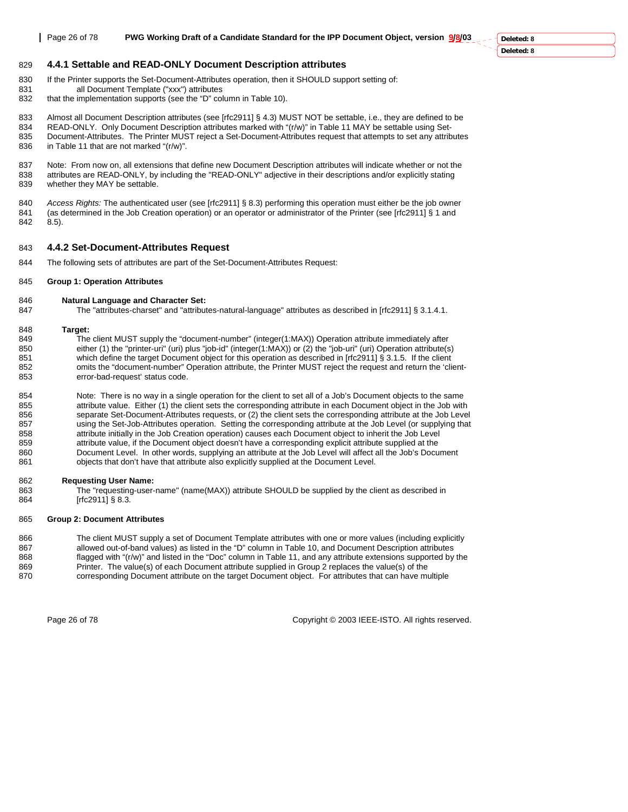**Deleted: 8 Deleted: 8**

## 829 **4.4.1 Settable and READ-ONLY Document Description attributes**

- 830 If the Printer supports the Set-Document-Attributes operation, then it SHOULD support setting of:
- 831 all Document Template ("xxx") attributes
- 832 that the implementation supports (see the "D" column in Table 10).

833 Almost all Document Description attributes (see [rfc2911] § 4.3) MUST NOT be settable, i.e., they are defined to be 834 READ-ONLY. Only Document Description attributes marked with "(r/w)" in Table 11 MAY be settable using Set-<br>835 Document-Attributes The Printer MUST reject a Set-Document-Attributes request that attempts to set any attr 835 Document-Attributes. The Printer MUST reject a Set-Document-Attributes request that attempts to set any attributes 836 in Table 11 that are not marked "(r/w)".

837 Note: From now on, all extensions that define new Document Description attributes will indicate whether or not the 838 attributes are READ-ONLY, by including the "READ-ONLY" adjective in their descriptions and/or explicitly stating<br>839 whether they MAY be settable. whether they MAY be settable.

840 *Access Rights:* The authenticated user (see [rfc2911] § 8.3) performing this operation must either be the job owner (as determined in the Job Creation operation) or an operator or administrator of the Printer (see [rfc2911] § 1 and 842 8.5).

## 843 **4.4.2 Set-Document-Attributes Request**

844 The following sets of attributes are part of the Set-Document-Attributes Request:

## 845 **Group 1: Operation Attributes**

## 846 **Natural Language and Character Set:**

847 The "attributes-charset" and "attributes-natural-language" attributes as described in [rfc2911] § 3.1.4.1.

## 848 **Target:**

849 The client MUST supply the "document-number" (integer(1:MAX)) Operation attribute immediately after 850 either (1) the "printer-uri" (uri) plus "job-id" (integer(1:MAX)) or (2) the "job-uri" (uri) Operation attribute(s) 851 which define the target Document object for this operation as described in [rfc29111 § 3.1.5. If the client 852 omits the "document-number" Operation attribute, the Printer MUST reject the request and return the 'client-853 error-bad-request' status code.

854 Note: There is no way in a single operation for the client to set all of a Job's Document objects to the same 855 attribute value. Either (1) the client sets the corresponding attribute in each Document object in the Job with<br>856 separate Set-Document-Attributes requests, or (2) the client sets the corresponding attribute at the J separate Set-Document-Attributes requests, or (2) the client sets the corresponding attribute at the Job Level 857 using the Set-Job-Attributes operation. Setting the corresponding attribute at the Job Level (or supplying that<br>858 and the Job Level attribute initially in the Job Creation operation) causes each Document object to in attribute initially in the Job Creation operation) causes each Document object to inherit the Job Level 859 attribute value, if the Document object doesn't have a corresponding explicit attribute supplied at the 860 Document Level. In other words, supplying an attribute at the Job Level will affect all the Job's Document 861 objects that don't have that attribute also explicitly supplied at the Document Level.

## 862 **Requesting User Name:**

863 The "requesting-user-name" (name(MAX)) attribute SHOULD be supplied by the client as described in 864 [rfc2911] § 8.3.

## 865 **Group 2: Document Attributes**

866 The client MUST supply a set of Document Template attributes with one or more values (including explicitly 867 allowed out-of-band values) as listed in the "D" column in Table 10, and Document Description attributes<br>868 flagged with "(r/w)" and listed in the "Doc" column in Table 11, and any attribute extensions supported by flagged with "(r/w)" and listed in the "Doc" column in Table 11, and any attribute extensions supported by the 869 Printer. The value(s) of each Document attribute supplied in Group 2 replaces the value(s) of the

870 corresponding Document attribute on the target Document object. For attributes that can have multiple

Page 26 of 78 Copyright © 2003 IEEE-ISTO. All rights reserved.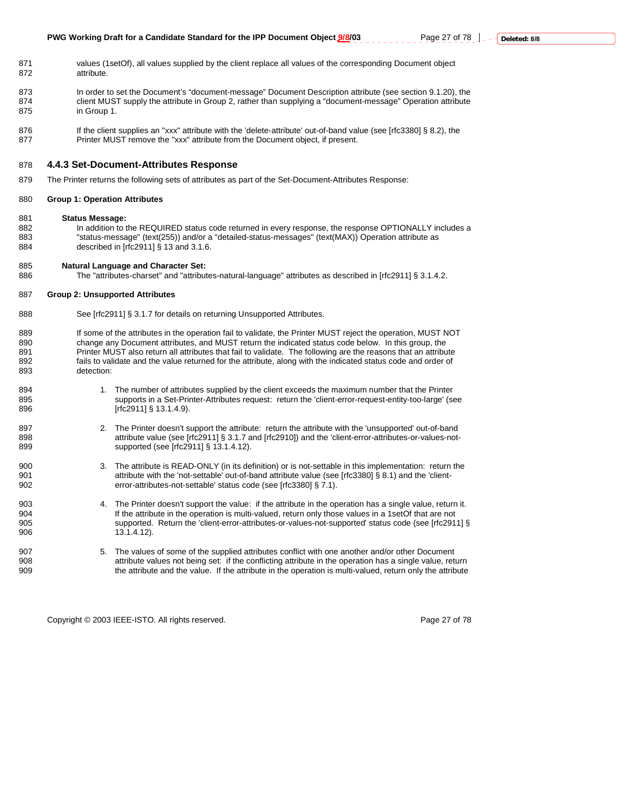- 871 values (1setOf), all values supplied by the client replace all values of the corresponding Document object 872 attribute.
- 873 In order to set the Document's "document-message" Document Description attribute (see section 9.1.20), the 874 client MUST supply the attribute in Group 2, rather than supplying a "document-message" Operation attribute 875 in Group 1.
- 876 If the client supplies an "xxx" attribute with the 'delete-attribute' out-of-band value (see [rfc3380] § 8.2), the 877 Printer MUST remove the "xxx" attribute from the Document object, if present.

#### 878 **4.4.3 Set-Document-Attributes Response**

879 The Printer returns the following sets of attributes as part of the Set-Document-Attributes Response:

#### 880 **Group 1: Operation Attributes**

- 881 **Status Message:**
- 882 In addition to the REQUIRED status code returned in every response, the response OPTIONALLY includes a 883 "status-message" (text(255)) and/or a "detailed-status-messages" (text(MAX)) Operation attribute as<br>884 described in [rfc2911] § 13 and 3.1.6. described in [rfc2911] § 13 and 3.1.6.

#### 885 **Natural Language and Character Set:**

886 The "attributes-charset" and "attributes-natural-language" attributes as described in [rfc2911] § 3.1.4.2.

#### 887 **Group 2: Unsupported Attributes**

- 888 See [rfc2911] § 3.1.7 for details on returning Unsupported Attributes.
- 889 If some of the attributes in the operation fail to validate, the Printer MUST reject the operation, MUST NOT 890 change any Document attributes, and MUST return the indicated status code below. In this group, the 891 computed by Printer MUST also return all attributes that fail to validate. The following are the reasons that an a Printer MUST also return all attributes that fail to validate. The following are the reasons that an attribute 892 fails to validate and the value returned for the attribute, along with the indicated status code and order of 893 detection:
- 894 1. The number of attributes supplied by the client exceeds the maximum number that the Printer 895 supports in a Set-Printer-Attributes request: return the 'client-error-request-entity-too-large' (see 896 [rfc2911] § 13.1.4.9).
- 897 2. The Printer doesn't support the attribute: return the attribute with the 'unsupported' out-of-band 898 **attribute value (see [rfc2911] § 3.1.7 and [rfc2910]) and the 'client-error-attributes-or-values-not-**899 supported (see [rfc2911] § 13.1.4.12).
- 900 3. The attribute is READ-ONLY (in its definition) or is not-settable in this implementation: return the 901 901 attribute with the 'not-settable' out-of-band attribute value (see [rfc3380] § 8.1) and the 'client-<br>902 error-attributes-not-settable' status code (see [rfc3380] § 7.1). error-attributes-not-settable' status code (see [rfc3380] § 7.1).
- 903 4. The Printer doesn't support the value: if the attribute in the operation has a single value, return it. 904 904 If the attribute in the operation is multi-valued, return only those values in a 1setOf that are not<br>905 Supported. Return the 'client-error-attributes-or-values-not-supported' status code (see [rfc291 supported. Return the 'client-error-attributes-or-values-not-supported' status code (see [rfc2911] § 906 13.1.4.12).
- 907 5. The values of some of the supplied attributes conflict with one another and/or other Document<br>908 908 908 attribute values not being set: if the conflicting attribute in the operation has a single value. attribute values not being set: if the conflicting attribute in the operation has a single value, return 909 the attribute and the value. If the attribute in the operation is multi-valued, return only the attribute

Copyright © 2003 IEEE-ISTO. All rights reserved. Page 27 of 78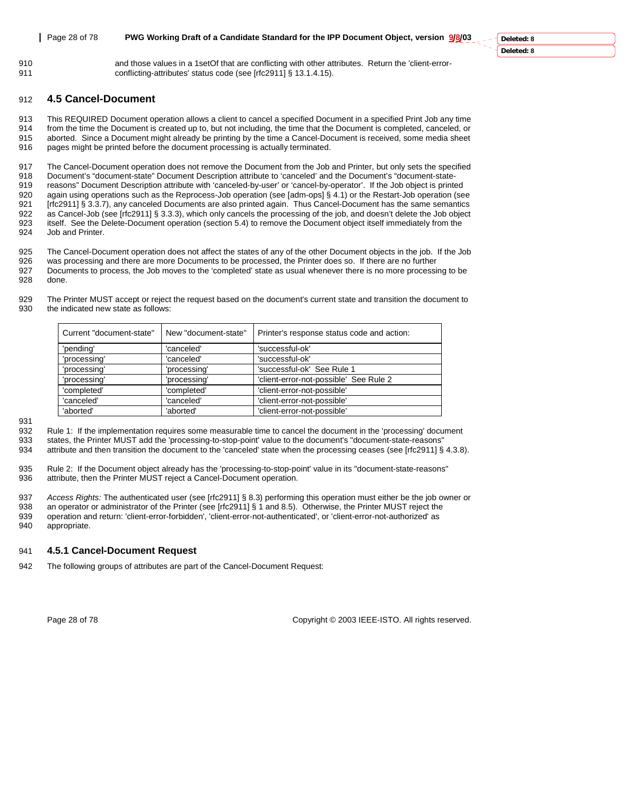910 and those values in a 1setOf that are conflicting with other attributes. Return the 'client-error-911 conflicting-attributes' status code (see [rfc2911] § 13.1.4.15).

## 912 **4.5 Cancel-Document**

913 This REQUIRED Document operation allows a client to cancel a specified Document in a specified Print Job any time 914 from the time the Document is created up to, but not including, the time that the Document is completed, canceled, or 915 aborted. Since a Document might already be printing by the time a Cancel-Document is received, some media sheet 916 pages might be printed before the document processing is actually terminated.

917 The Cancel-Document operation does not remove the Document from the Job and Printer, but only sets the specified 918 Document's "document-state" Document Description attribute to 'canceled' and the Document's "document-state-919 reasons" Document Description attribute with 'canceled-by-user' or 'cancel-by-operator'. If the Job object is printed 920 again using operations such as the Reprocess-Job operation (see [adm-ops] § 4.1) or the Restart-Job operation (see 921 [rfc2911] § 3.3.7), any canceled Documents are also printed again. Thus Cancel-Document has the same semantics 922 as Cancel-Job (see [rfc2911] § 3.3.3), which only cancels the processing of the job, and doesn't delete the Job object 923 itself. See the Delete-Document operation (section 5.4) to remove the Document object itself immediately from the 924 Job and Printer.

925 The Cancel-Document operation does not affect the states of any of the other Document objects in the job. If the Job

926 was processing and there are more Documents to be processed, the Printer does so. If there are no further 927 Documents to process, the Job moves to the 'completed' state as usual whenever there is no more processing to be 928 done.

929 The Printer MUST accept or reject the request based on the document's current state and transition the document to 930 the indicated new state as follows:

| Current "document-state" | New "document-state" | Printer's response status code and action: |
|--------------------------|----------------------|--------------------------------------------|
| 'pending'                | 'canceled'           | 'successful-ok'                            |
| 'processing'             | 'canceled'           | 'successful-ok'                            |
| 'processing'             | 'processing'         | 'successful-ok' See Rule 1                 |
| 'processing'             | 'processing'         | 'client-error-not-possible' See Rule 2     |
| 'completed'              | 'completed'          | 'client-error-not-possible'                |
| 'canceled'               | 'canceled'           | 'client-error-not-possible'                |
| 'aborted'                | 'aborted'            | 'client-error-not-possible'                |

931

932 Rule 1: If the implementation requires some measurable time to cancel the document in the 'processing' document 933 states, the Printer MUST add the 'processing-to-stop-point' value to the document's "document-state-reasons"<br>934 attribute and then transition the document to the 'canceled' state when the processing ceases (see [rfc29

attribute and then transition the document to the 'canceled' state when the processing ceases (see [rfc2911] § 4.3.8).

935 Rule 2: If the Document object already has the 'processing-to-stop-point' value in its "document-state-reasons" 936 attribute, then the Printer MUST reject a Cancel-Document operation.

937 *Access Rights:* The authenticated user (see [rfc2911] § 8.3) performing this operation must either be the job owner or 938 an operation or administrator of the Printer Messing of the Frinter MUST reject the an operator or administrator of the Printer (see [rfc2911] § 1 and 8.5). Otherwise, the Printer MUST reject the 939 operation and return: 'client-error-forbidden', 'client-error-not-authenticated', or 'client-error-not-authorized' as 940 appropriate.

## 941 **4.5.1 Cancel-Document Request**

942 The following groups of attributes are part of the Cancel-Document Request:

Page 28 of 78 Copyright © 2003 IEEE-ISTO. All rights reserved.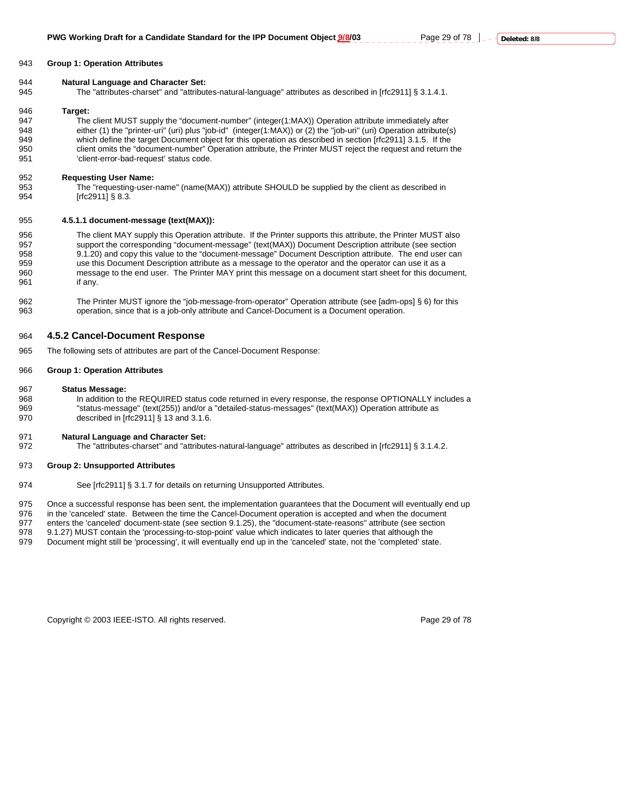#### 943 **Group 1: Operation Attributes**

#### 944 **Natural Language and Character Set:**

945 The "attributes-charset" and "attributes-natural-language" attributes as described in [rfc2911] § 3.1.4.1.

#### 946 **Target:**

947 The client MUST supply the "document-number" (integer(1:MAX)) Operation attribute immediately after 948 either (1) the "printer-uri" (uri) plus "job-id" (integer(1:MAX)) or (2) the "job-uri" (uri) Operation attribute(s)<br>949 which define the target Document object for this operation as described in section [rfc2911] 3.1.5 which define the target Document object for this operation as described in section [rfc2911] 3.1.5. If the 950 client omits the "document-number" Operation attribute, the Printer MUST reject the request and return the 951 'client-error-bad-request' status code.

#### 952 **Requesting User Name:**

953 The "requesting-user-name" (name(MAX)) attribute SHOULD be supplied by the client as described in<br>954 [free of the section of a s  $[rfc2911]$  § 8.3.

#### 955 **4.5.1.1 document-message (text(MAX)):**

956 The client MAY supply this Operation attribute. If the Printer supports this attribute, the Printer MUST also 957 support the corresponding "document-message" (text(MAX)) Document Description attribute (see section 958 9.1.20) and copy this value to the "document-message" Document Description attribute. The end user can 959 use this Document Description attribute as a message to the operator and the operator can use it as a 960 message to the end user. The Printer MAY print this message on a document start sheet for this document, 961 if any.

962 The Printer MUST ignore the "job-message-from-operator" Operation attribute (see [adm-ops] § 6) for this 963 operation, since that is a job-only attribute and Cancel-Document is a Document operation.

## 964 **4.5.2 Cancel-Document Response**

965 The following sets of attributes are part of the Cancel-Document Response:

#### 966 **Group 1: Operation Attributes**

#### 967 **Status Message:**

968 In addition to the REQUIRED status code returned in every response, the response OPTIONALLY includes a 969 "status-message" (text(255)) and/or a "detailed-status-messages" (text(MAX)) Operation attribute as 970 described in [rfc2911] § 13 and 3.1.6.

#### 971 **Natural Language and Character Set:**

972 The "attributes-charset" and "attributes-natural-language" attributes as described in [rfc2911] § 3.1.4.2.

#### 973 **Group 2: Unsupported Attributes**

974 See [rfc2911] § 3.1.7 for details on returning Unsupported Attributes.

975 Once a successful response has been sent, the implementation guarantees that the Document will eventually end up

976 in the 'canceled' state. Between the time the Cancel-Document operation is accepted and when the document<br>977 enters the 'canceled' document-state (see section 9.1.25), the "document-state-reasons" attribute (see secti

enters the 'canceled' document-state (see section 9.1.25), the "document-state-reasons" attribute (see section

978 9.1.27) MUST contain the 'processing-to-stop-point' value which indicates to later queries that although the<br>979 Document might still be 'processing', it will eventually end up in the 'canceled' state, not the 'complet Document might still be 'processing', it will eventually end up in the 'canceled' state, not the 'completed' state.

Copyright © 2003 IEEE-ISTO. All rights reserved. Page 29 of 78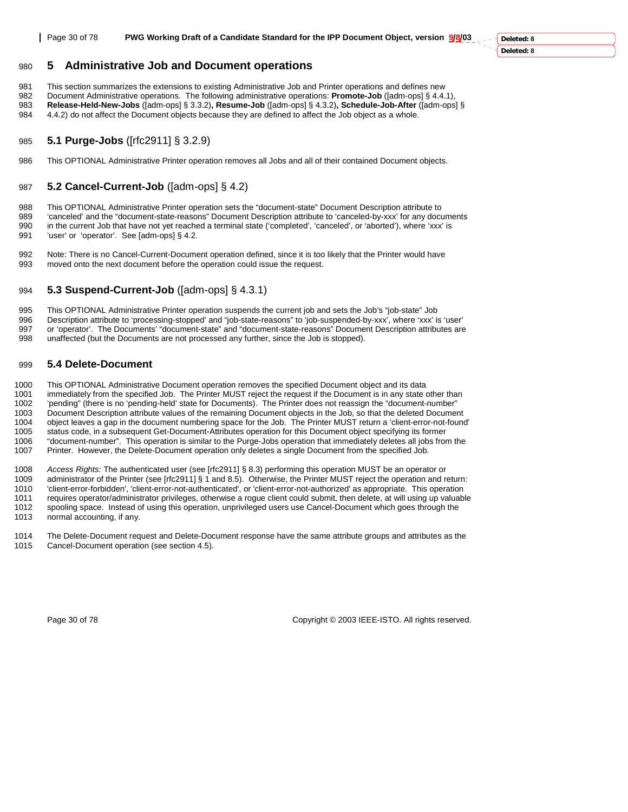**Deleted: 8 Deleted: 8**

## 980 **5 Administrative Job and Document operations**

981 This section summarizes the extensions to existing Administrative Job and Printer operations and defines new<br>982 Document Administrative operations The following administrative operations: **Promote-Job** (fadm-ops) & 4.

982 Document Administrative operations. The following administrative operations: **Promote-Job** ([adm-ops] § 4.4.1), 983 **Release-Held-New-Jobs** ([adm-ops] § 3.3.2)**, Resume-Job** ([adm-ops] § 4.3.2)**, Schedule-Job-After** ([adm-ops] § 984 4.4.2) do not affect the Document objects because they are defined to affect the Job object as a whole.

## 985 **5.1 Purge-Jobs** ([rfc2911] § 3.2.9)

986 This OPTIONAL Administrative Printer operation removes all Jobs and all of their contained Document objects.

## 987 **5.2 Cancel-Current-Job** ([adm-ops] § 4.2)

988 This OPTIONAL Administrative Printer operation sets the "document-state" Document Description attribute to 989 'canceled' and the "document-state-reasons" Document Description attribute to 'canceled-by-xxx' for any documents 990 in the current Job that have not yet reached a terminal state ('completed', 'canceled', or 'aborted'), where 'xxx' is 991 'user' or 'operator'. See [adm-ops] § 4.2.

992 Note: There is no Cancel-Current-Document operation defined, since it is too likely that the Printer would have 993 moved onto the next document before the operation could issue the request.

## 994 **5.3 Suspend-Current-Job** ([adm-ops] § 4.3.1)

995 This OPTIONAL Administrative Printer operation suspends the current job and sets the Job's "job-state" Job<br>996 Description attribute to 'processing-stopped' and "job-state-reasons" to 'job-suspended-by-xxx', where 'xxx Description attribute to 'processing-stopped' and "job-state-reasons" to 'job-suspended-by-xxx', where 'xxx' is 'user' 997 or 'operator'. The Documents' "document-state" and "document-state-reasons" Document Description attributes are 998 unaffected (but the Documents are not processed any further, since the Job is stopped).

## 999 **5.4 Delete-Document**

1000 This OPTIONAL Administrative Document operation removes the specified Document object and its data 1001 immediately from the specified Job. The Printer MUST reject the request if the Document is in any state other than 1002 'pending" (there is no 'pending-held' state for Documents). The Printer does not reassign the "document-number" 1003 Document Description attribute values of the remaining Document objects in the Job, so that the deleted Document 1004 object leaves a gap in the document numbering space for the Job. The Printer MUST return a 'client-error-not-found' 1005 status code, in a subsequent Get-Document-Attributes operation for this Document object specifying its former 1006 "document-number". This operation is similar to the Purge-Jobs operation that immediately deletes all jobs from the 1007 Printer. However, the Delete-Document operation only deletes a single Document from the specified Job.

1008 *Access Rights:* The authenticated user (see [rfc2911] § 8.3) performing this operation MUST be an operator or 1009 administrator of the Printer (see [rfc2911] § 1 and 8.5). Otherwise, the Printer MUST reject the operation and return: 1010 'client-error-forbidden', 'client-error-not-authenticated', or 'client-error-not-authorized' as appropriate. This operation 1011 requires operator/administrator privileges, otherwise a rogue client could submit, then delete, at will using up valuable 1012 spooling space. Instead of using this operation, unprivileged users use Cancel-Document which goes through the 1013 normal accounting, if any.

1014 The Delete-Document request and Delete-Document response have the same attribute groups and attributes as the 1015 Cancel-Document operation (see section 4.5).

Page 30 of 78 Copyright © 2003 IEEE-ISTO. All rights reserved.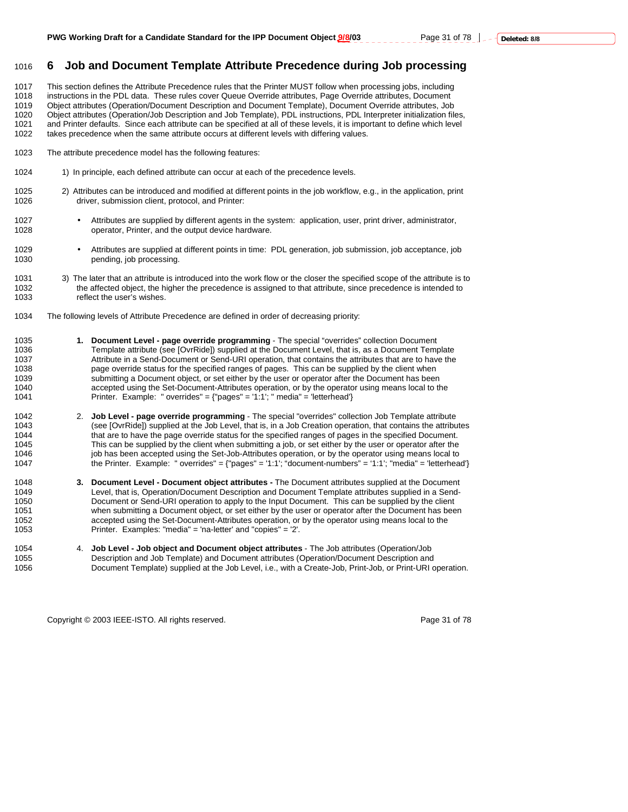## 1016 **6 Job and Document Template Attribute Precedence during Job processing**

1017 This section defines the Attribute Precedence rules that the Printer MUST follow when processing jobs, including 1018 instructions in the PDL data. These rules cover Queue Override attributes, Page Override attributes, Document 1019 Object attributes (Operation/Document Description and Document Template), Document Override attributes, Job 1020 Object attributes (Operation/Job Description and Job Template), PDL instructions, PDL Interpreter initialization files,<br>1021 and Printer defaults. Since each attribute can be specified at all of these levels, it is im and Printer defaults. Since each attribute can be specified at all of these levels, it is important to define which level 1022 takes precedence when the same attribute occurs at different levels with differing values.

- 1023 The attribute precedence model has the following features:
- 1024 1) In principle, each defined attribute can occur at each of the precedence levels.
- 1025 2) Attributes can be introduced and modified at different points in the job workflow, e.g., in the application, print 1026 driver, submission client, protocol, and Printer:
- 1027 Attributes are supplied by different agents in the system: application, user, print driver, administrator, 1028 operator, Printer, and the output device hardware.
- 1029 Attributes are supplied at different points in time: PDL generation, job submission, job acceptance, job pending, job processing.
- 1031 3) The later that an attribute is introduced into the work flow or the closer the specified scope of the attribute is to 1032 the affected object, the higher the precedence is assigned to that attribute, since precedence is intended to<br>1033 fellect the user's wishes. reflect the user's wishes.
- 1034 The following levels of Attribute Precedence are defined in order of decreasing priority:
- 1035 **1. Document Level page override programming** The special "overrides" collection Document<br>1036 **1036** Template attribute (see [OvrRidel) supplied at the Document Level, that is, as a Document Tem Template attribute (see [OvrRide]) supplied at the Document Level, that is, as a Document Template 1037 Attribute in a Send-Document or Send-URI operation, that contains the attributes that are to have the 1038 page override status for the specified ranges of pages. This can be supplied by the client when 1039 submitting a Document object, or set either by the user or operator after the Document has been<br>1040 saccepted using the Set-Document-Attributes operation, or by the operator using means local to the accepted using the Set-Document-Attributes operation, or by the operator using means local to the 1041 Printer. Example: " overrides" = {"pages" = '1:1'; " media" = 'letterhead'}
- 1042 2. **Job Level page override programming** The special "overrides" collection Job Template attribute 1043 (see [OvrRide]) supplied at the Job Level, that is, in a Job Creation operation, that contains the attributes 1044 that are to have the page override status for the specified ranges of pages in the specified Document.<br>1045 This can be supplied by the client when submitting a job, or set either by the user or operator after the This can be supplied by the client when submitting a job, or set either by the user or operator after the 1046 including job has been accepted using the Set-Job-Attributes operation, or by the operator using means local to<br>1047 fine of the Printer. Example: "overrides" = {"pages" = '1:1'; "document-numbers" = '1:1'; "media" = 1047 the Printer. Example: " overrides" = {"pages" = '1:1'; "document-numbers" = '1:1'; "media" = 'letterhead'}
- 1048 **3. Document Level Document object attributes** The Document attributes supplied at the Document 1049 Level, that is, Operation/Document Description and Document Template attributes supplied in a Send-<br>1050 100 Document or Send-URI operation to apply to the Input Document. This can be supplied by the client Document or Send-URI operation to apply to the Input Document. This can be supplied by the client 1051 when submitting a Document object, or set either by the user or operator after the Document has been 1052 accepted using the Set-Document-Attributes operation, or by the operator using means local to the 1053 Printer. Examples: "media" = 'na-letter' and "copies" = '2'.
- 1054 4. **Job Level Job object and Document object attributes**  The Job attributes (Operation/Job 1055 Description and Job Template) and Document attributes (Operation/Document Description and 1056 Document Template) supplied at the Job Level, i.e., with a Create-Job, Print-Job, or Print-URI operation.

Copyright © 2003 IEEE-ISTO. All rights reserved. Page 31 of 78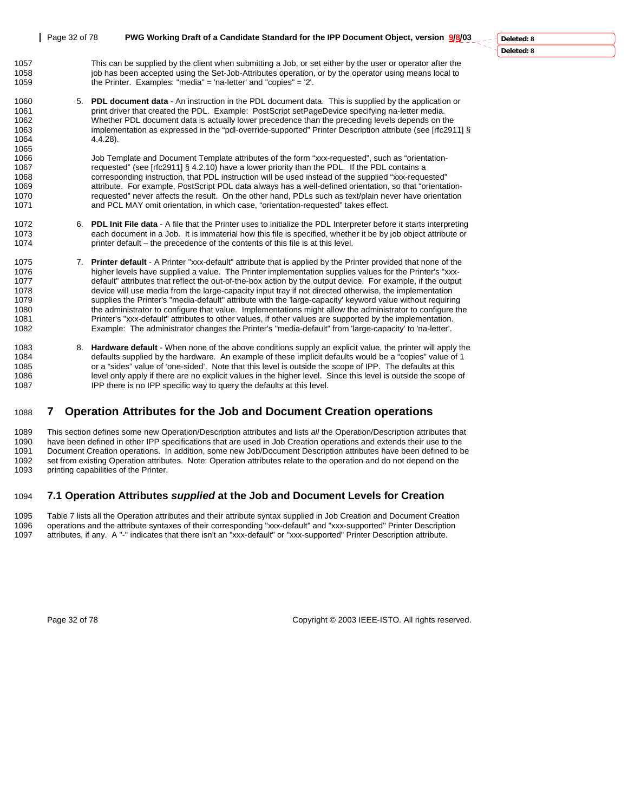## Page 32 of 78 **PWG Working Draft of a Candidate Standard for the IPP Document Object, version 9/8/03** 1057 This can be supplied by the client when submitting a Job, or set either by the user or operator after the 1058 job has been accepted using the Set-Job-Attributes operation, or by the operator using means local to<br>1059 the Printer. Examples: "media" = 'na-letter' and "copies" = '2'. the Printer. Examples: "media" = 'na-letter' and "copies" =  $2'$ . 1060 5. **PDL document data** - An instruction in the PDL document data. This is supplied by the application or 1061 print driver that created the PDL. Example: PostScript setPageDevice specifying na-letter media.

1062 Whether PDL document data is actually lower precedence than the preceding levels depends on the 1063 implementation as expressed in the "pdl-override-supported" Printer Description attribute (see [rfc2911] § 1064 4.4.28). 1065<br>1066

1066 Job Template and Document Template attributes of the form "xxx-requested", such as "orientation-<br>1067 sequested" (see [rfc2911] § 4.2.10) have a lower priority than the PDL. If the PDL contains a requested" (see [rfc2911] § 4.2.10) have a lower priority than the PDL. If the PDL contains a 1068 corresponding instruction, that PDL instruction will be used instead of the supplied "xxx-requested" 1069 **attribute.** For example, PostScript PDL data always has a well-defined orientation, so that "orientation-<br>1070 **and the search of the sout affects the result.** On the other hand. PDLs such as text/plain never have or requested" never affects the result. On the other hand, PDLs such as text/plain never have orientation 1071 and PCL MAY omit orientation, in which case, "orientation-requested" takes effect.

- 1072 6. **PDL Init File data**  A file that the Printer uses to initialize the PDL Interpreter before it starts interpreting 1073 each document in a Job. It is immaterial how this file is specified, whether it be by job object attribute or 1074 printer default – the precedence of the contents of this file is at this level.
- 1075 7. **Printer default**  A Printer "xxx-default" attribute that is applied by the Printer provided that none of the 1076 higher levels have supplied a value. The Printer implementation supplies values for the Printer's "xxx-<br>1077 default" attributes that reflect the out-of-the-box action by the output device. For example, if the output 1077 default" attributes that reflect the out-of-the-box action by the output device. For example, if the output<br>1078 device will use media from the large-capacity input tray if not directed otherwise. the implementation device will use media from the large-capacity input tray if not directed otherwise, the implementation 1079 supplies the Printer's "media-default" attribute with the 'large-capacity' keyword value without requiring<br>1080 the administrator to configure that value. Implementations might allow the administrator to configure th the administrator to configure that value. Implementations might allow the administrator to configure the 1081 Printer's "xxx-default" attributes to other values, if other values are supported by the implementation. 1082 Example: The administrator changes the Printer's "media-default" from 'large-capacity' to 'na-letter'.
- 1083 8. **Hardware default**  When none of the above conditions supply an explicit value, the printer will apply the 1084 defaults supplied by the hardware. An example of these implicit defaults would be a "copies" value of 1<br>1085 or a "sides" value of 'one-sided'. Note that this level is outside the scope of IPP. The defaults at this or a "sides" value of 'one-sided'. Note that this level is outside the scope of IPP. The defaults at this 1086 level only apply if there are no explicit values in the higher level. Since this level is outside the scope of 1087 IPP there is no IPP specific way to query the defaults at this level.

## 1088 **7 Operation Attributes for the Job and Document Creation operations**

1089 This section defines some new Operation/Description attributes and lists *all* the Operation/Description attributes that 1090 have been defined in other IPP specifications that are used in Job Creation operations and extends their use to the 1091 Document Creation operations. In addition, some new Job/Document Description attributes have been defined to be 1092 set from existing Operation attributes. Note: Operation attributes relate to the operation and do not depend on the 1093 printing capabilities of the Printer.

## 1094 **7.1 Operation Attributes** *supplied* **at the Job and Document Levels for Creation**

1095 Table 7 lists all the Operation attributes and their attribute syntax supplied in Job Creation and Document Creation<br>1096 operations and the attribute syntaxes of their corresponding "xxx-default" and "xxx-supported" 1096 operations and the attribute syntaxes of their corresponding "xxx-default" and "xxx-supported" Printer Description 1097 attributes, if any. A "-" indicates that there isn't an "xxx-default" or "xxx-supported" Printer Description attribute.

Page 32 of 78 Copyright © 2003 IEEE-ISTO. All rights reserved.

**Deleted: 8**

**Deleted: 8**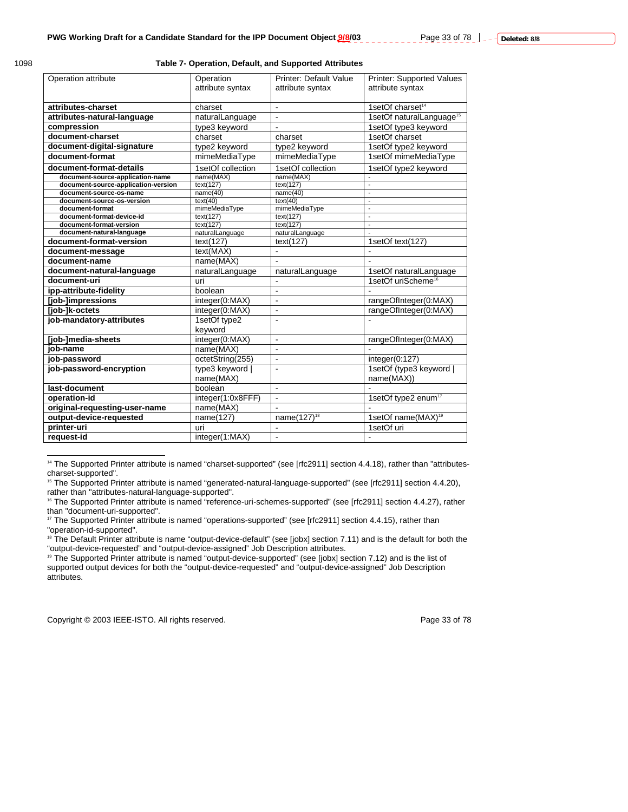$\overline{a}$ 

#### **Table 7- Operation, Default, and Supported Attributes**

| Operation attribute                                  | Operation              | <b>Printer: Default Value</b> | <b>Printer: Supported Values</b>     |
|------------------------------------------------------|------------------------|-------------------------------|--------------------------------------|
|                                                      | attribute syntax       | attribute syntax              | attribute syntax                     |
|                                                      |                        |                               |                                      |
| attributes-charset                                   | charset                | $\blacksquare$                | 1setOf charset <sup>14</sup>         |
| attributes-natural-language                          | naturalLanguage        | $\blacksquare$                | 1setOf naturalLanguage <sup>15</sup> |
| compression                                          | type3 keyword          |                               | 1setOf type3 keyword                 |
| document-charset                                     | charset                | charset                       | 1setOf charset                       |
| document-digital-signature                           | type2 keyword          | type2 keyword                 | 1setOf type2 keyword                 |
| document-format                                      | mimeMediaType          | mimeMediaType                 | 1setOf mimeMediaType                 |
| document-format-details                              | 1setOf collection      | 1setOf collection             | 1setOf type2 keyword                 |
| document-source-application-name                     | name(MAX)              | name(MAX)                     |                                      |
| document-source-application-version                  | text(127)              | text(127)                     | $\overline{a}$                       |
| document-source-os-name                              | name(40)               | name(40)                      | L.                                   |
| document-source-os-version                           | text(40)               | text(40)                      | $\overline{\phantom{a}}$             |
| document-format                                      | mimeMediaType          | mimeMediaType                 | L.                                   |
| document-format-device-id<br>document-format-version | text(127)<br>text(127) | text(127)<br>text(127)        | L.<br>L,                             |
| document-natural-language                            | naturalLanguage        | naturalLanguage               | ÷,                                   |
| document-format-version                              | text(127)              | text(127)                     | 1setOf text(127)                     |
|                                                      |                        |                               |                                      |
| document-message                                     | text(MAX)              |                               |                                      |
| document-name                                        | name(MAX)              |                               |                                      |
| document-natural-language                            | naturalLanguage        | naturalLanguage               | 1setOf naturalLanguage               |
| document-uri                                         | uri                    | L.                            | 1setOf uriScheme <sup>16</sup>       |
| ipp-attribute-fidelity                               | boolean                | $\overline{a}$                |                                      |
| [job-]impressions                                    | integer(0:MAX)         | $\overline{a}$                | rangeOfInteger(0:MAX)                |
| [job-]k-octets                                       | integer(0:MAX)         | $\blacksquare$                | rangeOfInteger(0:MAX)                |
| job-mandatory-attributes                             | 1setOf type2           | L,                            |                                      |
|                                                      | keyword                |                               |                                      |
| [job-]media-sheets                                   | integer(0:MAX)         | $\blacksquare$                | rangeOfInteger(0:MAX)                |
| iob-name                                             | name(MAX)              | $\overline{a}$                |                                      |
| job-password                                         | octetString(255)       | $\blacksquare$                | integer(0:127)                       |
| job-password-encryption                              | type3 keyword          |                               | 1setOf (type3 keyword                |
|                                                      | name(MAX)              |                               | name(MAX))                           |
| last-document                                        | boolean                | $\mathbf{r}$                  |                                      |
| operation-id                                         | integer(1:0x8FFF)      | $\overline{a}$                | 1setOf type2 enum <sup>17</sup>      |
| original-requesting-user-name                        | name(MAX)              | $\overline{a}$                |                                      |
| output-device-requested                              | name(127)              | name(127) <sup>18</sup>       | 1setOf name(MAX) <sup>19</sup>       |
| printer-uri                                          | uri                    | ä,                            | 1setOf uri                           |
| request-id                                           | integer(1:MAX)         | $\blacksquare$                | $\blacksquare$                       |
|                                                      |                        |                               |                                      |

14 The Supported Printer attribute is named "charset-supported" (see [rfc2911] section 4.4.18), rather than "attributescharset-supported".

Copyright © 2003 IEEE-ISTO. All rights reserved. Copyright © 2003 IEEE-ISTO. All rights reserved.

<sup>&</sup>lt;sup>15</sup> The Supported Printer attribute is named "generated-natural-language-supported" (see [rfc2911] section 4.4.20), rather than "attributes-natural-language-supported".

<sup>16</sup> The Supported Printer attribute is named "reference-uri-schemes-supported" (see [rfc2911] section 4.4.27), rather than "document-uri-supported".

<sup>&</sup>lt;sup>17</sup> The Supported Printer attribute is named "operations-supported" (see [rfc2911] section 4.4.15), rather than "operation-id-supported".

<sup>&</sup>lt;sup>18</sup> The Default Printer attribute is name "output-device-default" (see [jobx] section 7.11) and is the default for both the "output-device-requested" and "output-device-assigned" Job Description attributes.

<sup>&</sup>lt;sup>19</sup> The Supported Printer attribute is named "output-device-supported" (see [jobx] section 7.12) and is the list of supported output devices for both the "output-device-requested" and "output-device-assigned" Job Description attributes.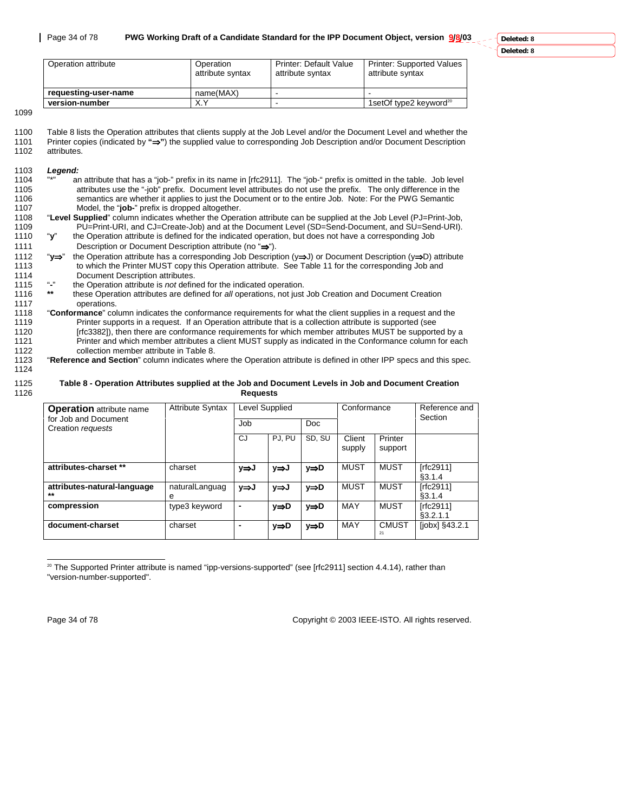| Operation attribute<br>Operation<br>attribute syntax |           | <b>Printer: Default Value</b><br>attribute syntax | <b>Printer: Supported Values</b><br>attribute syntax |  |
|------------------------------------------------------|-----------|---------------------------------------------------|------------------------------------------------------|--|
| requesting-user-name                                 | name(MAX) |                                                   |                                                      |  |
| version-number                                       | X.Y       | -                                                 | 1setOf type2 keyword <sup>20</sup>                   |  |

1099

1124

1100 Table 8 lists the Operation attributes that clients supply at the Job Level and/or the Document Level and whether the 1101 Printer copies (indicated by **"**⇒**"**) the supplied value to corresponding Job Description and/or Document Description attributes.

#### 1103 *Legend:*

- 1104 "\*" an attribute that has a "job-" prefix in its name in [rfc2911]. The "job-" prefix is omitted in the table. Job level 1105 attributes use the "-job" prefix. Document level attributes do not use the prefix. The only difference in the<br>1106 semantics are whether it applies to just the Document or to the entire Job. Note: For the PWG Semantic 1106 semantics are whether it applies to just the Document or to the entire Job. Note: For the PWG Semantic<br>1107 Model, the "job-" prefix is dropped altogether. Model, the "job-" prefix is dropped altogether.
- 1108 "**Level Supplied**" column indicates whether the Operation attribute can be supplied at the Job Level (PJ=Print-Job, 1109 PU=Print-URI, and CJ=Create-Job) and at the Document Level (SD=Send-Document, and SU=Send-URI).<br>1110 "y" the Operation attribute is defined for the indicated operation, but does not have a corresponding Job "y" the Operation attribute is defined for the indicated operation, but does not have a corresponding Job

1111 Description or Document Description attribute (no "⇒").

- 1112 "**y**⇒" the Operation attribute has a corresponding Job Description (y⇒J) or Document Description (y⇒D) attribute 1113 to which the Printer MUST copy this Operation attribute. See Table 11 for the corresponding Job and 1114 Document Description attributes.
- 1115 "**-**" the Operation attribute is *not* defined for the indicated operation.
- 1116 **\*\*** these Operation attributes are defined for *all* operations, not just Job Creation and Document Creation 1117 operations.
- 1118 "**Conformance**" column indicates the conformance requirements for what the client supplies in a request and the 1119 Printer supports in a request. If an Operation attribute that is a collection attribute is supported (see<br>1120 **Frical Lites 2020** [rfc3382]), then there are conformance requirements for which member attributes MUST b [rfc3382]), then there are conformance requirements for which member attributes MUST be supported by a 1121 Printer and which member attributes a client MUST supply as indicated in the Conformance column for each 1122 collection member attribute in Table 8.<br>1123 **Reference and Section**" column indicates wh
	- 1123 "**Reference and Section**" column indicates where the Operation attribute is defined in other IPP specs and this spec.

#### 1125 **Table 8 - Operation Attributes supplied at the Job and Document Levels in Job and Document Creation**  1126 **Requests**

| <b>Operation</b> attribute name<br>for Job and Document | <b>Attribute Syntax</b> | Level Supplied |        |        | Conformance      |                    | Reference and<br>Section |
|---------------------------------------------------------|-------------------------|----------------|--------|--------|------------------|--------------------|--------------------------|
| Creation requests                                       |                         | Job            |        | Doc.   |                  |                    |                          |
|                                                         |                         | CJ             | PJ. PU | SD, SU | Client<br>supply | Printer<br>support |                          |
| attributes-charset **                                   | charset                 | y⇒J            | y⇒J    | y⇒D    | MUST             | MUST               | [rfc2911]<br>\$3.1.4     |
| attributes-natural-language<br>$***$                    | naturalLanguag<br>e     | y⇒J            | y⇒J    | y⇒D    | <b>MUST</b>      | <b>MUST</b>        | [rfc2911]<br>§3.1.4      |
| compression                                             | type3 keyword           |                | y⇒D    | y⇒D    | MAY              | MUST               | [rfc2911]<br>\$3.2.1.1   |
| document-charset                                        | charset                 |                | y⇒D    | y⇒D    | MAY              | <b>CMUST</b><br>21 | [jobx] §43.2.1           |

 $\overline{a}$  $20$  The Supported Printer attribute is named "ipp-versions-supported" (see [rfc2911] section 4.4.14), rather than "version-number-supported".

Page 34 of 78 Copyright © 2003 IEEE-ISTO. All rights reserved.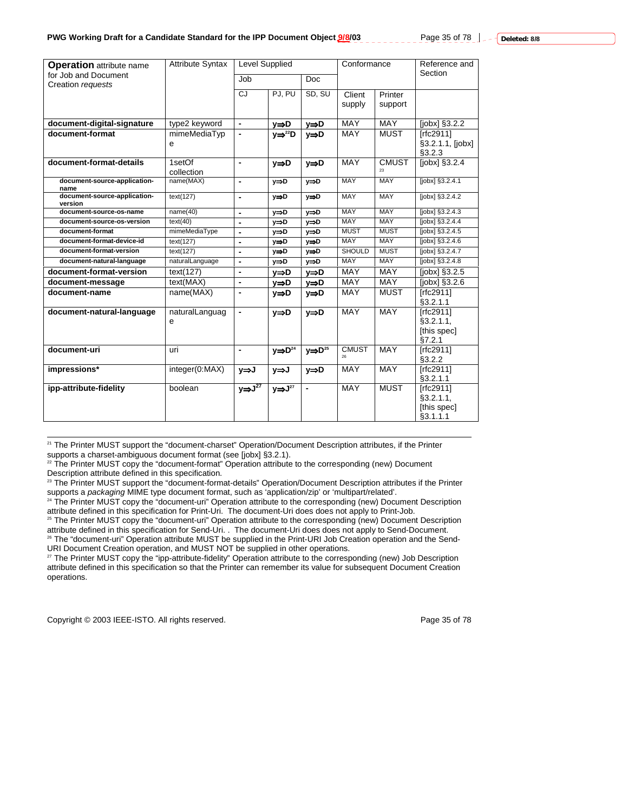Page 35 of 78 **c**  $\frac{1}{2}$  -  $\frac{1}{2}$  Deleted: 8/8

| <b>Operation</b> attribute name           | <b>Attribute Syntax</b> | <b>Level Supplied</b>    |                                 |                              | Conformance      |                    | Reference and<br>Section                          |
|-------------------------------------------|-------------------------|--------------------------|---------------------------------|------------------------------|------------------|--------------------|---------------------------------------------------|
| for Job and Document<br>Creation requests |                         | Job<br><b>Doc</b>        |                                 |                              |                  |                    |                                                   |
|                                           |                         | CJ                       | PJ, PU                          | SD, SU                       | Client<br>supply | Printer<br>support |                                                   |
| document-digital-signature                | type2 keyword           |                          | y⇒D                             | y⇒D                          | <b>MAY</b>       | <b>MAY</b>         | [ <i>j</i> obx] <sub>3.2.2</sub>                  |
| document-format                           | mimeMediaTyp<br>e       |                          | $V \Rightarrow$ <sup>22</sup> D | y⇒D                          | <b>MAY</b>       | <b>MUST</b>        | [rfc2911]<br>§3.2.1.1, [jobx]<br>§3.2.3           |
| document-format-details                   | 1setOf<br>collection    | $\blacksquare$           | y⇒D                             | $y \Rightarrow D$            | <b>MAY</b>       | <b>CMUST</b><br>つつ | [jobx] §3.2.4                                     |
| document-source-application-<br>name      | name(MAX)               | $\blacksquare$           | $y \Rightarrow D$               | y⇒D                          | <b>MAY</b>       | <b>MAY</b>         | [jobx] §3.2.4.1                                   |
| document-source-application-<br>version   | text(127)               | $\blacksquare$           | v⇒D                             | v⇒D                          | <b>MAY</b>       | <b>MAY</b>         | [jobx] §3.2.4.2                                   |
| document-source-os-name                   | name(40)                | ÷,                       | y⇒D                             | y⇒D                          | <b>MAY</b>       | <b>MAY</b>         | $[jobx]$ §3.2.4.3                                 |
| document-source-os-version                | text(40)                | $\overline{a}$           | y⇒D                             | $y \Rightarrow D$            | <b>MAY</b>       | <b>MAY</b>         | [jobx] §3.2.4.4                                   |
| document-format                           | mimeMediaType           | $\overline{a}$           | y⇒D                             | y⇒D                          | <b>MUST</b>      | <b>MUST</b>        | [jobx] §3.2.4.5                                   |
| document-format-device-id                 | text(127)               | $\blacksquare$           | y⇒D                             | y⇒D                          | <b>MAY</b>       | <b>MAY</b>         | [jobx] §3.2.4.6                                   |
| document-format-version                   | text(127)               | $\overline{a}$           | y⇒D                             | y⇒D                          | <b>SHOULD</b>    | <b>MUST</b>        | $[jobx]$ §3.2.4.7                                 |
| document-natural-language                 | naturalLanguage         | $\blacksquare$           | y⇒D                             | $y \Rightarrow \overline{D}$ | <b>MAY</b>       | <b>MAY</b>         | [jobx] §3.2.4.8                                   |
| document-format-version                   | text(127)               | $\overline{\phantom{a}}$ | v⇒D                             | $y \Rightarrow D$            | MAY              | <b>MAY</b>         | [ <i>j</i> obx] <sub>3.2.5</sub>                  |
| document-message                          | text(MAX)               | $\overline{a}$           | v⇒D                             | y⇒D                          | <b>MAY</b>       | <b>MAY</b>         | [ <i>i</i> obx] <sub>83.2.6</sub>                 |
| document-name                             | name(MAX)               |                          | v⇒D                             | $y \Rightarrow D$            | <b>MAY</b>       | <b>MUST</b>        | [rfc2911]<br>§3.2.1.1                             |
| document-natural-language                 | naturalLanguag<br>e     | $\blacksquare$           | $y \Rightarrow D$               | $y \Rightarrow D$            | MAY              | <b>MAY</b>         | [rfc2911]<br>§3.2.1.1,<br>[this spec]<br>§7.2.1   |
| document-uri                              | uri                     | $\blacksquare$           | $y \Rightarrow D^{24}$          | $y \Rightarrow D^{25}$       | <b>CMUST</b>     | MAY                | [rfc2911]<br>§3.2.2                               |
| impressions*                              | integer(0:MAX)          | y⇒J                      | y⇒J                             | $y \Rightarrow D$            | <b>MAY</b>       | MAY                | [rfc2911]<br>§3.2.1.1                             |
| ipp-attribute-fidelity                    | boolean                 | $y \Rightarrow J^{27}$   | $y \Rightarrow J^{27}$          |                              | <b>MAY</b>       | <b>MUST</b>        | [rfc2911]<br>\$3.2.1.1<br>[this spec]<br>§3.1.1.1 |

 21 The Printer MUST support the "document-charset" Operation/Document Description attributes, if the Printer supports a charset-ambiguous document format (see [jobx] §3.2.1).

<sup>22</sup> The Printer MUST copy the "document-format" Operation attribute to the corresponding (new) Document Description attribute defined in this specification.

<sup>23</sup> The Printer MUST support the "document-format-details" Operation/Document Description attributes if the Printer

supports a *packaging* MIME type document format, such as 'application/zip' or 'multipart/related'.<br><sup>24</sup> The Printer MUST copy the "document-uri" Operation attribute to the corresponding (new) Document Description attribute defined in this specification for Print-Uri. The document-Uri does does not apply to Print-Job.

<sup>25</sup> The Printer MUST copy the "document-uri" Operation attribute to the corresponding (new) Document Description attribute defined in this specification for Send-Uri. . The document-Uri does does not apply to Send-Document. <sup>26</sup> The "document-uri" Operation attribute MUST be supplied in the Print-URI Job Creation operation and the Send-

URI Document Creation operation, and MUST NOT be supplied in other operations.

<sup>27</sup> The Printer MUST copy the "ipp-attribute-fidelity" Operation attribute to the corresponding (new) Job Description attribute defined in this specification so that the Printer can remember its value for subsequent Document Creation operations.

Copyright © 2003 IEEE-ISTO. All rights reserved. Copyright © 2003 IEEE-ISTO. All rights reserved.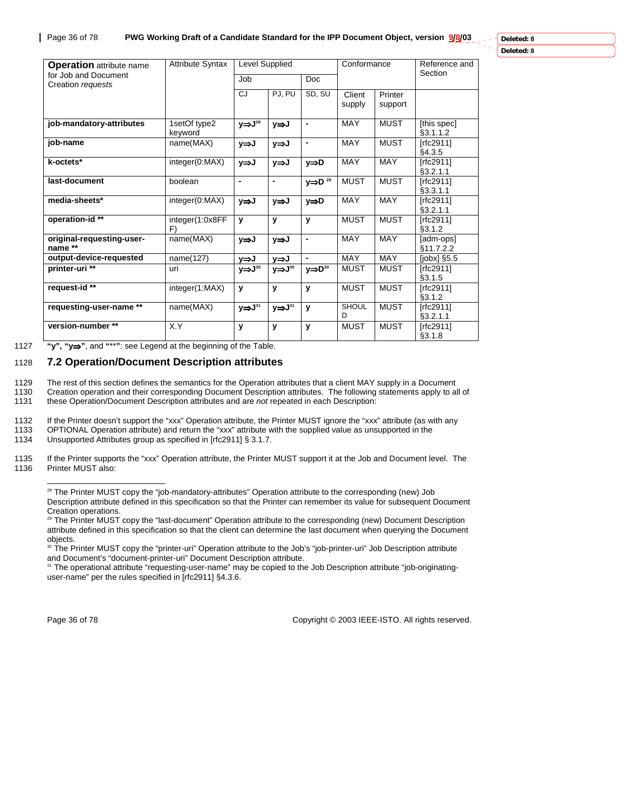**Deleted: 8**

**Deleted: 8**

| <b>Operation</b> attribute name           | <b>Attribute Syntax</b> |                        | Level Supplied         |                          |                   | Conformance        | Reference and           |
|-------------------------------------------|-------------------------|------------------------|------------------------|--------------------------|-------------------|--------------------|-------------------------|
| for Job and Document<br>Creation requests |                         | Job                    | <b>Doc</b>             |                          |                   |                    | Section                 |
|                                           |                         | CJ                     | PJ, PU                 | SD, SU                   | Client<br>supply  | Printer<br>support |                         |
| job-mandatory-attributes                  | 1setOf type2<br>keyword | $y \Rightarrow J^{28}$ | y⇒J                    |                          | <b>MAY</b>        | <b>MUST</b>        | [this spec]<br>§3.1.1.2 |
| job-name                                  | name(MAX)               | y⇒J                    | y⇒J                    | -                        | <b>MAY</b>        | <b>MUST</b>        | [rfc2911]<br>§4.3.5     |
| k-octets*                                 | integer(0:MAX)          | y⇒J                    | y⇒J                    | y⇒D                      | <b>MAY</b>        | <b>MAY</b>         | [rfc2911]<br>§3.2.1.1   |
| last-document                             | boolean                 | -                      | $\blacksquare$         | $y \Rightarrow D^{29}$   | <b>MUST</b>       | <b>MUST</b>        | [rfc2911]<br>§3.3.1.1   |
| media-sheets*                             | integer(0:MAX)          | y⇒J                    | y⇒J                    | y⇒D                      | <b>MAY</b>        | <b>MAY</b>         | [rfc2911]<br>§3.2.1.1   |
| operation-id**                            | integer(1:0x8FF<br>F)   | y                      | y                      | y                        | <b>MUST</b>       | <b>MUST</b>        | [rfc2911]<br>§3.1.2     |
| original-requesting-user-<br>name **      | name(MAX)               | y⇒J                    | y⇒J                    | $\blacksquare$           | <b>MAY</b>        | <b>MAY</b>         | [adm-ops]<br>§11.7.2.2  |
| output-device-requested                   | name(127)               | y⇒J                    | y⇒J                    | $\overline{\phantom{0}}$ | <b>MAY</b>        | <b>MAY</b>         | $[jobx]$ §5.5           |
| printer-uri **                            | uri                     | $y \Rightarrow J^{30}$ | $y \Rightarrow J^{30}$ | $y \Rightarrow D^{30}$   | <b>MUST</b>       | <b>MUST</b>        | [rfc2911]<br>\$3.1.5    |
| request-id **                             | integer(1:MAX)          | y                      | y                      | y                        | <b>MUST</b>       | <b>MUST</b>        | [rfc2911]<br>\$3.1.2    |
| requesting-user-name **                   | name(MAX)               | $y \Rightarrow J^{31}$ | $y \Rightarrow J^{31}$ | y                        | <b>SHOUL</b><br>D | <b>MUST</b>        | [rfc2911]<br>§3.2.1.1   |
| version-number **                         | X.Y                     | у                      | y                      | y                        | <b>MUST</b>       | <b>MUST</b>        | [rfc2911]<br>§3.1.8     |

1127 **"y", "y**⇒**"**, and **"**\*\***"**: see Legend at the beginning of the Table.

## 1128 **7.2 Operation/Document Description attributes**

1129 The rest of this section defines the semantics for the Operation attributes that a client MAY supply in a Document

1130 Creation operation and their corresponding Document Description attributes. The following statements apply to all of 1131 (1616) to all of 1131 (1616) Communisty apply to all of 1131 these Operation/Document Description attributes and are *not* repeated in each Description:

1132 If the Printer doesn't support the "xxx" Operation attribute, the Printer MUST ignore the "xxx" attribute (as with any

1133 OPTIONAL Operation attribute) and return the "xxx" attribute with the supplied value as unsupported in the<br>1134 Unsupported Attributes group as specified in Irfc29111 § 3.1.7.

Unsupported Attributes group as specified in [rfc2911] § 3.1.7.

1135 If the Printer supports the "xxx" Operation attribute, the Printer MUST support it at the Job and Document level. The Printer MUST also:

<sup>28</sup> The Printer MUST copy the "job-mandatory-attributes" Operation attribute to the corresponding (new) Job Description attribute defined in this specification so that the Printer can remember its value for subsequent Document Creation operations.

<sup>29</sup> The Printer MUST copy the "last-document" Operation attribute to the corresponding (new) Document Description attribute defined in this specification so that the client can determine the last document when querying the Document objects.

<sup>30</sup> The Printer MUST copy the "printer-uri" Operation attribute to the Job's "job-printer-uri" Job Description attribute and Document's "document-printer-uri" Document Description attribute.

<sup>31</sup> The operational attribute "requesting-user-name" may be copied to the Job Description attribute "job-originatinguser-name" per the rules specified in [rfc2911] §4.3.6.

l

Page 36 of 78 Copyright © 2003 IEEE-ISTO. All rights reserved.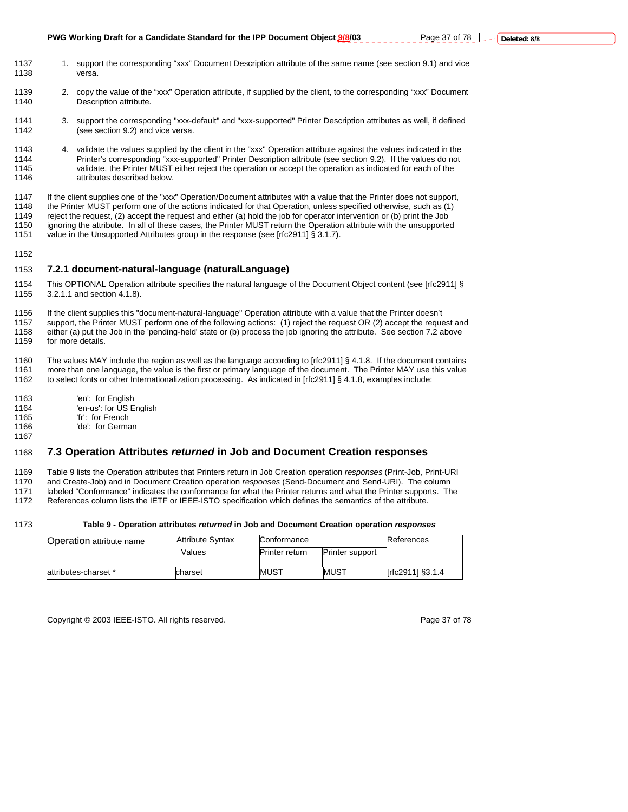- 1137 1. support the corresponding "xxx" Document Description attribute of the same name (see section 9.1) and vice 1138 versa.
- 1139 2. copy the value of the "xxx" Operation attribute, if supplied by the client, to the corresponding "xxx" Document 1140 Description attribute.
- 1141 3. support the corresponding "xxx-default" and "xxx-supported" Printer Description attributes as well, if defined 1142 (see section 9.2) and vice versa.
- 1143 4. validate the values supplied by the client in the "xxx" Operation attribute against the values indicated in the 1144 Printer's corresponding "xxx-supported" Printer Description attribute (see section 9.2). If the values do not<br>1145 validate, the Printer MUST either reject the operation or accept the operation as indicated for each o validate, the Printer MUST either reject the operation or accept the operation as indicated for each of the 1146 attributes described below.

1147 If the client supplies one of the "xxx" Operation/Document attributes with a value that the Printer does not support,<br>1148 the Printer MUST perform one of the actions indicated for that Operation, unless specified oth 1148 the Printer MUST perform one of the actions indicated for that Operation, unless specified otherwise, such as (1)<br>1149 reject the request, (2) accept the request and either (a) hold the job for operator intervention o 1149 reject the request, (2) accept the request and either (a) hold the job for operator intervention or (b) print the Job<br>1150 ignoring the attribute. In all of these cases, the Printer MUST return the Operation attribute ignoring the attribute. In all of these cases, the Printer MUST return the Operation attribute with the unsupported 1151 value in the Unsupported Attributes group in the response (see [rfc2911] § 3.1.7).

1152

#### 1153 **7.2.1 document-natural-language (naturalLanguage)**

1154 This OPTIONAL Operation attribute specifies the natural language of the Document Object content (see [rfc2911] § 1155 3.2.1.1 and section 4.1.8).

1156 If the client supplies this "document-natural-language" Operation attribute with a value that the Printer doesn't 1157 support, the Printer MUST perform one of the following actions: (1) reject the request OR (2) accept the request and 1158 either (a) put the Job in the 'pending-held' state or (b) process the job ignoring the attribute. See section 7.2 above 1159 for more details.

1160 The values MAY include the region as well as the language according to [rfc2911] § 4.1.8. If the document contains 1161 more than one language, the value is the first or primary language of the document. The Printer MAY use this value 1162 to select fonts or other Internationalization processing. As indicated in [rfc2911] § 4.1.8, examples include:

- 1163 'en': for English
- 1164 <sup>'</sup>en-us': for US English<br>1165 'fr': for French
- 'fr': for French
- 1166 'de': for German 1167

### 1168 **7.3 Operation Attributes** *returned* **in Job and Document Creation responses**

1169 Table 9 lists the Operation attributes that Printers return in Job Creation operation *responses* (Print-Job, Print-URI

1170 and Create-Job) and in Document Creation operation *responses* (Send-Document and Send-URI). The column 1171 labeled "Conformance" indicates the conformance for what the Printer returns and what the Printer supports. The

1172 References column lists the IETF or IEEE-ISTO specification which defines the semantics of the attribute.

#### 1173 **Table 9 - Operation attributes** *returned* **in Job and Document Creation operation** *responses*

| <b>Operation attribute name</b> | <b>Attribute Syntax</b> | Conformance           | References             |                  |  |
|---------------------------------|-------------------------|-----------------------|------------------------|------------------|--|
|                                 | Values                  | <b>Printer return</b> | <b>Printer support</b> |                  |  |
|                                 |                         |                       |                        |                  |  |
| attributes-charset *            | charset                 | <b>MUST</b>           | <b>MUST</b>            | [rfc2911] §3.1.4 |  |

Copyright © 2003 IEEE-ISTO. All rights reserved. Page 37 of 78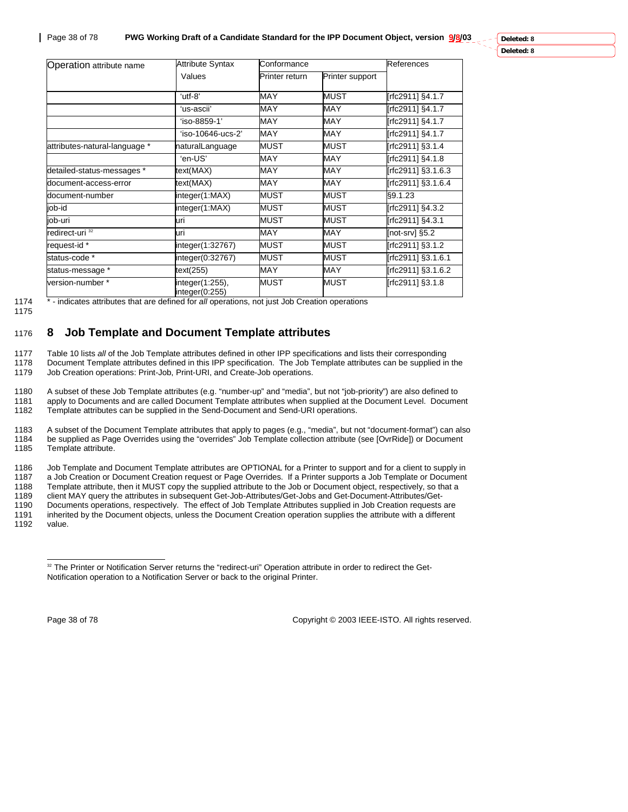| Operation attribute name                              | <b>Attribute Syntax</b> | Conformance    |                 | References         |
|-------------------------------------------------------|-------------------------|----------------|-----------------|--------------------|
|                                                       | Values                  | Printer return | Printer support |                    |
|                                                       | 'utf-8'                 | MAY            | MUST            | rfc29111 §4.1.7    |
|                                                       | ʻus-ascii'              | <b>MAY</b>     | MAY             | [rfc2911] §4.1.7   |
|                                                       | 'iso-8859-1'            | <b>MAY</b>     | <b>MAY</b>      | [rfc2911] §4.1.7   |
|                                                       | 'iso-10646-ucs-2'       | <b>MAY</b>     | <b>MAY</b>      | [rfc2911] §4.1.7   |
| attributes-natural-language *                         | naturalLanguage         | <b>MUST</b>    | <b>MUST</b>     | [rfc2911] §3.1.4   |
|                                                       | 'en-US'                 | <b>MAY</b>     | <b>MAY</b>      | [rfc2911] §4.1.8   |
| detailed-status-messages *                            | text(MAX)               | <b>MAY</b>     | <b>MAY</b>      | [rfc2911] §3.1.6.3 |
| document-access-error                                 | text(MAX)               | <b>MAY</b>     | <b>MAY</b>      | [rfc2911] §3.1.6.4 |
| document-number                                       | integer(1:MAX)          | <b>MUST</b>    | <b>MUST</b>     | §9.1.23            |
| job-id                                                | integer(1:MAX)          | <b>MUST</b>    | <b>MUST</b>     | [rfc2911] §4.3.2   |
| job-uri                                               | luri                    | <b>MUST</b>    | MUST            | [rfc2911] §4.3.1   |
| redirect-uri <sup>32</sup>                            | uri                     | <b>MAY</b>     | MAY             | [not-srv] §5.2     |
| request-id*                                           | integer(1:32767)        | <b>MUST</b>    | <b>MUST</b>     | [rfc2911] §3.1.2   |
| status-code *                                         | integer(0:32767)        | <b>MUST</b>    | <b>MUST</b>     | [rfc2911] §3.1.6.1 |
| status-message *                                      | text(255)               | MAY            | MAY             | rfc2911] §3.1.6.2  |
| version-number *<br>integer(1:255),<br>integer(0:255) |                         | <b>MUST</b>    | <b>MUST</b>     | [rfc2911] §3.1.8   |

#### 1174 \* - indicates attributes that are defined for *all* operations, not just Job Creation operations

1175

## 1176 **8 Job Template and Document Template attributes**

1177 Table 10 lists *all* of the Job Template attributes defined in other IPP specifications and lists their corresponding 1178 Document Template attributes defined in this IPP specification. The Job Template attributes can be supplied in the 1179 Job Creation operations: Print-Job, Print-URI, and Create-Job operations.

1180 A subset of these Job Template attributes (e.g. "number-up" and "media", but not "job-priority") are also defined to<br>1181 apply to Documents and are called Document Template attributes when supplied at the Document Le 1181 apply to Documents and are called Document Template attributes when supplied at the Document Level. Document<br>1182 Template attributes can be supplied in the Send-Document and Send-URI operations. Template attributes can be supplied in the Send-Document and Send-URI operations.

1183 A subset of the Document Template attributes that apply to pages (e.g., "media", but not "document-format") can also<br>1184 be supplied as Page Overrides using the "overrides" Job Template collection attribute (see [Ovr 1184 be supplied as Page Overrides using the "overrides" Job Template collection attribute (see [OvrRide]) or Document 1185 Template attribute.

1186 Job Template and Document Template attributes are OPTIONAL for a Printer to support and for a client to supply in<br>1187 a Job Creation or Document Creation request or Page Overrides. If a Printer supports a Job Templat 1187 a Job Creation or Document Creation request or Page Overrides. If a Printer supports a Job Template or Document<br>1188 Template attribute, then it MUST copy the supplied attribute to the Job or Document object, respecti

1188 Template attribute, then it MUST copy the supplied attribute to the Job or Document object, respectively, so that a<br>1189 client MAY query the attributes in subsequent Get-Job-Attributes/Get-Jobs and Get-Document-Attri 1189 client MAY query the attributes in subsequent Get-Job-Attributes/Get-Jobs and Get-Document-Attributes/Get-

1190 Documents operations, respectively. The effect of Job Template Attributes supplied in Job Creation requests are 1191 inherited by the Document objects, unless the Document Creation operation supplies the attribute with a different

 $\overline{a}$ 

Page 38 of 78 Copyright © 2003 IEEE-ISTO. All rights reserved.

value.

<sup>&</sup>lt;sup>32</sup> The Printer or Notification Server returns the "redirect-uri" Operation attribute in order to redirect the Get-Notification operation to a Notification Server or back to the original Printer.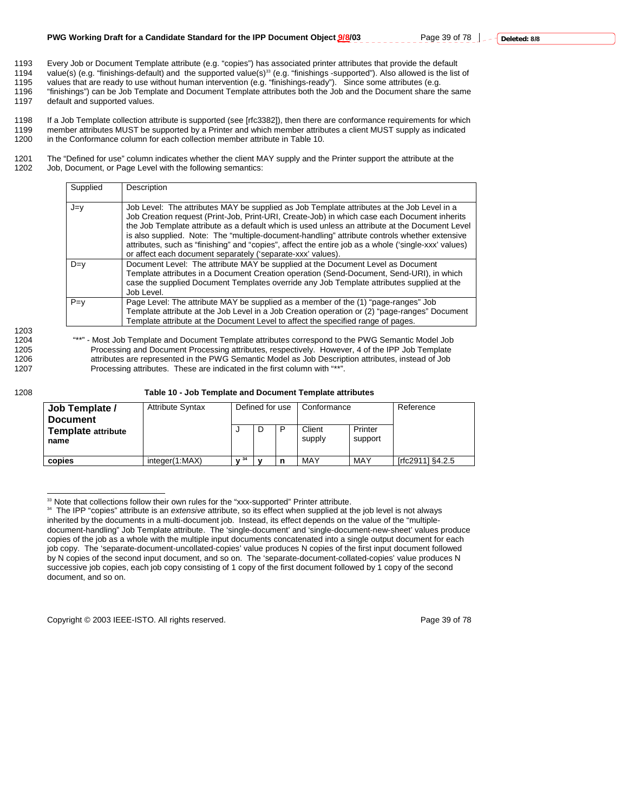1193 Every Job or Document Template attribute (e.g. "copies") has associated printer attributes that provide the default<br>1194 value(s) (e.g. "finishings-default) and the supported value(s)<sup>33</sup> (e.g. "finishings -supported" value(s) (e.g. "finishings-default) and the supported value(s)<sup>33</sup> (e.g. "finishings -supported"). Also allowed is the list of

1195 values that are ready to use without human intervention (e.g. "finishings-ready"). Since some attributes (e.g.<br>1196 "finishings") can be Job Template and Document Template attributes both the Job and the Document shar 1196 "finishings") can be Job Template and Document Template attributes both the Job and the Document share the same<br>1197 default and supported values default and supported values.

1198 If a Job Template collection attribute is supported (see [rfc3382]), then there are conformance requirements for which<br>1199 member attributes MUST be supported by a Printer and which member attributes a client MUST su 1199 member attributes MUST be supported by a Printer and which member attributes a client MUST supply as indicated 1200 in the Conformance column for each collection member attribute in Table 10.

1201 The "Defined for use" column indicates whether the client MAY supply and the Printer support the attribute at the 1202 Job, Document, or Page Level with the following semantics: Job, Document, or Page Level with the following semantics:

| Supplied | Description                                                                                                                                                                                                                                                                                                                                                                                                                                                                                                                                                           |
|----------|-----------------------------------------------------------------------------------------------------------------------------------------------------------------------------------------------------------------------------------------------------------------------------------------------------------------------------------------------------------------------------------------------------------------------------------------------------------------------------------------------------------------------------------------------------------------------|
| J=v      | Job Level: The attributes MAY be supplied as Job Template attributes at the Job Level in a<br>Job Creation request (Print-Job, Print-URI, Create-Job) in which case each Document inherits<br>the Job Template attribute as a default which is used unless an attribute at the Document Level<br>is also supplied. Note: The "multiple-document-handling" attribute controls whether extensive<br>attributes, such as "finishing" and "copies", affect the entire job as a whole ('single-xxx' values)<br>or affect each document separately ('separate-xxx' values). |
| $D=v$    | Document Level: The attribute MAY be supplied at the Document Level as Document<br>Template attributes in a Document Creation operation (Send-Document, Send-URI), in which<br>case the supplied Document Templates override any Job Template attributes supplied at the<br>Job Level.                                                                                                                                                                                                                                                                                |
| $P=v$    | Page Level: The attribute MAY be supplied as a member of the (1) "page-ranges" Job<br>Template attribute at the Job Level in a Job Creation operation or (2) "page-ranges" Document<br>Template attribute at the Document Level to affect the specified range of pages.                                                                                                                                                                                                                                                                                               |

1203

1204 "\*\*" - Most Job Template and Document Template attributes correspond to the PWG Semantic Model Job<br>1205 Processing and Document Processing attributes, respectively. However, 4 of the IPP Job Template Processing and Document Processing attributes, respectively. However, 4 of the IPP Job Template 1206 attributes are represented in the PWG Semantic Model as Job Description attributes, instead of Job 1207 Processing attributes. These are indicated in the first column with "\*\*".

#### 1208 **Table 10 - Job Template and Document Template attributes**

| Job Template /<br><b>Document</b> | <b>Attribute Syntax</b> | Defined for use |  | Conformance |                  | Reference          |                  |  |
|-----------------------------------|-------------------------|-----------------|--|-------------|------------------|--------------------|------------------|--|
| Template attribute<br>name        |                         |                 |  | D           | Client<br>supply | Printer<br>support |                  |  |
| copies                            | integer(1:MAX)          | 34              |  |             | MAY              | MAY                | [rfc2911] §4.2.5 |  |

 $\overline{a}$ <sup>33</sup> Note that collections follow their own rules for the "xxx-supported" Printer attribute.

Copyright © 2003 IEEE-ISTO. All rights reserved. Copyright C 2003 IEEE-ISTO. All rights reserved.

<sup>34</sup> The IPP "copies" attribute is an *extensive* attribute, so its effect when supplied at the job level is not always inherited by the documents in a multi-document job. Instead, its effect depends on the value of the "multipledocument-handling" Job Template attribute. The 'single-document' and 'single-document-new-sheet' values produce copies of the job as a whole with the multiple input documents concatenated into a single output document for each job copy. The 'separate-document-uncollated-copies' value produces N copies of the first input document followed by N copies of the second input document, and so on. The 'separate-document-collated-copies' value produces N successive job copies, each job copy consisting of 1 copy of the first document followed by 1 copy of the second document, and so on.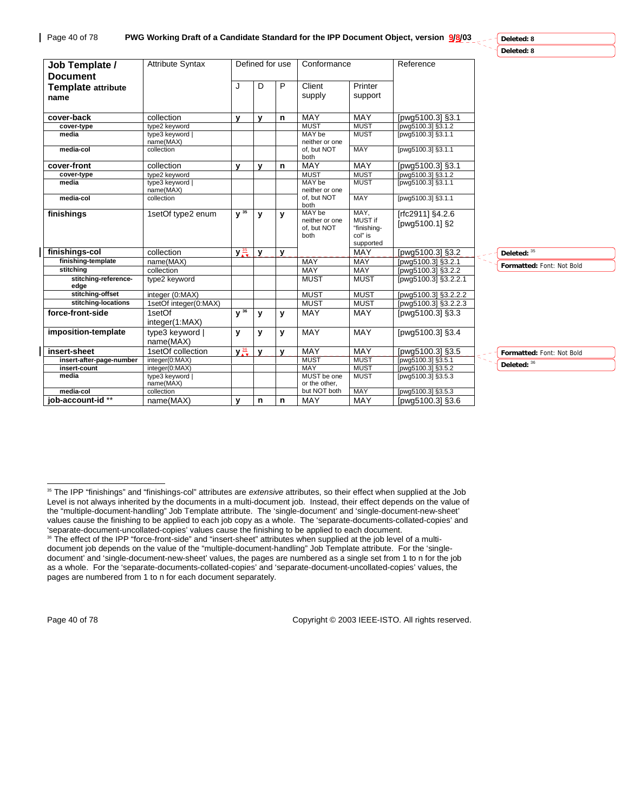| Deleted: 8<br><b>Attribute Syntax</b><br>Defined for use<br>Conformance<br>Reference<br>Job Template /<br><b>Document</b><br>J<br>P<br>Client<br>Printer<br>D<br><b>Template attribute</b><br>supply<br>support<br>name<br>MAY<br>MAY<br>collection<br>[pwg5100.3] §3.1<br>cover-back<br>$\mathbf{v}$<br>$\mathbf{v}$<br>n<br><b>MUST</b><br><b>MUST</b><br>type2 keyword<br>[pwg5100.3] §3.1.2<br>cover-type<br><b>MUST</b><br>MAY be<br>[pwg5100.3] §3.1.1<br>media<br>type3 keyword  <br>name(MAX)<br>neither or one<br><b>MAY</b><br>media-col<br>collection<br>of, but NOT<br>[pwg5100.3] §3.1.1<br>both<br>cover-front<br>MAY<br>collection<br><b>MAY</b><br>y<br>y<br>[pwg5100.3] §3.1<br>n<br><b>MUST</b><br><b>MUST</b><br>type2 keyword<br>[pwg5100.3] §3.1.2<br>cover-type<br><b>MUST</b><br>MAY be<br>type3 keyword  <br>[pwg5100.3] §3.1.1<br>media<br>neither or one<br>name(MAX)<br><b>MAY</b><br>of. but NOT<br>[pwg5100.3] §3.1.1<br>collection<br>media-col<br>both<br>MAY,<br>MAY be<br>$V^{35}$<br>1setOf type2 enum<br>finishings<br>[rfc2911] §4.2.6<br>y<br>y<br>MUST if<br>neither or one<br>[pwg5100.1] §2<br>"finishing-<br>of, but NOT<br>col" is<br>both<br>supported<br>MAY<br>$y\frac{35}{19}$<br>[pwg5100.3] §3.2<br>finishings-col<br>collection<br>$\mathbf{v}$<br>Deleted: 35<br>$\mathbf{v}$<br>finishing-template<br><b>MAY</b><br><b>MAY</b><br>name(MAX)<br>[pwg5100.3] §3.2.1<br>Formatted: Font: Not Bold<br><b>MAY</b><br>stitching<br>collection<br>MAY<br>[pwg5100.3] §3.2.2<br>stitching-reference-<br><b>MUST</b><br><b>MUST</b><br>type2 keyword<br>[pwg5100.3] §3.2.2.1<br>edge<br>stitching-offset<br>integer (0:MAX)<br><b>MUST</b><br><b>MUST</b><br>[pwg5100.3] §3.2.2.2<br><b>MUST</b><br><b>MUST</b><br>stitching-locations<br>1setOf integer(0:MAX)<br>[pwg5100.3] §3.2.2.3 |  |
|-----------------------------------------------------------------------------------------------------------------------------------------------------------------------------------------------------------------------------------------------------------------------------------------------------------------------------------------------------------------------------------------------------------------------------------------------------------------------------------------------------------------------------------------------------------------------------------------------------------------------------------------------------------------------------------------------------------------------------------------------------------------------------------------------------------------------------------------------------------------------------------------------------------------------------------------------------------------------------------------------------------------------------------------------------------------------------------------------------------------------------------------------------------------------------------------------------------------------------------------------------------------------------------------------------------------------------------------------------------------------------------------------------------------------------------------------------------------------------------------------------------------------------------------------------------------------------------------------------------------------------------------------------------------------------------------------------------------------------------------------------------------------------------------------------------------------------------|--|
|                                                                                                                                                                                                                                                                                                                                                                                                                                                                                                                                                                                                                                                                                                                                                                                                                                                                                                                                                                                                                                                                                                                                                                                                                                                                                                                                                                                                                                                                                                                                                                                                                                                                                                                                                                                                                                   |  |
|                                                                                                                                                                                                                                                                                                                                                                                                                                                                                                                                                                                                                                                                                                                                                                                                                                                                                                                                                                                                                                                                                                                                                                                                                                                                                                                                                                                                                                                                                                                                                                                                                                                                                                                                                                                                                                   |  |
|                                                                                                                                                                                                                                                                                                                                                                                                                                                                                                                                                                                                                                                                                                                                                                                                                                                                                                                                                                                                                                                                                                                                                                                                                                                                                                                                                                                                                                                                                                                                                                                                                                                                                                                                                                                                                                   |  |
|                                                                                                                                                                                                                                                                                                                                                                                                                                                                                                                                                                                                                                                                                                                                                                                                                                                                                                                                                                                                                                                                                                                                                                                                                                                                                                                                                                                                                                                                                                                                                                                                                                                                                                                                                                                                                                   |  |
|                                                                                                                                                                                                                                                                                                                                                                                                                                                                                                                                                                                                                                                                                                                                                                                                                                                                                                                                                                                                                                                                                                                                                                                                                                                                                                                                                                                                                                                                                                                                                                                                                                                                                                                                                                                                                                   |  |
|                                                                                                                                                                                                                                                                                                                                                                                                                                                                                                                                                                                                                                                                                                                                                                                                                                                                                                                                                                                                                                                                                                                                                                                                                                                                                                                                                                                                                                                                                                                                                                                                                                                                                                                                                                                                                                   |  |
|                                                                                                                                                                                                                                                                                                                                                                                                                                                                                                                                                                                                                                                                                                                                                                                                                                                                                                                                                                                                                                                                                                                                                                                                                                                                                                                                                                                                                                                                                                                                                                                                                                                                                                                                                                                                                                   |  |
|                                                                                                                                                                                                                                                                                                                                                                                                                                                                                                                                                                                                                                                                                                                                                                                                                                                                                                                                                                                                                                                                                                                                                                                                                                                                                                                                                                                                                                                                                                                                                                                                                                                                                                                                                                                                                                   |  |
|                                                                                                                                                                                                                                                                                                                                                                                                                                                                                                                                                                                                                                                                                                                                                                                                                                                                                                                                                                                                                                                                                                                                                                                                                                                                                                                                                                                                                                                                                                                                                                                                                                                                                                                                                                                                                                   |  |
|                                                                                                                                                                                                                                                                                                                                                                                                                                                                                                                                                                                                                                                                                                                                                                                                                                                                                                                                                                                                                                                                                                                                                                                                                                                                                                                                                                                                                                                                                                                                                                                                                                                                                                                                                                                                                                   |  |
|                                                                                                                                                                                                                                                                                                                                                                                                                                                                                                                                                                                                                                                                                                                                                                                                                                                                                                                                                                                                                                                                                                                                                                                                                                                                                                                                                                                                                                                                                                                                                                                                                                                                                                                                                                                                                                   |  |
|                                                                                                                                                                                                                                                                                                                                                                                                                                                                                                                                                                                                                                                                                                                                                                                                                                                                                                                                                                                                                                                                                                                                                                                                                                                                                                                                                                                                                                                                                                                                                                                                                                                                                                                                                                                                                                   |  |
|                                                                                                                                                                                                                                                                                                                                                                                                                                                                                                                                                                                                                                                                                                                                                                                                                                                                                                                                                                                                                                                                                                                                                                                                                                                                                                                                                                                                                                                                                                                                                                                                                                                                                                                                                                                                                                   |  |
|                                                                                                                                                                                                                                                                                                                                                                                                                                                                                                                                                                                                                                                                                                                                                                                                                                                                                                                                                                                                                                                                                                                                                                                                                                                                                                                                                                                                                                                                                                                                                                                                                                                                                                                                                                                                                                   |  |
|                                                                                                                                                                                                                                                                                                                                                                                                                                                                                                                                                                                                                                                                                                                                                                                                                                                                                                                                                                                                                                                                                                                                                                                                                                                                                                                                                                                                                                                                                                                                                                                                                                                                                                                                                                                                                                   |  |
|                                                                                                                                                                                                                                                                                                                                                                                                                                                                                                                                                                                                                                                                                                                                                                                                                                                                                                                                                                                                                                                                                                                                                                                                                                                                                                                                                                                                                                                                                                                                                                                                                                                                                                                                                                                                                                   |  |
|                                                                                                                                                                                                                                                                                                                                                                                                                                                                                                                                                                                                                                                                                                                                                                                                                                                                                                                                                                                                                                                                                                                                                                                                                                                                                                                                                                                                                                                                                                                                                                                                                                                                                                                                                                                                                                   |  |
|                                                                                                                                                                                                                                                                                                                                                                                                                                                                                                                                                                                                                                                                                                                                                                                                                                                                                                                                                                                                                                                                                                                                                                                                                                                                                                                                                                                                                                                                                                                                                                                                                                                                                                                                                                                                                                   |  |
| $V^{36}$<br>MAY<br>MAY<br>force-front-side<br>1setOf<br>[pwg5100.3] §3.3<br>y<br>y<br>integer(1:MAX)                                                                                                                                                                                                                                                                                                                                                                                                                                                                                                                                                                                                                                                                                                                                                                                                                                                                                                                                                                                                                                                                                                                                                                                                                                                                                                                                                                                                                                                                                                                                                                                                                                                                                                                              |  |
| <b>MAY</b><br>imposition-template<br>type3 keyword  <br><b>MAY</b><br>[pwg5100.3] §3.4<br>y<br>y<br>y<br>name(MAX)                                                                                                                                                                                                                                                                                                                                                                                                                                                                                                                                                                                                                                                                                                                                                                                                                                                                                                                                                                                                                                                                                                                                                                                                                                                                                                                                                                                                                                                                                                                                                                                                                                                                                                                |  |
| $y\frac{36}{4}$<br>MAY<br>insert-sheet<br>1setOf collection<br><b>MAY</b><br>[pwg5100.3] §3.5<br>$\mathbf{v}$<br>$\mathbf{v}$<br>Formatted: Font: Not Bold                                                                                                                                                                                                                                                                                                                                                                                                                                                                                                                                                                                                                                                                                                                                                                                                                                                                                                                                                                                                                                                                                                                                                                                                                                                                                                                                                                                                                                                                                                                                                                                                                                                                        |  |
| <b>MUST</b><br><b>MUST</b><br>integer(0:MAX)<br>[pwg5100.3] §3.5.1<br>insert-after-page-number                                                                                                                                                                                                                                                                                                                                                                                                                                                                                                                                                                                                                                                                                                                                                                                                                                                                                                                                                                                                                                                                                                                                                                                                                                                                                                                                                                                                                                                                                                                                                                                                                                                                                                                                    |  |
| Deleted: 36<br>MAY<br><b>MUST</b><br>insert-count<br>integer(0:MAX)<br>[pwq5100.3] §3.5.2                                                                                                                                                                                                                                                                                                                                                                                                                                                                                                                                                                                                                                                                                                                                                                                                                                                                                                                                                                                                                                                                                                                                                                                                                                                                                                                                                                                                                                                                                                                                                                                                                                                                                                                                         |  |
| <b>MUST</b><br>MUST be one<br>media<br>type3 keyword  <br>[pwg5100.3] §3.5.3<br>name(MAX)<br>or the other.                                                                                                                                                                                                                                                                                                                                                                                                                                                                                                                                                                                                                                                                                                                                                                                                                                                                                                                                                                                                                                                                                                                                                                                                                                                                                                                                                                                                                                                                                                                                                                                                                                                                                                                        |  |
| but NOT both<br><b>MAY</b><br>media-col<br>collection<br>[pwg5100.3] §3.5.3                                                                                                                                                                                                                                                                                                                                                                                                                                                                                                                                                                                                                                                                                                                                                                                                                                                                                                                                                                                                                                                                                                                                                                                                                                                                                                                                                                                                                                                                                                                                                                                                                                                                                                                                                       |  |
| iob-account-id **<br><b>MAY</b><br><b>MAY</b><br>name(MAX)<br>[pwg5100.3] §3.6<br>$\mathbf v$<br>n<br>n                                                                                                                                                                                                                                                                                                                                                                                                                                                                                                                                                                                                                                                                                                                                                                                                                                                                                                                                                                                                                                                                                                                                                                                                                                                                                                                                                                                                                                                                                                                                                                                                                                                                                                                           |  |

l

Page 40 of 78 Copyright © 2003 IEEE-ISTO. All rights reserved.

<sup>35</sup> The IPP "finishings" and "finishings-col" attributes are *extensive* attributes, so their effect when supplied at the Job Level is not always inherited by the documents in a multi-document job. Instead, their effect depends on the value of the "multiple-document-handling" Job Template attribute. The 'single-document' and 'single-document-new-sheet' values cause the finishing to be applied to each job copy as a whole. The 'separate-documents-collated-copies' and 'separate-document-uncollated-copies' values cause the finishing to be applied to each document. <sup>36</sup> The effect of the IPP "force-front-side" and "insert-sheet" attributes when supplied at the job level of a multidocument job depends on the value of the "multiple-document-handling" Job Template attribute. For the 'singledocument' and 'single-document-new-sheet' values, the pages are numbered as a single set from 1 to n for the job

as a whole. For the 'separate-documents-collated-copies' and 'separate-document-uncollated-copies' values, the pages are numbered from 1 to n for each document separately.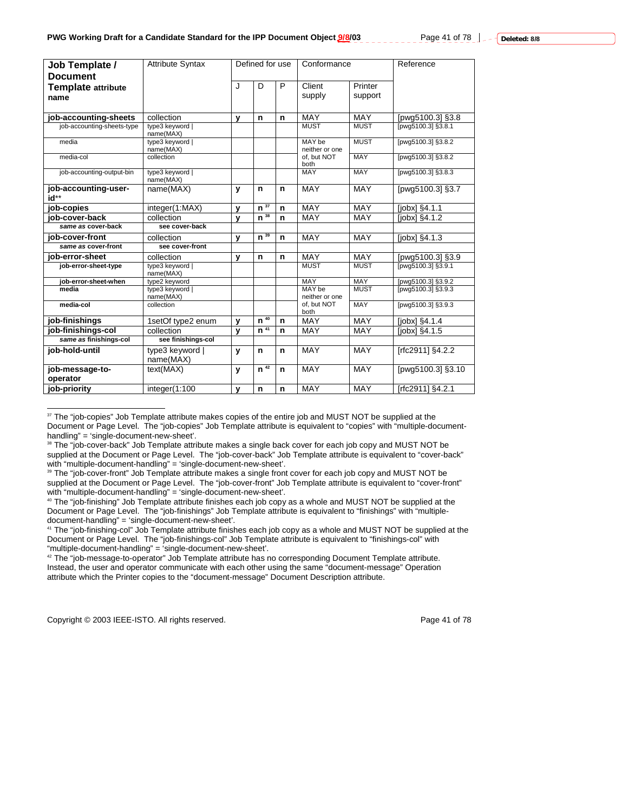| Job Template /               | <b>Attribute Syntax</b>      | Defined for use |                     | Conformance |                          | Reference   |                                   |
|------------------------------|------------------------------|-----------------|---------------------|-------------|--------------------------|-------------|-----------------------------------|
| <b>Document</b>              |                              |                 |                     |             |                          |             |                                   |
| <b>Template attribute</b>    |                              | J               | D                   | P           | Client                   | Printer     |                                   |
| name                         |                              |                 |                     |             | supply                   | support     |                                   |
|                              |                              |                 |                     |             |                          |             |                                   |
| job-accounting-sheets        | collection                   | $\mathbf v$     | n                   | n           | <b>MAY</b>               | <b>MAY</b>  | [pwg5100.3] §3.8                  |
| job-accounting-sheets-type   | type3 keyword  <br>name(MAX) |                 |                     |             | <b>MUST</b>              | <b>MUST</b> | lpwg5100.31 §3.8.1                |
| media                        | type3 keyword  <br>name(MAX) |                 |                     |             | MAY be<br>neither or one | <b>MUST</b> | [pwq5100.3] §3.8.2                |
| media-col                    | collection                   |                 |                     |             | of. but NOT<br>both      | <b>MAY</b>  | [pwg5100.3] §3.8.2                |
| job-accounting-output-bin    | type3 keyword  <br>name(MAX) |                 |                     |             | <b>MAY</b>               | <b>MAY</b>  | [pwg5100.3] §3.8.3                |
| job-accounting-user-<br>id** | name(MAX)                    | $\mathbf{v}$    | $\mathsf{n}$        | n           | <b>MAY</b>               | MAY         | [pwg5100.3] §3.7                  |
| job-copies                   | integer(1:MAX)               | $\mathbf{v}$    | $\overline{n^{37}}$ | n           | MAY                      | <b>MAY</b>  | [ <i>j</i> obx] <sub>54.1.1</sub> |
| iob-cover-back               | collection                   | $\mathbf v$     | $n^{38}$            | n           | <b>MAY</b>               | <b>MAY</b>  | [jobx] §4.1.2                     |
| same as cover-back           | see cover-back               |                 |                     |             |                          |             |                                   |
| iob-cover-front              | collection                   | $\mathbf{v}$    | $n^{39}$            | n           | <b>MAY</b>               | <b>MAY</b>  | $[jobx]3$ §4.1.3                  |
| same as cover-front          | see cover-front              |                 |                     |             |                          |             |                                   |
| iob-error-sheet              | collection                   | $\mathbf{v}$    | n                   | n           | <b>MAY</b>               | <b>MAY</b>  | [pwg5100.3] §3.9                  |
| job-error-sheet-type         | type3 keyword  <br>name(MAX) |                 |                     |             | <b>MUST</b>              | <b>MUST</b> | [pwg5100.3] §3.9.1                |
| iob-error-sheet-when         | type2 keyword                |                 |                     |             | <b>MAY</b>               | <b>MAY</b>  | [pwg5100.3] §3.9.2                |
| media                        | type3 keyword  <br>name(MAX) |                 |                     |             | MAY be<br>neither or one | <b>MUST</b> | [pwg5100.3] §3.9.3                |
| media-col                    | collection                   |                 |                     |             | of, but NOT<br>both      | <b>MAY</b>  | [pwq5100.3] §3.9.3                |
| job-finishings               | 1setOf type2 enum            | $\mathbf{v}$    | $n^{40}$            | n           | MAY                      | MAY         | $[jobx]$ §4.1.4                   |
| job-finishings-col           | collection                   | $\mathbf v$     | $n^{41}$            | n           | <b>MAY</b>               | <b>MAY</b>  | [jobx] §4.1.5                     |
| same as finishings-col       | see finishings-col           |                 |                     |             |                          |             |                                   |
| iob-hold-until               | type3 keyword  <br>name(MAX) | $\mathbf{v}$    | n                   | n           | <b>MAY</b>               | MAY         | [rfc2911] §4.2.2                  |
| job-message-to-<br>operator  | text(MAX)                    | y               | $n^{42}$            | $\mathbf n$ | MAY                      | MAY         | [pwg5100.3] §3.10                 |
| job-priority                 | integer(1:100                | $\mathbf{v}$    | n                   | n           | <b>MAY</b>               | MAY         | [rfc2911] §4.2.1                  |

<sup>37</sup> The "job-copies" Job Template attribute makes copies of the entire job and MUST NOT be supplied at the Document or Page Level. The "job-copies" Job Template attribute is equivalent to "copies" with "multiple-documenthandling" = 'single-document-new-sheet'.

41 The "job-finishing-col" Job Template attribute finishes each job copy as a whole and MUST NOT be supplied at the Document or Page Level. The "job-finishings-col" Job Template attribute is equivalent to "finishings-col" with "multiple-document-handling" = 'single-document-new-sheet'.

42 The "job-message-to-operator" Job Template attribute has no corresponding Document Template attribute. Instead, the user and operator communicate with each other using the same "document-message" Operation attribute which the Printer copies to the "document-message" Document Description attribute.

Copyright © 2003 IEEE-ISTO. All rights reserved. The example of 78 and 78

l

<sup>&</sup>lt;sup>38</sup> The "job-cover-back" Job Template attribute makes a single back cover for each job copy and MUST NOT be supplied at the Document or Page Level. The "job-cover-back" Job Template attribute is equivalent to "cover-back" with "multiple-document-handling" = 'single-document-new-sheet'.

<sup>&</sup>lt;sup>39</sup> The "job-cover-front" Job Template attribute makes a single front cover for each job copy and MUST NOT be supplied at the Document or Page Level. The "job-cover-front" Job Template attribute is equivalent to "cover-front" with "multiple-document-handling" = 'single-document-new-sheet'.

<sup>40</sup> The "job-finishing" Job Template attribute finishes each job copy as a whole and MUST NOT be supplied at the Document or Page Level. The "job-finishings" Job Template attribute is equivalent to "finishings" with "multipledocument-handling" = 'single-document-new-sheet'.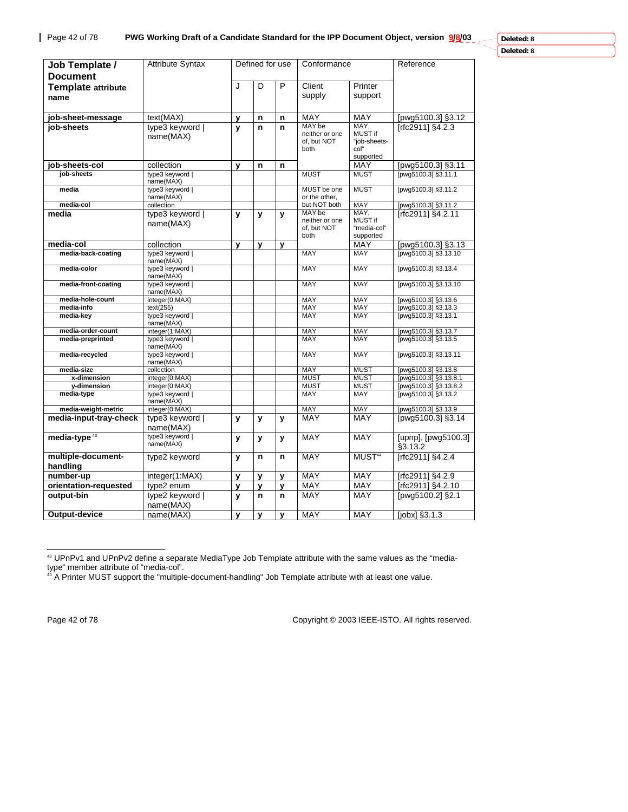**Deleted: 8**

| Deleted: 8 |  |
|------------|--|
|------------|--|

| Job Template /<br><b>Document</b> | <b>Attribute Syntax</b>          |   | Defined for use |   | Conformance                   |                            | Reference                                    |
|-----------------------------------|----------------------------------|---|-----------------|---|-------------------------------|----------------------------|----------------------------------------------|
| <b>Template attribute</b>         |                                  | J | D               | P | Client                        | Printer                    |                                              |
| name                              |                                  |   |                 |   | supply                        | support                    |                                              |
|                                   |                                  |   |                 |   |                               |                            |                                              |
| job-sheet-message                 | text(MAX)                        | у | n               | n | MAY                           | <b>MAY</b>                 | [pwg5100.3] §3.12                            |
| iob-sheets                        | type3 keyword                    | y | n               | n | MAY be                        | MAY,<br>MUST if            | [rfc2911] §4.2.3                             |
|                                   | name(MAX)                        |   |                 |   | neither or one<br>of, but NOT | "job-sheets-               |                                              |
|                                   |                                  |   |                 |   | both                          | col"                       |                                              |
|                                   |                                  |   |                 |   |                               | supported                  |                                              |
| job-sheets-col<br>job-sheets      | collection<br>type3 keyword      | y | n               | n | <b>MUST</b>                   | MAY<br><b>MUST</b>         | [pwg5100.3] §3.11<br>[pwg5100.3] §3.11.1     |
|                                   | name(MAX)                        |   |                 |   |                               |                            |                                              |
| media                             | type3 keyword                    |   |                 |   | MUST be one                   | <b>MUST</b>                | [pwg5100.3] §3.11.2                          |
| media-col                         | name(MAX)<br>collection          |   |                 |   | or the other,<br>but NOT both | MAY                        | [pwg5100.3] §3.11.2                          |
| media                             | type3 keyword                    | y | y               | y | MAY be                        | MAY,                       | [rfc2911] §4.2.11                            |
|                                   | name(MAX)                        |   |                 |   | neither or one                | <b>MUST if</b>             |                                              |
|                                   |                                  |   |                 |   | of, but NOT                   | "media-col"                |                                              |
| media-col                         | collection                       | y | y               | y | both                          | supported<br>MAY           | [pwg5100.3] §3.13                            |
| media-back-coating                | type3 keyword                    |   |                 |   | <b>MAY</b>                    | <b>MAY</b>                 | [pwg5100.3] §3.13.10                         |
|                                   | name(MAX)                        |   |                 |   |                               |                            |                                              |
| media-color                       | type3 keyword  <br>name(MAX)     |   |                 |   | <b>MAY</b>                    | <b>MAY</b>                 | [pwg5100.3] §3.13.4                          |
| media-front-coating               | type3 keyword                    |   |                 |   | <b>MAY</b>                    | <b>MAY</b>                 | [pwg5100.3] §3.13.10                         |
|                                   | name(MAX)                        |   |                 |   |                               |                            |                                              |
| media-hole-count                  | integer(0:MAX)                   |   |                 |   | MAY<br><b>MAY</b>             | MAY<br><b>MAY</b>          | [pwg5100.3] §3.13.6                          |
| media-info<br>media-key           | text(255)<br>type3 keyword       |   |                 |   | MAY                           | MAY                        | [pwg5100.3] §3.13.3<br>[pwg5100.3] §3.13.1   |
|                                   | name(MAX)                        |   |                 |   |                               |                            |                                              |
| media-order-count                 | integer(1:MAX)                   |   |                 |   | MAY                           | MAY                        | [pwg5100.3] §3.13.7                          |
| media-preprinted                  | type3 keyword  <br>name(MAX)     |   |                 |   | MAY                           | MAY                        | [pwg5100.3] §3.13.5                          |
| media-recycled                    | type3 keyword  <br>name(MAX)     |   |                 |   | <b>MAY</b>                    | <b>MAY</b>                 | [pwg5100.3] §3.13.11                         |
| media-size                        | collection                       |   |                 |   | MAY                           | <b>MUST</b>                | [pwg5100.3] §3.13.8                          |
| x-dimension                       | integer(0:MAX)<br>integer(0:MAX) |   |                 |   | <b>MUST</b><br><b>MUST</b>    | <b>MUST</b><br><b>MUST</b> | [pwg5100.3] §3.13.8.1                        |
| y-dimension<br>media-type         | type3 keyword                    |   |                 |   | MAY                           | MAY                        | [pwg5100.3] §3.13.8.2<br>[pwg5100.3] §3.13.2 |
|                                   | name(MAX)                        |   |                 |   |                               |                            |                                              |
| media-weight-metric               | integer(0:MAX)                   |   |                 |   | MAY                           | MAY                        | [pwg5100.3] §3.13.9                          |
| media-input-tray-check            | type3 keyword  <br>name(MAX)     | y | y               | y | MAY                           | <b>MAY</b>                 | [pwg5100.3] §3.14                            |
| media-type <sup>43</sup>          | type3 keyword  <br>name(MAX)     | y | y               | y | MAY                           | MAY                        | [upnp], [pwg5100.3]                          |
|                                   |                                  |   |                 |   |                               |                            | §3.13.2                                      |
| multiple-document-<br>handling    | type2 keyword                    | y | n               | n | <b>MAY</b>                    | MUST <sup>44</sup>         | [rfc2911] §4.2.4                             |
| number-up                         | integer(1:MAX)                   | y | $\mathbf{v}$    | y | <b>MAY</b>                    | <b>MAY</b>                 | [rfc2911] §4.2.9                             |
| orientation-requested             | type2 enum                       | у | y               | У | MAY                           | MAY                        | [rfc2911] §4.2.10                            |
| output-bin                        | type2 keyword                    | y | n               | n | MAY                           | MAY                        | [pwg5100.2] §2.1                             |
|                                   | name(MAX)                        |   |                 |   |                               |                            |                                              |
| Output-device                     | name(MAX)                        | y | y               | y | <b>MAY</b>                    | <b>MAY</b>                 | [jobx] §3.1.3                                |

<sup>43</sup> UPnPv1 and UPnPv2 define a separate MediaType Job Template attribute with the same values as the "mediatype" member attribute of "media-col".

l

Page 42 of 78 Copyright © 2003 IEEE-ISTO. All rights reserved.

<sup>44</sup> A Printer MUST support the "multiple-document-handling" Job Template attribute with at least one value.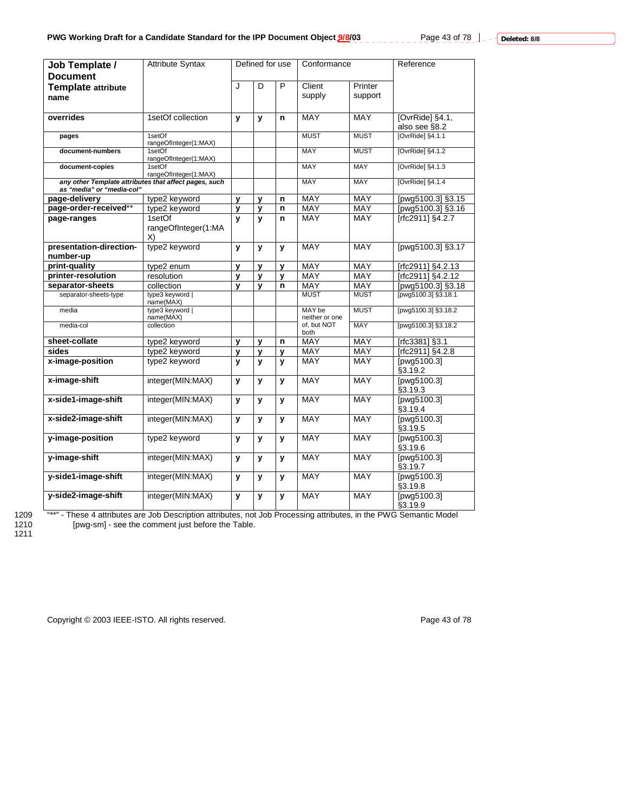| Job Template /<br><b>Document</b>    | <b>Attribute Syntax</b>                               |              | Defined for use |              | Conformance              |             | Reference                             |
|--------------------------------------|-------------------------------------------------------|--------------|-----------------|--------------|--------------------------|-------------|---------------------------------------|
|                                      |                                                       | J            | D               | P            | Client                   | Printer     |                                       |
| <b>Template attribute</b>            |                                                       |              |                 |              | supply                   | support     |                                       |
| name                                 |                                                       |              |                 |              |                          |             |                                       |
| overrides                            | 1setOf collection                                     | $\mathbf{v}$ | $\mathbf{v}$    | n            | MAY                      | <b>MAY</b>  | [OvrRide] §4.1,<br>also see §8.2      |
| pages                                | 1setOf<br>rangeOfInteger(1:MAX)                       |              |                 |              | <b>MUST</b>              | <b>MUST</b> | [OvrRide] §4.1.1                      |
| document-numbers                     | 1setOf<br>rangeOfInteger(1:MAX)                       |              |                 |              | <b>MAY</b>               | <b>MUST</b> | [OvrRide] §4.1.2                      |
| document-copies                      | 1setOf<br>rangeOfInteger(1:MAX)                       |              |                 |              | <b>MAY</b>               | <b>MAY</b>  | [OvrRide] §4.1.3                      |
| as "media" or "media-col"            | any other Template attributes that affect pages, such |              |                 |              | <b>MAY</b>               | <b>MAY</b>  | [OvrRide] §4.1.4                      |
| page-delivery                        | type2 keyword                                         | y            | y               | n            | <b>MAY</b>               | MAY         | [pwg5100.3] §3.15                     |
| page-order-received**                | type2 keyword                                         | $\mathbf{v}$ | $\mathbf{v}$    | $\mathbf n$  | MAY                      | <b>MAY</b>  | [pwg5100.3] §3.16                     |
| page-ranges                          | 1setOf                                                | y            | $\mathbf{v}$    | n            | <b>MAY</b>               | MAY         | [rfc2911] §4.2.7                      |
|                                      | rangeOfInteger(1:MA<br>X)                             |              |                 |              |                          |             |                                       |
| presentation-direction-<br>number-up | type2 keyword                                         | y            | y               | y            | <b>MAY</b>               | <b>MAY</b>  | [pwg5100.3] §3.17                     |
| print-quality                        | type2 enum                                            | y            | $\mathbf{v}$    | $\mathbf{v}$ | <b>MAY</b>               | <b>MAY</b>  | [rfc2911] §4.2.13                     |
| printer-resolution                   | resolution                                            | $\mathbf{v}$ | y               | $\mathbf{v}$ | <b>MAY</b>               | <b>MAY</b>  | [rfc2911] §4.2.12                     |
| separator-sheets                     | collection                                            | $\mathbf{v}$ | $\mathbf{v}$    | n            | MAY                      | <b>MAY</b>  | [pwg5100.3] §3.18                     |
| separator-sheets-type                | type3 keyword  <br>name(MAX)                          |              |                 |              | <b>MUST</b>              | <b>MUST</b> | [pwg5100.3] §3.18.1                   |
| media                                | type3 keyword  <br>name(MAX)                          |              |                 |              | MAY be<br>neither or one | <b>MUST</b> | [pwg5100.3] §3.18.2                   |
| media-col                            | collection                                            |              |                 |              | of. but NOT<br>both      | <b>MAY</b>  | [pwg5100.3] §3.18.2                   |
| sheet-collate                        | type2 keyword                                         | y            | y               | n            | <b>MAY</b>               | <b>MAY</b>  | [rfc3381] §3.1                        |
| sides                                | type2 keyword                                         | у            | у               | y            | MAY                      | MAY         | [rfc2911] §4.2.8                      |
| x-image-position                     | type2 keyword                                         | v            | $\mathbf{v}$    | y            | MAY                      | <b>MAY</b>  | [pwg5100.3]<br>§3.19.2                |
| x-image-shift                        | integer(MIN:MAX)                                      | y            | $\mathbf{v}$    | y            | <b>MAY</b>               | <b>MAY</b>  | [pwg5100.3]<br>§3.19.3                |
| x-side1-image-shift                  | integer(MIN:MAX)                                      | y            | У               | y            | MAY                      | MAY         | [ $p\overline{wg5100.3}$ ]<br>§3.19.4 |
| x-side2-image-shift                  | integer(MIN:MAX)                                      | y            | $\mathbf{v}$    | y            | MAY                      | <b>MAY</b>  | [pwg5100.3]<br>\$3.19.5               |
| y-image-position                     | type2 keyword                                         | y            | y               | y            | MAY                      | <b>MAY</b>  | [pwg5100.3]<br>§3.19.6                |
| y-image-shift                        | integer(MIN:MAX)                                      | y            | y               | y            | <b>MAY</b>               | <b>MAY</b>  | [pwg5100.3]<br>§3.19.7                |
| y-side1-image-shift                  | integer(MIN:MAX)                                      | y            | $\mathbf{v}$    | y            | <b>MAY</b>               | MAY         | [pwg5100.3]<br>§3.19.8                |
| y-side2-image-shift                  | integer(MIN:MAX)                                      | y            | y               | y            | <b>MAY</b>               | <b>MAY</b>  | [pwg5100.3]<br>§3.19.9                |

1209 "\*\*" - These 4 attributes are Job Description attributes, not Job Processing attributes, in the PWG Semantic Model 1210 [pwg-sm] - see the comment just before the Table.

Copyright © 2003 IEEE-ISTO. All rights reserved. <br>
Page 43 of 78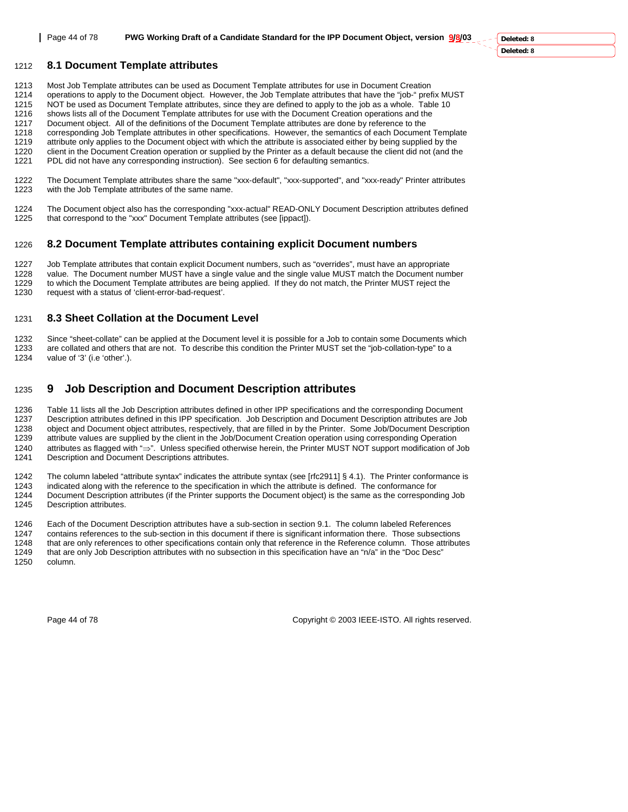Page 44 of 78 **PWG Working Draft of a Candidate Standard for the IPP Document Object, version 9/8/03**

**Deleted: 8 Deleted: 8**

### 1212 **8.1 Document Template attributes**

- 1213 Most Job Template attributes can be used as Document Template attributes for use in Document Creation<br>1214 Operations to apply to the Document object. However, the Job Template attributes that have the "job-" pre
- 1214 operations to apply to the Document object. However, the Job Template attributes that have the "job-" prefix MUST
- 1215 NOT be used as Document Template attributes, since they are defined to apply to the job as a whole. Table 10
- 1216 shows lists all of the Document Template attributes for use with the Document Creation operations and the
- 1217 Document object. All of the definitions of the Document Template attributes are done by reference to the<br>1218 corresponding Job Template attributes in other specifications. However, the semantics of each Documen corresponding Job Template attributes in other specifications. However, the semantics of each Document Template
- 1219 attribute only applies to the Document object with which the attribute is associated either by being supplied by the
- 1220 client in the Document Creation operation or supplied by the Printer as a default because the client did not (and the
- 1221 PDL did not have any corresponding instruction). See section 6 for defaulting semantics.
- 1222 The Document Template attributes share the same "xxx-default", "xxx-supported", and "xxx-ready" Printer attributes 1223 with the Job Template attributes of the same name. with the Job Template attributes of the same name.
- 1224 The Document object also has the corresponding "xxx-actual" READ-ONLY Document Description attributes defined 1225 that correspond to the "xxx" Document Template attributes (see [ippact]).

### 1226 **8.2 Document Template attributes containing explicit Document numbers**

1227 Job Template attributes that contain explicit Document numbers, such as "overrides", must have an appropriate 1228 value. The Document number MUST have a single value and the single value MUST match the Document number 1229 to which the Document Template attributes are being applied. If they do not match, the Printer MUST reject the 1230 request with a status of 'client-error-bad-request' request with a status of 'client-error-bad-request'.

## 1231 **8.3 Sheet Collation at the Document Level**

1232 Since "sheet-collate" can be applied at the Document level it is possible for a Job to contain some Documents which 1233 are collated and others that are not. To describe this condition the Printer MUST set the "job-collation-type" to a 1234 value of '3' (i.e 'other'.).

# 1235 **9 Job Description and Document Description attributes**

1236 Table 11 lists all the Job Description attributes defined in other IPP specifications and the corresponding Document 1237 Description attributes defined in this IPP specification. Job Description and Document Description attributes are Job 1238 object and Document object attributes, respectively, that are filled in by the Printer. Some Job/Document Description<br>1239 attribute values are supplied by the client in the Job/Document Creation operation using corre attribute values are supplied by the client in the Job/Document Creation operation using corresponding Operation 1240 attributes as flagged with "⇒". Unless specified otherwise herein, the Printer MUST NOT support modification of Job 1241 Description and Document Descriptions attributes.

1242 The column labeled "attribute syntax" indicates the attribute syntax (see [rfc2911] § 4.1). The Printer conformance is 1243 indicated along with the reference to the specification in which the attribute is defined. The conformance for 1244 Document Description attributes (if the Printer supports the Document object) is the same as the corresponding Job 1245 Description attributes.

1246 Each of the Document Description attributes have a sub-section in section 9.1. The column labeled References 1247 contains references to the sub-section in this document if there is significant information there. Those subsections 1248 that are only references to other specifications contain only that reference in the Reference column. Those attributes 1249 that are only Job Description attributes with no subsection in this specification have an "n/a" in the "Doc Desc"

1250 column.

Page 44 of 78 Copyright © 2003 IEEE-ISTO. All rights reserved.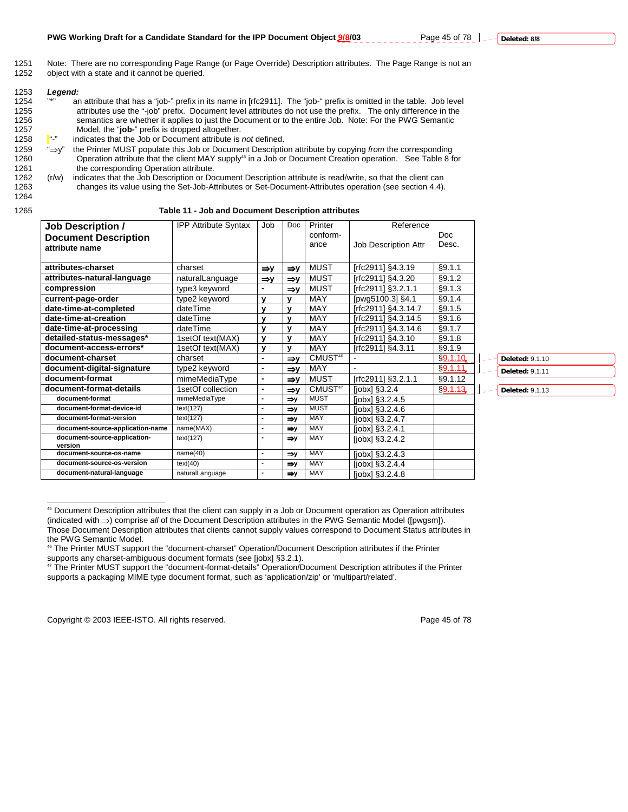| 1253 | Leaend:                                                                                                                        |  |
|------|--------------------------------------------------------------------------------------------------------------------------------|--|
| 1254 | 33 大33<br>an attribute that has a "job-" prefix in its name in [rfc2911]. The "job-" prefix is omitted in the table. Job level |  |
| 1255 | attributes use the "-job" prefix. Document level attributes do not use the prefix. The only difference in the                  |  |
| 1256 | semantics are whether it applies to just the Document or to the entire Job. Note: For the PWG Semantic                         |  |
| 1257 | Model, the "job-" prefix is dropped altogether.                                                                                |  |
| 1258 | u n<br>indicates that the Job or Document attribute is not defined.                                                            |  |
|      |                                                                                                                                |  |

1259 "⇒y" the Printer MUST populate this Job or Document Description attribute by copying *from* the corresponding 1260 Operation attribute that the client MAY supply<sup>45</sup> in a Job or Document Creation operation. See Table 8 for<br>1261 the corresponding Operation attribute. the corresponding Operation attribute.

1262 (r/w) indicates that the Job Description or Document Description attribute is read/write, so that the client can 1263 changes its value using the Set-Job-Attributes or Set-Document-Attributes operation (see section 4.4).

1264

l

#### 1265 **Table 11 - Job and Document Description attributes**

| <b>Job Description /</b>                | <b>IPP Attribute Syntax</b> | Job             | Doc.            | Printer             | Reference            |         |
|-----------------------------------------|-----------------------------|-----------------|-----------------|---------------------|----------------------|---------|
| <b>Document Description</b>             |                             |                 |                 | conform-            |                      | Doc     |
| attribute name                          |                             |                 |                 | ance                | Job Description Attr | Desc.   |
|                                         |                             |                 |                 |                     |                      |         |
| attributes-charset                      | charset                     | $\Rightarrow$   | $\Rightarrow$   | <b>MUST</b>         | [rfc2911] §4.3.19    | §9.1.1  |
| attributes-natural-language             | naturalLanguage             | $\Rightarrow$ y | $\Rightarrow$ y | <b>MUST</b>         | [rfc2911] §4.3.20    | §9.1.2  |
| compression                             | type3 keyword               |                 | $\Rightarrow$   | MUST                | [rfc2911] §3.2.1.1   | §9.1.3  |
| current-page-order                      | type2 keyword               | v               | v               | <b>MAY</b>          | [pwg5100.3] §4.1     | §9.1.4  |
| date-time-at-completed                  | dateTime                    | ٧               | $\mathbf v$     | <b>MAY</b>          | [rfc2911] §4.3.14.7  | \$9.1.5 |
| date-time-at-creation                   | dateTime                    | v               | $\mathbf v$     | MAY                 | [rfc2911] §4.3.14.5  | §9.1.6  |
| date-time-at-processing                 | dateTime                    | y               | y               | MAY                 | [rfc2911] §4.3.14.6  | §9.1.7  |
| detailed-status-messages*               | 1setOf text(MAX)            | v               | $\mathbf{v}$    | MAY                 | [rfc2911] §4.3.10    | §9.1.8  |
| document-access-errors*                 | 1setOf text(MAX)            | y               | y               | MAY                 | [rfc2911] §4.3.11    | §9.1.9  |
| document-charset                        | charset                     |                 | $\Rightarrow$ y | CMUST <sup>46</sup> |                      | §9.1.10 |
| document-digital-signature              | type2 keyword               |                 | $\Rightarrow$   | <b>MAY</b>          |                      | §9.1.11 |
| document-format                         | mimeMediaType               |                 | $\Rightarrow$ y | <b>MUST</b>         | [rfc2911] §3.2.1.1   | §9.1.12 |
| document-format-details                 | 1setOf collection           |                 | $\Rightarrow$ y | CMUST <sup>47</sup> | $[iobx]$ §3.2.4      | §9.1.13 |
| document-format                         | mimeMediaType               | $\blacksquare$  | $\Rightarrow$ v | <b>MUST</b>         | [jobx] §3.2.4.5      |         |
| document-format-device-id               | text(127)                   | $\blacksquare$  | $\Rightarrow$ y | <b>MUST</b>         | $[iobx]$ §3.2.4.6    |         |
| document-format-version                 | text(127)                   | $\blacksquare$  | $\Rightarrow$ y | MAY                 | [jobx] §3.2.4.7      |         |
| document-source-application-name        | name(MAX)                   | $\blacksquare$  | $\Rightarrow$ y | <b>MAY</b>          | $[jobx]$ §3.2.4.1    |         |
| document-source-application-<br>version | text(127)                   |                 | $\Rightarrow$ y | MAY                 | [jobx] §3.2.4.2      |         |
| document-source-os-name                 | name(40)                    | $\blacksquare$  | $\Rightarrow$ y | <b>MAY</b>          | $[jobx]$ §3.2.4.3    |         |
| document-source-os-version              | text(40)                    | $\blacksquare$  | $\Rightarrow$ y | MAY                 | $[jobx]$ §3.2.4.4    |         |
| document-natural-language               | naturalLanguage             | $\blacksquare$  | $\Rightarrow$ y | MAY                 | $[jobx]$ §3.2.4.8    |         |

**Deleted:** 9.1.10

**Deleted:** 9.1.11 **Deleted:** 9.1.13

46 The Printer MUST support the "document-charset" Operation/Document Description attributes if the Printer supports any charset-ambiguous document formats (see [jobx] §3.2.1).

<sup>47</sup> The Printer MUST support the "document-format-details" Operation/Document Description attributes if the Printer supports a packaging MIME type document format, such as 'application/zip' or 'multipart/related'.

Copyright © 2003 IEEE-ISTO. All rights reserved. Copyright © 2003 IEEE-ISTO. All rights reserved.

<sup>45</sup> Document Description attributes that the client can supply in a Job or Document operation as Operation attributes (indicated with ⇒) comprise *all* of the Document Description attributes in the PWG Semantic Model ([pwgsm]). Those Document Description attributes that clients cannot supply values correspond to Document Status attributes in the PWG Semantic Model.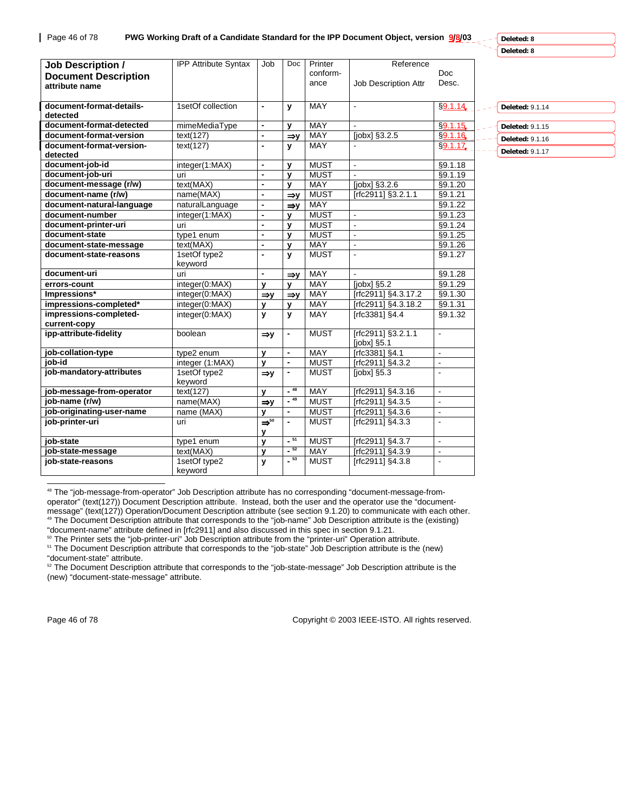| <b>Job Description /</b><br><b>Document Description</b><br>attribute name | <b>IPP Attribute Syntax</b> | Job                              | Doc                      | Printer<br>conform-<br>ance | Reference<br>Job Description Attr                    | Doc<br>Desc.                        |                 |
|---------------------------------------------------------------------------|-----------------------------|----------------------------------|--------------------------|-----------------------------|------------------------------------------------------|-------------------------------------|-----------------|
| document-format-details-<br>detected                                      | 1setOf collection           | $\overline{\phantom{a}}$         | У                        | MAY                         | $\blacksquare$                                       | §9.1.14                             | Deleted: 9.1.14 |
| document-format-detected                                                  | mimeMediaType               | $\overline{\phantom{a}}$         | v                        | <b>MAY</b>                  |                                                      | $\overline{\S$ 9.1.15               | Deleted: 9.1.15 |
| document-format-version                                                   | text(127)                   | $\blacksquare$                   | $\Rightarrow$ y          | MAY                         | [jobx] §3.2.5                                        | \$9.1.16                            | Deleted: 9.1.16 |
| document-format-version-<br>detected                                      | text(127)                   | $\overline{\phantom{a}}$         | y                        | MAY                         |                                                      | $§9.1.17$ <sub><math>•</math></sub> | Deleted: 9.1.17 |
| document-job-id                                                           | integer(1:MAX)              | $\overline{\phantom{a}}$         | $\mathbf{v}$             | <b>MUST</b>                 | $\mathbf{r}$                                         | §9.1.18                             |                 |
| document-job-uri                                                          | uri                         | $\overline{\phantom{a}}$         | $\mathbf{v}$             | <b>MUST</b>                 |                                                      | §9.1.19                             |                 |
| document-message (r/w)                                                    | text(MAX)                   | $\blacksquare$                   | $\mathbf{v}$             | <b>MAY</b>                  | [ $j$ obx] §3.2.6                                    | §9.1.20                             |                 |
| document-name (r/w)                                                       | name(MAX)                   | $\overline{\phantom{a}}$         | $\Rightarrow$ y          | <b>MUST</b>                 | [rfc2911] §3.2.1.1                                   | §9.1.21                             |                 |
| document-natural-language                                                 | naturalLanguage             | $\blacksquare$                   | $\Rightarrow$ y          | <b>MAY</b>                  |                                                      | §9.1.22                             |                 |
| document-number                                                           | integer(1:MAX)              | $\overline{a}$                   | v                        | <b>MUST</b>                 | $\overline{a}$                                       | §9.1.23                             |                 |
| document-printer-uri                                                      | uri                         | $\overline{a}$                   | y                        | <b>MUST</b>                 | $\blacksquare$                                       | §9.1.24                             |                 |
| document-state                                                            | type1 enum                  | $\blacksquare$                   | v                        | <b>MUST</b>                 | $\blacksquare$                                       | §9.1.25                             |                 |
| document-state-message                                                    | text(MAX)                   | $\overline{a}$                   | $\mathbf{v}$             | MAY                         | $\blacksquare$                                       | §9.1.26                             |                 |
| document-state-reasons                                                    | 1setOf type2<br>keyword     | $\overline{\phantom{a}}$         | y                        | <b>MUST</b>                 | $\blacksquare$                                       | §9.1.27                             |                 |
| document-uri                                                              | uri                         | $\overline{a}$                   | $\Rightarrow$ y          | MAY                         |                                                      | §9.1.28                             |                 |
| errors-count                                                              | integer(0:MAX)              | y                                | V                        | <b>MAY</b>                  | [ $jobx$ ] §5.2                                      | §9.1.29                             |                 |
| Impressions*                                                              | integer(0:MAX)              | $\Rightarrow$ y                  | $\Rightarrow$ y          | MAY                         | [rfc2911] §4.3.17.2                                  | §9.1.30                             |                 |
| impressions-completed*                                                    | integer(0:MAX)              | y                                | v                        | MAY                         | [rfc2911] §4.3.18.2                                  | §9.1.31                             |                 |
| impressions-completed-<br>current-copy                                    | integer(0:MAX)              | $\mathbf{v}$                     | y                        | <b>MAY</b>                  | [rfc3381] §4.4                                       | §9.1.32                             |                 |
| ipp-attribute-fidelity                                                    | boolean                     | $\Rightarrow$ y                  | $\overline{\phantom{a}}$ | <b>MUST</b>                 | [rfc2911] §3.2.1.1<br>[ <i>j</i> obx] <sub>5.1</sub> | $\blacksquare$                      |                 |
| job-collation-type                                                        | type2 enum                  | y                                | $\overline{\phantom{0}}$ | <b>MAY</b>                  | [rfc3381] §4.1                                       | $\blacksquare$                      |                 |
| iob-id                                                                    | integer (1:MAX)             | $\mathbf{v}$                     | $\overline{\phantom{0}}$ | <b>MUST</b>                 | [rfc2911] §4.3.2                                     | $\blacksquare$                      |                 |
| job-mandatory-attributes                                                  | 1setOf type2<br>keyword     | $\Rightarrow$ y                  | $\blacksquare$           | <b>MUST</b>                 | $[jobx]$ §5.3                                        |                                     |                 |
| job-message-from-operator                                                 | text(127)                   | $\mathbf{v}$                     | $-48$                    | <b>MAY</b>                  | [rfc2911] §4.3.16                                    | ÷.                                  |                 |
| job-name (r/w)                                                            | name(MAX)                   | $\Rightarrow$ y                  | $-49$                    | <b>MUST</b>                 | [rfc2911] §4.3.5                                     |                                     |                 |
| job-originating-user-name                                                 | name (MAX)                  | $\mathbf{v}$                     | $\overline{\phantom{0}}$ | <b>MUST</b>                 | [rfc2911] §4.3.6                                     |                                     |                 |
| job-printer-uri                                                           | uri                         | $\Rightarrow$ <sup>50</sup><br>y | $\overline{a}$           | <b>MUST</b>                 | [rfc2911] §4.3.3                                     | $\blacksquare$                      |                 |
| iob-state                                                                 | type1 enum                  | $\mathbf v$                      | $-51$                    | <b>MUST</b>                 | [rfc2911] §4.3.7                                     | $\ddot{\phantom{a}}$                |                 |
| job-state-message                                                         | text(MAX)                   | $\mathbf{v}$                     | $-52$                    | <b>MAY</b>                  | [rfc2911] §4.3.9                                     | $\blacksquare$                      |                 |
| job-state-reasons                                                         | 1setOf type2<br>keyword     | y                                | $-53$                    | <b>MUST</b>                 | [rfc2911] §4.3.8                                     | $\blacksquare$                      |                 |
|                                                                           |                             |                                  |                          |                             |                                                      |                                     |                 |

48 The "job-message-from-operator" Job Description attribute has no corresponding "document-message-fromoperator" (text(127)) Document Description attribute. Instead, both the user and the operator use the "documentmessage" (text(127)) Operation/Document Description attribute (see section 9.1.20) to communicate with each other. 49 The Document Description attribute that corresponds to the "job-name" Job Description attribute is the (existing)

<sup>51</sup> The Document Description attribute that corresponds to the "job-state" Job Description attribute is the (new) "document-state" attribute.

<sup>52</sup> The Document Description attribute that corresponds to the "job-state-message" Job Description attribute is the (new) "document-state-message" attribute.

Page 46 of 78 Copyright © 2003 IEEE-ISTO. All rights reserved.

<sup>&</sup>quot;document-name" attribute defined in [rfc2911] and also discussed in this spec in section 9.1.21.

<sup>&</sup>lt;sup>50</sup> The Printer sets the "job-printer-uri" Job Description attribute from the "printer-uri" Operation attribute.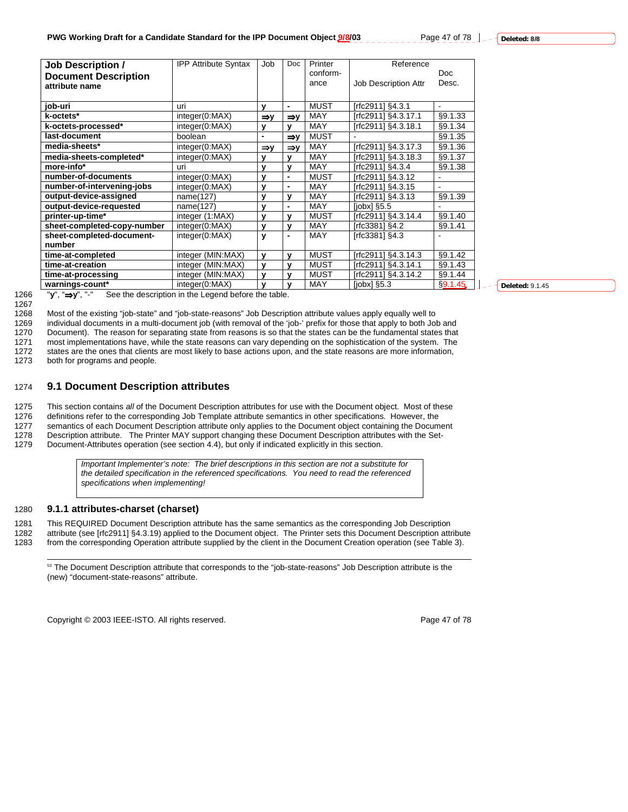| 7 of 78 | $\overline{\phantom{a}}$ Deleted: 8/8 |
|---------|---------------------------------------|
|---------|---------------------------------------|

| <b>Job Description /</b>    | <b>IPP Attribute Syntax</b> | Job            | Doc             | Printer     | Reference            |                |
|-----------------------------|-----------------------------|----------------|-----------------|-------------|----------------------|----------------|
| <b>Document Description</b> |                             |                |                 | conform-    |                      | Doc.           |
| attribute name              |                             |                |                 | ance        | Job Description Attr | Desc.          |
|                             |                             |                |                 |             |                      |                |
| job-uri                     | uri                         | y              | $\blacksquare$  | <b>MUST</b> | [rfc2911] §4.3.1     | $\blacksquare$ |
| k-octets*                   | integer(0:MAX)              | ⇒v             | $\Rightarrow$ y | <b>MAY</b>  | [rfc2911] §4.3.17.1  | §9.1.33        |
| k-octets-processed*         | integer(0:MAX)              | y              | v               | <b>MAY</b>  | [rfc2911] §4.3.18.1  | §9.1.34        |
| last-document               | boolean                     | $\blacksquare$ | $\Rightarrow$ y | <b>MUST</b> |                      | §9.1.35        |
| media-sheets*               | integer(0:MAX)              | ⇒v             | $\Rightarrow$ y | <b>MAY</b>  | [rfc2911] §4.3.17.3  | §9.1.36        |
| media-sheets-completed*     | integer(0:MAX)              | у              | v               | <b>MAY</b>  | [rfc2911] §4.3.18.3  | §9.1.37        |
| more-info*                  | uri                         | y              | $\mathbf v$     | <b>MAY</b>  | [rfc2911] §4.3.4     | §9.1.38        |
| number-of-documents         | integer(0:MAX)              | v              | $\blacksquare$  | <b>MUST</b> | [rfc2911] §4.3.12    |                |
| number-of-intervening-jobs  | integer(0:MAX)              | y              | $\blacksquare$  | <b>MAY</b>  | [rfc2911] §4.3.15    |                |
| output-device-assigned      | name(127)                   | v              | v               | MAY         | [rfc2911] §4.3.13    | §9.1.39        |
| output-device-requested     | name(127)                   | ٧              | $\blacksquare$  | MAY         | $[color]$ $$5.5$     |                |
| printer-up-time*            | integer (1:MAX)             | v              | v               | <b>MUST</b> | [rfc2911] §4.3.14.4  | §9.1.40        |
| sheet-completed-copy-number | integer(0:MAX)              | y              | v               | <b>MAY</b>  | [rfc3381] §4.2       | §9.1.41        |
| sheet-completed-document-   | integer(0:MAX)              | y              | $\blacksquare$  | <b>MAY</b>  | [rfc3381] §4.3       |                |
| number                      |                             |                |                 |             |                      |                |
| time-at-completed           | integer (MIN:MAX)           | y              | У               | <b>MUST</b> | [rfc2911] §4.3.14.3  | §9.1.42        |
| time-at-creation            | integer (MIN:MAX)           | $\mathbf{v}$   | v               | <b>MUST</b> | [rfc2911] §4.3.14.1  | §9.1.43        |
| time-at-processing          | integer (MIN:MAX)           | v              | v               | <b>MUST</b> | [rfc2911] §4.3.14.2  | §9.1.44        |
| warnings-count*             | integer(0:MAX)              | v              | v               | MAY         | $[jobs]$ §5.3        | \$9.1.45       |

1267

1266 "**y**", "⇒**y**", "-" See the description in the Legend before the table.

1268 Most of the existing "job-state" and "job-state-reasons" Job Description attribute values apply equally well to

1269 individual documents in a multi-document job (with removal of the 'job-' prefix for those that apply to both Job and<br>1270 Document). The reason for separating state from reasons is so that the states can be the fundam

1270 Document). The reason for separating state from reasons is so that the states can be the fundamental states that<br>1271 most implementations have, while the state reasons can vary depending on the sophistication of the most implementations have, while the state reasons can vary depending on the sophistication of the system. The

1272 states are the ones that clients are most likely to base actions upon, and the state reasons are more information,

1273 both for programs and people.

### 1274 **9.1 Document Description attributes**

1275 This section contains *all* of the Document Description attributes for use with the Document object. Most of these 1276 definitions refer to the corresponding Job Template attribute semantics in other specifications. However, the<br>1277 semantics of each Document Description attribute only applies to the Document object containing the Do semantics of each Document Description attribute only applies to the Document object containing the Document 1278 Description attribute. The Printer MAY support changing these Document Description attributes with the Set-<br>1279 Document-Attributes operation (see section 4.4), but only if indicated explicitly in this section.

Document-Attributes operation (see section 4.4), but only if indicated explicitly in this section.

*Important Implementer's note: The brief descriptions in this section are not a substitute for the detailed specification in the referenced specifications. You need to read the referenced specifications when implementing!*

#### 1280 **9.1.1 attributes-charset (charset)**

1281 This REQUIRED Document Description attribute has the same semantics as the corresponding Job Description 1282 attribute (see [rfc2911] §4.3.19) applied to the Document object. The Printer sets this Document Description attribute

1283 from the corresponding Operation attribute supplied by the client in the Document Creation operation (see Table 3).

<sup>53</sup> The Document Description attribute that corresponds to the "job-state-reasons" Job Description attribute is the (new) "document-state-reasons" attribute.

Copyright © 2003 IEEE-ISTO. All rights reserved. The example of 78 and 78 of 78

**Deleted:** 9.1.45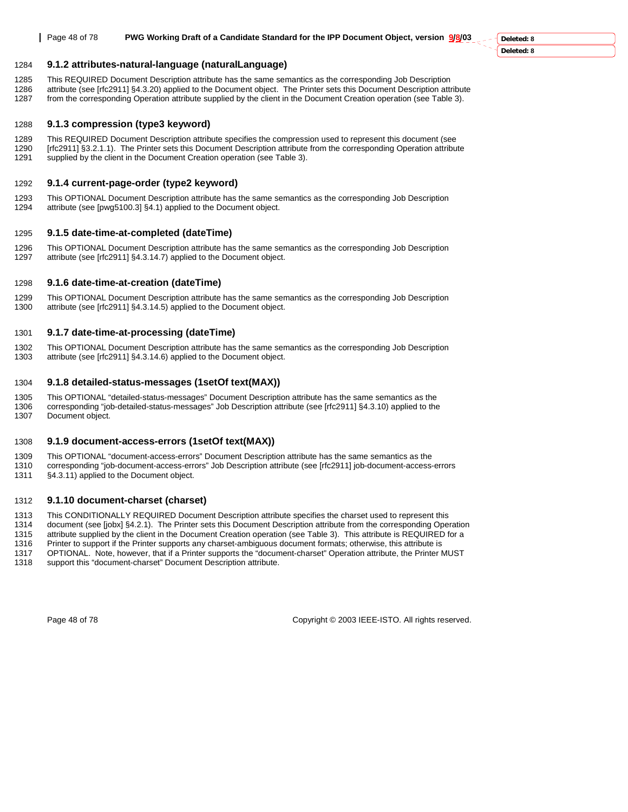### 1284 **9.1.2 attributes-natural-language (naturalLanguage)**

1285 This REQUIRED Document Description attribute has the same semantics as the corresponding Job Description 1286 attribute (see [rfc2911] §4.3.20) applied to the Document object. The Printer sets this Document Description attribute

# 1287 from the corresponding Operation attribute supplied by the client in the Document Creation operation (see Table 3).

### 1288 **9.1.3 compression (type3 keyword)**

1289 This REQUIRED Document Description attribute specifies the compression used to represent this document (see 1290 [rfc2911] §3.2.1.1). The Printer sets this Document Description attribute from the corresponding Operation attribute 1291 supplied by the client in the Document Creation operation (see Table 3).

### 1292 **9.1.4 current-page-order (type2 keyword)**

1293 This OPTIONAL Document Description attribute has the same semantics as the corresponding Job Description 1294 attribute (see [pwg5100.3] §4.1) applied to the Document object.

### 1295 **9.1.5 date-time-at-completed (dateTime)**

1296 This OPTIONAL Document Description attribute has the same semantics as the corresponding Job Description 1297 attribute (see [rfc2911] §4.3.14.7) applied to the Document object.

### 1298 **9.1.6 date-time-at-creation (dateTime)**

1299 This OPTIONAL Document Description attribute has the same semantics as the corresponding Job Description 1300 attribute (see [rfc2911] §4.3.14.5) applied to the Document object.

### 1301 **9.1.7 date-time-at-processing (dateTime)**

1302 This OPTIONAL Document Description attribute has the same semantics as the corresponding Job Description 1303 attribute (see [rfc2911] §4.3.14.6) applied to the Document object.

### 1304 **9.1.8 detailed-status-messages (1setOf text(MAX))**

1305 This OPTIONAL "detailed-status-messages" Document Description attribute has the same semantics as the 1306 corresponding "job-detailed-status-messages" Job Description attribute (see [rfc2911] §4.3.10) applied to the 1307 Document object.

### 1308 **9.1.9 document-access-errors (1setOf text(MAX))**

1309 This OPTIONAL "document-access-errors" Document Description attribute has the same semantics as the 1310 corresponding "job-document-access-errors" Job Description attribute (see [rfc2911] job-document-access-errors 1311 §4.3.11) applied to the Document object.

### 1312 **9.1.10 document-charset (charset)**

1313 This CONDITIONALLY REQUIRED Document Description attribute specifies the charset used to represent this<br>1314 document (see [jobx] §4.2.1). The Printer sets this Document Description attribute from the corresponding

1314 document (see [jobx] §4.2.1). The Printer sets this Document Description attribute from the corresponding Operation<br>1315 attribute supplied by the client in the Document Creation operation (see Table 3). This attribut

attribute supplied by the client in the Document Creation operation (see Table 3). This attribute is REQUIRED for a

1316 Printer to support if the Printer supports any charset-ambiguous document formats; otherwise, this attribute is<br>1317 OPTIONAL, Note, however, that if a Printer supports the "document-charset" Operation attribute, the 1317 OPTIONAL. Note, however, that if a Printer supports the "document-charset" Operation attribute, the Printer MUST<br>1318 Support this "document-charset" Document Description attribute.

support this "document-charset" Document Description attribute.

Page 48 of 78 Copyright © 2003 IEEE-ISTO. All rights reserved.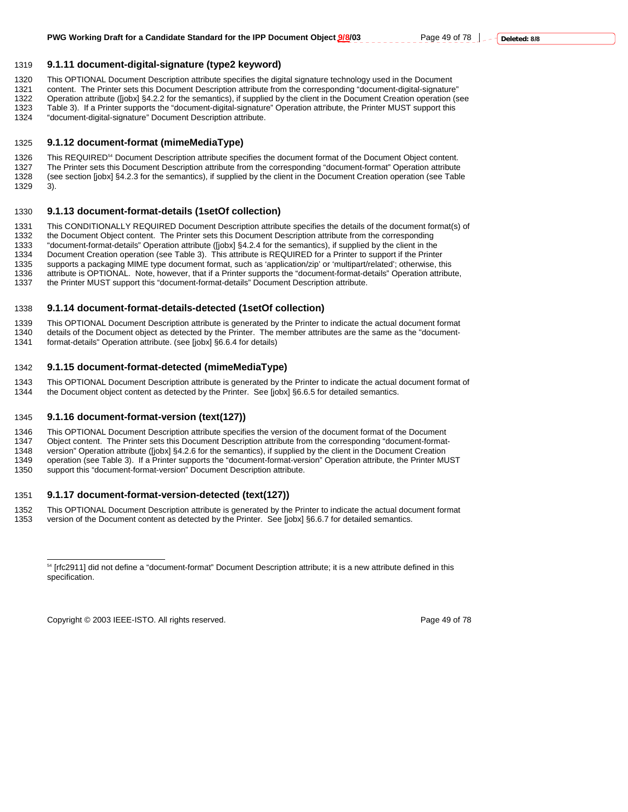### 1319 **9.1.11 document-digital-signature (type2 keyword)**

1320 This OPTIONAL Document Description attribute specifies the digital signature technology used in the Document

1321 content. The Printer sets this Document Description attribute from the corresponding "document-digital-signature" 1322 Operation attribute ([jobx] §4.2.2 for the semantics), if supplied by the client in the Document Creation operation (see<br>1323 Table 3). If a Printer supports the "document-digital-signature" Operation attribute, the P

1323 Table 3). If a Printer supports the "document-digital-signature" Operation attribute, the Printer MUST support this 1324 "document-digital-signature" Document Description attribute.

1324 "document-digital-signature" Document Description attribute.

### 1325 **9.1.12 document-format (mimeMediaType)**

1326 This REQUIRED<sup>54</sup> Document Description attribute specifies the document format of the Document Object content. 1327 The Printer sets this Document Description attribute from the corresponding "document-format" Operation attribute<br>1328 (see section [jobx] §4.2.3 for the semantics), if supplied by the client in the Document Creation (see section [jobx] §4.2.3 for the semantics), if supplied by the client in the Document Creation operation (see Table 1329 3).

### 1330 **9.1.13 document-format-details (1setOf collection)**

1331 This CONDITIONALLY REQUIRED Document Description attribute specifies the details of the document format(s) of<br>1332 the Document Object content. The Printer sets this Document Description attribute from the correspondi

the Document Object content. The Printer sets this Document Description attribute from the corresponding

1333 "document-format-details" Operation attribute ([jobx] §4.2.4 for the semantics), if supplied by the client in the

1334 Document Creation operation (see Table 3). This attribute is REQUIRED for a Printer to support if the Printer<br>1335 Supports a packaging MIME type document format, such as 'application/zin' or 'multipart/related': othe supports a packaging MIME type document format, such as 'application/zip' or 'multipart/related'; otherwise, this

1336 attribute is OPTIONAL. Note, however, that if a Printer supports the "document-format-details" Operation attribute,

1337 the Printer MUST support this "document-format-details" Document Description attribute.

### 1338 **9.1.14 document-format-details-detected (1setOf collection)**

1339 This OPTIONAL Document Description attribute is generated by the Printer to indicate the actual document format<br>1340 details of the Document object as detected by the Printer. The member attributes are the same as the details of the Document object as detected by the Printer. The member attributes are the same as the "document-1341 format-details" Operation attribute. (see [jobx] §6.6.4 for details)

#### 1342 **9.1.15 document-format-detected (mimeMediaType)**

1343 This OPTIONAL Document Description attribute is generated by the Printer to indicate the actual document format of

1344 the Document object content as detected by the Printer. See [jobx] §6.6.5 for detailed semantics.

### 1345 **9.1.16 document-format-version (text(127))**

1346 This OPTIONAL Document Description attribute specifies the version of the document format of the Document

1347 Object content. The Printer sets this Document Description attribute from the corresponding "document-format-

1348 version" Operation attribute ([jobx] §4.2.6 for the semantics), if supplied by the client in the Document Creation

1349 operation (see Table 3). If a Printer supports the "document-format-version" Operation attribute, the Printer MUST 1350 support this "document-format-version" Document Description attribute.

### 1351 **9.1.17 document-format-version-detected (text(127))**

1352 This OPTIONAL Document Description attribute is generated by the Printer to indicate the actual document format<br>1353 version of the Document content as detected by the Printer. See [jobx] §6.6.7 for detailed semantics version of the Document content as detected by the Printer. See [jobx] §6.6.7 for detailed semantics.

Copyright © 2003 IEEE-ISTO. All rights reserved. Page 49 of 78

 $\overline{a}$ 

<sup>54 [</sup>rfc2911] did not define a "document-format" Document Description attribute; it is a new attribute defined in this specification.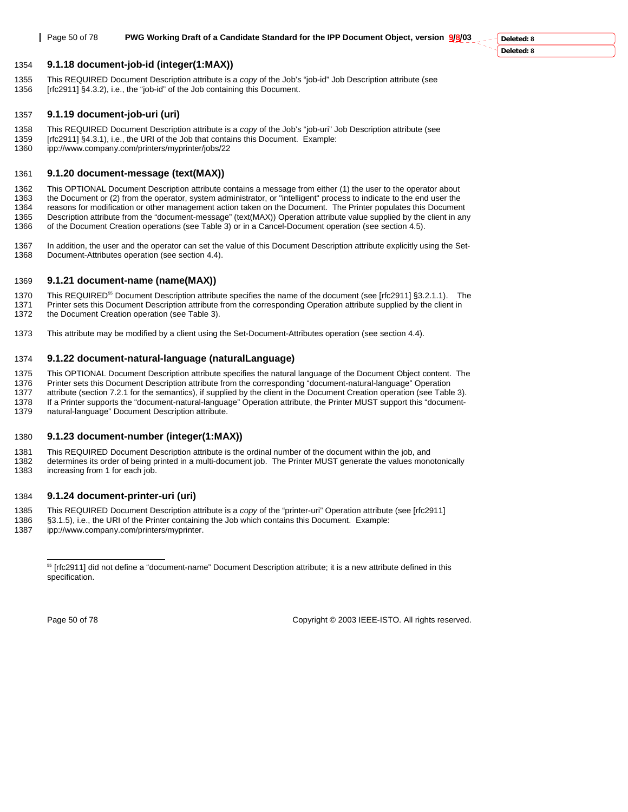#### 1354 **9.1.18 document-job-id (integer(1:MAX))**

1355 This REQUIRED Document Description attribute is a *copy* of the Job's "job-id" Job Description attribute (see 1356 [rfc2911] §4.3.2), i.e., the "job-id" of the Job containing this Document.

#### 1357 **9.1.19 document-job-uri (uri)**

- 1358 This REQUIRED Document Description attribute is a *copy* of the Job's "job-uri" Job Description attribute (see [rfc2911] §4.3.1), i.e., the URI of the Job that contains this Document. Example:
- 1360 ipp://www.company.com/printers/myprinter/jobs/22

#### 1361 **9.1.20 document-message (text(MAX))**

1362 This OPTIONAL Document Description attribute contains a message from either (1) the user to the operator about<br>1363 the Document or (2) from the operator, system administrator, or "intelligent" process to indicate to the Document or (2) from the operator, system administrator, or "intelligent" process to indicate to the end user the 1364 reasons for modification or other management action taken on the Document. The Printer populates this Document 1365 Description attribute from the "document-message" (text(MAX)) Operation attribute value supplied by the client in any 1366 of the Document Creation operations (see Table 3) or in a Cancel-Document operation (see section 4.5).

1367 In addition, the user and the operator can set the value of this Document Description attribute explicitly using the Set-<br>1368 Document-Attributes operation (see section 4.4). Document-Attributes operation (see section 4.4).

#### 1369 **9.1.21 document-name (name(MAX))**

1370 This REQUIRED<sup>55</sup> Document Description attribute specifies the name of the document (see [rfc2911] §3.2.1.1). The 1371 Printer sets this Document Description attribute from the corresponding Operation attribute supplied by the client in<br>1372 the Document Creation operation (see Table 3). the Document Creation operation (see Table 3).

1373 This attribute may be modified by a client using the Set-Document-Attributes operation (see section 4.4).

#### 1374 **9.1.22 document-natural-language (naturalLanguage)**

1375 This OPTIONAL Document Description attribute specifies the natural language of the Document Object content. The

1376 Printer sets this Document Description attribute from the corresponding "document-natural-language" Operation

1377 attribute (section 7.2.1 for the semantics), if supplied by the client in the Document Creation operation (see Table 3).

1378 If a Printer supports the "document-natural-language" Operation attribute, the Printer MUST support this "document-1379 natural-language" Document Description attribute.

#### 1380 **9.1.23 document-number (integer(1:MAX))**

1381 This REQUIRED Document Description attribute is the ordinal number of the document within the job, and<br>1382 determines its order of being printed in a multi-document job. The Printer MUST generate the values mon

determines its order of being printed in a multi-document job. The Printer MUST generate the values monotonically 1383 increasing from 1 for each job.

#### 1384 **9.1.24 document-printer-uri (uri)**

1385 This REQUIRED Document Description attribute is a *copy* of the "printer-uri" Operation attribute (see [rfc2911]

1386 §3.1.5), i.e., the URI of the Printer containing the Job which contains this Document. Example:

1387 ipp://www.company.com/printers/myprinter.

 $\overline{a}$ 

Page 50 of 78 Copyright © 2003 IEEE-ISTO. All rights reserved.

<sup>55 [</sup>rfc2911] did not define a "document-name" Document Description attribute; it is a new attribute defined in this specification.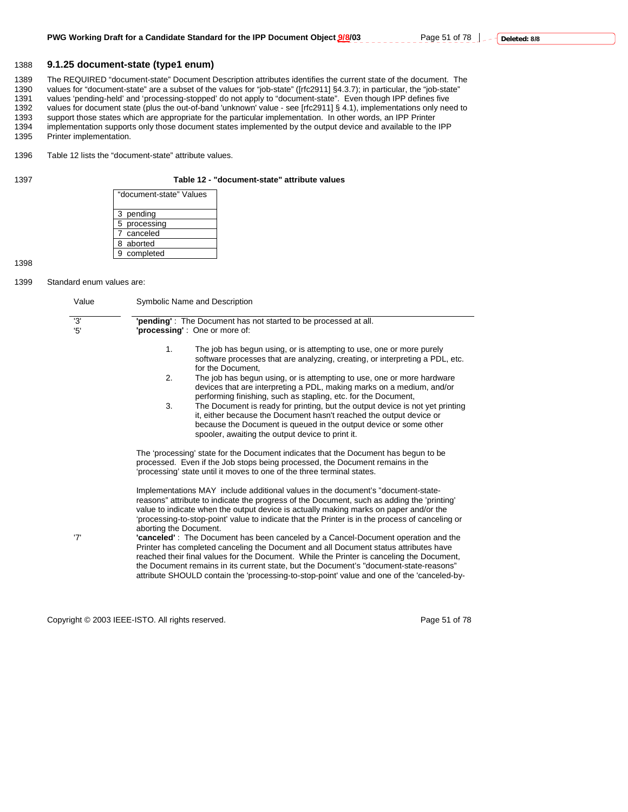#### 1388 **9.1.25 document-state (type1 enum)**

1389 The REQUIRED "document-state" Document Description attributes identifies the current state of the document. The<br>1390 values for "document-state" are a subset of the values for "job-state" ([rfc2911] §4.3.7); in partic values for "document-state" are a subset of the values for "job-state" ([rfc2911] §4.3.7); in particular, the "job-state" 1391 values 'pending-held' and 'processing-stopped' do not apply to "document-state". Even though IPP defines five 1392 values for document state (plus the out-of-band 'unknown' value - see [rfc2911] § 4.1), implementations only need to 1393 support those states which are appropriate for the particular implementation. In other words, an IPP Printer 1394 implementation supports only those document states implemented by the output device and available to the IPP<br>1395 Printer implementation. Printer implementation.

1396 Table 12 lists the "document-state" attribute values.

#### 1397 **Table 12 - "document-state" attribute values**

| "document-state" Values |
|-------------------------|
| 3 pending               |
| 5 processing            |
| 7 canceled              |
| 8 aborted               |
| 9 completed             |

1398

1399 Standard enum values are:

| Value     | Symbolic Name and Description                                                                                                                                                                                                                                                                                                                                                                                                                                                                                                                                                                                                                                                                                                                                                                                                                                          |
|-----------|------------------------------------------------------------------------------------------------------------------------------------------------------------------------------------------------------------------------------------------------------------------------------------------------------------------------------------------------------------------------------------------------------------------------------------------------------------------------------------------------------------------------------------------------------------------------------------------------------------------------------------------------------------------------------------------------------------------------------------------------------------------------------------------------------------------------------------------------------------------------|
| '3'<br>5' | 'pending': The Document has not started to be processed at all.<br><b>'processing'</b> : One or more of:                                                                                                                                                                                                                                                                                                                                                                                                                                                                                                                                                                                                                                                                                                                                                               |
|           | 1.<br>The job has begun using, or is attempting to use, one or more purely<br>software processes that are analyzing, creating, or interpreting a PDL, etc.<br>for the Document.                                                                                                                                                                                                                                                                                                                                                                                                                                                                                                                                                                                                                                                                                        |
|           | 2.<br>The job has begun using, or is attempting to use, one or more hardware<br>devices that are interpreting a PDL, making marks on a medium, and/or<br>performing finishing, such as stapling, etc. for the Document,<br>3.<br>The Document is ready for printing, but the output device is not yet printing<br>it, either because the Document hasn't reached the output device or<br>because the Document is queued in the output device or some other                                                                                                                                                                                                                                                                                                                                                                                                             |
|           | spooler, awaiting the output device to print it.<br>The 'processing' state for the Document indicates that the Document has begun to be<br>processed. Even if the Job stops being processed, the Document remains in the<br>'processing' state until it moves to one of the three terminal states.                                                                                                                                                                                                                                                                                                                                                                                                                                                                                                                                                                     |
| '7'       | Implementations MAY include additional values in the document's "document-state-<br>reasons" attribute to indicate the progress of the Document, such as adding the 'printing'<br>value to indicate when the output device is actually making marks on paper and/or the<br>'processing-to-stop-point' value to indicate that the Printer is in the process of canceling or<br>aborting the Document.<br>"canceled": The Document has been canceled by a Cancel-Document operation and the<br>Printer has completed canceling the Document and all Document status attributes have<br>reached their final values for the Document. While the Printer is canceling the Document,<br>the Document remains in its current state, but the Document's "document-state-reasons"<br>attribute SHOULD contain the 'processing-to-stop-point' value and one of the 'canceled-by- |

Copyright © 2003 IEEE-ISTO. All rights reserved. Copyright © 2003 IEEE-ISTO. All rights reserved.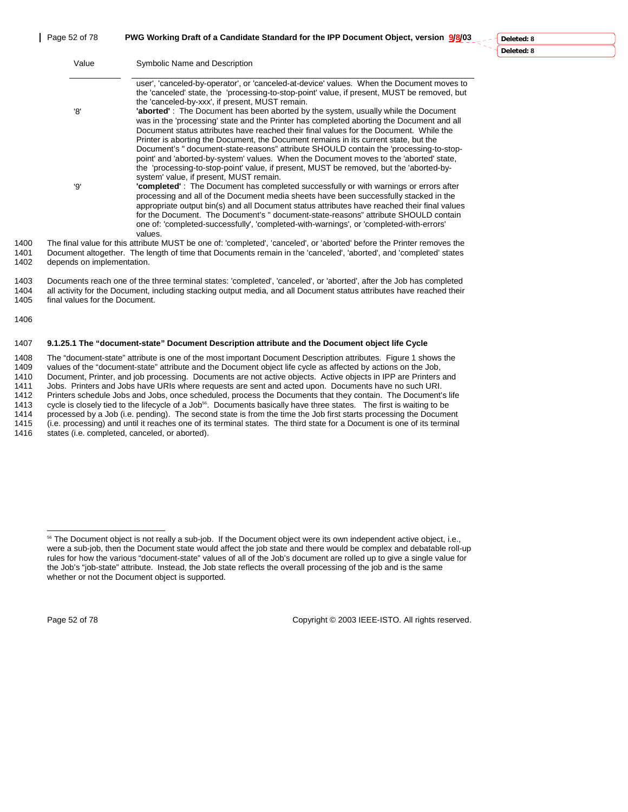1405 final values for the Document.

1406

|              | Value                      | Symbolic Name and Description                                                                                                                                                                                                                                                                                                                                                                                                                                                                                                                                                                                                                                                                                                                                                              |
|--------------|----------------------------|--------------------------------------------------------------------------------------------------------------------------------------------------------------------------------------------------------------------------------------------------------------------------------------------------------------------------------------------------------------------------------------------------------------------------------------------------------------------------------------------------------------------------------------------------------------------------------------------------------------------------------------------------------------------------------------------------------------------------------------------------------------------------------------------|
|              | '8'                        | user', 'canceled-by-operator', or 'canceled-at-device' values. When the Document moves to<br>the 'canceled' state, the 'processing-to-stop-point' value, if present, MUST be removed, but<br>the 'canceled-by-xxx', if present, MUST remain.<br><b>'aborted'</b> : The Document has been aborted by the system, usually while the Document<br>was in the 'processing' state and the Printer has completed aborting the Document and all<br>Document status attributes have reached their final values for the Document. While the<br>Printer is aborting the Document, the Document remains in its current state, but the                                                                                                                                                                  |
|              | '9'                        | Document's " document-state-reasons" attribute SHOULD contain the 'processing-to-stop-<br>point' and 'aborted-by-system' values. When the Document moves to the 'aborted' state,<br>the 'processing-to-stop-point' value, if present, MUST be removed, but the 'aborted-by-<br>system' value, if present, MUST remain.<br>"completed": The Document has completed successfully or with warnings or errors after<br>processing and all of the Document media sheets have been successfully stacked in the<br>appropriate output bin(s) and all Document status attributes have reached their final values<br>for the Document. The Document's " document-state-reasons" attribute SHOULD contain<br>one of: 'completed-successfully', 'completed-with-warnings', or 'completed-with-errors' |
| 1400         |                            | values.<br>The final value for this attribute MUST be one of: 'completed', 'canceled', or 'aborted' before the Printer removes the                                                                                                                                                                                                                                                                                                                                                                                                                                                                                                                                                                                                                                                         |
| 1401<br>1402 | depends on implementation. | Document altogether. The length of time that Documents remain in the 'canceled', 'aborted', and 'completed' states                                                                                                                                                                                                                                                                                                                                                                                                                                                                                                                                                                                                                                                                         |

# 1407 **9.1.25.1 The "document-state" Document Description attribute and the Document object life Cycle**

1403 Documents reach one of the three terminal states: 'completed', 'canceled', or 'aborted', after the Job has completed 1404 all activity for the Document, including stacking output media, and all Document status attributes have reached their

1408 The "document-state" attribute is one of the most important Document Description attributes. Figure 1 shows the 1409 values of the "document-state" attribute and the Document object life cycle as affected by actions on the Job,<br>1410 Document, Printer, and job processing. Documents are not active objects. Active objects in IPP are Pr Document, Printer, and job processing. Documents are not active objects. Active objects in IPP are Printers and 1411 Jobs. Printers and Jobs have URIs where requests are sent and acted upon. Documents have no such URI. 1412 Printers schedule Jobs and Jobs, once scheduled, process the Documents that they contain. The Document's life<br>1413 cycle is closely tied to the lifecycle of a Job<sup>56</sup>. Documents basically have three states. The first cycle is closely tied to the lifecycle of a Job<sup>56</sup>. Documents basically have three states. The first is waiting to be 1414 processed by a Job (i.e. pending). The second state is from the time the Job first starts processing the Document 1415 (i.e. processing) and until it reaches one of its terminal states. The third state for a Document is one of its terminal<br>1416 states (i.e. completed, canceled, or aborted). states (i.e. completed, canceled, or aborted).

 $\overline{a}$ 

Page 52 of 78 Copyright © 2003 IEEE-ISTO. All rights reserved.

<sup>&</sup>lt;sup>56</sup> The Document object is not really a sub-job. If the Document object were its own independent active object, i.e., were a sub-job, then the Document state would affect the job state and there would be complex and debatable roll-up rules for how the various "document-state" values of all of the Job's document are rolled up to give a single value for the Job's "job-state" attribute. Instead, the Job state reflects the overall processing of the job and is the same whether or not the Document object is supported.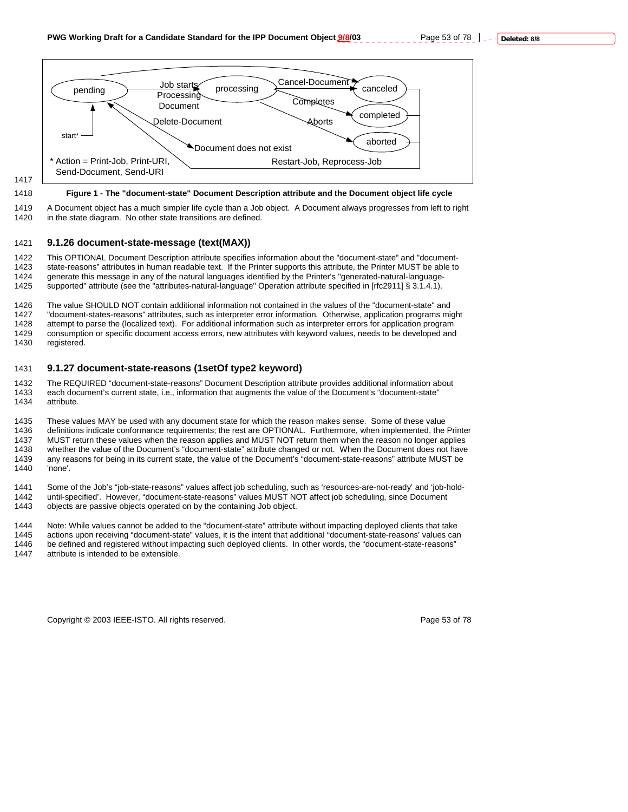

### 1417

#### 1418 **Figure 1 - The "document-state" Document Description attribute and the Document object life cycle**

1419 A Document object has a much simpler life cycle than a Job object. A Document always progresses from left to right 1420 in the state diagram. No other state transitions are defined.

#### 1421 **9.1.26 document-state-message (text(MAX))**

1422 This OPTIONAL Document Description attribute specifies information about the "document-state" and "document-1423 state-reasons" attributes in human readable text. If the Printer supports this attribute, the Printer MUST be able to<br>1424 generate this message in any of the natural languages identified by the Printer's "generated-n 1424 generate this message in any of the natural languages identified by the Printer's "generated-natural-language-1425 supported" attribute (see the "attributes-natural-language" Operation attribute specified in [rfc2911] § 3.1.4.1).

1426 The value SHOULD NOT contain additional information not contained in the values of the "document-state" and 1427 "document-states-reasons" attributes, such as interpreter error information. Otherwise, application programs might 1428 attempt to parse the (localized text). For additional information such as interpreter errors for application program<br>1429 consumption or specific document access errors, new attributes with keyword values, needs to be consumption or specific document access errors, new attributes with keyword values, needs to be developed and 1430 registered.

#### 1431 **9.1.27 document-state-reasons (1setOf type2 keyword)**

1432 The REQUIRED "document-state-reasons" Document Description attribute provides additional information about<br>1433 each document's current state, i.e., information that augments the value of the Document's "document-stat each document's current state, i.e., information that augments the value of the Document's "document-state" 1434 attribute.

1435 These values MAY be used with any document state for which the reason makes sense. Some of these value 1436 definitions indicate conformance requirements; the rest are OPTIONAL. Furthermore, when implemented, the Printer 1437 MUST return these values when the reason applies and MUST NOT return them when the reason no longer applies<br>1438 Whether the value of the Document's "document-state" attribute changed or not. When the Document does no whether the value of the Document's "document-state" attribute changed or not. When the Document does not have 1439 any reasons for being in its current state, the value of the Document's "document-state-reasons" attribute MUST be 1440 'none'.

1441 Some of the Job's "job-state-reasons" values affect job scheduling, such as 'resources-are-not-ready' and 'job-hold-1442 until-specified'. However, "document-state-reasons" values MUST NOT affect job scheduling, since Document<br>1443 objects are passive objects operated on by the containing Job object.

objects are passive objects operated on by the containing Job object.

1444 Note: While values cannot be added to the "document-state" attribute without impacting deployed clients that take 1445 actions upon receiving "document-state" values, it is the intent that additional "document-state-reasons' values can 1446 be defined and registered without impacting such deployed clients. In other words, the "document-state-reasons" 1447 attribute is intended to be extensible.

Copyright © 2003 IEEE-ISTO. All rights reserved. Page 53 of 78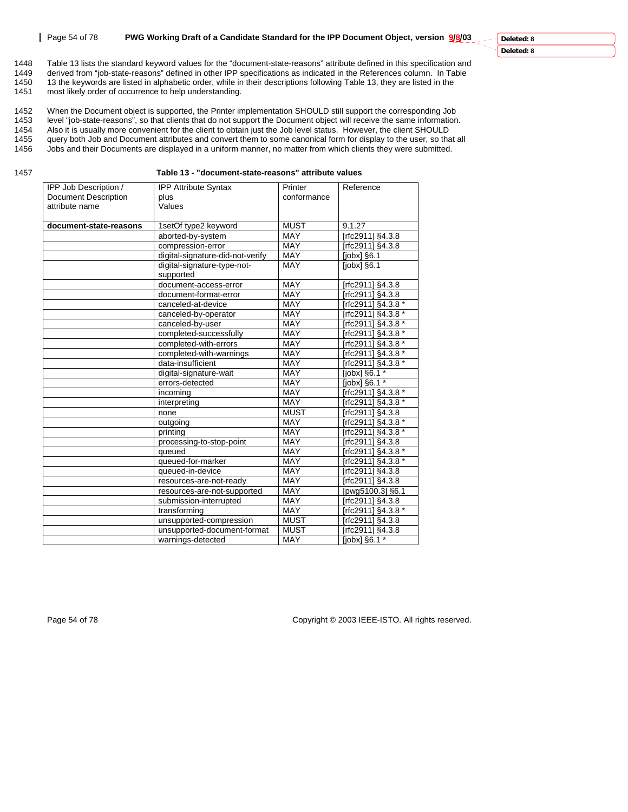#### **Page 54 of 78 PWG Working Draft of a Candidate Standard for the IPP Document Object, version 9/8/03**

#### **Deleted: 8 Deleted: 8**

1448 Table 13 lists the standard keyword values for the "document-state-reasons" attribute defined in this specification and<br>1449 derived from "job-state-reasons" defined in other IPP specifications as indicated in the Ref derived from "job-state-reasons" defined in other IPP specifications as indicated in the References column. In Table 1450 13 the keywords are listed in alphabetic order, while in their descriptions following Table 13, they are listed in the 1451 most likely order of occurrence to help understanding. most likely order of occurrence to help understanding.

1452 When the Document object is supported, the Printer implementation SHOULD still support the corresponding Job<br>1453 level "job-state-reasons", so that clients that do not support the Document object will receive the sam 1453 level "job-state-reasons", so that clients that do not support the Document object will receive the same information.<br>1454 Also it is usually more convenient for the client to obtain just the Job level status. However 1454 Also it is usually more convenient for the client to obtain just the Job level status. However, the client SHOULD<br>1455 auery both Job and Document attributes and convert them to some canonical form for display to the query both Job and Document attributes and convert them to some canonical form for display to the user, so that all 1456 Jobs and their Documents are displayed in a uniform manner, no matter from which clients they were submitted.

1457 **Table 13 - "document-state-reasons" attribute values** 

| plus                             |                                                       |                                 |
|----------------------------------|-------------------------------------------------------|---------------------------------|
|                                  | conformance                                           |                                 |
| Values                           |                                                       |                                 |
|                                  |                                                       |                                 |
| 1setOf type2 keyword             | <b>MUST</b>                                           | 9.1.27                          |
| aborted-by-system                | <b>MAY</b>                                            | [rfc2911] §4.3.8                |
| compression-error                | <b>MAY</b>                                            | [rfc2911] §4.3.8                |
| digital-signature-did-not-verify | MAY                                                   | [ $jobs$ ] §6.1                 |
| digital-signature-type-not-      | <b>MAY</b>                                            | [ <i>j</i> obx] <sub>56.1</sub> |
| supported                        |                                                       |                                 |
| document-access-error            | MAY                                                   | [rfc2911] §4.3.8                |
| document-format-error            | <b>MAY</b>                                            | [rfc2911] §4.3.8                |
| canceled-at-device               | <b>MAY</b>                                            | [rfc2911] §4.3.8 *              |
| canceled-by-operator             | <b>MAY</b>                                            | [rfc2911] §4.3.8 *              |
| canceled-by-user                 | <b>MAY</b>                                            | [rfc2911] §4.3.8 *              |
|                                  | MAY                                                   | [rfc2911] §4.3.8 *              |
| completed-with-errors            | MAY                                                   | [rfc2911] §4.3.8 *              |
| completed-with-warnings          | MAY                                                   | [rfc2911] §4.3.8 *              |
| data-insufficient                | <b>MAY</b>                                            | [rfc2911] §4.3.8 *              |
| digital-signature-wait           | <b>MAY</b>                                            | [jobx] §6.1 *                   |
| errors-detected                  | <b>MAY</b>                                            | [jobx] $§6.1*$                  |
| incoming                         | MAY                                                   | [rfc2911] §4.3.8 *              |
| interpreting                     | <b>MAY</b>                                            | [rfc2911] §4.3.8 *              |
| none                             | <b>MUST</b>                                           | [rfc2911] §4.3.8                |
| outgoing                         | <b>MAY</b>                                            | [rfc2911] §4.3.8 *              |
| printing                         | MAY                                                   | [rfc2911] §4.3.8 *              |
| processing-to-stop-point         | <b>MAY</b>                                            | [rfc2911] §4.3.8                |
| queued                           | MAY                                                   | [rfc2911] §4.3.8 *              |
| queued-for-marker                | <b>MAY</b>                                            | [rfc2911] §4.3.8 *              |
| queued-in-device                 | MAY                                                   | [rfc2911] §4.3.8                |
| resources-are-not-ready          | MAY                                                   | [rfc2911] §4.3.8                |
|                                  | MAY                                                   | [pwg5100.3] §6.1                |
| submission-interrupted           | <b>MAY</b>                                            | [rfc2911] §4.3.8                |
| transforming                     | MAY                                                   | [rfc2911] §4.3.8 *              |
| unsupported-compression          | <b>MUST</b>                                           | [rfc2911] §4.3.8                |
| unsupported-document-format      | <b>MUST</b>                                           | [rfc2911] §4.3.8                |
| warnings-detected                | <b>MAY</b>                                            | [jobx] §6.1 *                   |
|                                  | completed-successfully<br>resources-are-not-supported |                                 |

Page 54 of 78 Copyright © 2003 IEEE-ISTO. All rights reserved.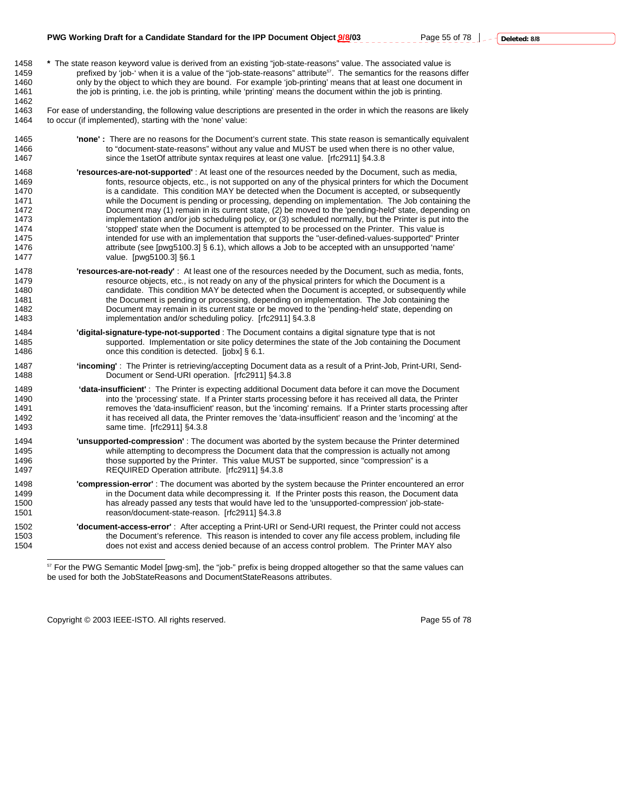1463 For ease of understanding, the following value descriptions are presented in the order in which the reasons are likely 1464 to occur (if implemented), starting with the 'none' value:

- 1465 **'none' :** There are no reasons for the Document's current state. This state reason is semantically equivalent 1466 to "document-state-reasons" without any value and MUST be used when there is no other value,<br>1467 the 1setOf attribute syntax requires at least one value [rfc2911] \$4.3.8 since the 1setOf attribute syntax requires at least one value. [rfc2911] §4.3.8
- 1468 **'resources-are-not-supported'** : At least one of the resources needed by the Document, such as media, 1469 fonts, resource objects, etc., is not supported on any of the physical printers for which the Document<br>1470 sis a candidate. This condition MAY be detected when the Document is accepted, or subsequently is a candidate. This condition MAY be detected when the Document is accepted, or subsequently 1471 while the Document is pending or processing, depending on implementation. The Job containing the 1472 Document may (1) remain in its current state, (2) be moved to the 'pending-held' state, depending on<br>1473 http://www.implementation and/or job scheduling policy, or (3) scheduled normally, but the Printer is put into implementation and/or job scheduling policy, or (3) scheduled normally, but the Printer is put into the 1474 'stopped' state when the Document is attempted to be processed on the Printer. This value is 1475 intended for use with an implementation that supports the "user-defined-values-supported" Printer 1476 attribute (see [pwg5100.3] § 6.1), which allows a Job to be accepted with an unsupported 'name' 1477 value. [pwg5100.3] §6.1
- 1478 **'resources-are-not-ready'** : At least one of the resources needed by the Document, such as media, fonts, 1479 resource objects, etc., is not ready on any of the physical printers for which the Document is a 1480 candidate. This condition MAY be detected when the Document is accepted, or subsequently while 1481 the Document is pending or processing, depending on implementation. The Job containing the<br>1482 1482 bocument may remain in its current state or be moved to the 'pending-held' state, depending or Document may remain in its current state or be moved to the 'pending-held' state, depending on 1483 implementation and/or scheduling policy. [rfc2911] §4.3.8
- 1484 **'digital-signature-type-not-supported** : The Document contains a digital signature type that is not 1485 supported. Implementation or site policy determines the state of the Job containing the Document 1486 **cannot** once this condition is detected. [jobx] § 6.1.
- 1487 **'incoming'** : The Printer is retrieving/accepting Document data as a result of a Print-Job, Print-URI, Send-1488 Document or Send-URI operation. [rfc2911] §4.3.8
- 1489 **'data-insufficient'** : The Printer is expecting additional Document data before it can move the Document into the 'processing' state. If a Printer starts processing before it has received all data, the Printer 1491 removes the 'data-insufficient' reason, but the 'incoming' remains. If a Printer starts processing after<br>1492 thas received all data, the Printer removes the 'data-insufficient' reason and the 'incoming' at the 1492 it has received all data, the Printer removes the 'data-insufficient' reason and the 'incoming' at the 1493 same time. [rfc2911] §4.3.8
- 1494 **'unsupported-compression'** : The document was aborted by the system because the Printer determined 1495 while attempting to decompress the Document data that the compression is actually not among 1496 those supported by the Printer. This value MUST be supported, since "compression" is a 1497 REQUIRED Operation attribute. [rfc2911] §4.3.8
- 1498 **'compression-error'** : The document was aborted by the system because the Printer encountered an error 1499 in the Document data while decompressing it. If the Printer posts this reason, the Document data 1500 has already passed any tests that would have led to the 'unsupported-compression' job-state-<br>1501 https://www.masson/document-state-reason. [rfc2911] §4.3.8 reason/document-state-reason. [rfc2911] §4.3.8
- 1502 **'document-access-error'** : After accepting a Print-URI or Send-URI request, the Printer could not access 1503 the Document's reference. This reason is intended to cover any file access problem, including file<br>1504 the Printer MAY also does not exist and access denied because of an access control problem. The Printer MAY also

Copyright © 2003 IEEE-ISTO. All rights reserved. Copyright C 2003 IEEE-ISTO. All rights reserved.

 $\overline{a}$ 

<sup>57</sup> For the PWG Semantic Model [pwg-sm], the "job-" prefix is being dropped altogether so that the same values can be used for both the JobStateReasons and DocumentStateReasons attributes.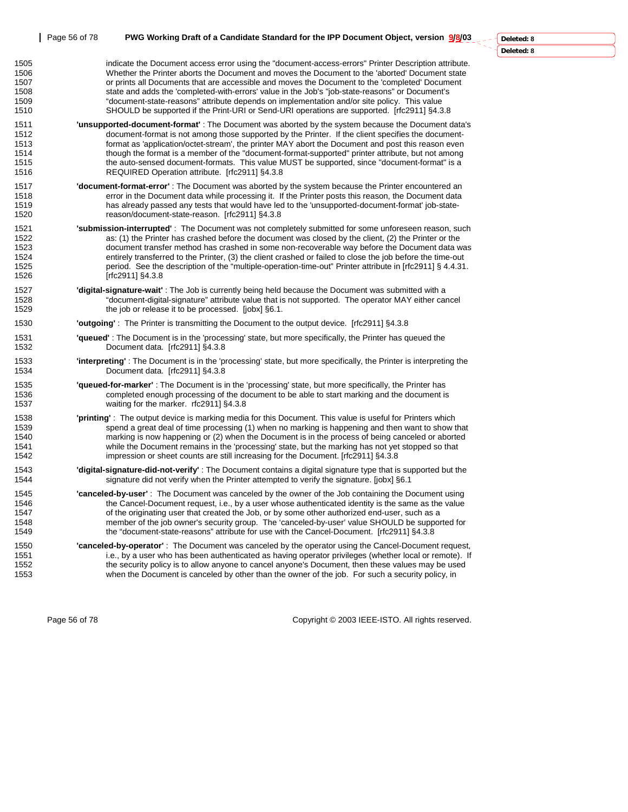|                                              | Page 56 of 78 | PWG Working Draft of a Candidate Standard for the IPP Document Object, version 9/8/03                                                                                                                                                                                                                                                                                                                                                                                                                                                                                                                     | Deleted: 8 |
|----------------------------------------------|---------------|-----------------------------------------------------------------------------------------------------------------------------------------------------------------------------------------------------------------------------------------------------------------------------------------------------------------------------------------------------------------------------------------------------------------------------------------------------------------------------------------------------------------------------------------------------------------------------------------------------------|------------|
|                                              |               |                                                                                                                                                                                                                                                                                                                                                                                                                                                                                                                                                                                                           | Deleted: 8 |
| 1505<br>1506<br>1507<br>1508<br>1509<br>1510 |               | indicate the Document access error using the "document-access-errors" Printer Description attribute.<br>Whether the Printer aborts the Document and moves the Document to the 'aborted' Document state<br>or prints all Documents that are accessible and moves the Document to the 'completed' Document<br>state and adds the 'completed-with-errors' value in the Job's "job-state-reasons" or Document's<br>"document-state-reasons" attribute depends on implementation and/or site policy. This value<br>SHOULD be supported if the Print-URI or Send-URI operations are supported. [rfc2911] §4.3.8 |            |
| 1511<br>1512<br>1513<br>1514<br>1515<br>1516 |               | 'unsupported-document-format': The Document was aborted by the system because the Document data's<br>document-format is not among those supported by the Printer. If the client specifies the document-<br>format as 'application/octet-stream', the printer MAY abort the Document and post this reason even<br>though the format is a member of the "document-format-supported" printer attribute, but not among<br>the auto-sensed document-formats. This value MUST be supported, since "document-format" is a<br>REQUIRED Operation attribute. [rfc2911] §4.3.8                                      |            |
| 1517<br>1518<br>1519<br>1520                 |               | "document-format-error": The Document was aborted by the system because the Printer encountered an<br>error in the Document data while processing it. If the Printer posts this reason, the Document data<br>has already passed any tests that would have led to the 'unsupported-document-format' job-state-<br>reason/document-state-reason. [rfc2911] §4.3.8                                                                                                                                                                                                                                           |            |
| 1521<br>1522<br>1523<br>1524<br>1525<br>1526 |               | <b>'submission-interrupted'</b> : The Document was not completely submitted for some unforeseen reason, such<br>as: (1) the Printer has crashed before the document was closed by the client, (2) the Printer or the<br>document transfer method has crashed in some non-recoverable way before the Document data was<br>entirely transferred to the Printer, (3) the client crashed or failed to close the job before the time-out<br>period. See the description of the "multiple-operation-time-out" Printer attribute in [rfc2911] § 4.4.31.<br>[rfc2911] $§4.3.8$                                    |            |
| 1527<br>1528<br>1529                         |               | 'digital-signature-wait': The Job is currently being held because the Document was submitted with a<br>"document-digital-signature" attribute value that is not supported. The operator MAY either cancel<br>the job or release it to be processed. [jobx] §6.1.                                                                                                                                                                                                                                                                                                                                          |            |
| 1530                                         |               | <b>'outgoing'</b> : The Printer is transmitting the Document to the output device. [rfc2911] §4.3.8                                                                                                                                                                                                                                                                                                                                                                                                                                                                                                       |            |
| 1531<br>1532                                 |               | "queued": The Document is in the 'processing' state, but more specifically, the Printer has queued the<br>Document data. [rfc2911] §4.3.8                                                                                                                                                                                                                                                                                                                                                                                                                                                                 |            |
| 1533<br>1534                                 |               | "interpreting": The Document is in the 'processing' state, but more specifically, the Printer is interpreting the<br>Document data. [rfc2911] §4.3.8                                                                                                                                                                                                                                                                                                                                                                                                                                                      |            |
| 1535<br>1536<br>1537                         |               | "queued-for-marker": The Document is in the 'processing' state, but more specifically, the Printer has<br>completed enough processing of the document to be able to start marking and the document is<br>waiting for the marker. rfc2911] §4.3.8                                                                                                                                                                                                                                                                                                                                                          |            |
| 1538<br>1539<br>1540<br>1541<br>1542         |               | 'printing': The output device is marking media for this Document. This value is useful for Printers which<br>spend a great deal of time processing (1) when no marking is happening and then want to show that<br>marking is now happening or (2) when the Document is in the process of being canceled or aborted<br>while the Document remains in the 'processing' state, but the marking has not yet stopped so that<br>impression or sheet counts are still increasing for the Document. [rfc2911] §4.3.8                                                                                             |            |
| 1543<br>1544                                 |               | "digital-signature-did-not-verify": The Document contains a digital signature type that is supported but the<br>signature did not verify when the Printer attempted to verify the signature. [jobx] §6.1                                                                                                                                                                                                                                                                                                                                                                                                  |            |
| 1545<br>1546<br>1547<br>1548<br>1549         |               | 'canceled-by-user': The Document was canceled by the owner of the Job containing the Document using<br>the Cancel-Document request, i.e., by a user whose authenticated identity is the same as the value<br>of the originating user that created the Job, or by some other authorized end-user, such as a<br>member of the job owner's security group. The 'canceled-by-user' value SHOULD be supported for<br>the "document-state-reasons" attribute for use with the Cancel-Document. [rfc2911] §4.3.8                                                                                                 |            |
| 1550<br>1551<br>1552<br>1553                 |               | "canceled-by-operator": The Document was canceled by the operator using the Cancel-Document request,<br>i.e., by a user who has been authenticated as having operator privileges (whether local or remote). If<br>the security policy is to allow anyone to cancel anyone's Document, then these values may be used<br>when the Document is canceled by other than the owner of the job. For such a security policy, in                                                                                                                                                                                   |            |

Page 56 of 78 Copyright © 2003 IEEE-ISTO. All rights reserved.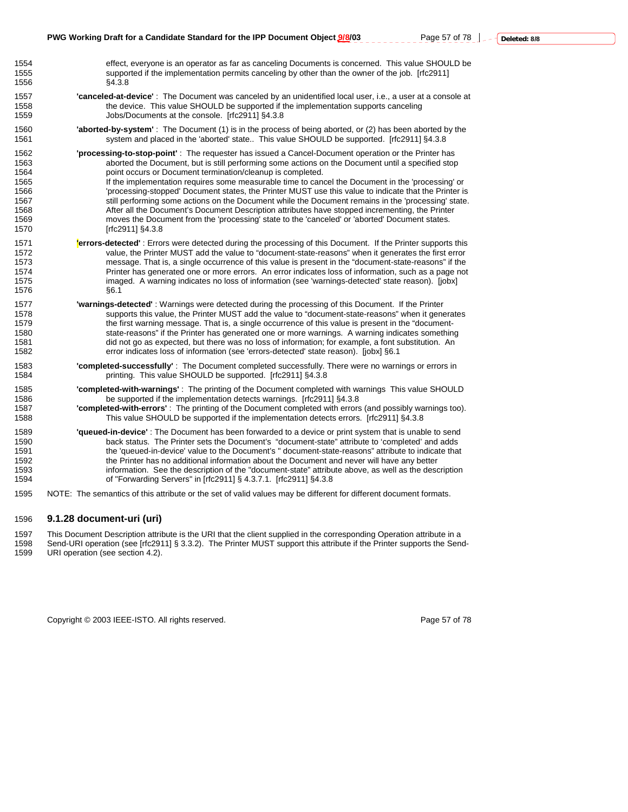1559 Jobs/Documents at the console. [rfc2911] §4.3.8

- 1560 **'aborted-by-system'** : The Document (1) is in the process of being aborted, or (2) has been aborted by the 1561 system and placed in the 'aborted' state.. This value SHOULD be supported. [rfc2911] §4.3.8
- 1562 **'processing-to-stop-point'** : The requester has issued a Cancel-Document operation or the Printer has aborted the Document, but is still performing some actions on the Document until a specified stop 1564 point occurs or Document termination/cleanup is completed. 1565 If the implementation requires some measurable time to cancel the Document in the 'processing' or<br>1566 1566 Throcessing-stopped' Document states the Printer MUST use this value to indicate that the Printer is 'processing-stopped' Document states, the Printer MUST use this value to indicate that the Printer is 1567 still performing some actions on the Document while the Document remains in the 'processing' state. 1568 1568 After all the Document's Document Description attributes have stopped incrementing, the Printer<br>1569 moves the Document from the 'processing' state to the 'canceled' or 'aborted' Document states. moves the Document from the 'processing' state to the 'canceled' or 'aborted' Document states. 1570 [rfc2911] §4.3.8
- **errors-detected'** : Errors were detected during the processing of this Document. If the Printer supports this 1572<br>1572 value, the Printer MUST add the value to "document-state-reasons" when it generates the first error value, the Printer MUST add the value to "document-state-reasons" when it generates the first error 1573 message. That is, a single occurrence of this value is present in the "document-state-reasons" if the 1574 Printer has generated one or more errors. An error indicates loss of information, such as a page not 1575 imaged. A warning indicates no loss of information (see 'warnings-detected' state reason). [jobx] 1576 §6.1
- 1577 **'warnings-detected'** : Warnings were detected during the processing of this Document. If the Printer 1578 supports this value, the Printer MUST add the value to "document-state-reasons" when it generates<br>1579 the first warning message. That is, a single occurrence of this value is present in the "documentthe first warning message. That is, a single occurrence of this value is present in the "document-1580 state-reasons" if the Printer has generated one or more warnings. A warning indicates something 1581 did not go as expected, but there was no loss of information; for example, a font substitution. An 1582 error indicates loss of information (see 'errors-detected' state reason). [jobx] §6.1
- 1583 **'completed-successfully'** : The Document completed successfully. There were no warnings or errors in 1584 printing. This value SHOULD be supported. [rfc2911] §4.3.8

1585 **'completed-with-warnings'** : The printing of the Document completed with warnings This value SHOULD be supported if the implementation detects warnings. [rfc2911] §4.3.8 1587 **'completed-with-errors'** : The printing of the Document completed with errors (and possibly warnings too). 1588 This value SHOULD be supported if the implementation detects errors. [rfc2911] §4.3.8

- 1589 **'queued-in-device'** : The Document has been forwarded to a device or print system that is unable to send 1590 back status. The Printer sets the Document's "document-state" attribute to 'completed' and adds 1591 the 'queued-in-device' value to the Document's " document-state-reasons" attribute to indicate that 1592 the Printer has no additional information about the Document and never will have any better 1593 information. See the description of the "document-state" attribute above, as well as the description 1594 of "Forwarding Servers" in [rfc2911] § 4.3.7.1. [rfc2911] §4.3.8
- 1595 NOTE: The semantics of this attribute or the set of valid values may be different for different document formats.

#### 1596 **9.1.28 document-uri (uri)**

1556 §4.3.8

1597 This Document Description attribute is the URI that the client supplied in the corresponding Operation attribute in a 1598 Send-URI operation (see [rfc2911] § 3.3.2). The Printer MUST support this attribute if the Printer supports the Send-1599 URI operation (see section 4.2).

Copyright © 2003 IEEE-ISTO. All rights reserved. Page 57 of 78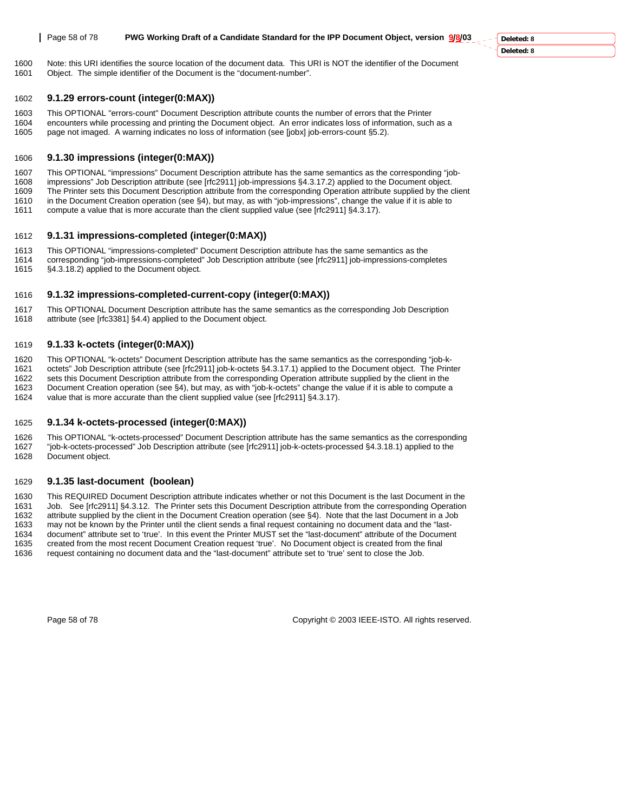1600 Note: this URI identifies the source location of the document data. This URI is NOT the identifier of the Document 1601 Object. The simple identifier of the Document is the "document-number".

#### 1602 **9.1.29 errors-count (integer(0:MAX))**

- 1603 This OPTIONAL "errors-count" Document Description attribute counts the number of errors that the Printer<br>1604 encounters while processing and printing the Document object. An error indicates loss of information, such
- encounters while processing and printing the Document object. An error indicates loss of information, such as a 1605 page not imaged. A warning indicates no loss of information (see [jobx] job-errors-count §5.2).

### 1606 **9.1.30 impressions (integer(0:MAX))**

- 1607 This OPTIONAL "impressions" Document Description attribute has the same semantics as the corresponding "job-<br>1608 impressions" Job Description attribute (see [rfc2911] job-impressions §4.3.17.2) applied to the Documen
- impressions" Job Description attribute (see [rfc2911] job-impressions §4.3.17.2) applied to the Document object.
- 1609 The Printer sets this Document Description attribute from the corresponding Operation attribute supplied by the client 1610 in the Document Creation operation (see §4), but may, as with "job-impressions", change the value if it is able to
- 1611 compute a value that is more accurate than the client supplied value (see [rfc2911] §4.3.17).

#### 1612 **9.1.31 impressions-completed (integer(0:MAX))**

- 1613 This OPTIONAL "impressions-completed" Document Description attribute has the same semantics as the
- 1614 corresponding "job-impressions-completed" Job Description attribute (see [rfc2911] job-impressions-completes 1615 §4.3.18.2) applied to the Document object.

#### 1616 **9.1.32 impressions-completed-current-copy (integer(0:MAX))**

1617 This OPTIONAL Document Description attribute has the same semantics as the corresponding Job Description 1618 attribute (see [rfc3381] §4.4) applied to the Document object.

#### 1619 **9.1.33 k-octets (integer(0:MAX))**

1620 This OPTIONAL "k-octets" Document Description attribute has the same semantics as the corresponding "job-k-1621 octets" Job Description attribute (see [rfc2911] job-k-octets §4.3.17.1) applied to the Document object. The Printer 1622 sets this Document Description attribute from the corresponding Operation attribute supplied by the client in the<br>1623 Document Creation operation (see §4), but may, as with "job-k-octets" change the value if it is ab Document Creation operation (see §4), but may, as with "job-k-octets" change the value if it is able to compute a 1624 value that is more accurate than the client supplied value (see [rfc2911] §4.3.17).

#### 1625 **9.1.34 k-octets-processed (integer(0:MAX))**

1626 This OPTIONAL "k-octets-processed" Document Description attribute has the same semantics as the corresponding 1627 "job-k-octets-processed" Job Description attribute (see [rfc2911] job-k-octets-processed §4.3.18.1) applied to the 1628 Document object.

#### 1629 **9.1.35 last-document (boolean)**

1630 This REQUIRED Document Description attribute indicates whether or not this Document is the last Document in the 1631 Job. See [rfc2911] §4.3.12. The Printer sets this Document Description attribute from the corresponding Operation 1632 attribute supplied by the client in the Document Creation operation (see §4). Note that the last Document in a Job<br>1633 may not be known by the Printer until the client sends a final request containing no document dat may not be known by the Printer until the client sends a final request containing no document data and the "last-1634 document" attribute set to 'true'. In this event the Printer MUST set the "last-document" attribute of the Document 1635 created from the most recent Document Creation request 'true'. No Document object is created from the final 1636 request containing no document data and the "last-document" attribute set to 'true' sent to close the Job.

Page 58 of 78 Copyright © 2003 IEEE-ISTO. All rights reserved.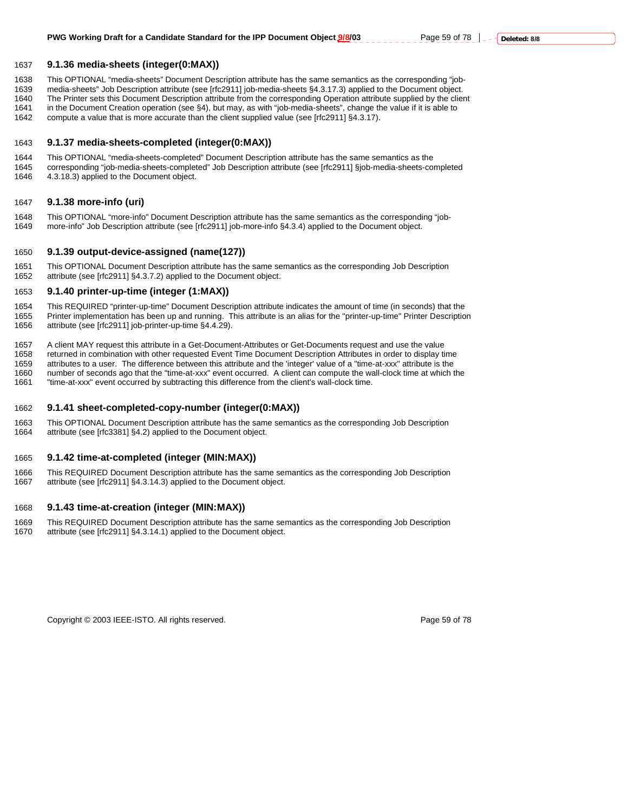### 1637 **9.1.36 media-sheets (integer(0:MAX))**

1638 This OPTIONAL "media-sheets" Document Description attribute has the same semantics as the corresponding "job-

1639 media-sheets" Job Description attribute (see [rfc2911] job-media-sheets §4.3.17.3) applied to the Document object.

1640 The Printer sets this Document Description attribute from the corresponding Operation attribute supplied by the client<br>1641 in the Document Creation operation (see §4), but may, as with "job-media-sheets", change the 1641 in the Document Creation operation (see §4), but may, as with "job-media-sheets", change the value if it is able to 1642 compute a value that is more accurate than the client supplied value (see Irfc29111 \$4.3.17).

compute a value that is more accurate than the client supplied value (see [rfc2911] §4.3.17).

#### 1643 **9.1.37 media-sheets-completed (integer(0:MAX))**

1644 This OPTIONAL "media-sheets-completed" Document Description attribute has the same semantics as the 1645 corresponding "job-media-sheets-completed" Job Description attribute (see [rfc2911] §job-media-sheets-completed 4.3.18.3) applied to the Document object.

### 1647 **9.1.38 more-info (uri)**

1648 This OPTIONAL "more-info" Document Description attribute has the same semantics as the corresponding "job-1649 more-info" Job Description attribute (see [rfc2911] job-more-info §4.3.4) applied to the Document object.

#### 1650 **9.1.39 output-device-assigned (name(127))**

1651 This OPTIONAL Document Description attribute has the same semantics as the corresponding Job Description 1652 attribute (see [rfc2911] §4.3.7.2) applied to the Document object.

#### 1653 **9.1.40 printer-up-time (integer (1:MAX))**

1654 This REQUIRED "printer-up-time" Document Description attribute indicates the amount of time (in seconds) that the 1655 Printer implementation has been up and running. This attribute is an alias for the "printer-up-time" Printer Description 1656 attribute (see [rfc2911] job-printer-up-time §4.4.29).

1657 A client MAY request this attribute in a Get-Document-Attributes or Get-Documents request and use the value<br>1658 returned in combination with other requested Event Time Document Description Attributes in order to disp returned in combination with other requested Event Time Document Description Attributes in order to display time 1659 attributes to a user. The difference between this attribute and the 'integer' value of a "time-at-xxx" attribute is the 1660 number of seconds ago that the "time-at-xxx" event occurred. A client can compute the wall-clock time at which the

1661 "time-at-xxx" event occurred by subtracting this difference from the client's wall-clock time.

#### 1662 **9.1.41 sheet-completed-copy-number (integer(0:MAX))**

1663 This OPTIONAL Document Description attribute has the same semantics as the corresponding Job Description 1664 attribute (see [rfc3381] §4.2) applied to the Document object.

### 1665 **9.1.42 time-at-completed (integer (MIN:MAX))**

1666 This REQUIRED Document Description attribute has the same semantics as the corresponding Job Description 1667 attribute (see [rfc2911] §4.3.14.3) applied to the Document object.

### 1668 **9.1.43 time-at-creation (integer (MIN:MAX))**

1669 This REQUIRED Document Description attribute has the same semantics as the corresponding Job Description 1670 attribute (see [rfc2911] §4.3.14.1) applied to the Document object.

Copyright © 2003 IEEE-ISTO. All rights reserved. Page 59 of 78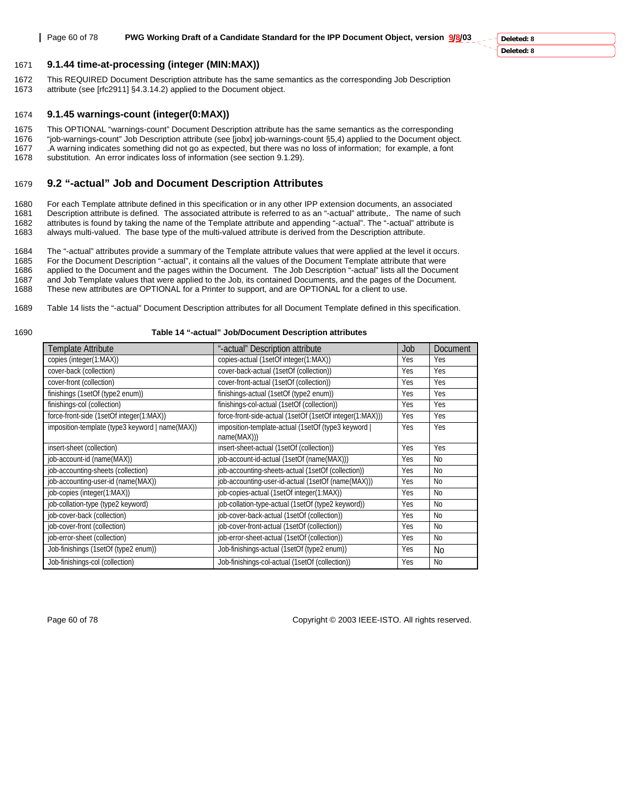1671 **9.1.44 time-at-processing (integer (MIN:MAX))**

1672 This REQUIRED Document Description attribute has the same semantics as the corresponding Job Description 1673 attribute (see [rfc2911] §4.3.14.2) applied to the Document object.

#### 1674 **9.1.45 warnings-count (integer(0:MAX))**

1675 This OPTIONAL "warnings-count" Document Description attribute has the same semantics as the corresponding

1676 "job-warnings-count" Job Description attribute (see [jobx] job-warnings-count §5,4) applied to the Document object. 1677 . A warning indicates something did not go as expected, but there was no loss of information; for example, a font 1678 substitution. An error indicates loss of information (see section 9.1.29). substitution. An error indicates loss of information (see section 9.1.29).

#### 1679 **9.2 "-actual" Job and Document Description Attributes**

1680 For each Template attribute defined in this specification or in any other IPP extension documents, an associated<br>1681 Description attribute is defined. The associated attribute is referred to as an "-actual" attribute Description attribute is defined. The associated attribute is referred to as an "-actual" attribute,. The name of such 1682 attributes is found by taking the name of the Template attribute and appending "-actual". The "-actual" attribute is 1683 always multi-valued. The base type of the multi-valued attribute is derived from the Description attribute.

1684 The "-actual" attributes provide a summary of the Template attribute values that were applied at the level it occurs. 1685 For the Document Description "-actual", it contains all the values of the Document Template attribute that were<br>1686 applied to the Document and the pages within the Document. The Job Description "-actual" lists all t applied to the Document and the pages within the Document. The Job Description "-actual" lists all the Document 1687 and Job Template values that were applied to the Job, its contained Documents, and the pages of the Document. 1688 These new attributes are OPTIONAL for a Printer to support, and are OPTIONAL for a client to use.

1689 Table 14 lists the "-actual" Document Description attributes for all Document Template defined in this specification.

#### 1690 **Table 14 "-actual" Job/Document Description attributes**

| Template Attribute                              | "-actual" Description attribute                                    | Job | Document       |
|-------------------------------------------------|--------------------------------------------------------------------|-----|----------------|
| copies (integer(1:MAX))                         | copies-actual (1setOf integer(1:MAX))                              | Yes | Yes            |
| cover-back (collection)                         | cover-back-actual (1setOf (collection))                            | Yes | Yes            |
| cover-front (collection)                        | cover-front-actual (1setOf (collection))                           | Yes | Yes            |
| finishings (1setOf (type2 enum))                | finishings-actual (1setOf (type2 enum))                            | Yes | Yes            |
| finishings-col (collection)                     | finishings-col-actual (1setOf (collection))                        | Yes | Yes            |
| force-front-side (1setOf integer(1:MAX))        | force-front-side-actual (1setOf (1setOf integer(1:MAX)))           | Yes | Yes            |
| imposition-template (type3 keyword   name(MAX)) | imposition-template-actual (1setOf (type3 keyword  <br>name(MAX))) | Yes | Yes            |
| insert-sheet (collection)                       | insert-sheet-actual (1setOf (collection))                          | Yes | Yes            |
| job-account-id (name(MAX))                      | job-account-id-actual (1setOf (name(MAX)))                         | Yes | N <sub>o</sub> |
| job-accounting-sheets (collection)              | job-accounting-sheets-actual (1setOf (collection))                 | Yes | <b>No</b>      |
| job-accounting-user-id (name(MAX))              | job-accounting-user-id-actual (1setOf (name(MAX)))                 | Yes | No             |
| job-copies (integer(1:MAX))                     | job-copies-actual (1setOf integer(1:MAX))                          | Yes | No.            |
| job-collation-type (type2 keyword)              | job-collation-type-actual (1setOf (type2 keyword))                 | Yes | No             |
| job-cover-back (collection)                     | job-cover-back-actual (1setOf (collection))                        | Yes | N <sub>o</sub> |
| job-cover-front (collection)                    | job-cover-front-actual (1setOf (collection))                       | Yes | No             |
| job-error-sheet (collection)                    | job-error-sheet-actual (1setOf (collection))                       | Yes | N <sub>o</sub> |
| Job-finishings (1setOf (type2 enum))            | Job-finishings-actual (1setOf (type2 enum))                        | Yes | N <sub>0</sub> |
| Job-finishings-col (collection)                 | Job-finishings-col-actual (1setOf (collection))                    | Yes | N <sub>0</sub> |

Page 60 of 78 Copyright © 2003 IEEE-ISTO. All rights reserved.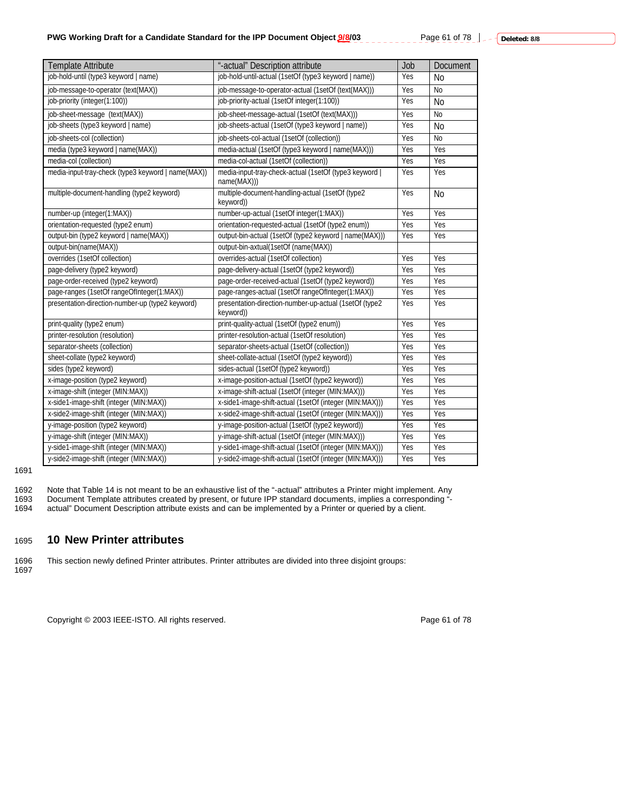Page 61 of 78 | \_ \_ \_ Deleted: 8/8

| Template Attribute                                 | "-actual" Description attribute                                       | Job | Document  |
|----------------------------------------------------|-----------------------------------------------------------------------|-----|-----------|
| job-hold-until (type3 keyword   name)              | job-hold-until-actual (1setOf (type3 keyword   name))                 | Yes | <b>No</b> |
| job-message-to-operator (text(MAX))                | job-message-to-operator-actual (1setOf (text(MAX)))                   | Yes | <b>No</b> |
| job-priority (integer(1:100))                      | job-priority-actual (1setOf integer(1:100))                           | Yes | <b>No</b> |
| job-sheet-message (text(MAX))                      | job-sheet-message-actual (1setOf (text(MAX)))                         | Yes | <b>No</b> |
| job-sheets (type3 keyword   name)                  | job-sheets-actual (1setOf (type3 keyword   name))                     | Yes | <b>No</b> |
| job-sheets-col (collection)                        | job-sheets-col-actual (1setOf (collection))                           | Yes | <b>No</b> |
| media (type3 keyword   name(MAX))                  | media-actual (1setOf (type3 keyword   name(MAX)))                     | Yes | Yes       |
| media-col (collection)                             | media-col-actual (1setOf (collection))                                | Yes | Yes       |
| media-input-tray-check (type3 keyword   name(MAX)) | media-input-tray-check-actual (1setOf (type3 keyword  <br>name(MAX))) | Yes | Yes       |
| multiple-document-handling (type2 keyword)         | multiple-document-handling-actual (1setOf (type2<br>keyword))         | Yes | No        |
| number-up (integer(1:MAX))                         | number-up-actual (1setOf integer(1:MAX))                              | Yes | Yes       |
| orientation-requested (type2 enum)                 | orientation-requested-actual (1setOf (type2 enum))                    | Yes | Yes       |
| output-bin (type2 keyword   name(MAX))             | output-bin-actual (1setOf (type2 keyword   name(MAX)))                | Yes | Yes       |
| output-bin(name(MAX))                              | output-bin-axtual(1setOf (name(MAX))                                  |     |           |
| overrides (1setOf collection)                      | overrides-actual (1setOf collection)                                  | Yes | Yes       |
| page-delivery (type2 keyword)                      | page-delivery-actual (1setOf (type2 keyword))                         | Yes | Yes       |
| page-order-received (type2 keyword)                | page-order-received-actual (1setOf (type2 keyword))                   | Yes | Yes       |
| page-ranges (1setOf rangeOfInteger(1:MAX))         | page-ranges-actual (1setOf rangeOfInteger(1:MAX))                     | Yes | Yes       |
| presentation-direction-number-up (type2 keyword)   | presentation-direction-number-up-actual (1setOf (type2<br>keyword))   | Yes | Yes       |
| print-quality (type2 enum)                         | print-quality-actual (1setOf (type2 enum))                            | Yes | Yes       |
| printer-resolution (resolution)                    | printer-resolution-actual (1setOf resolution)                         | Yes | Yes       |
| separator-sheets (collection)                      | separator-sheets-actual (1setOf (collection))                         | Yes | Yes       |
| sheet-collate (type2 keyword)                      | sheet-collate-actual (1setOf (type2 keyword))                         | Yes | Yes       |
| sides (type2 keyword)                              | sides-actual (1setOf (type2 keyword))                                 | Yes | Yes       |
| x-image-position (type2 keyword)                   | x-image-position-actual (1setOf (type2 keyword))                      | Yes | Yes       |
| x-image-shift (integer (MIN:MAX))                  | x-image-shift-actual (1setOf (integer (MIN:MAX)))                     | Yes | Yes       |
| x-side1-image-shift (integer (MIN:MAX))            | x-side1-image-shift-actual (1setOf (integer (MIN:MAX)))               | Yes | Yes       |
| x-side2-image-shift (integer (MIN:MAX))            | x-side2-image-shift-actual (1setOf (integer (MIN:MAX)))               | Yes | Yes       |
| y-image-position (type2 keyword)                   | y-image-position-actual (1setOf (type2 keyword))                      | Yes | Yes       |
| y-image-shift (integer (MIN:MAX))                  | y-image-shift-actual (1setOf (integer (MIN:MAX)))                     | Yes | Yes       |
| y-side1-image-shift (integer (MIN:MAX))            | y-side1-image-shift-actual (1setOf (integer (MIN:MAX)))               | Yes | Yes       |
| y-side2-image-shift (integer (MIN:MAX))            | y-side2-image-shift-actual (1setOf (integer (MIN:MAX)))               | Yes | Yes       |

#### 1691

1692 Note that Table 14 is not meant to be an exhaustive list of the "-actual" attributes a Printer might implement. Any<br>1693 Document Template attributes created by present, or future IPP standard documents, implies a cor 1693 Document Template attributes created by present, or future IPP standard documents, implies a corresponding "-<br>1694 actual" Document Description attribute exists and can be implemented by a Printer or queried by a clie actual" Document Description attribute exists and can be implemented by a Printer or queried by a client.

### 1695 **10 New Printer attributes**

1696 This section newly defined Printer attributes. Printer attributes are divided into three disjoint groups: 1697

Copyright © 2003 IEEE-ISTO. All rights reserved. Page 61 of 78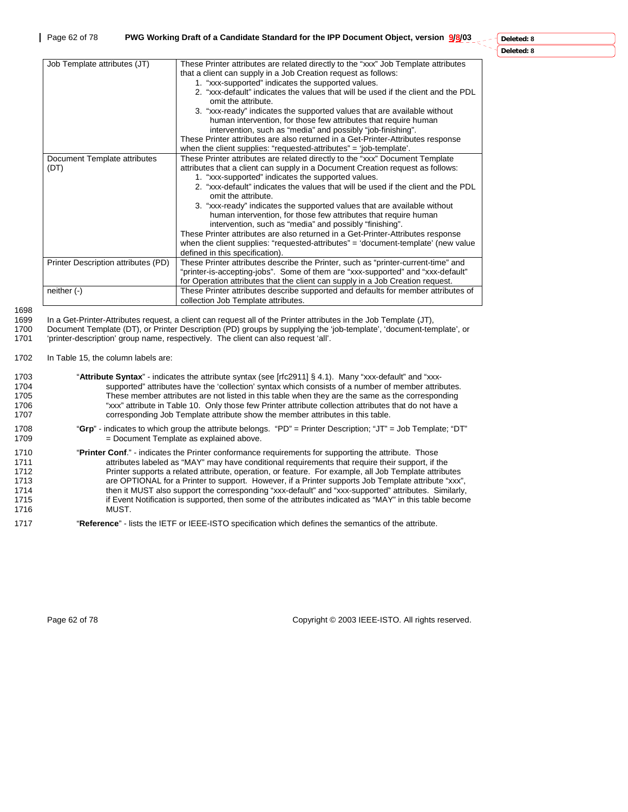J.

| Job Template attributes (JT)         | These Printer attributes are related directly to the "xxx" Job Template attributes<br>that a client can supply in a Job Creation request as follows:<br>1. "xxx-supported" indicates the supported values.<br>2. "xxx-default" indicates the values that will be used if the client and the PDL<br>omit the attribute.<br>3. "xxx-ready" indicates the supported values that are available without<br>human intervention, for those few attributes that require human<br>intervention, such as "media" and possibly "job-finishing".<br>These Printer attributes are also returned in a Get-Printer-Attributes response<br>when the client supplies: "requested-attributes" = 'job-template'.                                                         |
|--------------------------------------|-------------------------------------------------------------------------------------------------------------------------------------------------------------------------------------------------------------------------------------------------------------------------------------------------------------------------------------------------------------------------------------------------------------------------------------------------------------------------------------------------------------------------------------------------------------------------------------------------------------------------------------------------------------------------------------------------------------------------------------------------------|
| Document Template attributes<br>(DT) | These Printer attributes are related directly to the "xxx" Document Template<br>attributes that a client can supply in a Document Creation request as follows:<br>1. "xxx-supported" indicates the supported values.<br>2. "xxx-default" indicates the values that will be used if the client and the PDL<br>omit the attribute.<br>3. "xxx-ready" indicates the supported values that are available without<br>human intervention, for those few attributes that require human<br>intervention, such as "media" and possibly "finishing".<br>These Printer attributes are also returned in a Get-Printer-Attributes response<br>when the client supplies: "requested-attributes" = 'document-template' (new value<br>defined in this specification). |
| Printer Description attributes (PD)  | These Printer attributes describe the Printer, such as "printer-current-time" and<br>"printer-is-accepting-jobs". Some of them are "xxx-supported" and "xxx-default"<br>for Operation attributes that the client can supply in a Job Creation request.                                                                                                                                                                                                                                                                                                                                                                                                                                                                                                |
| neither $(-)$                        | These Printer attributes describe supported and defaults for member attributes of<br>collection Job Template attributes.                                                                                                                                                                                                                                                                                                                                                                                                                                                                                                                                                                                                                              |

1698

1699 In a Get-Printer-Attributes request, a client can request all of the Printer attributes in the Job Template (JT), or Printer Description (PD) groups by supplying the 'job-template', 'document-tem 1700 Document Template (DT), or Printer Description (PD) groups by supplying the 'job-template', 'document-template', or<br>1701 'printer-description' group name, respectively. The client can also request 'all'. 'printer-description' group name, respectively. The client can also request 'all'.

1702 In Table 15, the column labels are:

|              | in rapid to, the coldinii labold are                                                                                                                                                                           |
|--------------|----------------------------------------------------------------------------------------------------------------------------------------------------------------------------------------------------------------|
| 1703<br>1704 | "Attribute Syntax" - indicates the attribute syntax (see [rfc2911] § 4.1). Many "xxx-default" and "xxx-<br>supported" attributes have the 'collection' syntax which consists of a number of member attributes. |
| 1705         | These member attributes are not listed in this table when they are the same as the corresponding                                                                                                               |
| 1706         | "xxx" attribute in Table 10. Only those few Printer attribute collection attributes that do not have a                                                                                                         |
| 1707         | corresponding Job Template attribute show the member attributes in this table.                                                                                                                                 |
| 1708         | "Grp" - indicates to which group the attribute belongs. "PD" = Printer Description; "JT" = Job Template; "DT"                                                                                                  |
| 1709         | = Document Template as explained above.                                                                                                                                                                        |
| 1710         | "Printer Conf." - indicates the Printer conformance requirements for supporting the attribute. Those                                                                                                           |
| 1711         | attributes labeled as "MAY" may have conditional requirements that require their support, if the                                                                                                               |
| 1712         | Printer supports a related attribute, operation, or feature. For example, all Job Template attributes                                                                                                          |
| 1713         | are OPTIONAL for a Printer to support. However, if a Printer supports Job Template attribute "xxx",                                                                                                            |
| 1714         | then it MUST also support the corresponding "xxx-default" and "xxx-supported" attributes. Similarly,                                                                                                           |
| 1715         | if Event Notification is supported, then some of the attributes indicated as "MAY" in this table become                                                                                                        |
| 1716         | MUST.                                                                                                                                                                                                          |
| 1717         | "Reference" - lists the IETF or IEEE-ISTO specification which defines the semantics of the attribute.                                                                                                          |

Page 62 of 78 Copyright © 2003 IEEE-ISTO. All rights reserved.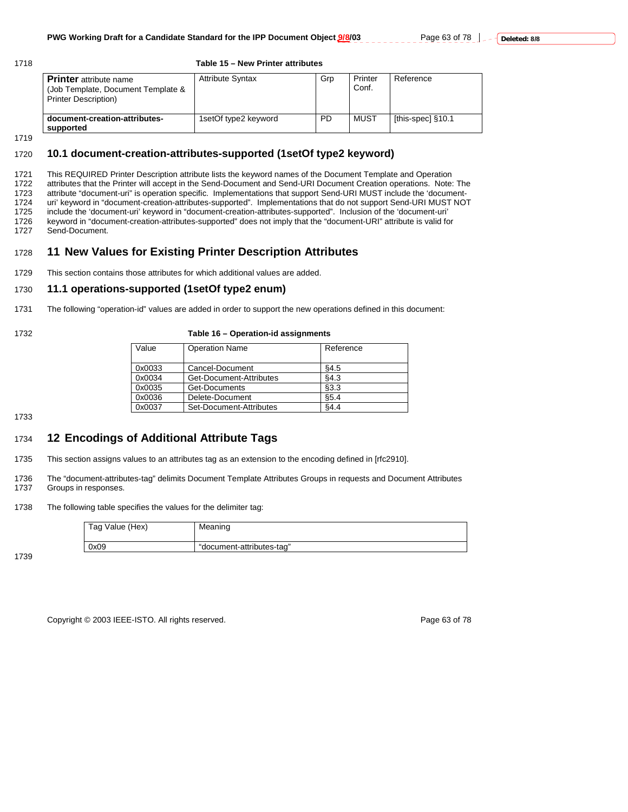#### 1718 **Table 15 – New Printer attributes**

| <b>Printer</b> attribute name<br>(Job Template, Document Template &<br><b>Printer Description)</b> | <b>Attribute Syntax</b> | Grp | Printer<br>Conf. | Reference         |
|----------------------------------------------------------------------------------------------------|-------------------------|-----|------------------|-------------------|
| document-creation-attributes-<br>supported                                                         | 1setOf type2 keyword    | PD  | MUST             | [this-spec] §10.1 |

1719

#### 1720 **10.1 document-creation-attributes-supported (1setOf type2 keyword)**

1721 This REQUIRED Printer Description attribute lists the keyword names of the Document Template and Operation 1722 attributes that the Printer will accept in the Send-Document and Send-URI Document Creation operations. Note: The 1723 attribute "document-uri" is operation specific. Implementations that support Send-URI MUST include the 'document-<br>1724 uri' keyword in "document-creation-attributes-supported". Implementations that do not support Send 1724 uri' keyword in "document-creation-attributes-supported". Implementations that do not support Send-URI MUST NOT<br>1725 include the 'document-uri' keyword in "document-creation-attributes-supported". Inclusion of the 'do include the 'document-uri' keyword in "document-creation-attributes-supported". Inclusion of the 'document-uri' 1726 keyword in "document-creation-attributes-supported" does not imply that the "document-URI" attribute is valid for<br>1727 Send-Document. Send-Document.

### 1728 **11 New Values for Existing Printer Description Attributes**

1729 This section contains those attributes for which additional values are added.

#### 1730 **11.1 operations-supported (1setOf type2 enum)**

1731 The following "operation-id" values are added in order to support the new operations defined in this document:

#### 1732 **Table 16 – Operation-id assignments**

| Value  | <b>Operation Name</b>   | Reference |
|--------|-------------------------|-----------|
| 0x0033 | Cancel-Document         | \$4.5     |
| 0x0034 | Get-Document-Attributes | \$4.3     |
| 0x0035 | Get-Documents           | \$3.3     |
| 0x0036 | Delete-Document         | \$5.4     |
| 0x0037 | Set-Document-Attributes | §4.4      |
|        |                         |           |

1733

### 1734 **12 Encodings of Additional Attribute Tags**

- 1735 This section assigns values to an attributes tag as an extension to the encoding defined in [rfc2910].
- 1736 The "document-attributes-tag" delimits Document Template Attributes Groups in requests and Document Attributes<br>1737 Groups in responses. Groups in responses.
- 1738 The following table specifies the values for the delimiter tag:

| Tag Value (Hex) | Meaning                   |
|-----------------|---------------------------|
| 0x09            | "document-attributes-tag" |

1739

Copyright © 2003 IEEE-ISTO. All rights reserved. Copyright C 2003 IEEE-ISTO. All rights reserved.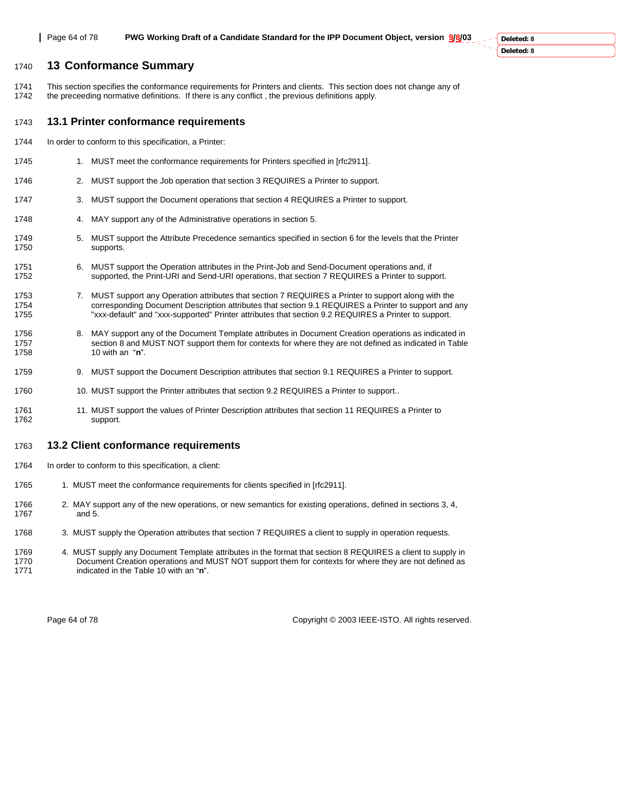### 1740 **13 Conformance Summary**

1741 This section specifies the conformance requirements for Printers and clients. This section does not change any of 1742 the preceeding normative definitions. If there is any conflict , the previous definitions apply.

### 1743 **13.1 Printer conformance requirements**

- 1744 In order to conform to this specification, a Printer:
- 1745 1. MUST meet the conformance requirements for Printers specified in [rfc2911].
- 1746 2. MUST support the Job operation that section 3 REQUIRES a Printer to support.
- 1747 3. MUST support the Document operations that section 4 REQUIRES a Printer to support.
- 1748 4. MAY support any of the Administrative operations in section 5.
- 1749 5. MUST support the Attribute Precedence semantics specified in section 6 for the levels that the Printer 1750 supports.
- 1751 6. MUST support the Operation attributes in the Print-Job and Send-Document operations and, if<br>1752 supported, the Print-URI and Send-URI operations, that section 7 REQUIRES a Printer to supp supported, the Print-URI and Send-URI operations, that section 7 REQUIRES a Printer to support.
- 1753 7. MUST support any Operation attributes that section 7 REQUIRES a Printer to support along with the 1754 corresponding Document Description attributes that section 9.1 REQUIRES a Printer to support and any<br>1755 https://www.default" and "xxx-supported" Printer attributes that section 9.2 REQUIRES a Printer to support "xxx-default" and "xxx-supported" Printer attributes that section 9.2 REQUIRES a Printer to support.
- 1756 8. MAY support any of the Document Template attributes in Document Creation operations as indicated in 1757 section 8 and MUST NOT support them for contexts for where they are not defined as indicated in Table<br>1758 10 with an "n". 10 with an "**n**".
- 1759 9. MUST support the Document Description attributes that section 9.1 REQUIRES a Printer to support.
- 1760 1760 10. MUST support the Printer attributes that section 9.2 REQUIRES a Printer to support..
- 1761 11. MUST support the values of Printer Description attributes that section 11 REQUIRES a Printer to 1762 support.

### 1763 **13.2 Client conformance requirements**

- 1764 In order to conform to this specification, a client:
- 1765 1. MUST meet the conformance requirements for clients specified in [rfc2911].
- 1766 2. MAY support any of the new operations, or new semantics for existing operations, defined in sections 3, 4, 1767 and 5.
- 1768 3. MUST supply the Operation attributes that section 7 REQUIRES a client to supply in operation requests.
- 1769 4. MUST supply any Document Template attributes in the format that section 8 REQUIRES a client to supply in 1770 Document Creation operations and MUST NOT support them for contexts for where they are not defined as 1771 indicated in the Table 10 with an "n".

Page 64 of 78 Copyright © 2003 IEEE-ISTO. All rights reserved.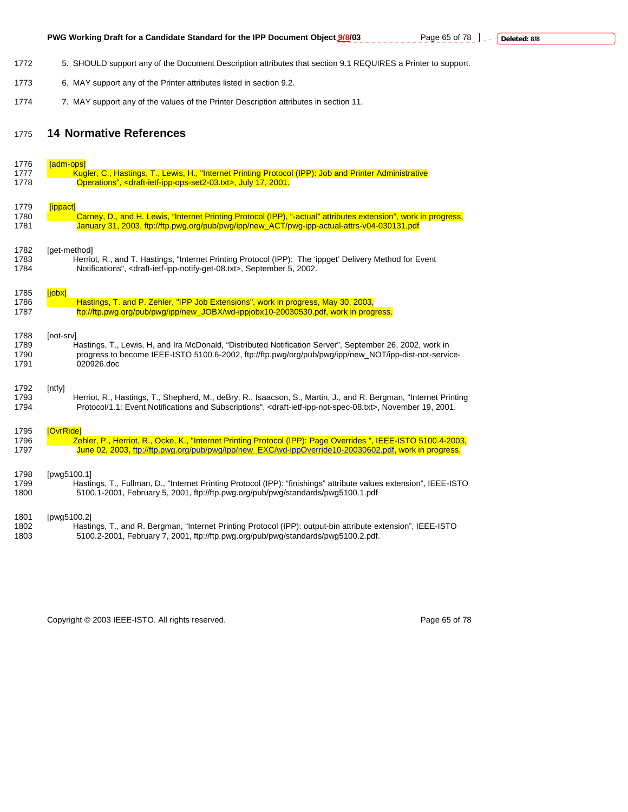- 1772 5. SHOULD support any of the Document Description attributes that section 9.1 REQUIRES a Printer to support.
- 1773 6. MAY support any of the Printer attributes listed in section 9.2.
- 1774 7. MAY support any of the values of the Printer Description attributes in section 11.

### 1775 **14 Normative References**

| 1776         | [adm-ops]                                                                                                                                                                                                               |
|--------------|-------------------------------------------------------------------------------------------------------------------------------------------------------------------------------------------------------------------------|
| 1777         | Kugler, C., Hastings, T., Lewis, H., "Internet Printing Protocol (IPP): Job and Printer Administrative                                                                                                                  |
| 1778         | Operations", <draft-ietf-ipp-ops-set2-03.txt>, July 17, 2001.</draft-ietf-ipp-ops-set2-03.txt>                                                                                                                          |
|              |                                                                                                                                                                                                                         |
| 1779<br>1780 | [ippact]<br>Carney, D., and H. Lewis, "Internet Printing Protocol (IPP), "-actual" attributes extension", work in progress,                                                                                             |
| 1781         | January 31, 2003, ftp://ftp.pwg.org/pub/pwg/ipp/new ACT/pwg-ipp-actual-attrs-v04-030131.pdf                                                                                                                             |
|              |                                                                                                                                                                                                                         |
| 1782         | [get-method]                                                                                                                                                                                                            |
| 1783         | Herriot, R., and T. Hastings, "Internet Printing Protocol (IPP): The 'ippget' Delivery Method for Event                                                                                                                 |
| 1784         | Notifications", <draft-ietf-ipp-notify-get-08.txt>, September 5, 2002.</draft-ietf-ipp-notify-get-08.txt>                                                                                                               |
| 1785         | <b>[iobx]</b>                                                                                                                                                                                                           |
| 1786         | Hastings, T. and P. Zehler, "IPP Job Extensions", work in progress, May 30, 2003,                                                                                                                                       |
| 1787         | ftp://ftp.pwg.org/pub/pwg/ipp/new_JOBX/wd-ippjobx10-20030530.pdf, work in progress.                                                                                                                                     |
| 1788         | [not-srv]                                                                                                                                                                                                               |
| 1789         | Hastings, T., Lewis, H, and Ira McDonald, "Distributed Notification Server", September 26, 2002, work in                                                                                                                |
| 1790         | progress to become IEEE-ISTO 5100.6-2002, ftp://ftp.pwg/org/pub/pwg/ipp/new NOT/ipp-dist-not-service-                                                                                                                   |
| 1791         | 020926.doc                                                                                                                                                                                                              |
|              |                                                                                                                                                                                                                         |
| 1792<br>1793 | [ntfy]<br>Herriot, R., Hastings, T., Shepherd, M., deBry, R., Isaacson, S., Martin, J., and R. Bergman, "Internet Printing                                                                                              |
| 1794         | Protocol/1.1: Event Notifications and Subscriptions", <draft-ietf-ipp-not-spec-08.txt>, November 19, 2001.</draft-ietf-ipp-not-spec-08.txt>                                                                             |
|              |                                                                                                                                                                                                                         |
| 1795         | [OvrRide]                                                                                                                                                                                                               |
| 1796<br>1797 | Zehler, P., Herriot, R., Ocke, K., "Internet Printing Protocol (IPP): Page Overrides ", IEEE-ISTO 5100.4-2003,<br>June 02, 2003, ftp://ftp.pwg.org/pub/pwg/ipp/new_EXC/wd-ippOverride10-20030602.pdf, work in progress. |
|              |                                                                                                                                                                                                                         |
| 1798         | [pwg5100.1]                                                                                                                                                                                                             |
| 1799         | Hastings, T., Fullman, D., "Internet Printing Protocol (IPP): "finishings" attribute values extension", IEEE-ISTO                                                                                                       |
| 1800         | 5100.1-2001, February 5, 2001, ftp://ftp.pwg.org/pub/pwg/standards/pwg5100.1.pdf                                                                                                                                        |
| 1801         | [pwg5100.2]                                                                                                                                                                                                             |
| 1802         | Hastings, T., and R. Bergman, "Internet Printing Protocol (IPP): output-bin attribute extension", IEEE-ISTO                                                                                                             |
| 1803         | 5100.2-2001, February 7, 2001, ftp://ftp.pwg.org/pub/pwg/standards/pwg5100.2.pdf.                                                                                                                                       |
|              |                                                                                                                                                                                                                         |

Copyright © 2003 IEEE-ISTO. All rights reserved. Copyright © 2003 IEEE-ISTO. All rights reserved.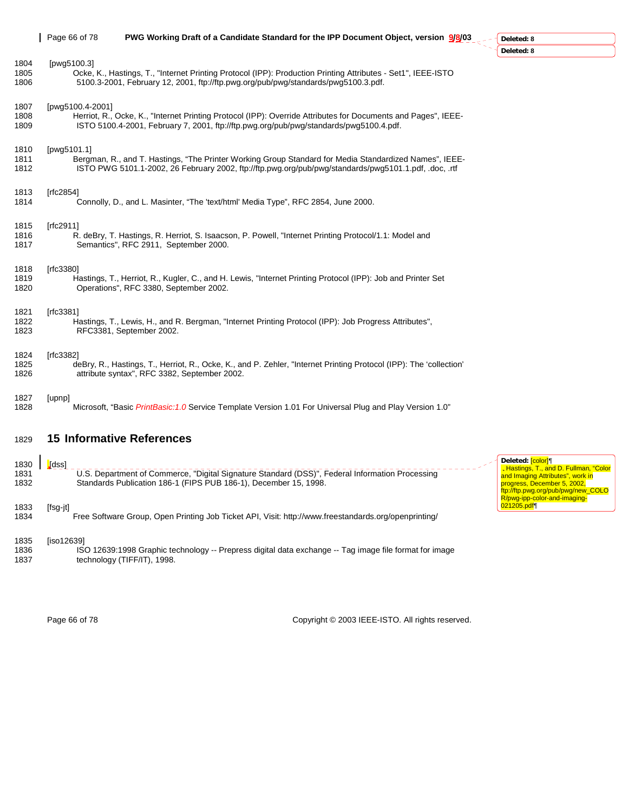|                      | Page 66 of 78        | PWG Working Draft of a Candidate Standard for the IPP Document Object, version 9/8/03                                                                                                                           | Deleted: 8                                                                                                                                   |
|----------------------|----------------------|-----------------------------------------------------------------------------------------------------------------------------------------------------------------------------------------------------------------|----------------------------------------------------------------------------------------------------------------------------------------------|
|                      |                      |                                                                                                                                                                                                                 | Deleted: 8                                                                                                                                   |
| 1804<br>1805<br>1806 | [pwg5100.3]          | Ocke, K., Hastings, T., "Internet Printing Protocol (IPP): Production Printing Attributes - Set1", IEEE-ISTO<br>5100.3-2001, February 12, 2001, ftp://ftp.pwg.org/pub/pwg/standards/pwg5100.3.pdf.              |                                                                                                                                              |
| 1807<br>1808<br>1809 | [pwg5100.4-2001]     | Herriot, R., Ocke, K., "Internet Printing Protocol (IPP): Override Attributes for Documents and Pages", IEEE-<br>ISTO 5100.4-2001, February 7, 2001, ftp://ftp.pwg.org/pub/pwg/standards/pwg5100.4.pdf.         |                                                                                                                                              |
| 1810<br>1811<br>1812 | [pwg5101.1]          | Bergman, R., and T. Hastings, "The Printer Working Group Standard for Media Standardized Names", IEEE-<br>ISTO PWG 5101.1-2002, 26 February 2002, ftp://ftp.pwg.org/pub/pwg/standards/pwg5101.1.pdf, .doc, .rtf |                                                                                                                                              |
| 1813<br>1814         | [rfc2854]            | Connolly, D., and L. Masinter, "The 'text/html' Media Type", RFC 2854, June 2000.                                                                                                                               |                                                                                                                                              |
| 1815<br>1816<br>1817 | [rfc2911]            | R. deBry, T. Hastings, R. Herriot, S. Isaacson, P. Powell, "Internet Printing Protocol/1.1: Model and<br>Semantics", RFC 2911, September 2000.                                                                  |                                                                                                                                              |
| 1818<br>1819<br>1820 | [rfc3380]            | Hastings, T., Herriot, R., Kugler, C., and H. Lewis, "Internet Printing Protocol (IPP): Job and Printer Set<br>Operations", RFC 3380, September 2002.                                                           |                                                                                                                                              |
| 1821<br>1822<br>1823 | [rfc3381]            | Hastings, T., Lewis, H., and R. Bergman, "Internet Printing Protocol (IPP): Job Progress Attributes",<br>RFC3381, September 2002.                                                                               |                                                                                                                                              |
| 1824<br>1825<br>1826 | [rfc3382]            | deBry, R., Hastings, T., Herriot, R., Ocke, K., and P. Zehler, "Internet Printing Protocol (IPP): The 'collection'<br>attribute syntax", RFC 3382, September 2002.                                              |                                                                                                                                              |
| 1827<br>1828         | [upnp]               | "Microsoft, "Basic <i>PrintBasic:1.0</i> Service Template Version 1.01 For Universal Plug and Play Version 1.0                                                                                                  |                                                                                                                                              |
| 1829                 |                      | <b>15 Informative References</b>                                                                                                                                                                                |                                                                                                                                              |
| 1830<br>1831<br>1832 | <mark>.</mark> [dss] | U.S. Department of Commerce, "Digital Signature Standard (DSS)", Federal Information Processing<br>Standards Publication 186-1 (FIPS PUB 186-1), December 15, 1998.                                             | Deleted: <mark>[color]</mark> ¶<br>. Hastings, T., and D. F<br>and Imaging Attributes",<br>progress, December 5,<br>ftp://ftp.pwg.org/pub/pw |
| 1833<br>1834         | $[fsg-jt]$           | Free Software Group, Open Printing Job Ticket API, Visit: http://www.freestandards.org/openprinting/                                                                                                            | R/pwg-ipp-color-and-ima<br>021205.pdf                                                                                                        |

1835 [iso12639] 1836 ISO 12639:1998 Graphic technology -- Prepress digital data exchange -- Tag image file format for image 1837 technology (TIFF/IT), 1998.

. Hastings, T., and D. Fullman, "Color<br>and Imaging Attributes", work in<br>progress, December 5, 2002,<br>ftp://ftp.pwg.org/pub/pwg/new\_COLO<br>R/pwg-ipp-color-and-imaging-

Page 66 of 78 Copyright © 2003 IEEE-ISTO. All rights reserved.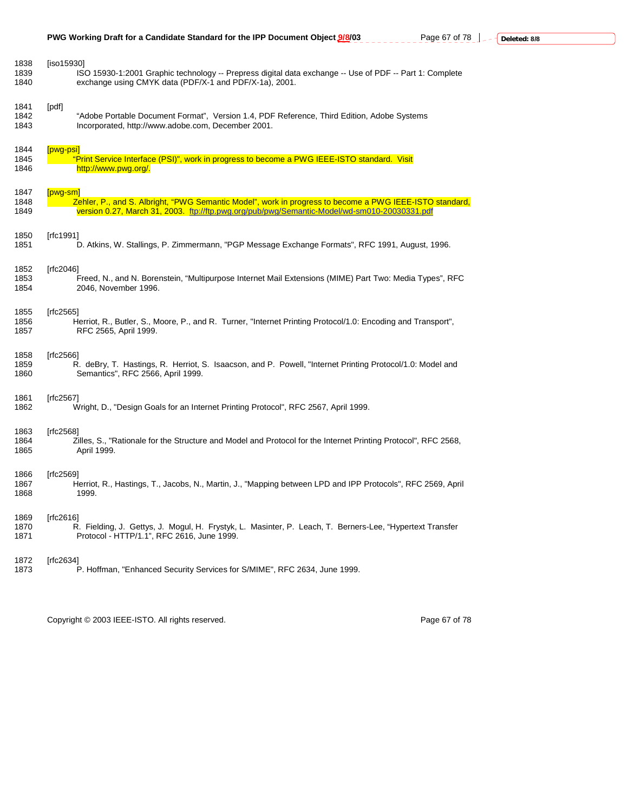| 1838 | $[iso15930]$                                                                                                   |
|------|----------------------------------------------------------------------------------------------------------------|
| 1839 | ISO 15930-1:2001 Graphic technology -- Prepress digital data exchange -- Use of PDF -- Part 1: Complete        |
| 1840 | exchange using CMYK data (PDF/X-1 and PDF/X-1a), 2001.                                                         |
| 1841 | [pdf]                                                                                                          |
| 1842 | "Adobe Portable Document Format", Version 1.4, PDF Reference, Third Edition, Adobe Systems                     |
| 1843 | Incorporated, http://www.adobe.com, December 2001.                                                             |
| 1844 | $[pwg-psi]$                                                                                                    |
| 1845 | "Print Service Interface (PSI)", work in progress to become a PWG IEEE-ISTO standard. Visit                    |
| 1846 | http://www.pwg.org/.                                                                                           |
| 1847 | $[pwq-sm]$                                                                                                     |
| 1848 | Zehler, P., and S. Albright, "PWG Semantic Model", work in progress to become a PWG IEEE-ISTO standard,        |
| 1849 | version 0.27, March 31, 2003. ftp://ftp.pwg.org/pub/pwg/Semantic-Model/wd-sm010-20030331.pdf                   |
| 1850 | [rfc1991]                                                                                                      |
| 1851 | D. Atkins, W. Stallings, P. Zimmermann, "PGP Message Exchange Formats", RFC 1991, August, 1996.                |
| 1852 | [rfc2046]                                                                                                      |
| 1853 | Freed, N., and N. Borenstein, "Multipurpose Internet Mail Extensions (MIME) Part Two: Media Types", RFC        |
| 1854 | 2046, November 1996.                                                                                           |
| 1855 | [rfc2565]                                                                                                      |
| 1856 | Herriot, R., Butler, S., Moore, P., and R. Turner, "Internet Printing Protocol/1.0: Encoding and Transport",   |
| 1857 | RFC 2565, April 1999.                                                                                          |
| 1858 | [ $rfc2566$ ]                                                                                                  |
| 1859 | R. deBry, T. Hastings, R. Herriot, S. Isaacson, and P. Powell, "Internet Printing Protocol/1.0: Model and      |
| 1860 | Semantics", RFC 2566, April 1999.                                                                              |
| 1861 | [rfc2567]                                                                                                      |
| 1862 | Wright, D., "Design Goals for an Internet Printing Protocol", RFC 2567, April 1999.                            |
| 1863 | [rfc2568]                                                                                                      |
| 1864 | Zilles, S., "Rationale for the Structure and Model and Protocol for the Internet Printing Protocol", RFC 2568, |
| 1865 | April 1999.                                                                                                    |
| 1866 | [rfc2569]                                                                                                      |
| 1867 | Herriot, R., Hastings, T., Jacobs, N., Martin, J., "Mapping between LPD and IPP Protocols", RFC 2569, April    |
| 1868 | 1999.                                                                                                          |
| 1869 | [rfc2616]                                                                                                      |
| 1870 | R. Fielding, J. Gettys, J. Mogul, H. Frystyk, L. Masinter, P. Leach, T. Berners-Lee, "Hypertext Transfer       |
| 1871 | Protocol - HTTP/1.1", RFC 2616, June 1999.                                                                     |
| 1872 | [rfc2634]                                                                                                      |
| 1873 | P. Hoffman, "Enhanced Security Services for S/MIME", RFC 2634, June 1999.                                      |

Copyright © 2003 IEEE-ISTO. All rights reserved. example 2003 2003 Page 67 of 78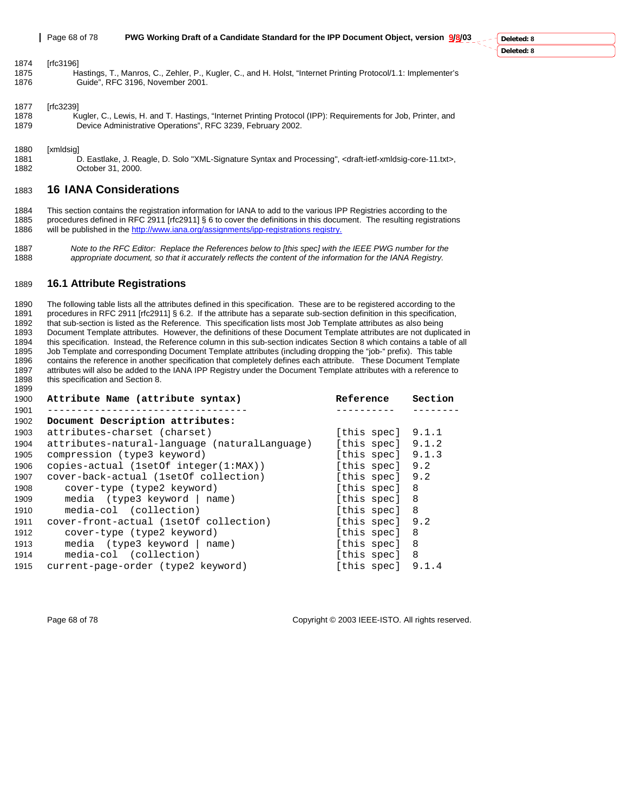#### 1874 [rfc3196]

1875 Hastings, T., Manros, C., Zehler, P., Kugler, C., and H. Holst, "Internet Printing Protocol/1.1: Implementer's 1876 Guide", RFC 3196, November 2001.

#### 1877 [rfc3239]

1878 Kugler, C., Lewis, H. and T. Hastings, "Internet Printing Protocol (IPP): Requirements for Job, Printer, and 1879 Device Administrative Operations", RFC 3239, February 2002.

#### 1880 [xmldsig]

1899

1881 D. Eastlake, J. Reagle, D. Solo "XML-Signature Syntax and Processing", <draft-ietf-xmldsig-core-11.txt>,<br>1882 Qatober 31, 2000. October 31, 2000.

### 1883 **16 IANA Considerations**

- 1884 This section contains the registration information for IANA to add to the various IPP Registries according to the procedures defined in RFC 2911 [rfc2911] § 6 to cover the definitions in this document. The resulting registrations 1886 will be published in the http://www.iana.org/assignments/ipp-registrations registry.
- 1887 *Note to the RFC Editor: Replace the References below to [this spec] with the IEEE PWG number for the*  1888 *appropriate document, so that it accurately reflects the content of the information for the IANA Registry.*

#### 1889 **16.1 Attribute Registrations**

1890 The following table lists all the attributes defined in this specification. These are to be registered according to the 1891 procedures in RFC 2911 [rfc2911] § 6.2. If the attribute has a separate sub-section definition in this specification, 1892 that sub-section is listed as the Reference. This specification lists most Job Template attributes as also being<br>1893 Document Template attributes. However, the definitions of these Document Template attributes are no 1893 Document Template attributes. However, the definitions of these Document Template attributes are not duplicated in<br>1894 this specification. Instead, the Reference column in this sub-section indicates Section 8 which c this specification. Instead, the Reference column in this sub-section indicates Section 8 which contains a table of all 1895 Job Template and corresponding Document Template attributes (including dropping the "job-" prefix). This table<br>1896 Contains the reference in another specification that completely defines each attribute. These Doc contains the reference in another specification that completely defines each attribute. These Document Template 1897 attributes will also be added to the IANA IPP Registry under the Document Template attributes with a reference to 1898 this specification and Section 8. this specification and Section 8.

| 1900 | Attribute Name (attribute syntax)             | Reference           | Section |
|------|-----------------------------------------------|---------------------|---------|
| 1901 |                                               |                     |         |
| 1902 | Document Description attributes:              |                     |         |
| 1903 | attributes-charset (charset)                  | [this spec] $9.1.1$ |         |
| 1904 | attributes-natural-language (naturalLanguage) | [this spec] $9.1.2$ |         |
| 1905 | compression (type3 keyword)                   | [this spec] $9.1.3$ |         |
| 1906 | $copies$ -actual (1setOf integer(1:MAX))      | [this spec]         | 9.2     |
| 1907 | cover-back-actual (1setOf collection)         | [this spec] 9.2     |         |
| 1908 | cover-type (type2 keyword)                    | [this spec] 8       |         |
| 1909 | media $(type3$ keyword $ name)$               | [this spec] 8       |         |
| 1910 | media-col (collection)                        | [this spec] 8       |         |
| 1911 | cover-front-actual (1setOf collection)        | [this spec] 9.2     |         |
| 1912 | cover-type (type2 keyword)                    | [this spec] 8       |         |
| 1913 | $media$ (type3 keyword   name)                | [this spec] 8       |         |
| 1914 | media-col (collection)                        | [this spec] 8       |         |
| 1915 | current-page-order (type2 keyword)            | [this spec]         | 9.1.4   |
|      |                                               |                     |         |

Page 68 of 78 Copyright © 2003 IEEE-ISTO. All rights reserved.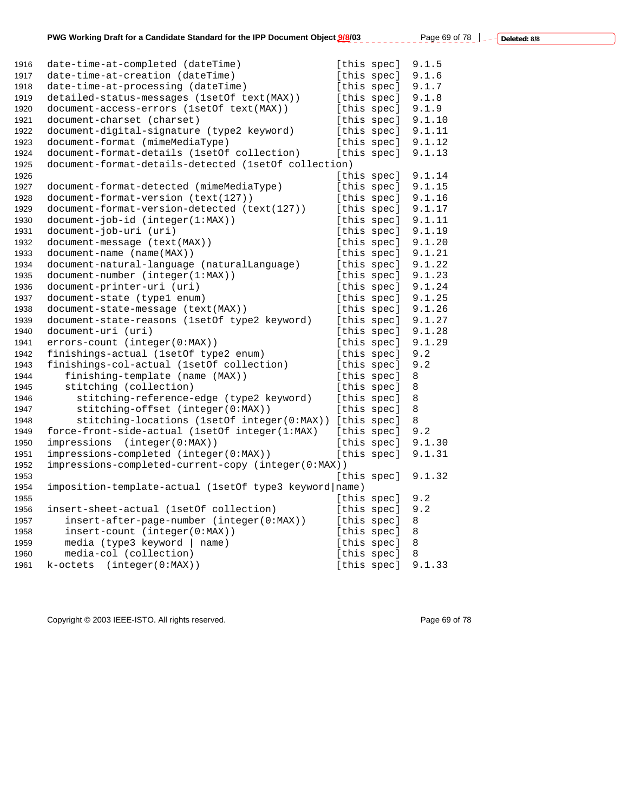| 1916 | date-time-at-completed (dateTime)                      | [this spec] | 9.1.5  |
|------|--------------------------------------------------------|-------------|--------|
| 1917 | date-time-at-creation (dateTime)                       | [this spec] | 9.1.6  |
| 1918 | date-time-at-processing (dateTime)                     | [this spec] | 9.1.7  |
| 1919 | detailed-status-messages (lsetOf text(MAX))            | [this spec] | 9.1.8  |
| 1920 | document-access-errors (1setOf text(MAX))              | [this spec] | 9.1.9  |
| 1921 | document-charset (charset)                             | [this spec] | 9.1.10 |
| 1922 | document-digital-signature (type2 keyword)             | [this spec] | 9.1.11 |
| 1923 | document-format (mimeMediaType)                        | [this spec] | 9.1.12 |
| 1924 | document-format-details (1setOf collection)            | [this spec] | 9.1.13 |
| 1925 | document-format-details-detected (1set0f collection)   |             |        |
| 1926 |                                                        | [this spec] | 9.1.14 |
| 1927 | document-format-detected (mimeMediaType)               | [this spec] | 9.1.15 |
| 1928 | document-format-version (text(127))                    | [this spec] | 9.1.16 |
| 1929 | document-format-version-detected (text(127))           | [this spec] | 9.1.17 |
| 1930 | document-job-id (integer(1:MAX))                       | [this spec] | 9.1.11 |
| 1931 | document-job-uri (uri)                                 | [this spec] | 9.1.19 |
| 1932 | document-message (text(MAX))                           | [this spec] | 9.1.20 |
| 1933 | document-name (name(MAX))                              | [this spec] | 9.1.21 |
| 1934 | document-natural-language (naturalLanguage)            | [this spec] | 9.1.22 |
| 1935 | $document-number (integer(1:MAX))$                     | [this spec] | 9.1.23 |
| 1936 | document-printer-uri (uri)                             | [this spec] | 9.1.24 |
| 1937 | document-state (type1 enum)                            | [this spec] | 9.1.25 |
| 1938 | document-state-message (text(MAX))                     | [this spec] | 9.1.26 |
| 1939 | document-state-reasons (1setOf type2 keyword)          | [this spec] | 9.1.27 |
| 1940 | document-uri (uri)                                     | [this spec] | 9.1.28 |
| 1941 | errors-count (integer(0:MAX))                          | [this spec] | 9.1.29 |
| 1942 | finishings-actual (1setOf type2 enum)                  | [this spec] | 9.2    |
| 1943 | finishings-col-actual (1setOf collection)              | [this spec] | 9.2    |
| 1944 | finishing-template (name (MAX))                        | [this spec] | 8      |
| 1945 | stitching (collection)                                 | [this spec] | 8      |
| 1946 | stitching-reference-edge (type2 keyword)               | [this spec] | 8      |
| 1947 | stitching-offset (integer(0:MAX))                      | [this spec] | 8      |
| 1948 | stitching-locations (1setOf integer(0:MAX))            | [this spec] | 8      |
| 1949 | force-front-side-actual (1setOf integer(1:MAX)         | [this spec] | 9.2    |
| 1950 | impressions<br>(integer(0:MAX))                        | [this spec] | 9.1.30 |
| 1951 | impressions-completed (integer(0:MAX))                 | [this spec] | 9.1.31 |
| 1952 | impressions-completed-current-copy (integer(0:MAX))    |             |        |
| 1953 |                                                        | [this spec] | 9.1.32 |
| 1954 | imposition-template-actual (1setOf type3 keyword name) |             |        |
| 1955 |                                                        | [this spec] | 9.2    |
| 1956 | insert-sheet-actual (1setOf collection)                | [this spec] | 9.2    |
| 1957 | insert-after-page-number (integer(0:MAX))              | [this spec] | 8      |
| 1958 | insert-count (integer(0:MAX))                          | [this spec] | 8      |
| 1959 | media (type3 keyword   name)                           | [this spec] | 8      |
| 1960 | media-col (collection)                                 | [this spec] | 8      |
| 1961 | k-octets (integer(0:MAX))                              | [this spec] | 9.1.33 |

Copyright © 2003 IEEE-ISTO. All rights reserved. <br>
Page 69 of 78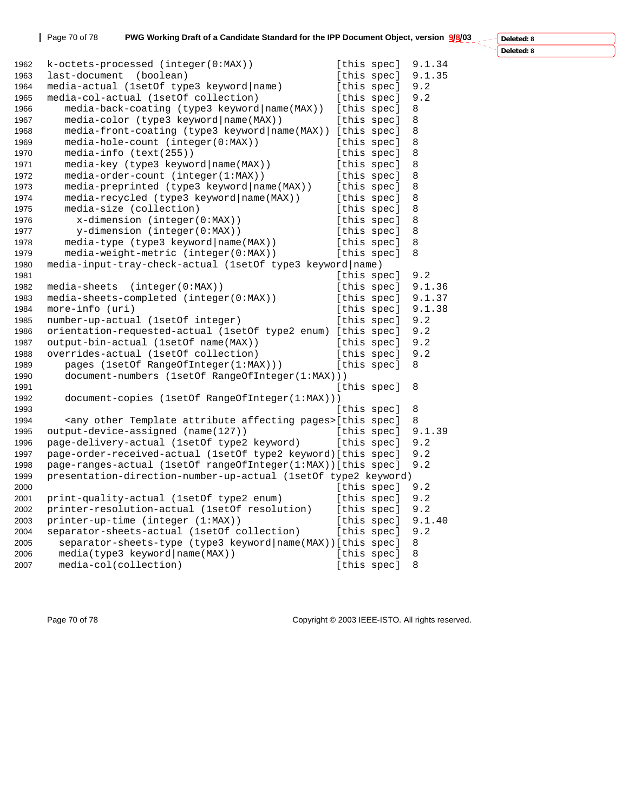Page 70 of 78 **PWG Working Draft of a Candidate Standard for the IPP Document Object, version 9/8/03** 

**Deleted: 8**

**Deleted: 8**

 $\ddot{\phantom{1}}$ 

| 1962 | k-octets-processed (integer(0:MAX))                                            | [this spec] | 9.1.34 |
|------|--------------------------------------------------------------------------------|-------------|--------|
| 1963 | last-document (boolean)                                                        | [this spec] | 9.1.35 |
| 1964 | media-actual (1setOf type3 keyword name)                                       | [this spec] | 9.2    |
| 1965 | media-col-actual (1setOf collection)                                           | [this spec] | 9.2    |
| 1966 | media-back-coating (type3 keyword   name (MAX))                                | [this spec] | 8      |
| 1967 | media-color (type3 keyword   name (MAX) )                                      | [this spec] | 8      |
| 1968 | media-front-coating (type3 keyword name (MAX)) [this spec]                     |             | 8      |
| 1969 | media-hole-count (integer(0:MAX))                                              | [this spec] | 8      |
| 1970 | media-info (text(255))                                                         | [this spec] | 8      |
| 1971 | media-key (type3 keyword   name (MAX))                                         | [this spec] | 8      |
| 1972 | media-order-count (integer(1:MAX))                                             | [this spec] | 8      |
| 1973 | media-preprinted (type3 keyword   name (MAX))                                  | [this spec] | 8      |
| 1974 | media-recycled (type3 keyword   name (MAX) )                                   | [this spec] | 8      |
| 1975 | media-size (collection)                                                        | [this spec] | 8      |
| 1976 | x-dimension (integer(0:MAX))                                                   | [this spec] | 8      |
| 1977 | y-dimension (integer(0:MAX))                                                   | [this spec] | 8      |
| 1978 | media-type (type3 keyword   name(MAX))                                         | [this spec] | 8      |
| 1979 | media-weight-metric (integer(0:MAX))                                           | [this spec] | 8      |
| 1980 | media-input-tray-check-actual (1setOf type3 keyword name)                      |             |        |
| 1981 |                                                                                | [this spec] | 9.2    |
| 1982 | media-sheets<br>(integer(0:MAX))                                               | [this spec] | 9.1.36 |
| 1983 | media-sheets-completed (integer(0:MAX))                                        | [this spec] | 9.1.37 |
| 1984 | more-info (uri)                                                                | [this spec] | 9.1.38 |
| 1985 | number-up-actual (1setOf integer)                                              | [this spec] | 9.2    |
| 1986 | orientation-requested-actual (1setOf type2 enum) [this spec]                   |             | 9.2    |
| 1987 | output-bin-actual (1setOf name(MAX))                                           | [this spec] | 9.2    |
| 1988 | overrides-actual (1setOf collection)                                           | [this spec] | 9.2    |
| 1989 | pages (1setOf RangeOfInteger(1:MAX)))                                          | [this spec] | 8      |
| 1990 | document-numbers (1setOf RangeOfInteger(1:MAX)))                               |             |        |
| 1991 |                                                                                | [this spec] | 8      |
| 1992 | document-copies (1setOf RangeOfInteger(1:MAX)))                                |             |        |
| 1993 |                                                                                | [this spec] | 8      |
| 1994 | <any affecting="" attribute="" other="" pages="" template="">[this spec]</any> |             | 8      |
| 1995 | output-device-assigned (name(127))                                             | [this spec] | 9.1.39 |
| 1996 | page-delivery-actual (1setOf type2 keyword)                                    | [this spec] | 9.2    |
| 1997 | page-order-received-actual (1setOf type2 keyword)[this spec]                   |             | 9.2    |
| 1998 | page-ranges-actual (1setOf rangeOfInteger(1:MAX))[this spec]                   |             | 9.2    |
| 1999 | presentation-direction-number-up-actual (1setOf type2 keyword)                 |             |        |
| 2000 |                                                                                | [this spec] | 9.2    |
| 2001 | print-quality-actual (1setOf type2 enum)                                       | [this spec] | 9.2    |
| 2002 | printer-resolution-actual (1set0f resolution)                                  | [this spec] | 9.2    |
| 2003 | printer-up-time (integer (1:MAX))                                              | [this spec] | 9.1.40 |
| 2004 | separator-sheets-actual (1setOf collection)                                    | [this spec] | 9.2    |
| 2005 | separator-sheets-type (type3 keyword   name (MAX) ) [this spec]                |             | 8      |
| 2006 | median(type3 keyword name(MAX))                                                | [this spec] | 8      |
| 2007 | media-col(collection)                                                          | [this spec] | 8      |
|      |                                                                                |             |        |

Page 70 of 78 Copyright © 2003 IEEE-ISTO. All rights reserved.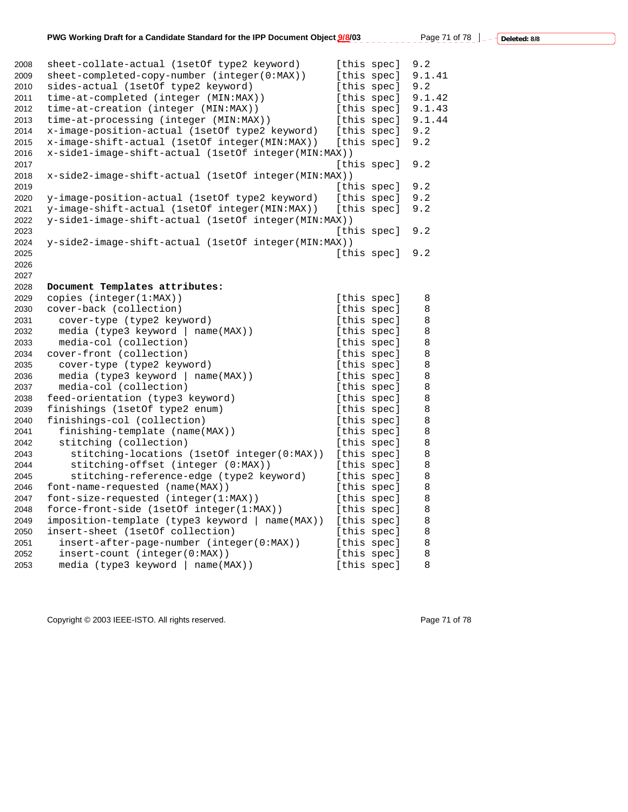| 2008 | sheet-collate-actual (1setOf type2 keyword)          |             | [this spec] | 9.2    |
|------|------------------------------------------------------|-------------|-------------|--------|
| 2009 | sheet-completed-copy-number (integer(0:MAX))         | [this spec] |             | 9.1.41 |
| 2010 | sides-actual (1setOf type2 keyword)                  |             | [this spec] | 9.2    |
| 2011 | time-at-completed (integer (MIN:MAX))                |             | [this spec] | 9.1.42 |
| 2012 | time-at-creation (integer (MIN:MAX))                 | [this spec] |             | 9.1.43 |
| 2013 | time-at-processing (integer (MIN:MAX))               | [this spec] |             | 9.1.44 |
| 2014 | x-image-position-actual (1set of type2 keyword)      | [this spec] |             | 9.2    |
| 2015 | x-image-shift-actual (1setOf integer(MIN:MAX))       |             | [this spec] | 9.2    |
| 2016 | x-sidel-image-shift-actual (1setOf integer(MIN:MAX)) |             |             |        |
| 2017 |                                                      |             | [this spec] | 9.2    |
| 2018 | x-side2-image-shift-actual (1setOf integer(MIN:MAX)) |             |             |        |
| 2019 |                                                      |             | [this spec] | 9.2    |
| 2020 | y-image-position-actual (1setOf type2 keyword)       | [this spec] |             | 9.2    |
| 2021 | y-image-shift-actual (1setOf integer(MIN:MAX))       |             | [this spec] | 9.2    |
| 2022 | y-side1-image-shift-actual (1setOf integer(MIN:MAX)) |             |             |        |
| 2023 |                                                      | [this spec] |             | 9.2    |
| 2024 | y-side2-image-shift-actual (1setOf integer(MIN:MAX)) |             |             |        |
| 2025 |                                                      | [this spec] |             | 9.2    |
| 2026 |                                                      |             |             |        |
| 2027 |                                                      |             |             |        |
| 2028 | Document Templates attributes:                       |             |             |        |
| 2029 | copies (integer(1:MAX))                              | [this spec] |             | 8      |
| 2030 | cover-back (collection)                              | [this spec] |             | 8      |
| 2031 | cover-type (type2 keyword)                           | [this spec] |             | 8      |
| 2032 | media (type3 keyword   name(MAX))                    | [this spec] |             | 8      |
| 2033 | media-col (collection)                               | [this spec] |             | 8      |
| 2034 | cover-front (collection)                             | [this spec] |             | 8      |
| 2035 | cover-type (type2 keyword)                           | [this spec] |             | 8      |
| 2036 | media (type3 keyword   name(MAX))                    | [this spec] |             | 8      |
| 2037 | media-col (collection)                               | [this spec] |             | 8      |
| 2038 | feed-orientation (type3 keyword)                     | [this spec] |             | 8      |
| 2039 | finishings (1setOf type2 enum)                       | [this spec] |             | 8      |
| 2040 | finishings-col (collection)                          |             | [this spec] | 8      |
| 2041 | finishing-template (name(MAX))                       | [this spec] |             | 8      |
| 2042 | stitching (collection)                               | [this spec] |             | 8      |
| 2043 | stitching-locations (1setOf integer(0:MAX))          | [this spec] |             | 8      |
| 2044 | stitching-offset (integer (0:MAX))                   | [this spec] |             | 8      |
| 2045 | stitching-reference-edge (type2 keyword)             | [this spec] |             | 8      |
| 2046 | font-name-requested (name(MAX))                      |             | [this spec] | 8      |
| 2047 | font-size-requested (integer(1:MAX))                 | [this spec] |             | 8      |
|      |                                                      |             |             | 8      |
| 2048 | force-front-side (1setOf integer(1:MAX))             | [this spec] |             |        |
| 2049 | imposition-template (type3 keyword   name(MAX))      | [this spec] |             | 8      |
| 2050 | insert-sheet (1setOf collection)                     |             | [this spec] | 8      |
| 2051 | insert-after-page-number (integer(0:MAX))            | [this spec] |             | 8      |
| 2052 | insert-count (integer(0:MAX))                        | [this spec] |             | 8      |
| 2053 | media (type3 keyword   name(MAX))                    | [this spec] |             | 8      |

Copyright © 2003 IEEE-ISTO. All rights reserved. example 2003 2003 Page 71 of 78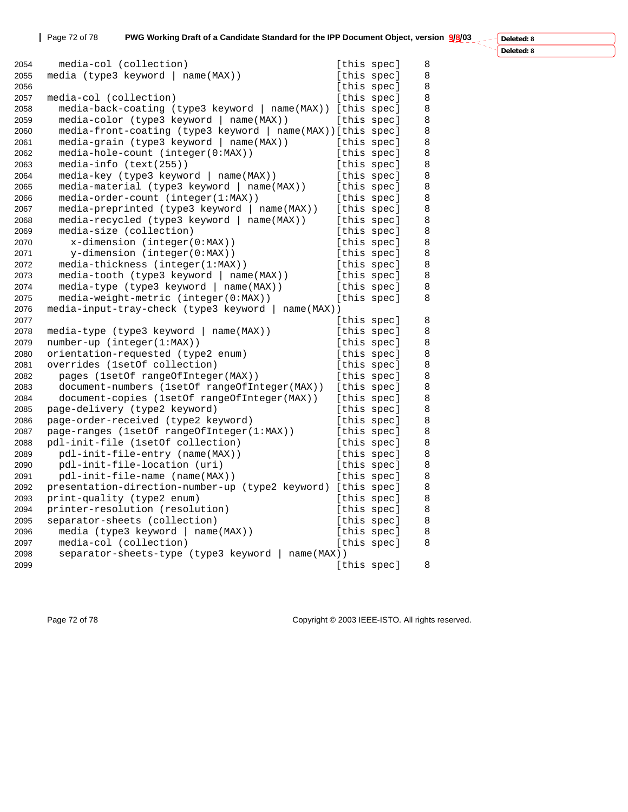**Deleted: 8**

| heten∙ |
|--------|

| 2054 | media-col (collection)                                       | [this spec] |             | 8 |
|------|--------------------------------------------------------------|-------------|-------------|---|
| 2055 | media (type3 keyword   name(MAX))                            | [this spec] |             | 8 |
| 2056 |                                                              |             | [this spec] | 8 |
| 2057 | media-col (collection)                                       | [this spec] |             | 8 |
| 2058 | media-back-coating (type3 keyword   name(MAX)) [this spec]   |             |             | 8 |
| 2059 | media-color (type3 keyword   name(MAX))                      | [this spec] |             | 8 |
| 2060 | media-front-coating (type3 keyword   name(MAX)) [this spec]  |             |             | 8 |
| 2061 | media-grain (type3 keyword   name(MAX))                      | [this spec] |             | 8 |
| 2062 | media-hole-count (integer(0:MAX))                            | [this spec] |             | 8 |
| 2063 | media-info (text(255))                                       | [this spec] |             | 8 |
| 2064 | media-key (type3 keyword   name(MAX))                        | [this spec] |             | 8 |
| 2065 | media-material (type3 keyword   name(MAX))                   | [this spec] |             | 8 |
| 2066 | media-order-count (integer(1:MAX))                           |             | [this spec] | 8 |
| 2067 | media-preprinted (type3 keyword   name(MAX))                 | [this spec] |             | 8 |
| 2068 | media-recycled (type3 keyword   name(MAX))                   | [this spec] |             | 8 |
| 2069 | media-size (collection)                                      | [this spec] |             | 8 |
| 2070 | $x$ -dimension (integer( $0:MAX$ ))                          | [this spec] |             | 8 |
| 2071 | y-dimension (integer(0:MAX))                                 | [this spec] |             | 8 |
| 2072 | media-thickness (integer(1:MAX))                             | [this spec] |             | 8 |
| 2073 | media-tooth (type3 keyword   name(MAX))                      | [this spec] |             | 8 |
| 2074 | media-type (type3 keyword   name(MAX))                       |             | [this spec] | 8 |
| 2075 | media-weight-metric (integer(0:MAX))                         | [this spec] |             | 8 |
| 2076 | media-input-tray-check (type3 keyword   name(MAX))           |             |             |   |
| 2077 |                                                              | [this spec] |             | 8 |
| 2078 | media-type (type3 keyword   name(MAX))                       | [this spec] |             | 8 |
| 2079 | number-up (integer(1:MAX))                                   | [this spec] |             | 8 |
| 2080 | orientation-requested (type2 enum)                           | [this spec] |             | 8 |
| 2081 | overrides (1setOf collection)                                | [this spec] |             | 8 |
| 2082 | pages (1setOf rangeOfInteger(MAX))                           | [this spec] |             | 8 |
| 2083 | document-numbers (1setOf rangeOfInteger(MAX))                | [this spec] |             | 8 |
| 2084 | document-copies (1setOf rangeOfInteger(MAX))                 | [this spec] |             | 8 |
| 2085 | page-delivery (type2 keyword)                                | [this spec] |             | 8 |
| 2086 | page-order-received (type2 keyword)                          | [this spec] |             | 8 |
| 2087 | page-ranges (1setOf rangeOfInteger(1:MAX))                   | [this spec] |             | 8 |
| 2088 | pdl-init-file (1setOf collection)                            | [this spec] |             | 8 |
| 2089 | pdl-init-file-entry (name(MAX))                              | [this spec] |             | 8 |
| 2090 | pdl-init-file-location (uri)                                 | [this spec] |             | 8 |
| 2091 | pdl-init-file-name (name(MAX))                               | [this spec] |             | 8 |
| 2092 | presentation-direction-number-up (type2 keyword) [this spec] |             |             | 8 |
| 2093 | print-quality (type2 enum)                                   | [this spec] |             | 8 |
| 2094 | printer-resolution (resolution)                              | [this spec] |             | 8 |
| 2095 | separator-sheets (collection)                                | [this spec] |             | 8 |
| 2096 | media (type3 keyword   name(MAX))                            | [this spec] |             | 8 |
| 2097 | media-col (collection)                                       | [this spec] |             | 8 |
| 2098 | separator-sheets-type (type3 keyword   name(MAX))            |             |             |   |
| 2099 |                                                              | [this spec] |             | 8 |
|      |                                                              |             |             |   |

Page 72 of 78 Copyright © 2003 IEEE-ISTO. All rights reserved.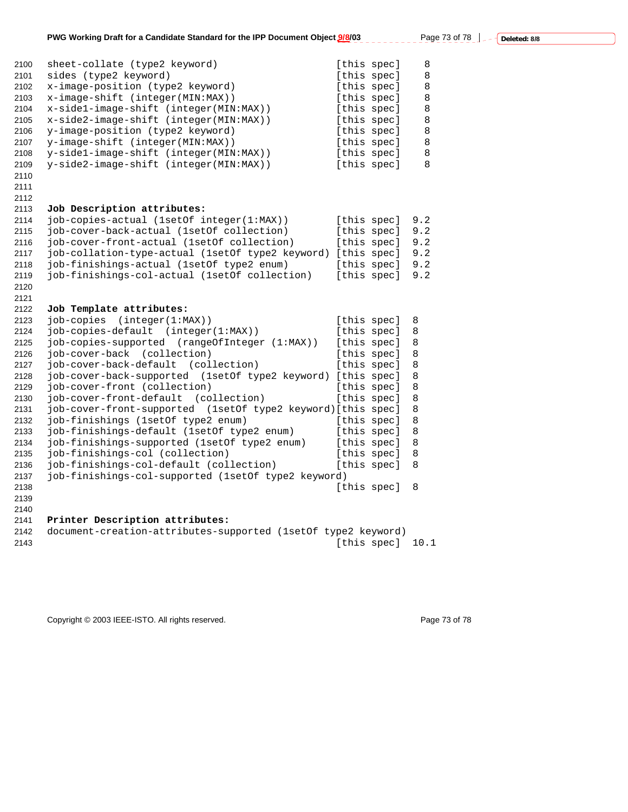| 2100 | sheet-collate (type2 keyword)                                 |             | [this spec] | 8    |
|------|---------------------------------------------------------------|-------------|-------------|------|
| 2101 | sides (type2 keyword)                                         |             | [this spec] | 8    |
| 2102 | x-image-position (type2 keyword)                              |             | [this spec] | 8    |
| 2103 | x-image-shift (integer(MIN:MAX))                              | [this spec] |             | 8    |
| 2104 | x-sidel-image-shift (integer(MIN:MAX))                        | [this spec] |             | 8    |
| 2105 | x-side2-image-shift (integer(MIN:MAX))                        |             | [this spec] | 8    |
| 2106 | y-image-position (type2 keyword)                              |             | [this spec] | 8    |
| 2107 | y-image-shift (integer(MIN:MAX))                              |             | [this spec] | 8    |
| 2108 | y-sidel-image-shift (integer(MIN:MAX))                        |             | [this spec] | 8    |
| 2109 | y-side2-image-shift (integer(MIN:MAX))                        | [this spec] |             | 8    |
| 2110 |                                                               |             |             |      |
| 2111 |                                                               |             |             |      |
| 2112 |                                                               |             |             |      |
| 2113 | Job Description attributes:                                   |             |             |      |
| 2114 | job-copies-actual (1setOf integer(1:MAX))                     |             | [this spec] | 9.2  |
| 2115 | job-cover-back-actual (1setOf collection)                     |             | [this spec] | 9.2  |
| 2116 | job-cover-front-actual (1setOf collection)                    |             | [this spec] | 9.2  |
| 2117 | job-collation-type-actual (1setOf type2 keyword) [this spec]  |             |             | 9.2  |
| 2118 | job-finishings-actual (1setOf type2 enum)                     |             | [this spec] | 9.2  |
| 2119 | job-finishings-col-actual (1setOf collection)                 |             | [this spec] | 9.2  |
| 2120 |                                                               |             |             |      |
| 2121 |                                                               |             |             |      |
| 2122 | Job Template attributes:                                      |             |             |      |
| 2123 | job-copies (integer(1:MAX))                                   |             | [this spec] | 8    |
| 2124 | job-copies-default (integer(1:MAX))                           |             | [this spec] | 8    |
| 2125 | job-copies-supported (rangeOfInteger (1:MAX))                 |             | [this spec] | 8    |
| 2126 | (collection)<br>job-cover-back                                |             | [this spec] | 8    |
| 2127 | job-cover-back-default<br>(collection)                        |             | [this spec] | 8    |
| 2128 | job-cover-back-supported (1setOf type2 keyword) [this spec]   |             |             | 8    |
| 2129 | job-cover-front (collection)                                  |             | [this spec] | 8    |
| 2130 | job-cover-front-default (collection)                          |             | [this spec] | 8    |
| 2131 | job-cover-front-supported (1setOf type2 keyword)[this spec]   |             |             | 8    |
| 2132 | job-finishings (1setOf type2 enum)                            |             | [this spec] | 8    |
| 2133 | job-finishings-default (1setOf type2 enum)                    |             | [this spec] | 8    |
| 2134 | job-finishings-supported (1setOf type2 enum)                  |             | [this spec] | 8    |
| 2135 | job-finishings-col (collection)                               |             | [this spec] | 8    |
|      | job-finishings-col-default (collection)                       |             | [this spec] | 8    |
| 2136 |                                                               |             |             |      |
| 2137 | job-finishings-col-supported (1setOf type2 keyword)           |             |             |      |
| 2138 |                                                               |             | [this spec] | 8    |
| 2139 |                                                               |             |             |      |
| 2140 |                                                               |             |             |      |
| 2141 | Printer Description attributes:                               |             |             |      |
| 2142 | document-creation-attributes-supported (1setOf type2 keyword) |             |             |      |
| 2143 |                                                               |             | [this spec] | 10.1 |

Copyright © 2003 IEEE-ISTO. All rights reserved. example 2003 2003 Page 73 of 78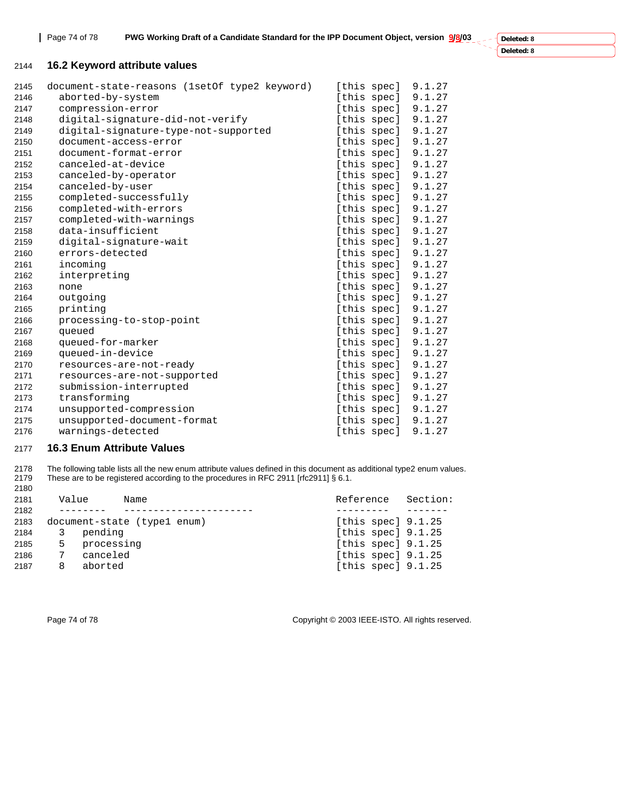**Deleted: 8 Deleted: 8**

## **16.2 Keyword attribute values**

| 2145 | document-state-reasons (1setOf type2 keyword) | [this spec] | 9.1.27 |
|------|-----------------------------------------------|-------------|--------|
| 2146 | aborted-by-system                             | [this spec] | 9.1.27 |
| 2147 | compression-error                             | [this spec] | 9.1.27 |
| 2148 | digital-signature-did-not-verify              | [this spec] | 9.1.27 |
| 2149 | digital-signature-type-not-supported          | [this spec] | 9.1.27 |
| 2150 | document-access-error                         | [this spec] | 9.1.27 |
| 2151 | document-format-error                         | [this spec] | 9.1.27 |
| 2152 | canceled-at-device                            | [this spec] | 9.1.27 |
| 2153 | canceled-by-operator                          | [this spec] | 9.1.27 |
| 2154 | canceled-by-user                              | [this spec] | 9.1.27 |
| 2155 | completed-successfully                        | [this spec] | 9.1.27 |
| 2156 | completed-with-errors                         | [this spec] | 9.1.27 |
| 2157 | completed-with-warnings                       | [this spec] | 9.1.27 |
| 2158 | data-insufficient                             | [this spec] | 9.1.27 |
| 2159 | digital-signature-wait                        | [this spec] | 9.1.27 |
| 2160 | errors-detected                               | [this spec] | 9.1.27 |
| 2161 | incoming                                      | [this spec] | 9.1.27 |
| 2162 | interpreting                                  | [this spec] | 9.1.27 |
| 2163 | none                                          | [this spec] | 9.1.27 |
| 2164 | outgoing                                      | [this spec] | 9.1.27 |
| 2165 | printing                                      | [this spec] | 9.1.27 |
| 2166 | processing-to-stop-point                      | [this spec] | 9.1.27 |
| 2167 | queued                                        | [this spec] | 9.1.27 |
| 2168 | queued-for-marker                             | [this spec] | 9.1.27 |
| 2169 | queued-in-device                              | [this spec] | 9.1.27 |
| 2170 | resources-are-not-ready                       | [this spec] | 9.1.27 |
| 2171 | resources-are-not-supported                   | [this spec] | 9.1.27 |
| 2172 | submission-interrupted                        | [this spec] | 9.1.27 |
| 2173 | transforming                                  | [this spec] | 9.1.27 |
| 2174 | unsupported-compression                       | [this spec] | 9.1.27 |
| 2175 | unsupported-document-format                   | [this spec] | 9.1.27 |
| 2176 | warnings-detected                             | [this spec] | 9.1.27 |

## **16.3 Enum Attribute Values**

2178 The following table lists all the new enum attribute values defined in this document as additional type2 enum values.<br>2179 These are to be registered according to the procedures in RFC 2911 [rfc2911] § 6.1. These are to be registered according to the procedures in RFC 2911 [rfc2911] § 6.1.

| 2180 |       |                             |                      |          |
|------|-------|-----------------------------|----------------------|----------|
| 2181 | Value | Name                        | Reference            | Section: |
| 2182 |       |                             |                      |          |
| 2183 |       | document-state (type1 enum) | [this spec] $9.1.25$ |          |
| 2184 |       | pending                     | [this spec] $9.1.25$ |          |
| 2185 | 5     | processing                  | [this spec] $9.1.25$ |          |
| 2186 |       | canceled                    | [this spec] $9.1.25$ |          |
| 2187 | 8     | aborted                     | [this spec] $9.1.25$ |          |

Page 74 of 78 Copyright © 2003 IEEE-ISTO. All rights reserved.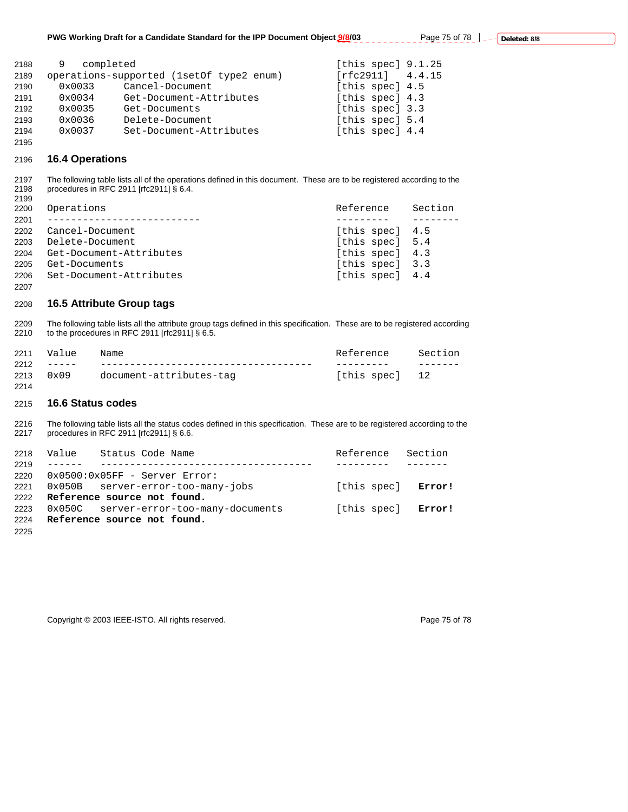| 2188 | completed<br>9  |                                            | [this spec] $9.1.25$ |
|------|-----------------|--------------------------------------------|----------------------|
| 2189 |                 | operations-supported (1set Of type 2 enum) | [rfc2911] 4.4.15     |
| 2190 | $0 \times 0033$ | Cancel-Document                            | [this spec] 4.5      |
| 2191 | $0 \times 0034$ | Get-Document-Attributes                    | [this spec] 4.3      |
| 2192 | $0 \times 0035$ | Get-Documents                              | [this spec] 3.3      |
| 2193 | $0 \times 0036$ | Delete-Document                            | [this spec] 5.4      |
| 2194 | $0 \times 0037$ | Set-Document-Attributes                    | [this spec] 4.4      |

## **16.4 Operations**

2197 The following table lists all of the operations defined in this document. These are to be registered according to the 2198 procedures in RFC 2911 [rfc2911] § 6.4. 

| 2200 | Operations              | Reference       | Section |
|------|-------------------------|-----------------|---------|
| 2201 |                         |                 |         |
| 2202 | Cancel-Document         | [this spec] 4.5 |         |
| 2203 | Delete-Document         | [this spec] 5.4 |         |
| 2204 | Get-Document-Attributes | [this spec] 4.3 |         |
| 2205 | Get-Documents           | [this spec] 3.3 |         |
| 2206 | Set-Document-Attributes | [this spec] 4.4 |         |
| 2207 |                         |                 |         |

## **16.5 Attribute Group tags**

2209 The following table lists all the attribute group tags defined in this specification. These are to be registered according 2210 to the procedures in RFC 2911 [rfc2911] § 6.5. to the procedures in RFC 2911 [rfc2911]  $\S$  6.5.

|                       | 2211 Value | Name                         | Reference      | Section |
|-----------------------|------------|------------------------------|----------------|---------|
|                       |            | 2212 ----- ----------------- |                |         |
| $2213 \t 0 \times 09$ |            | document-attributes-tag      | [this spec] 12 |         |
| 2214                  |            |                              |                |         |

#### **16.6 Status codes**

2216 The following table lists all the status codes defined in this specification. These are to be registered according to the 2217 procedures in RFC 2911 [rfc2911] § 6.6. 2217 procedures in RFC 2911 [rfc2911] § 6.6.

|      | 2218 Value Status Code Name            | Reference Section  |  |
|------|----------------------------------------|--------------------|--|
| 2219 |                                        |                    |  |
| 2220 | $0x0500:0x05FF$ - Server Error:        |                    |  |
| 2221 | 0x050B server-error-too-many-jobs      | [this spec] Error! |  |
|      | 2222 Reference source not found.       |                    |  |
| 2223 | 0x050C server-error-too-many-documents | [this spec] Error! |  |
| 2224 | Reference source not found.            |                    |  |
| 2225 |                                        |                    |  |

Copyright © 2003 IEEE-ISTO. All rights reserved. Page 75 of 78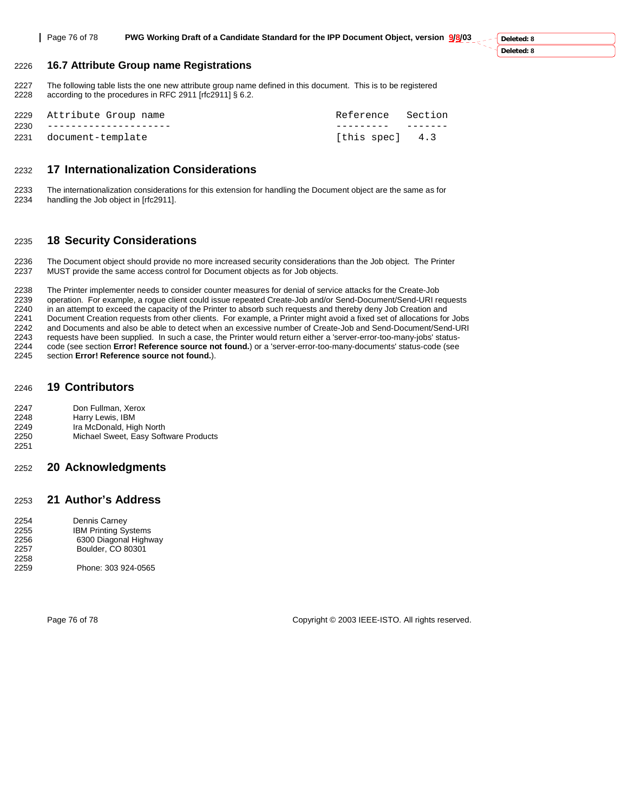**Deleted: 8 Deleted: 8**

#### 2226 **16.7 Attribute Group name Registrations**

2227 The following table lists the one new attribute group name defined in this document. This is to be registered<br>2228 according to the procedures in RFC 2911 [rfc2911] § 6.2. according to the procedures in RFC 2911 [rfc2911] § 6.2.

| 2229 Attribute Group name  | Reference Section |  |
|----------------------------|-------------------|--|
| 2230 --------------------- |                   |  |
| 2231 document-template     | [this spec] 4.3   |  |

## 2232 **17 Internationalization Considerations**

2233 The internationalization considerations for this extension for handling the Document object are the same as for 2234 handling the Job object in [rfc2911].

### 2235 **18 Security Considerations**

2236 The Document object should provide no more increased security considerations than the Job object. The Printer<br>2237 MUST provide the same access control for Document objects as for Job objects. MUST provide the same access control for Document objects as for Job objects.

2238 The Printer implementer needs to consider counter measures for denial of service attacks for the Create-Job 2239 operation. For example, a rogue client could issue repeated Create-Job and/or Send-Document/Send-URI requests<br>2240 in an attempt to exceed the capacity of the Printer to absorb such requests and thereby deny Job Creat in an attempt to exceed the capacity of the Printer to absorb such requests and thereby deny Job Creation and 2241 Document Creation requests from other clients. For example, a Printer might avoid a fixed set of allocations for Jobs 2242 and Documents and also be able to detect when an excessive number of Create-Job and Send-Document/Send-URI 2243 requests have been supplied. In such a case, the Printer would return either a 'server-error-too-many-jobs' status-2244 code (see section **Error! Reference source not found.**) or a 'server-error-too-many-documents' status-code (see 2245 section **Error! Reference source not found.**).

#### 2246 **19 Contributors**

2247 Don Fullman, Xerox

- 2248 Harry Lewis, IBM
- 2249 Ira McDonald, High North<br>2250 Michael Sweet, Easy Soft
- Michael Sweet, Easy Software Products 2251

# 2252 **20 Acknowledgments**

#### 2253 **21 Author's Address**

| 2254 | Dennis Carney               |
|------|-----------------------------|
| 2255 | <b>IBM Printing Systems</b> |
| 2256 | 6300 Diagonal Highway       |
| 2257 | Boulder, CO 80301           |
| 2258 |                             |
| 2259 | Phone: 303 924-0565         |

Page 76 of 78 Copyright © 2003 IEEE-ISTO. All rights reserved.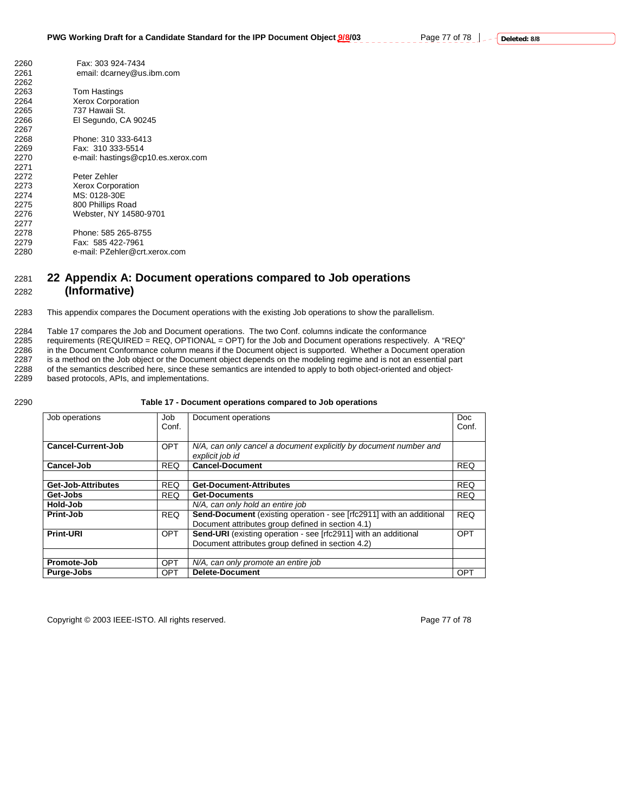| 2260 | Fax: 303 924-7434                  |
|------|------------------------------------|
| 2261 | email: dcarney@us.ibm.com          |
| 2262 |                                    |
| 2263 | <b>Tom Hastings</b>                |
| 2264 | <b>Xerox Corporation</b>           |
| 2265 | 737 Hawaii St.                     |
| 2266 | El Segundo, CA 90245               |
| 2267 |                                    |
| 2268 | Phone: 310 333-6413                |
| 2269 | Fax: 310 333-5514                  |
| 2270 | e-mail: hastings@cp10.es.xerox.com |
| 2271 |                                    |
| 2272 | Peter Zehler                       |
| 2273 | <b>Xerox Corporation</b>           |
| 2274 | MS: 0128-30E                       |
| 2275 | 800 Phillips Road                  |
| 2276 | Webster, NY 14580-9701             |
| 2277 |                                    |
| 2278 | Phone: 585 265-8755                |
| 2279 | Fax: 585 422-7961                  |
| 2280 | e-mail: PZehler@crt.xerox.com      |

# 2281 **22 Appendix A: Document operations compared to Job operations**  2282 **(Informative)**

2283 This appendix compares the Document operations with the existing Job operations to show the parallelism.

2284 Table 17 compares the Job and Document operations. The two Conf. columns indicate the conformance 2285 requirements (REQUIRED = REQ, OPTIONAL = OPT) for the Job and Document operations respectively. A "REQ"<br>2286 in the Document Conformance column means if the Document object is supported. Whether a Document operation 2286 in the Document Conformance column means if the Document object is supported. Whether a Document operation<br>2287 is a method on the Job object or the Document object depends on the modeling regime and is not an essenti 2287 is a method on the Job object or the Document object depends on the modeling regime and is not an essential part 2288 of the semantics described here, since these semantics are intended to apply to both object-oriente of the semantics described here, since these semantics are intended to apply to both object-oriented and object-

2289 based protocols, APIs, and implementations.

2290 **Table 17 - Document operations compared to Job operations** 

| Job operations     | Job<br>Conf. | Document operations                                                                                                              | Doc.<br>Conf. |
|--------------------|--------------|----------------------------------------------------------------------------------------------------------------------------------|---------------|
| Cancel-Current-Job | <b>OPT</b>   | N/A, can only cancel a document explicitly by document number and<br>explicit job id                                             |               |
| Cancel-Job         | <b>REQ</b>   | <b>Cancel-Document</b>                                                                                                           | <b>REQ</b>    |
|                    |              |                                                                                                                                  |               |
| Get-Job-Attributes | <b>REQ</b>   | <b>Get-Document-Attributes</b>                                                                                                   | <b>REQ</b>    |
| Get-Jobs           | <b>REQ</b>   | <b>Get-Documents</b>                                                                                                             | <b>REQ</b>    |
| Hold-Job           |              | N/A, can only hold an entire job                                                                                                 |               |
| Print-Job          | <b>REQ</b>   | <b>Send-Document</b> (existing operation - see [rfc2911] with an additional<br>Document attributes group defined in section 4.1) | <b>REQ</b>    |
| <b>Print-URI</b>   | <b>OPT</b>   | Send-URI (existing operation - see [rfc2911] with an additional<br>Document attributes group defined in section 4.2)             | <b>OPT</b>    |
| Promote-Job        | <b>OPT</b>   | N/A, can only promote an entire job                                                                                              |               |
| Purge-Jobs         | <b>OPT</b>   | <b>Delete-Document</b>                                                                                                           | <b>OPT</b>    |

Copyright © 2003 IEEE-ISTO. All rights reserved. Page 77 of 78